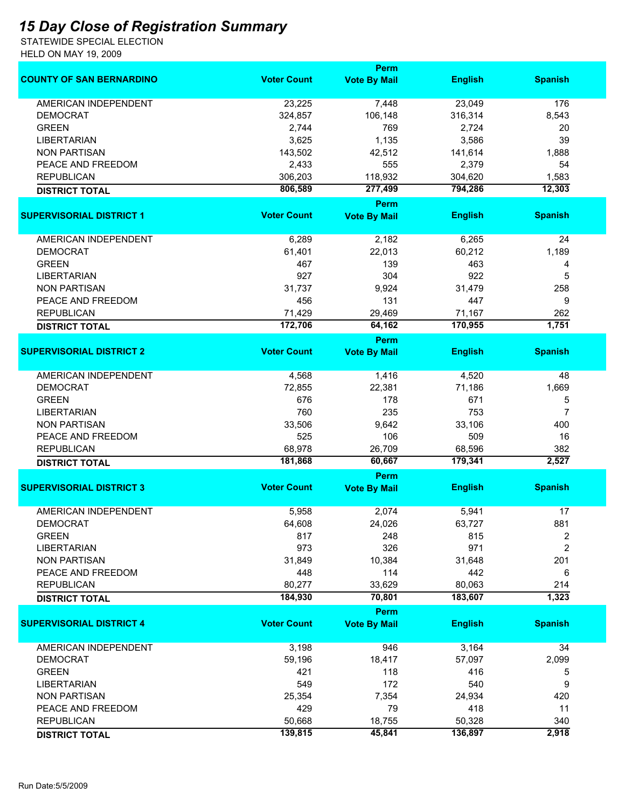## *15 Day Close of Registration Summary*

STATEWIDE SPECIAL ELECTION HELD ON MAY 19, 2009

|                                 | <b>Perm</b>        |                                    |                    |                 |  |
|---------------------------------|--------------------|------------------------------------|--------------------|-----------------|--|
| <b>COUNTY OF SAN BERNARDINO</b> | <b>Voter Count</b> | <b>Vote By Mail</b>                | <b>English</b>     | <b>Spanish</b>  |  |
| <b>AMERICAN INDEPENDENT</b>     | 23,225             | 7,448                              | 23,049             | 176             |  |
| <b>DEMOCRAT</b>                 | 324,857            | 106,148                            | 316,314            | 8,543           |  |
| <b>GREEN</b>                    | 2,744              | 769                                | 2,724              | 20              |  |
| <b>LIBERTARIAN</b>              | 3,625              | 1,135                              | 3,586              | 39              |  |
| <b>NON PARTISAN</b>             | 143,502            | 42,512                             | 141,614            | 1,888           |  |
| PEACE AND FREEDOM               | 2,433              | 555                                | 2,379              | 54              |  |
|                                 |                    |                                    |                    |                 |  |
| <b>REPUBLICAN</b>               | 306,203<br>806,589 | 118,932<br>277,499                 | 304,620<br>794,286 | 1,583<br>12,303 |  |
| <b>DISTRICT TOTAL</b>           |                    | <b>Perm</b>                        |                    |                 |  |
| <b>SUPERVISORIAL DISTRICT 1</b> | <b>Voter Count</b> | <b>Vote By Mail</b>                | <b>English</b>     | <b>Spanish</b>  |  |
| AMERICAN INDEPENDENT            | 6,289              | 2,182                              | 6,265              | 24              |  |
| <b>DEMOCRAT</b>                 | 61,401             | 22,013                             | 60,212             | 1,189           |  |
| <b>GREEN</b>                    | 467                | 139                                | 463                |                 |  |
|                                 |                    |                                    |                    | 4               |  |
| <b>LIBERTARIAN</b>              | 927                | 304                                | 922                | 5               |  |
| <b>NON PARTISAN</b>             | 31,737             | 9,924                              | 31,479             | 258             |  |
| PEACE AND FREEDOM               | 456                | 131                                | 447                | 9               |  |
| <b>REPUBLICAN</b>               | 71,429             | 29,469                             | 71,167             | 262             |  |
| <b>DISTRICT TOTAL</b>           | 172,706            | 64,162                             | 170,955            | 1,751           |  |
|                                 | <b>Voter Count</b> | <b>Perm</b>                        |                    |                 |  |
| <b>SUPERVISORIAL DISTRICT 2</b> |                    | <b>Vote By Mail</b>                | <b>English</b>     | <b>Spanish</b>  |  |
| <b>AMERICAN INDEPENDENT</b>     | 4,568              | 1,416                              | 4,520              | 48              |  |
| <b>DEMOCRAT</b>                 | 72,855             | 22,381                             | 71,186             | 1,669           |  |
| <b>GREEN</b>                    | 676                | 178                                | 671                | 5               |  |
| <b>LIBERTARIAN</b>              | 760                | 235                                | 753                | $\overline{7}$  |  |
| <b>NON PARTISAN</b>             | 33,506             | 9,642                              | 33,106             | 400             |  |
| PEACE AND FREEDOM               | 525                | 106                                | 509                | 16              |  |
| <b>REPUBLICAN</b>               | 68,978             | 26,709                             | 68,596             | 382             |  |
|                                 | 181,868            | 60,667                             | 179,341            | 2,527           |  |
| <b>DISTRICT TOTAL</b>           |                    | Perm                               |                    |                 |  |
| <b>SUPERVISORIAL DISTRICT 3</b> | <b>Voter Count</b> | <b>Vote By Mail</b>                | <b>English</b>     | <b>Spanish</b>  |  |
| <b>AMERICAN INDEPENDENT</b>     | 5,958              | 2,074                              | 5,941              | 17              |  |
| DEMOCRAT                        | 64,608             | 24,026                             | 63,727             | 881             |  |
| <b>GREEN</b>                    | 817                | 248                                | 815                | 2               |  |
| <b>LIBERTARIAN</b>              | 973                | 326                                | 971                | $\overline{2}$  |  |
| <b>NON PARTISAN</b>             | 31,849             | 10,384                             | 31,648             | 201             |  |
| PEACE AND FREEDOM               | 448                | 114                                | 442                | 6               |  |
|                                 |                    |                                    |                    |                 |  |
| <b>REPUBLICAN</b>               | 80,277<br>184,930  | 33,629                             | 80,063<br>183,607  | 214<br>1,323    |  |
| <b>DISTRICT TOTAL</b>           |                    | 70,801                             |                    |                 |  |
| <b>SUPERVISORIAL DISTRICT 4</b> | <b>Voter Count</b> | <b>Perm</b><br><b>Vote By Mail</b> | <b>English</b>     | <b>Spanish</b>  |  |
| AMERICAN INDEPENDENT            | 3,198              | 946                                | 3,164              | 34              |  |
| <b>DEMOCRAT</b>                 | 59,196             | 18,417                             | 57,097             | 2,099           |  |
| <b>GREEN</b>                    | 421                | 118                                | 416                | 5               |  |
| <b>LIBERTARIAN</b>              | 549                | 172                                | 540                | 9               |  |
| <b>NON PARTISAN</b>             | 25,354             | 7,354                              | 24,934             | 420             |  |
| PEACE AND FREEDOM               | 429                | 79                                 | 418                | 11              |  |
|                                 |                    |                                    |                    |                 |  |
| <b>REPUBLICAN</b>               | 50,668             | 18,755                             | 50,328             | 340             |  |
| <b>DISTRICT TOTAL</b>           | 139,815            | 45,841                             | 136,897            | 2,918           |  |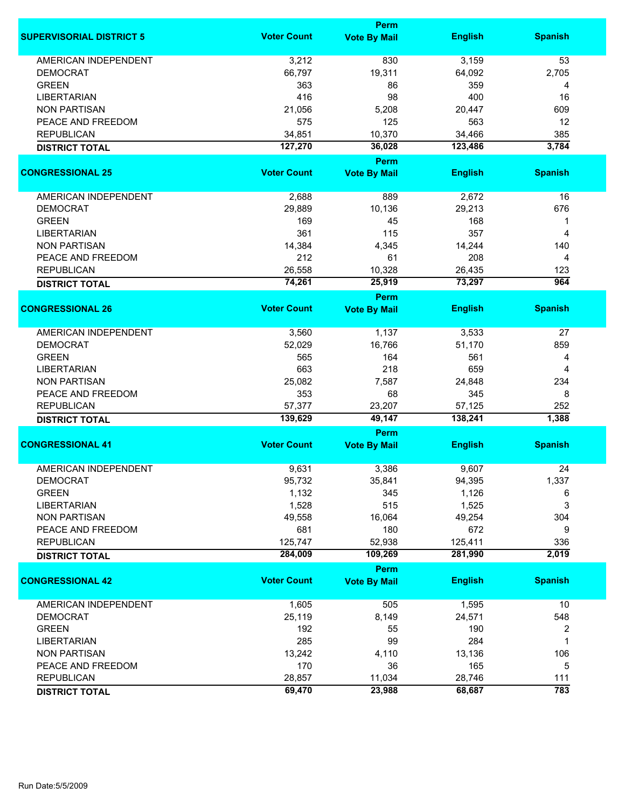|                                            |                    | <b>Perm</b>         |                   |                |
|--------------------------------------------|--------------------|---------------------|-------------------|----------------|
| <b>SUPERVISORIAL DISTRICT 5</b>            | <b>Voter Count</b> | <b>Vote By Mail</b> | <b>English</b>    | <b>Spanish</b> |
| <b>AMERICAN INDEPENDENT</b>                | 3,212              | 830                 | 3,159             | 53             |
| <b>DEMOCRAT</b>                            | 66,797             | 19,311              | 64,092            | 2,705          |
| <b>GREEN</b>                               | 363                | 86                  | 359               | 4              |
| <b>LIBERTARIAN</b>                         | 416                | 98                  | 400               | 16             |
| <b>NON PARTISAN</b>                        | 21,056             | 5,208               | 20,447            | 609            |
| PEACE AND FREEDOM                          | 575                | 125                 | 563               | 12             |
| <b>REPUBLICAN</b>                          | 34,851             | 10,370              | 34,466            | 385            |
| <b>DISTRICT TOTAL</b>                      | 127,270            | 36,028              | 123,486           | 3,784          |
|                                            |                    | <b>Perm</b>         |                   |                |
| <b>CONGRESSIONAL 25</b>                    | <b>Voter Count</b> | <b>Vote By Mail</b> | <b>English</b>    | <b>Spanish</b> |
|                                            |                    |                     |                   |                |
| AMERICAN INDEPENDENT                       | 2,688              | 889                 | 2,672             | 16             |
| <b>DEMOCRAT</b>                            | 29,889             | 10,136              | 29,213            | 676            |
| <b>GREEN</b>                               | 169                | 45                  | 168               | 1              |
| <b>LIBERTARIAN</b>                         | 361                | 115                 | 357               | 4              |
| <b>NON PARTISAN</b>                        | 14,384             | 4,345               | 14,244            | 140            |
|                                            | 212                | 61                  | 208               |                |
| PEACE AND FREEDOM                          |                    |                     |                   | 4              |
| <b>REPUBLICAN</b>                          | 26,558             | 10,328              | 26,435            | 123            |
| <b>DISTRICT TOTAL</b>                      | 74,261             | 25,919              | 73,297            | 964            |
|                                            |                    | Perm                |                   |                |
| <b>CONGRESSIONAL 26</b>                    | <b>Voter Count</b> | <b>Vote By Mail</b> | <b>English</b>    | <b>Spanish</b> |
| <b>AMERICAN INDEPENDENT</b>                | 3,560              | 1,137               | 3,533             | 27             |
| <b>DEMOCRAT</b>                            | 52,029             | 16,766              | 51,170            | 859            |
| <b>GREEN</b>                               | 565                | 164                 | 561               | 4              |
| <b>LIBERTARIAN</b>                         | 663                | 218                 | 659               | $\overline{4}$ |
| <b>NON PARTISAN</b>                        | 25,082             | 7,587               | 24,848            | 234            |
| PEACE AND FREEDOM                          | 353                | 68                  | 345               | 8              |
|                                            |                    |                     |                   |                |
| <b>REPUBLICAN</b><br><b>DISTRICT TOTAL</b> | 57,377<br>139,629  | 23,207<br>49,147    | 57,125<br>138,241 | 252<br>1,388   |
|                                            |                    | Perm                |                   |                |
| <b>CONGRESSIONAL 41</b>                    | <b>Voter Count</b> | <b>Vote By Mail</b> | <b>English</b>    | <b>Spanish</b> |
|                                            |                    |                     |                   |                |
| <b>AMERICAN INDEPENDENT</b>                | 9,631              | 3,386               | 9,607             | 24             |
| <b>DEMOCRAT</b>                            | 95,732             | 35,841              | 94,395            | 1,337          |
| <b>GREEN</b>                               | 1,132              | 345                 | 1,126             | 6              |
| <b>LIBERTARIAN</b>                         | 1,528              | 515                 | 1,525             | 3              |
| <b>NON PARTISAN</b>                        | 49,558             | 16,064              | 49,254            | 304            |
| PEACE AND FREEDOM                          | 681                | 180                 | 672               | 9              |
| <b>REPUBLICAN</b>                          | 125,747            | 52,938              | 125,411           | 336            |
| <b>DISTRICT TOTAL</b>                      | 284,009            | 109,269             | 281,990           | 2,019          |
|                                            |                    | <b>Perm</b>         |                   |                |
| <b>CONGRESSIONAL 42</b>                    | <b>Voter Count</b> | <b>Vote By Mail</b> | <b>English</b>    | <b>Spanish</b> |
| <b>AMERICAN INDEPENDENT</b>                | 1,605              | 505                 | 1,595             | 10             |
| <b>DEMOCRAT</b>                            | 25,119             | 8,149               | 24,571            | 548            |
| <b>GREEN</b>                               | 192                | 55                  | 190               | 2              |
| <b>LIBERTARIAN</b>                         | 285                | 99                  | 284               | 1              |
| <b>NON PARTISAN</b>                        | 13,242             | 4,110               | 13,136            | 106            |
| PEACE AND FREEDOM                          | 170                | 36                  | 165               | 5              |
|                                            |                    |                     |                   |                |
| <b>REPUBLICAN</b>                          | 28,857             | 11,034              | 28,746            | 111            |
| <b>DISTRICT TOTAL</b>                      | 69,470             | 23,988              | 68,687            | 783            |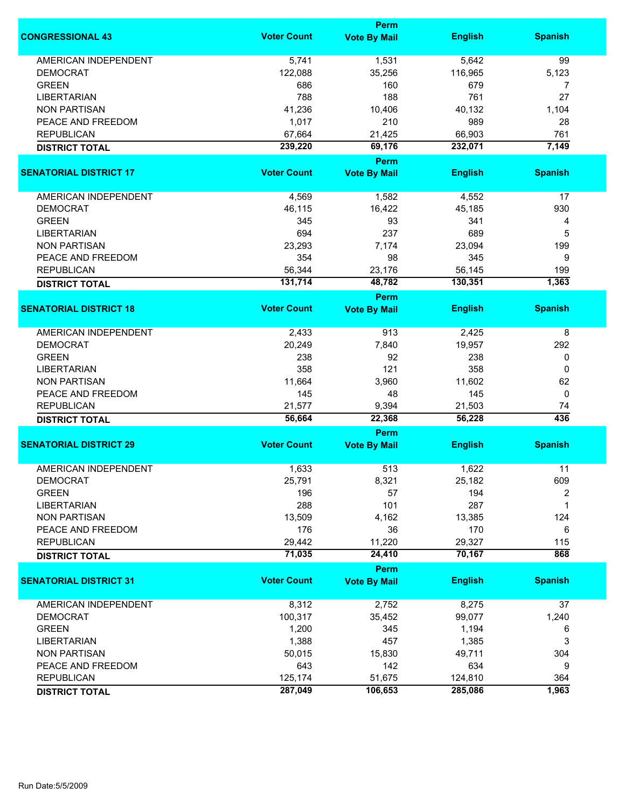|                               |                    | Perm                               |                |                |
|-------------------------------|--------------------|------------------------------------|----------------|----------------|
| <b>CONGRESSIONAL 43</b>       | <b>Voter Count</b> | <b>Vote By Mail</b>                | <b>English</b> | <b>Spanish</b> |
| <b>AMERICAN INDEPENDENT</b>   | 5,741              | 1,531                              | 5,642          | 99             |
| <b>DEMOCRAT</b>               | 122,088            | 35,256                             | 116,965        | 5,123          |
| <b>GREEN</b>                  | 686                | 160                                | 679            | 7              |
|                               | 788                | 188                                | 761            | 27             |
| <b>LIBERTARIAN</b>            |                    |                                    |                |                |
| <b>NON PARTISAN</b>           | 41,236             | 10,406                             | 40,132         | 1,104          |
| PEACE AND FREEDOM             | 1,017              | 210                                | 989            | 28             |
| <b>REPUBLICAN</b>             | 67,664             | 21,425                             | 66,903         | 761            |
| <b>DISTRICT TOTAL</b>         | 239,220            | 69,176                             | 232,071        | 7,149          |
| <b>SENATORIAL DISTRICT 17</b> | <b>Voter Count</b> | Perm<br><b>Vote By Mail</b>        | <b>English</b> | <b>Spanish</b> |
|                               |                    |                                    |                |                |
| AMERICAN INDEPENDENT          | 4,569              | 1,582                              | 4,552          | 17             |
| <b>DEMOCRAT</b>               | 46,115             | 16,422                             | 45,185         | 930            |
| <b>GREEN</b>                  | 345                | 93                                 | 341            | 4              |
| <b>LIBERTARIAN</b>            | 694                | 237                                | 689            | 5              |
| <b>NON PARTISAN</b>           | 23,293             | 7,174                              | 23,094         | 199            |
|                               | 354                | 98                                 | 345            |                |
| PEACE AND FREEDOM             |                    |                                    |                | 9              |
| <b>REPUBLICAN</b>             | 56,344             | 23,176                             | 56,145         | 199            |
| <b>DISTRICT TOTAL</b>         | 131,714            | 48,782                             | 130,351        | 1,363          |
| <b>SENATORIAL DISTRICT 18</b> | <b>Voter Count</b> | <b>Perm</b><br><b>Vote By Mail</b> | <b>English</b> | <b>Spanish</b> |
|                               |                    |                                    |                |                |
| <b>AMERICAN INDEPENDENT</b>   | 2,433              | 913                                | 2,425          | 8              |
| <b>DEMOCRAT</b>               | 20,249             | 7,840                              | 19,957         | 292            |
| <b>GREEN</b>                  | 238                | 92                                 | 238            | 0              |
| <b>LIBERTARIAN</b>            | 358                | 121                                | 358            | 0              |
| <b>NON PARTISAN</b>           | 11,664             | 3,960                              | 11,602         | 62             |
|                               |                    |                                    |                |                |
| PEACE AND FREEDOM             | 145                | 48                                 | 145            | 0              |
| <b>REPUBLICAN</b>             | 21,577             | 9,394                              | 21,503         | 74<br>436      |
| <b>DISTRICT TOTAL</b>         | 56,664             | 22,368<br>Perm                     | 56,228         |                |
| <b>SENATORIAL DISTRICT 29</b> | <b>Voter Count</b> | <b>Vote By Mail</b>                | <b>English</b> | <b>Spanish</b> |
|                               |                    |                                    |                |                |
| <b>AMERICAN INDEPENDENT</b>   | 1,633              | 513                                | 1,622          | 11             |
| <b>DEMOCRAT</b>               | 25,791             | 8,321                              | 25,182         | 609            |
| <b>GREEN</b>                  | 196                | 57                                 | 194            | 2              |
| <b>LIBERTARIAN</b>            | 288                | 101                                | 287            | 1              |
| <b>NON PARTISAN</b>           | 13,509             | 4,162                              | 13,385         | 124            |
| PEACE AND FREEDOM             | 176                | 36                                 | 170            | 6              |
| <b>REPUBLICAN</b>             | 29,442             | 11,220                             | 29,327         | 115            |
| <b>DISTRICT TOTAL</b>         | 71,035             | 24,410                             | 70,167         | 868            |
|                               |                    | Perm                               |                |                |
| <b>SENATORIAL DISTRICT 31</b> | <b>Voter Count</b> | <b>Vote By Mail</b>                | <b>English</b> | <b>Spanish</b> |
| <b>AMERICAN INDEPENDENT</b>   | 8,312              | 2,752                              | 8,275          | 37             |
| <b>DEMOCRAT</b>               | 100,317            | 35,452                             | 99,077         | 1,240          |
| <b>GREEN</b>                  | 1,200              | 345                                | 1,194          | 6              |
| <b>LIBERTARIAN</b>            | 1,388              | 457                                | 1,385          | 3              |
| <b>NON PARTISAN</b>           | 50,015             | 15,830                             | 49,711         | 304            |
|                               |                    |                                    |                |                |
| PEACE AND FREEDOM             | 643                | 142                                | 634            | 9              |
| <b>REPUBLICAN</b>             | 125,174            | 51,675                             | 124,810        | 364            |
| <b>DISTRICT TOTAL</b>         | 287,049            | 106,653                            | 285,086        | 1,963          |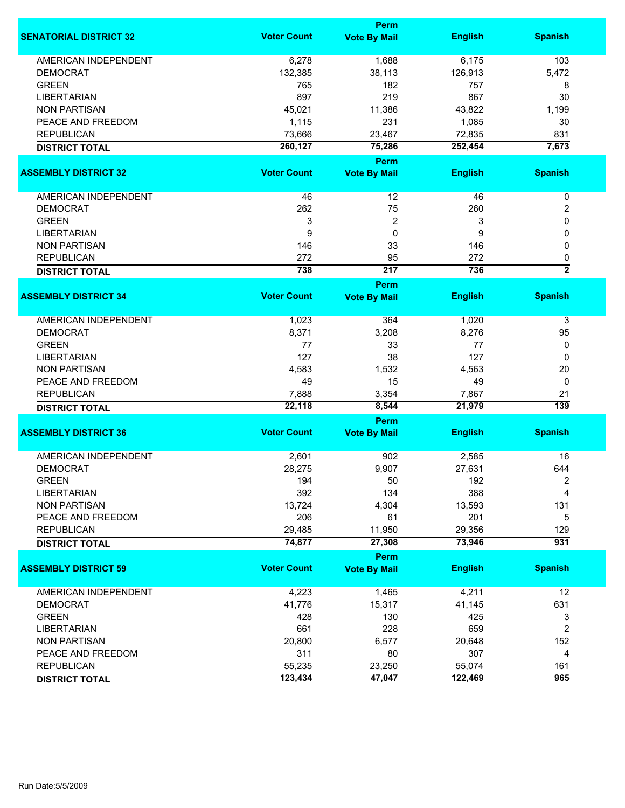|                               |                    | Perm                |                |                |
|-------------------------------|--------------------|---------------------|----------------|----------------|
| <b>SENATORIAL DISTRICT 32</b> | <b>Voter Count</b> | <b>Vote By Mail</b> | <b>English</b> | <b>Spanish</b> |
| <b>AMERICAN INDEPENDENT</b>   | 6,278              | 1,688               | 6,175          | 103            |
| <b>DEMOCRAT</b>               | 132,385            | 38,113              | 126,913        | 5,472          |
| <b>GREEN</b>                  | 765                | 182                 | 757            | 8              |
| <b>LIBERTARIAN</b>            | 897                | 219                 | 867            | 30             |
| <b>NON PARTISAN</b>           | 45,021             | 11,386              | 43,822         | 1,199          |
| PEACE AND FREEDOM             | 1,115              | 231                 | 1,085          | 30             |
|                               |                    |                     |                |                |
| <b>REPUBLICAN</b>             | 73,666             | 23,467              | 72,835         | 831            |
| <b>DISTRICT TOTAL</b>         | 260,127            | 75,286              | 252,454        | 7,673          |
|                               |                    | Perm                |                |                |
| <b>ASSEMBLY DISTRICT 32</b>   | <b>Voter Count</b> | <b>Vote By Mail</b> | <b>English</b> | <b>Spanish</b> |
| AMERICAN INDEPENDENT          | 46                 | 12                  | 46             | $\pmb{0}$      |
| <b>DEMOCRAT</b>               | 262                | 75                  | 260            | 2              |
| <b>GREEN</b>                  | 3                  | $\overline{2}$      | 3              | 0              |
| <b>LIBERTARIAN</b>            | 9                  | 0                   | 9              | 0              |
| <b>NON PARTISAN</b>           | 146                | 33                  | 146            | 0              |
| <b>REPUBLICAN</b>             | 272                | 95                  | 272            | 0              |
| <b>DISTRICT TOTAL</b>         | 738                | $\overline{217}$    | 736            | $\overline{2}$ |
|                               |                    | <b>Perm</b>         |                |                |
| <b>ASSEMBLY DISTRICT 34</b>   | <b>Voter Count</b> | <b>Vote By Mail</b> | <b>English</b> | <b>Spanish</b> |
|                               |                    |                     |                |                |
| <b>AMERICAN INDEPENDENT</b>   | 1,023              | 364                 | 1,020          | 3              |
| <b>DEMOCRAT</b>               | 8,371              | 3,208               | 8,276          | 95             |
| <b>GREEN</b>                  | 77                 | 33                  | 77             | 0              |
| <b>LIBERTARIAN</b>            | 127                | 38                  | 127            | 0              |
| <b>NON PARTISAN</b>           | 4,583              | 1,532               | 4,563          | 20             |
| PEACE AND FREEDOM             | 49                 | 15                  | 49             | 0              |
| <b>REPUBLICAN</b>             | 7,888              | 3,354               | 7,867          | 21             |
| <b>DISTRICT TOTAL</b>         | 22,118             | 8,544               | 21,979         | 139            |
|                               |                    | <b>Perm</b>         |                |                |
| <b>ASSEMBLY DISTRICT 36</b>   | <b>Voter Count</b> | <b>Vote By Mail</b> | <b>English</b> | <b>Spanish</b> |
| <b>AMERICAN INDEPENDENT</b>   | 2,601              | 902                 | 2,585          | 16             |
|                               |                    |                     |                |                |
| <b>DEMOCRAT</b>               | 28,275             | 9,907               | 27,631         | 644            |
| <b>GREEN</b>                  | 194                | 50                  | 192            | 2              |
| <b>LIBERTARIAN</b>            | 392                | 134                 | 388            | 4              |
| <b>NON PARTISAN</b>           | 13,724             | 4,304               | 13,593         | 131            |
| PEACE AND FREEDOM             | 206                | 61                  | 201            | 5              |
| <b>REPUBLICAN</b>             | 29,485             | 11,950              | 29,356         | 129            |
| <b>DISTRICT TOTAL</b>         | 74,877             | 27,308              | 73,946         | 931            |
|                               |                    | Perm                |                |                |
| <b>ASSEMBLY DISTRICT 59</b>   | <b>Voter Count</b> | <b>Vote By Mail</b> | <b>English</b> | <b>Spanish</b> |
| AMERICAN INDEPENDENT          | 4,223              | 1,465               | 4,211          | 12             |
| <b>DEMOCRAT</b>               | 41,776             | 15,317              | 41,145         | 631            |
| <b>GREEN</b>                  | 428                | 130                 | 425            | 3              |
| <b>LIBERTARIAN</b>            | 661                | 228                 | 659            | 2              |
| <b>NON PARTISAN</b>           | 20,800             | 6,577               | 20,648         | 152            |
| PEACE AND FREEDOM             | 311                | 80                  | 307            | 4              |
| <b>REPUBLICAN</b>             | 55,235             | 23,250              | 55,074         |                |
|                               |                    | 47,047              |                | 161<br>965     |
| <b>DISTRICT TOTAL</b>         | 123,434            |                     | 122,469        |                |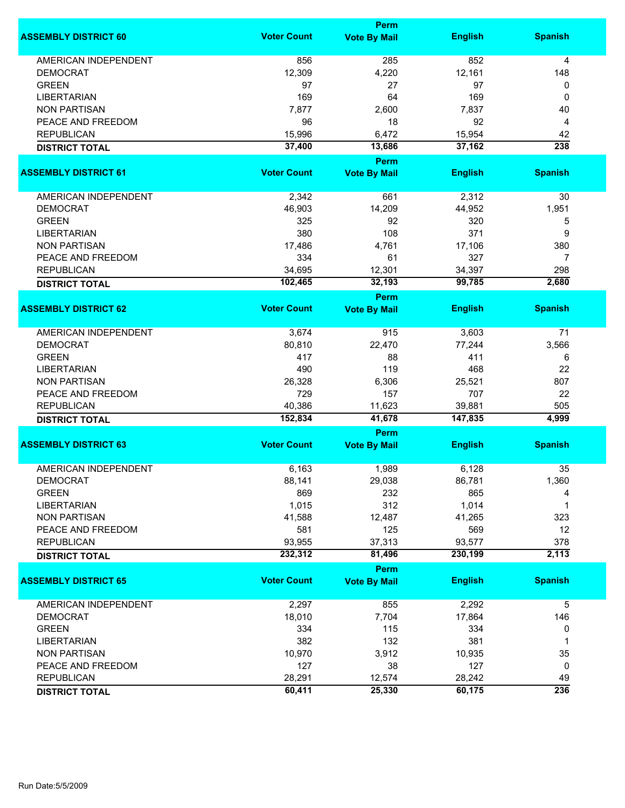|                             |                    | <b>Perm</b>                        |                |                |
|-----------------------------|--------------------|------------------------------------|----------------|----------------|
| <b>ASSEMBLY DISTRICT 60</b> | <b>Voter Count</b> | <b>Vote By Mail</b>                | <b>English</b> | <b>Spanish</b> |
| <b>AMERICAN INDEPENDENT</b> | 856                | 285                                | 852            | 4              |
| <b>DEMOCRAT</b>             | 12,309             | 4,220                              | 12,161         | 148            |
| <b>GREEN</b>                | 97                 | 27                                 | 97             | 0              |
| <b>LIBERTARIAN</b>          | 169                | 64                                 | 169            | 0              |
| <b>NON PARTISAN</b>         | 7,877              | 2,600                              | 7,837          | 40             |
|                             |                    |                                    |                |                |
| PEACE AND FREEDOM           | 96                 | 18                                 | 92             | 4              |
| <b>REPUBLICAN</b>           | 15,996             | 6,472                              | 15,954         | 42             |
| <b>DISTRICT TOTAL</b>       | 37,400             | 13,686                             | 37,162         | 238            |
| <b>ASSEMBLY DISTRICT 61</b> | <b>Voter Count</b> | Perm                               | <b>English</b> |                |
|                             |                    | <b>Vote By Mail</b>                |                | <b>Spanish</b> |
| AMERICAN INDEPENDENT        | 2,342              | 661                                | 2,312          | 30             |
| <b>DEMOCRAT</b>             | 46,903             | 14,209                             | 44,952         | 1,951          |
| <b>GREEN</b>                | 325                | 92                                 | 320            | 5              |
| <b>LIBERTARIAN</b>          | 380                | 108                                | 371            | 9              |
| <b>NON PARTISAN</b>         | 17,486             | 4,761                              | 17,106         | 380            |
|                             |                    |                                    |                |                |
| PEACE AND FREEDOM           | 334                | 61                                 | 327            | 7              |
| <b>REPUBLICAN</b>           | 34,695             | 12,301                             | 34,397         | 298            |
| <b>DISTRICT TOTAL</b>       | 102,465            | 32,193                             | 99,785         | 2,680          |
|                             |                    | <b>Perm</b>                        |                |                |
| <b>ASSEMBLY DISTRICT 62</b> | <b>Voter Count</b> | <b>Vote By Mail</b>                | <b>English</b> | <b>Spanish</b> |
| <b>AMERICAN INDEPENDENT</b> | 3,674              | 915                                | 3,603          | 71             |
| <b>DEMOCRAT</b>             | 80,810             | 22,470                             | 77,244         | 3,566          |
| <b>GREEN</b>                | 417                | 88                                 | 411            | 6              |
| <b>LIBERTARIAN</b>          | 490                | 119                                | 468            | 22             |
| <b>NON PARTISAN</b>         | 26,328             | 6,306                              | 25,521         | 807            |
|                             |                    |                                    |                |                |
| PEACE AND FREEDOM           | 729                | 157                                | 707            | 22             |
| <b>REPUBLICAN</b>           | 40,386             | 11,623                             | 39,881         | 505            |
| <b>DISTRICT TOTAL</b>       | 152,834            | 41,678                             | 147,835        | 4,999          |
| <b>ASSEMBLY DISTRICT 63</b> | <b>Voter Count</b> | <b>Perm</b><br><b>Vote By Mail</b> | <b>English</b> | <b>Spanish</b> |
|                             |                    |                                    |                |                |
| <b>AMERICAN INDEPENDENT</b> | 6,163              | 1,989                              | 6,128          | 35             |
| <b>DEMOCRAT</b>             | 88,141             | 29,038                             | 86,781         | 1,360          |
| <b>GREEN</b>                | 869                | 232                                | 865            | 4              |
| <b>LIBERTARIAN</b>          | 1,015              | 312                                | 1,014          | 1              |
| <b>NON PARTISAN</b>         | 41,588             | 12,487                             | 41,265         | 323            |
| PEACE AND FREEDOM           | 581                | 125                                | 569            | 12             |
| <b>REPUBLICAN</b>           | 93,955             | 37,313                             | 93,577         | 378            |
| <b>DISTRICT TOTAL</b>       | 232,312            | 81,496                             | 230,199        | 2,113          |
|                             |                    | Perm                               |                |                |
| <b>ASSEMBLY DISTRICT 65</b> | <b>Voter Count</b> | <b>Vote By Mail</b>                | <b>English</b> | <b>Spanish</b> |
| AMERICAN INDEPENDENT        | 2,297              | 855                                | 2,292          | 5              |
| <b>DEMOCRAT</b>             | 18,010             | 7,704                              | 17,864         | 146            |
| <b>GREEN</b>                | 334                | 115                                | 334            | 0              |
| <b>LIBERTARIAN</b>          | 382                | 132                                | 381            | 1              |
| <b>NON PARTISAN</b>         | 10,970             | 3,912                              | 10,935         | 35             |
|                             |                    |                                    |                |                |
| PEACE AND FREEDOM           | 127                | 38                                 | 127            | 0              |
| <b>REPUBLICAN</b>           | 28,291             | 12,574                             | 28,242         | 49             |
| <b>DISTRICT TOTAL</b>       | 60,411             | 25,330                             | 60,175         | 236            |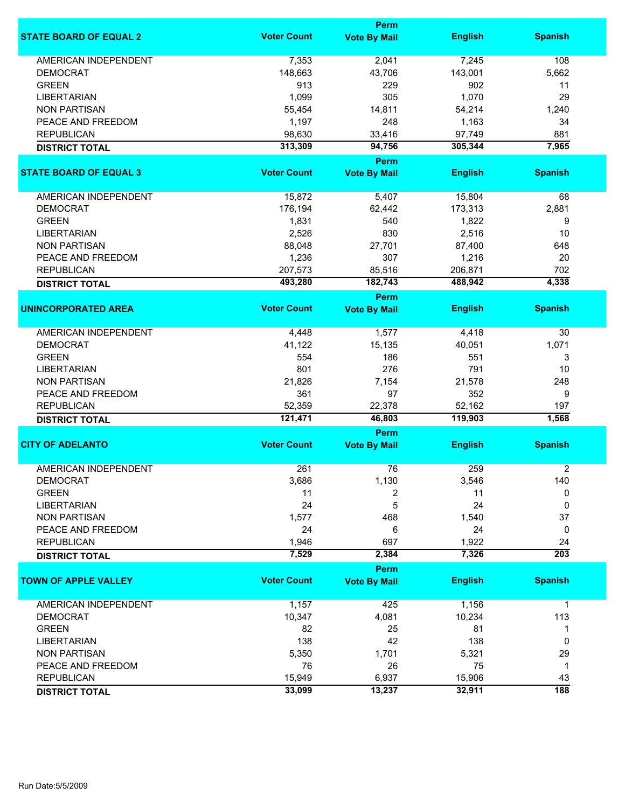|                                            |                    | Perm                        |                   |                  |
|--------------------------------------------|--------------------|-----------------------------|-------------------|------------------|
| <b>STATE BOARD OF EQUAL 2</b>              | <b>Voter Count</b> | <b>Vote By Mail</b>         | <b>English</b>    | <b>Spanish</b>   |
| <b>AMERICAN INDEPENDENT</b>                | 7,353              | 2,041                       | 7,245             | 108              |
| <b>DEMOCRAT</b>                            | 148,663            | 43,706                      | 143,001           | 5,662            |
| <b>GREEN</b>                               | 913                | 229                         | 902               | 11               |
| <b>LIBERTARIAN</b>                         | 1,099              | 305                         | 1,070             | 29               |
| <b>NON PARTISAN</b>                        | 55,454             | 14,811                      | 54,214            | 1,240            |
|                                            |                    |                             |                   |                  |
| PEACE AND FREEDOM                          | 1,197              | 248                         | 1,163             | 34               |
| <b>REPUBLICAN</b>                          | 98,630             | 33,416                      | 97,749            | 881              |
| <b>DISTRICT TOTAL</b>                      | 313,309            | 94,756                      | 305,344           | 7,965            |
| <b>STATE BOARD OF EQUAL 3</b>              | <b>Voter Count</b> | Perm<br><b>Vote By Mail</b> | <b>English</b>    | <b>Spanish</b>   |
|                                            |                    |                             |                   |                  |
| <b>AMERICAN INDEPENDENT</b>                | 15,872             | 5,407                       | 15,804            | 68               |
| <b>DEMOCRAT</b>                            | 176,194            | 62,442                      | 173,313           | 2,881            |
| <b>GREEN</b>                               | 1,831              | 540                         | 1,822             | 9                |
| <b>LIBERTARIAN</b>                         | 2,526              | 830                         | 2,516             | 10               |
| <b>NON PARTISAN</b>                        | 88,048             | 27,701                      | 87,400            | 648              |
|                                            |                    | 307                         | 1,216             | 20               |
| PEACE AND FREEDOM                          | 1,236              |                             |                   |                  |
| <b>REPUBLICAN</b>                          | 207,573            | 85,516                      | 206,871           | 702              |
| <b>DISTRICT TOTAL</b>                      | 493,280            | 182,743                     | 488,942           | 4,338            |
| <b>UNINCORPORATED AREA</b>                 | <b>Voter Count</b> | Perm<br><b>Vote By Mail</b> | <b>English</b>    | <b>Spanish</b>   |
|                                            |                    |                             |                   |                  |
| <b>AMERICAN INDEPENDENT</b>                | 4,448              | 1,577                       | 4,418             | 30               |
| <b>DEMOCRAT</b>                            | 41,122             | 15,135                      | 40,051            | 1,071            |
| <b>GREEN</b>                               | 554                | 186                         | 551               | 3                |
| <b>LIBERTARIAN</b>                         | 801                | 276                         | 791               | 10               |
| <b>NON PARTISAN</b>                        | 21,826             | 7,154                       | 21,578            | 248              |
| PEACE AND FREEDOM                          | 361                | 97                          | 352               | 9                |
|                                            |                    |                             |                   |                  |
| <b>REPUBLICAN</b><br><b>DISTRICT TOTAL</b> | 52,359<br>121,471  | 22,378<br>46,803            | 52,162<br>119,903 | 197<br>1,568     |
|                                            |                    | Perm                        |                   |                  |
| <b>CITY OF ADELANTO</b>                    | <b>Voter Count</b> | <b>Vote By Mail</b>         | <b>English</b>    | <b>Spanish</b>   |
|                                            |                    |                             |                   |                  |
| <b>AMERICAN INDEPENDENT</b>                | 261                | 76                          | 259               | $\overline{2}$   |
| <b>DEMOCRAT</b>                            | 3,686              | 1,130                       | 3,546             | 140              |
| <b>GREEN</b>                               | 11                 | 2                           | 11                | 0                |
| <b>LIBERTARIAN</b>                         | 24                 | 5                           | 24                | 0                |
| <b>NON PARTISAN</b>                        | 1,577              | 468                         | 1,540             | 37               |
| PEACE AND FREEDOM                          | 24                 | 6                           | 24                | 0                |
| <b>REPUBLICAN</b>                          | 1,946              | 697                         | 1,922             | 24               |
| <b>DISTRICT TOTAL</b>                      | 7,529              | 2,384                       | 7,326             | $\overline{203}$ |
|                                            |                    | Perm                        |                   |                  |
| <b>TOWN OF APPLE VALLEY</b>                | <b>Voter Count</b> | <b>Vote By Mail</b>         | <b>English</b>    | <b>Spanish</b>   |
| AMERICAN INDEPENDENT                       | 1,157              | 425                         | 1,156             | $\mathbf{1}$     |
| <b>DEMOCRAT</b>                            | 10,347             | 4,081                       | 10,234            | 113              |
| <b>GREEN</b>                               | 82                 | 25                          | 81                | 1                |
| <b>LIBERTARIAN</b>                         | 138                | 42                          | 138               | 0                |
| <b>NON PARTISAN</b>                        | 5,350              | 1,701                       | 5,321             | 29               |
|                                            |                    |                             |                   |                  |
| PEACE AND FREEDOM                          | 76                 | 26                          | 75                | $\mathbf{1}$     |
| <b>REPUBLICAN</b>                          | 15,949             | 6,937                       | 15,906            | 43               |
| <b>DISTRICT TOTAL</b>                      | 33,099             | 13,237                      | 32,911            | 188              |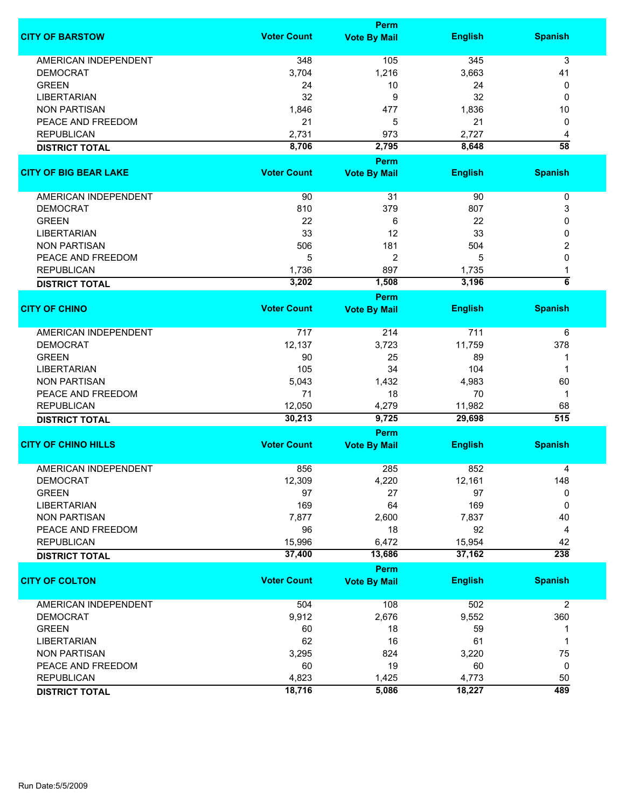|                              |                    | <b>Perm</b>         |                |                         |
|------------------------------|--------------------|---------------------|----------------|-------------------------|
| <b>CITY OF BARSTOW</b>       | <b>Voter Count</b> | <b>Vote By Mail</b> | <b>English</b> | <b>Spanish</b>          |
| <b>AMERICAN INDEPENDENT</b>  | 348                | 105                 | 345            | 3                       |
| <b>DEMOCRAT</b>              | 3,704              | 1,216               | 3,663          | 41                      |
| <b>GREEN</b>                 | 24                 | 10                  | 24             | 0                       |
| <b>LIBERTARIAN</b>           | 32                 | 9                   | 32             | 0                       |
| <b>NON PARTISAN</b>          | 1,846              | 477                 | 1,836          | 10                      |
| PEACE AND FREEDOM            | 21                 | 5                   | 21             | 0                       |
| <b>REPUBLICAN</b>            | 2,731              | 973                 | 2,727          | 4                       |
| <b>DISTRICT TOTAL</b>        | 8,706              | 2,795               | 8,648          | $\overline{58}$         |
|                              |                    | <b>Perm</b>         |                |                         |
| <b>CITY OF BIG BEAR LAKE</b> | <b>Voter Count</b> | <b>Vote By Mail</b> | <b>English</b> | <b>Spanish</b>          |
|                              |                    |                     |                |                         |
| AMERICAN INDEPENDENT         | 90                 | 31                  | 90             | $\pmb{0}$               |
| <b>DEMOCRAT</b>              | 810                | 379                 | 807            | 3                       |
| <b>GREEN</b>                 | 22                 | 6                   | 22             | 0                       |
| <b>LIBERTARIAN</b>           | 33                 | 12                  | 33             | 0                       |
| <b>NON PARTISAN</b>          | 506                | 181                 | 504            | 2                       |
| PEACE AND FREEDOM            | 5                  | $\overline{2}$      | 5              | 0                       |
| <b>REPUBLICAN</b>            |                    | 897                 | 1,735          |                         |
|                              | 1,736              |                     |                | 1<br>$\overline{\bf 6}$ |
| <b>DISTRICT TOTAL</b>        | 3,202              | 1,508               | 3,196          |                         |
|                              |                    | Perm                |                |                         |
| <b>CITY OF CHINO</b>         | <b>Voter Count</b> | <b>Vote By Mail</b> | <b>English</b> | <b>Spanish</b>          |
| <b>AMERICAN INDEPENDENT</b>  | 717                | 214                 | 711            | 6                       |
| <b>DEMOCRAT</b>              | 12,137             | 3,723               | 11,759         | 378                     |
| <b>GREEN</b>                 | 90                 | 25                  | 89             |                         |
| <b>LIBERTARIAN</b>           | 105                | 34                  | 104            | 1                       |
| <b>NON PARTISAN</b>          | 5,043              | 1,432               | 4,983          | 60                      |
| PEACE AND FREEDOM            | 71                 | 18                  | 70             | $\mathbf 1$             |
| <b>REPUBLICAN</b>            | 12,050             | 4,279               | 11,982         | 68                      |
| <b>DISTRICT TOTAL</b>        | 30,213             | 9,725               | 29,698         | $\overline{515}$        |
|                              |                    | <b>Perm</b>         |                |                         |
| <b>CITY OF CHINO HILLS</b>   | <b>Voter Count</b> | <b>Vote By Mail</b> | <b>English</b> | <b>Spanish</b>          |
|                              |                    |                     |                |                         |
| <b>AMERICAN INDEPENDENT</b>  | 856                | 285                 | 852            | 4                       |
| <b>DEMOCRAT</b>              | 12,309             | 4,220               | 12,161         | 148                     |
| <b>GREEN</b>                 | 97                 | 27                  | 97             | 0                       |
| <b>LIBERTARIAN</b>           | 169                | 64                  | 169            | 0                       |
| <b>NON PARTISAN</b>          | 7,877              | 2,600               | 7,837          | 40                      |
| PEACE AND FREEDOM            | 96                 | 18                  | 92             | 4                       |
| <b>REPUBLICAN</b>            | 15,996             | 6,472               | 15,954         | 42                      |
| <b>DISTRICT TOTAL</b>        | 37,400             | 13,686              | 37,162         | 238                     |
|                              |                    | <b>Perm</b>         |                |                         |
| <b>CITY OF COLTON</b>        | <b>Voter Count</b> | <b>Vote By Mail</b> | <b>English</b> | <b>Spanish</b>          |
| <b>AMERICAN INDEPENDENT</b>  | 504                | 108                 | 502            | $\overline{2}$          |
| <b>DEMOCRAT</b>              | 9,912              | 2,676               | 9,552          | 360                     |
| <b>GREEN</b>                 | 60                 | 18                  | 59             | 1                       |
| <b>LIBERTARIAN</b>           | 62                 | 16                  | 61             | 1                       |
| <b>NON PARTISAN</b>          | 3,295              | 824                 | 3,220          | 75                      |
| PEACE AND FREEDOM            | 60                 | 19                  | 60             | 0                       |
| <b>REPUBLICAN</b>            | 4,823              | 1,425               | 4,773          | 50                      |
|                              | 18,716             | 5,086               | 18,227         | 489                     |
| <b>DISTRICT TOTAL</b>        |                    |                     |                |                         |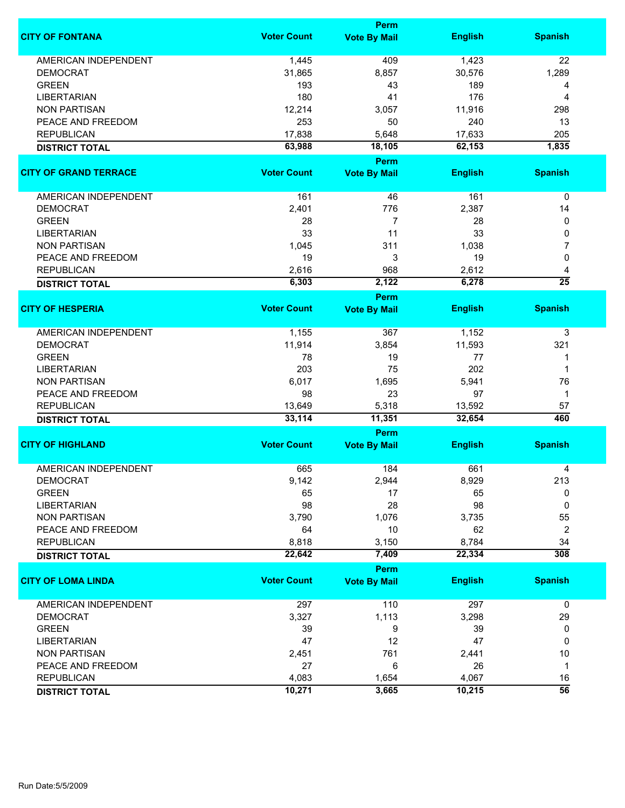|                              |                    | <b>Perm</b>           |                  |                  |
|------------------------------|--------------------|-----------------------|------------------|------------------|
| <b>CITY OF FONTANA</b>       | <b>Voter Count</b> | <b>Vote By Mail</b>   | <b>English</b>   | <b>Spanish</b>   |
| <b>AMERICAN INDEPENDENT</b>  | 1,445              | 409                   | 1,423            | 22               |
| <b>DEMOCRAT</b>              | 31,865             | 8,857                 | 30,576           | 1,289            |
| <b>GREEN</b>                 | 193                | 43                    | 189              | 4                |
| <b>LIBERTARIAN</b>           | 180                | 41                    | 176              | 4                |
| <b>NON PARTISAN</b>          | 12,214             | 3,057                 | 11,916           | 298              |
| PEACE AND FREEDOM            | 253                | 50                    | 240              | 13               |
|                              |                    |                       |                  |                  |
| <b>REPUBLICAN</b>            | 17,838             | 5,648                 | 17,633           | 205              |
| <b>DISTRICT TOTAL</b>        | 63,988             | 18,105<br><b>Perm</b> | 62,153           | 1,835            |
| <b>CITY OF GRAND TERRACE</b> | <b>Voter Count</b> | <b>Vote By Mail</b>   | <b>English</b>   | <b>Spanish</b>   |
|                              |                    |                       |                  |                  |
| AMERICAN INDEPENDENT         | 161                | 46                    | 161              | 0                |
| <b>DEMOCRAT</b>              | 2,401              | 776                   | 2,387            | 14               |
| <b>GREEN</b>                 | 28                 | $\overline{7}$        | 28               | 0                |
| <b>LIBERTARIAN</b>           | 33                 | 11                    | 33               | 0                |
| <b>NON PARTISAN</b>          | 1,045              | 311                   | 1,038            | 7                |
| PEACE AND FREEDOM            | 19                 | 3                     | 19               | 0                |
| <b>REPUBLICAN</b>            | 2,616              | 968                   | 2,612            | 4                |
| <b>DISTRICT TOTAL</b>        | 6,303              | 2,122                 | 6,278            | $\overline{25}$  |
|                              |                    | <b>Perm</b>           |                  |                  |
| <b>CITY OF HESPERIA</b>      | <b>Voter Count</b> | <b>Vote By Mail</b>   | <b>English</b>   | <b>Spanish</b>   |
| <b>AMERICAN INDEPENDENT</b>  | 1,155              | 367                   | 1,152            | 3                |
| <b>DEMOCRAT</b>              | 11,914             | 3,854                 | 11,593           | 321              |
| <b>GREEN</b>                 | 78                 | 19                    | 77               | 1                |
| <b>LIBERTARIAN</b>           | 203                | 75                    | 202              | 1                |
| <b>NON PARTISAN</b>          | 6,017              | 1,695                 | 5,941            | 76               |
| PEACE AND FREEDOM            | 98                 | 23                    | 97               | $\mathbf 1$      |
|                              |                    |                       |                  |                  |
| <b>REPUBLICAN</b>            | 13,649<br>33,114   | 5,318<br>11,351       | 13,592<br>32,654 | 57<br>460        |
| <b>DISTRICT TOTAL</b>        |                    | Perm                  |                  |                  |
| <b>CITY OF HIGHLAND</b>      | <b>Voter Count</b> | <b>Vote By Mail</b>   | <b>English</b>   | <b>Spanish</b>   |
| <b>AMERICAN INDEPENDENT</b>  | 665                | 184                   | 661              | 4                |
| <b>DEMOCRAT</b>              | 9,142              | 2,944                 | 8,929            | 213              |
| <b>GREEN</b>                 | 65                 | 17                    | 65               | 0                |
| <b>LIBERTARIAN</b>           | 98                 | 28                    | 98               | 0                |
|                              |                    |                       |                  |                  |
| <b>NON PARTISAN</b>          | 3,790              | 1,076                 | 3,735            | 55               |
| PEACE AND FREEDOM            | 64                 | 10                    | 62               | $\overline{2}$   |
| <b>REPUBLICAN</b>            | 8,818              | 3,150                 | 8,784            | 34               |
| <b>DISTRICT TOTAL</b>        | 22,642             | 7,409                 | 22,334           | $\overline{308}$ |
|                              | <b>Voter Count</b> | Perm                  |                  |                  |
| <b>CITY OF LOMA LINDA</b>    |                    | <b>Vote By Mail</b>   | <b>English</b>   | <b>Spanish</b>   |
| <b>AMERICAN INDEPENDENT</b>  | 297                | 110                   | 297              | $\mathbf 0$      |
| <b>DEMOCRAT</b>              | 3,327              | 1,113                 | 3,298            | 29               |
| <b>GREEN</b>                 | 39                 | 9                     | 39               | 0                |
| <b>LIBERTARIAN</b>           | 47                 | 12                    | 47               | 0                |
| <b>NON PARTISAN</b>          | 2,451              | 761                   | 2,441            | 10               |
| PEACE AND FREEDOM            | 27                 | 6                     | 26               | $\mathbf{1}$     |
| <b>REPUBLICAN</b>            | 4,083              | 1,654                 | 4,067            | 16               |
| <b>DISTRICT TOTAL</b>        | 10,271             | 3,665                 | 10,215           | $\overline{56}$  |
|                              |                    |                       |                  |                  |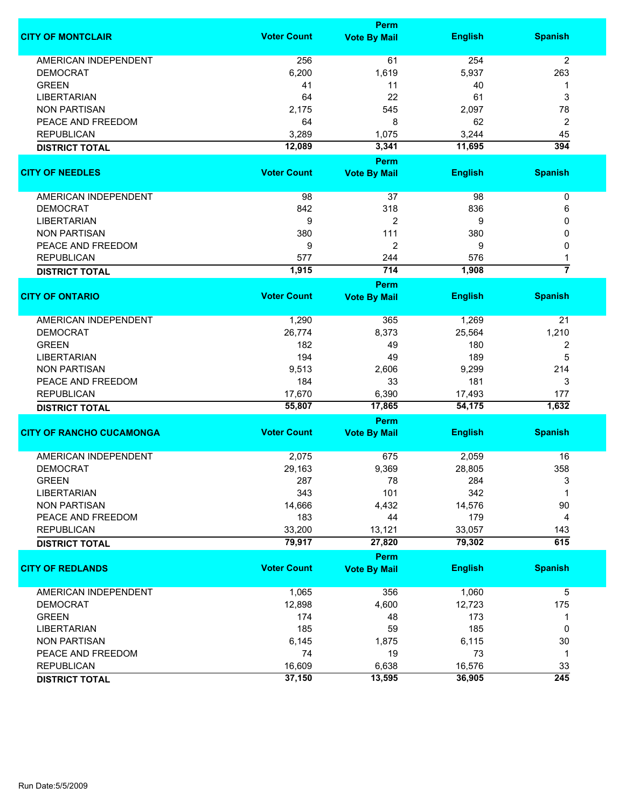|                                 |                    | Perm                |                |                  |
|---------------------------------|--------------------|---------------------|----------------|------------------|
| <b>CITY OF MONTCLAIR</b>        | <b>Voter Count</b> | <b>Vote By Mail</b> | <b>English</b> | <b>Spanish</b>   |
| <b>AMERICAN INDEPENDENT</b>     | 256                | 61                  | 254            | 2                |
| <b>DEMOCRAT</b>                 | 6,200              | 1,619               | 5,937          | 263              |
| <b>GREEN</b>                    | 41                 | 11                  | 40             | 1                |
| <b>LIBERTARIAN</b>              | 64                 | 22                  | 61             | 3                |
| <b>NON PARTISAN</b>             | 2,175              | 545                 | 2,097          | 78               |
| PEACE AND FREEDOM               | 64                 | 8                   | 62             | 2                |
| <b>REPUBLICAN</b>               | 3,289              | 1,075               | 3,244          | 45               |
| <b>DISTRICT TOTAL</b>           | 12,089             | 3,341               | 11,695         | 394              |
|                                 |                    | Perm                |                |                  |
| <b>CITY OF NEEDLES</b>          | <b>Voter Count</b> | <b>Vote By Mail</b> | <b>English</b> | <b>Spanish</b>   |
|                                 |                    |                     |                |                  |
| AMERICAN INDEPENDENT            | 98                 | 37                  | 98             | 0                |
| <b>DEMOCRAT</b>                 | 842                | 318                 | 836            | 6                |
| <b>LIBERTARIAN</b>              | 9                  | 2                   | 9              | 0                |
| <b>NON PARTISAN</b>             | 380                | 111                 | 380            | 0                |
| PEACE AND FREEDOM               | 9                  | 2                   | 9              | 0                |
| <b>REPUBLICAN</b>               | 577                | 244                 | 576            |                  |
| <b>DISTRICT TOTAL</b>           | 1,915              | 714                 | 1,908          | $\overline{7}$   |
|                                 |                    | Perm                |                |                  |
| <b>CITY OF ONTARIO</b>          | <b>Voter Count</b> | <b>Vote By Mail</b> | <b>English</b> | <b>Spanish</b>   |
|                                 |                    |                     |                |                  |
| AMERICAN INDEPENDENT            | 1,290              | 365                 | 1,269          | 21               |
| <b>DEMOCRAT</b>                 | 26,774             | 8,373               | 25,564         | 1,210            |
| <b>GREEN</b>                    | 182                | 49                  | 180            | 2                |
| <b>LIBERTARIAN</b>              | 194                | 49                  | 189            | 5                |
| <b>NON PARTISAN</b>             | 9,513              | 2,606               | 9,299          | 214              |
| PEACE AND FREEDOM               | 184                | 33                  | 181            | 3                |
| <b>REPUBLICAN</b>               | 17,670             | 6,390               | 17,493         | 177              |
| <b>DISTRICT TOTAL</b>           | 55,807             | 17,865              | 54,175         | 1,632            |
|                                 |                    | Perm                |                |                  |
| <b>CITY OF RANCHO CUCAMONGA</b> | <b>Voter Count</b> | <b>Vote By Mail</b> | <b>English</b> | <b>Spanish</b>   |
| <b>AMERICAN INDEPENDENT</b>     | 2,075              | 675                 | 2,059          | 16               |
| <b>DEMOCRAT</b>                 | 29,163             | 9,369               | 28,805         | 358              |
| <b>GREEN</b>                    | 287                | 78                  | 284            | 3                |
| <b>LIBERTARIAN</b>              | 343                | 101                 | 342            | 1                |
| <b>NON PARTISAN</b>             | 14,666             | 4,432               | 14,576         | 90               |
| PEACE AND FREEDOM               | 183                | 44                  | 179            | 4                |
| <b>REPUBLICAN</b>               | 33,200             | 13,121              | 33,057         | 143              |
| <b>DISTRICT TOTAL</b>           | 79,917             | 27,820              | 79,302         | 615              |
|                                 |                    | Perm                |                |                  |
| <b>CITY OF REDLANDS</b>         | <b>Voter Count</b> | <b>Vote By Mail</b> | <b>English</b> | <b>Spanish</b>   |
|                                 |                    |                     |                |                  |
| AMERICAN INDEPENDENT            | 1,065              | 356                 | 1,060          | 5                |
| <b>DEMOCRAT</b>                 | 12,898             | 4,600               | 12,723         | 175              |
| <b>GREEN</b>                    | 174                | 48                  | 173            | 1                |
| <b>LIBERTARIAN</b>              | 185                | 59                  | 185            | 0                |
| <b>NON PARTISAN</b>             | 6,145              | 1,875               | 6,115          | 30               |
| PEACE AND FREEDOM               | 74                 | 19                  | 73             | 1                |
| <b>REPUBLICAN</b>               | 16,609             | 6,638               | 16,576         | 33               |
| <b>DISTRICT TOTAL</b>           | 37,150             | 13,595              | 36,905         | $\overline{245}$ |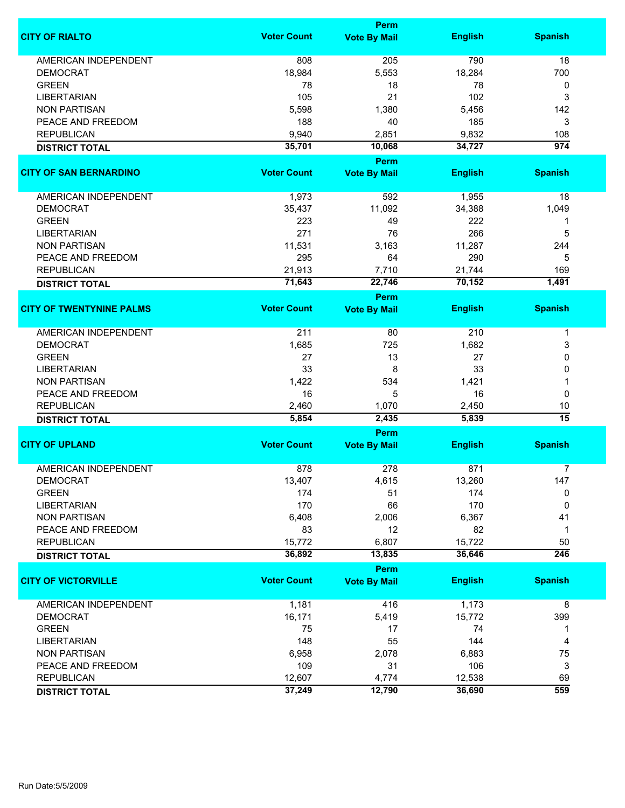|                                 |                    | <b>Perm</b>                        |                |                  |
|---------------------------------|--------------------|------------------------------------|----------------|------------------|
| <b>CITY OF RIALTO</b>           | <b>Voter Count</b> | <b>Vote By Mail</b>                | <b>English</b> | <b>Spanish</b>   |
| <b>AMERICAN INDEPENDENT</b>     | 808                | 205                                | 790            | 18               |
| <b>DEMOCRAT</b>                 | 18,984             | 5,553                              | 18,284         | 700              |
| <b>GREEN</b>                    | 78                 | 18                                 | 78             | 0                |
| <b>LIBERTARIAN</b>              | 105                | 21                                 | 102            | 3                |
| <b>NON PARTISAN</b>             |                    | 1,380                              |                | 142              |
|                                 | 5,598              |                                    | 5,456          |                  |
| PEACE AND FREEDOM               | 188                | 40                                 | 185            | 3                |
| <b>REPUBLICAN</b>               | 9,940              | 2,851                              | 9,832          | 108              |
| <b>DISTRICT TOTAL</b>           | 35,701             | 10,068                             | 34,727         | $\overline{974}$ |
| <b>CITY OF SAN BERNARDINO</b>   | <b>Voter Count</b> | <b>Perm</b><br><b>Vote By Mail</b> | <b>English</b> | <b>Spanish</b>   |
|                                 |                    |                                    |                |                  |
| AMERICAN INDEPENDENT            | 1,973              | 592                                | 1,955          | 18               |
| <b>DEMOCRAT</b>                 | 35,437             | 11,092                             | 34,388         | 1,049            |
| <b>GREEN</b>                    | 223                | 49                                 | 222            | 1                |
| <b>LIBERTARIAN</b>              | 271                | 76                                 | 266            | 5                |
| <b>NON PARTISAN</b>             | 11,531             | 3,163                              | 11,287         | 244              |
| PEACE AND FREEDOM               | 295                | 64                                 | 290            | 5                |
| <b>REPUBLICAN</b>               | 21,913             | 7,710                              | 21,744         | 169              |
| <b>DISTRICT TOTAL</b>           | 71,643             | 22,746                             | 70,152         | 1,491            |
|                                 |                    | <b>Perm</b>                        |                |                  |
| <b>CITY OF TWENTYNINE PALMS</b> | <b>Voter Count</b> | <b>Vote By Mail</b>                | <b>English</b> | <b>Spanish</b>   |
| <b>AMERICAN INDEPENDENT</b>     | 211                | 80                                 | 210            | 1                |
| <b>DEMOCRAT</b>                 | 1,685              | 725                                | 1,682          | 3                |
| <b>GREEN</b>                    | 27                 | 13                                 | 27             | 0                |
| <b>LIBERTARIAN</b>              | 33                 | 8                                  | 33             | 0                |
| <b>NON PARTISAN</b>             | 1,422              | 534                                | 1,421          | 1                |
| PEACE AND FREEDOM               | 16                 | 5                                  | 16             | 0                |
| <b>REPUBLICAN</b>               | 2,460              | 1,070                              | 2,450          | 10               |
| <b>DISTRICT TOTAL</b>           | 5,854              | 2,435                              | 5,839          | $\overline{15}$  |
|                                 |                    | Perm                               |                |                  |
| <b>CITY OF UPLAND</b>           | <b>Voter Count</b> | <b>Vote By Mail</b>                | <b>English</b> | <b>Spanish</b>   |
| <b>AMERICAN INDEPENDENT</b>     | 878                | 278                                | 871            |                  |
|                                 |                    |                                    |                | $\overline{7}$   |
| <b>DEMOCRAT</b>                 | 13,407             | 4,615                              | 13,260         | 147              |
| <b>GREEN</b>                    | 174                | 51                                 | 174            | 0                |
| <b>LIBERTARIAN</b>              | 170                | 66                                 | 170            | 0                |
| <b>NON PARTISAN</b>             | 6,408              | 2,006                              | 6,367          | 41               |
| PEACE AND FREEDOM               | 83                 | 12                                 | 82             | 1                |
| <b>REPUBLICAN</b>               | 15,772             | 6,807                              | 15,722         | 50               |
| <b>DISTRICT TOTAL</b>           | 36,892             | 13,835                             | 36,646         | $\overline{246}$ |
|                                 |                    | Perm                               |                |                  |
| <b>CITY OF VICTORVILLE</b>      | <b>Voter Count</b> | <b>Vote By Mail</b>                | <b>English</b> | <b>Spanish</b>   |
| <b>AMERICAN INDEPENDENT</b>     | 1,181              | 416                                | 1,173          | 8                |
| <b>DEMOCRAT</b>                 | 16,171             | 5,419                              | 15,772         | 399              |
| <b>GREEN</b>                    | 75                 | 17                                 | 74             | 1                |
| <b>LIBERTARIAN</b>              | 148                | 55                                 | 144            | 4                |
| <b>NON PARTISAN</b>             | 6,958              | 2,078                              | 6,883          | 75               |
| PEACE AND FREEDOM               | 109                | 31                                 | 106            | 3                |
| <b>REPUBLICAN</b>               | 12,607             | 4,774                              | 12,538         | 69               |
| <b>DISTRICT TOTAL</b>           | 37,249             | 12,790                             | 36,690         | 559              |
|                                 |                    |                                    |                |                  |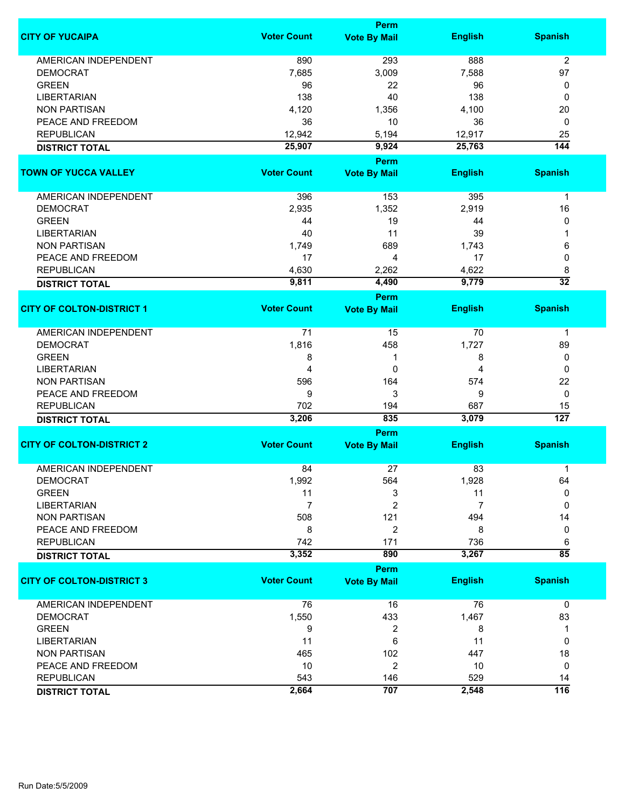|                                  |                    | Perm                        |                |                  |
|----------------------------------|--------------------|-----------------------------|----------------|------------------|
| <b>CITY OF YUCAIPA</b>           | <b>Voter Count</b> | <b>Vote By Mail</b>         | <b>English</b> | <b>Spanish</b>   |
| <b>AMERICAN INDEPENDENT</b>      | 890                | 293                         | 888            | 2                |
| <b>DEMOCRAT</b>                  | 7,685              | 3,009                       | 7,588          | 97               |
| <b>GREEN</b>                     | 96                 | 22                          | 96             | 0                |
| <b>LIBERTARIAN</b>               | 138                | 40                          | 138            | 0                |
| <b>NON PARTISAN</b>              | 4,120              | 1,356                       | 4,100          | 20               |
|                                  |                    | 10                          |                |                  |
| PEACE AND FREEDOM                | 36                 |                             | 36             | 0                |
| <b>REPUBLICAN</b>                | 12,942             | 5,194                       | 12,917         | 25               |
| <b>DISTRICT TOTAL</b>            | 25,907             | 9,924                       | 25,763         | $\overline{144}$ |
| <b>TOWN OF YUCCA VALLEY</b>      | <b>Voter Count</b> | Perm<br><b>Vote By Mail</b> | <b>English</b> | <b>Spanish</b>   |
|                                  |                    |                             |                |                  |
| AMERICAN INDEPENDENT             | 396                | 153                         | 395            | 1                |
| <b>DEMOCRAT</b>                  | 2,935              | 1,352                       | 2,919          | 16               |
| <b>GREEN</b>                     | 44                 | 19                          | 44             | 0                |
| <b>LIBERTARIAN</b>               | 40                 | 11                          | 39             |                  |
| <b>NON PARTISAN</b>              | 1,749              | 689                         | 1,743          | 6                |
| PEACE AND FREEDOM                | 17                 | 4                           | 17             | 0                |
| <b>REPUBLICAN</b>                | 4,630              | 2,262                       | 4,622          | 8                |
|                                  | 9,811              | 4,490                       | 9,779          | $\overline{32}$  |
| <b>DISTRICT TOTAL</b>            |                    | <b>Perm</b>                 |                |                  |
| <b>CITY OF COLTON-DISTRICT 1</b> | <b>Voter Count</b> | <b>Vote By Mail</b>         | <b>English</b> | <b>Spanish</b>   |
| <b>AMERICAN INDEPENDENT</b>      | 71                 | 15                          | 70             | $\mathbf{1}$     |
| <b>DEMOCRAT</b>                  | 1,816              | 458                         | 1,727          | 89               |
| <b>GREEN</b>                     | 8                  | 1                           | 8              | 0                |
|                                  | 4                  | 0                           |                | 0                |
| <b>LIBERTARIAN</b>               |                    |                             | 4              |                  |
| <b>NON PARTISAN</b>              | 596                | 164                         | 574            | 22               |
| PEACE AND FREEDOM                | 9                  | 3                           | 9              | 0                |
| <b>REPUBLICAN</b>                | 702                | 194                         | 687            | 15               |
| <b>DISTRICT TOTAL</b>            | 3,206              | 835                         | 3,079          | $\overline{127}$ |
|                                  | <b>Voter Count</b> | Perm                        |                |                  |
| <b>CITY OF COLTON-DISTRICT 2</b> |                    | <b>Vote By Mail</b>         | <b>English</b> | <b>Spanish</b>   |
| <b>AMERICAN INDEPENDENT</b>      | 84                 | 27                          | 83             | 1                |
| DEMOCRAT                         | 1,992              | 564                         | 1,928          | 64               |
| <b>GREEN</b>                     | 11                 | 3                           | 11             | 0                |
| <b>LIBERTARIAN</b>               | $\overline{7}$     | $\overline{2}$              | 7              | 0                |
| <b>NON PARTISAN</b>              | 508                | 121                         | 494            | 14               |
| PEACE AND FREEDOM                | 8                  | $\overline{2}$              | 8              | 0                |
| <b>REPUBLICAN</b>                | 742                | 171                         | 736            | 6                |
| <b>DISTRICT TOTAL</b>            | 3,352              | 890                         | 3,267          | $\overline{85}$  |
|                                  |                    | <b>Perm</b>                 |                |                  |
| <b>CITY OF COLTON-DISTRICT 3</b> | <b>Voter Count</b> | <b>Vote By Mail</b>         | <b>English</b> | <b>Spanish</b>   |
| <b>AMERICAN INDEPENDENT</b>      | 76                 | 16                          | 76             | $\mathbf 0$      |
| <b>DEMOCRAT</b>                  | 1,550              | 433                         | 1,467          | 83               |
| <b>GREEN</b>                     | 9                  | 2                           | 8              | 1                |
| <b>LIBERTARIAN</b>               | 11                 | 6                           | 11             | 0                |
| <b>NON PARTISAN</b>              | 465                | 102                         | 447            | 18               |
| PEACE AND FREEDOM                | 10                 | 2                           | 10             | 0                |
| <b>REPUBLICAN</b>                | 543                | 146                         | 529            | 14               |
|                                  | 2,664              | 707                         | 2,548          | 116              |
| <b>DISTRICT TOTAL</b>            |                    |                             |                |                  |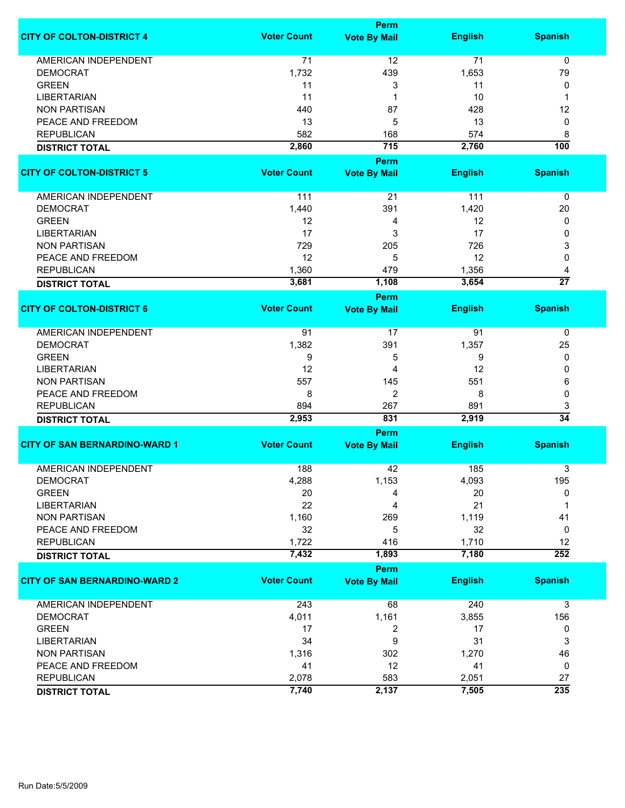|                                      | <b>Perm</b>        |                                    |                |                      |
|--------------------------------------|--------------------|------------------------------------|----------------|----------------------|
| <b>CITY OF COLTON-DISTRICT 4</b>     | <b>Voter Count</b> | <b>Vote By Mail</b>                | <b>English</b> | <b>Spanish</b>       |
| <b>AMERICAN INDEPENDENT</b>          | 71                 | 12                                 | 71             | $\mathbf 0$          |
| <b>DEMOCRAT</b>                      | 1,732              | 439                                | 1,653          | 79                   |
| <b>GREEN</b>                         |                    |                                    |                |                      |
|                                      | 11                 | 3                                  | 11             | 0                    |
| <b>LIBERTARIAN</b>                   | 11                 | 1                                  | 10             | 1                    |
| <b>NON PARTISAN</b>                  | 440                | 87                                 | 428            | 12                   |
| PEACE AND FREEDOM                    | 13                 | 5                                  | 13             | 0                    |
| <b>REPUBLICAN</b>                    | 582                | 168                                | 574            | 8                    |
| <b>DISTRICT TOTAL</b>                | 2,860              | 715                                | 2,760          | 100                  |
| <b>CITY OF COLTON-DISTRICT 5</b>     | <b>Voter Count</b> | <b>Perm</b><br><b>Vote By Mail</b> | <b>English</b> | <b>Spanish</b>       |
| AMERICAN INDEPENDENT                 | 111                | 21                                 | 111            | $\pmb{0}$            |
|                                      |                    |                                    |                |                      |
| <b>DEMOCRAT</b>                      | 1,440              | 391                                | 1,420          | 20                   |
| <b>GREEN</b>                         | 12                 | 4                                  | 12             | 0                    |
| <b>LIBERTARIAN</b>                   | 17                 | 3                                  | 17             | 0                    |
| <b>NON PARTISAN</b>                  | 729                | 205                                | 726            | 3                    |
| PEACE AND FREEDOM                    | 12                 | 5                                  | 12             | 0                    |
| <b>REPUBLICAN</b>                    | 1,360              | 479                                | 1,356          | 4                    |
| <b>DISTRICT TOTAL</b>                | 3,681              | 1,108                              | 3,654          | $\overline{27}$      |
|                                      |                    | <b>Perm</b>                        |                |                      |
| <b>CITY OF COLTON-DISTRICT 6</b>     | <b>Voter Count</b> | <b>Vote By Mail</b>                | <b>English</b> | <b>Spanish</b>       |
| AMERICAN INDEPENDENT                 | 91                 | 17                                 | 91             | 0                    |
| <b>DEMOCRAT</b>                      | 1,382              | 391                                | 1,357          | 25                   |
| <b>GREEN</b>                         | 9                  | 5                                  | 9              | 0                    |
| <b>LIBERTARIAN</b>                   | 12                 | 4                                  | 12             | 0                    |
| <b>NON PARTISAN</b>                  | 557                | 145                                | 551            | 6                    |
| PEACE AND FREEDOM                    | 8                  | $\overline{2}$                     | 8              | 0                    |
|                                      |                    |                                    |                |                      |
| <b>REPUBLICAN</b>                    | 894                | 267                                | 891            | 3<br>$\overline{34}$ |
| <b>DISTRICT TOTAL</b>                | 2,953              | 831                                | 2,919          |                      |
|                                      |                    | Perm                               |                |                      |
| <b>CITY OF SAN BERNARDINO-WARD 1</b> | <b>Voter Count</b> | <b>Vote By Mail</b>                | <b>English</b> | <b>Spanish</b>       |
| <b>AMERICAN INDEPENDENT</b>          | 188                | 42                                 | 185            | 3                    |
| DEMOCRAT                             | 4,288              | 1,153                              | 4,093          | 195                  |
| <b>GREEN</b>                         | 20                 | 4                                  | 20             | 0                    |
| <b>LIBERTARIAN</b>                   | 22                 | 4                                  | 21             | 1                    |
| <b>NON PARTISAN</b>                  | 1,160              | 269                                | 1,119          | 41                   |
| PEACE AND FREEDOM                    | 32                 | 5                                  | 32             | 0                    |
| <b>REPUBLICAN</b>                    | 1,722              | 416                                | 1,710          | 12                   |
| <b>DISTRICT TOTAL</b>                | 7,432              | 1,893                              | 7,180          | $\overline{252}$     |
|                                      |                    |                                    |                |                      |
| <b>CITY OF SAN BERNARDINO-WARD 2</b> | <b>Voter Count</b> | <b>Perm</b>                        |                | <b>Spanish</b>       |
|                                      |                    | <b>Vote By Mail</b>                | <b>English</b> |                      |
| <b>AMERICAN INDEPENDENT</b>          | 243                | 68                                 | 240            | 3                    |
| <b>DEMOCRAT</b>                      | 4,011              | 1,161                              | 3,855          | 156                  |
| <b>GREEN</b>                         | 17                 | 2                                  | 17             | 0                    |
| <b>LIBERTARIAN</b>                   | 34                 | 9                                  | 31             | 3                    |
| <b>NON PARTISAN</b>                  | 1,316              | 302                                | 1,270          | 46                   |
| PEACE AND FREEDOM                    | 41                 | 12                                 | 41             | 0                    |
| <b>REPUBLICAN</b>                    | 2,078              | 583                                | 2,051          | 27                   |
|                                      | 7,740              | 2,137                              | 7,505          | 235                  |
| <b>DISTRICT TOTAL</b>                |                    |                                    |                |                      |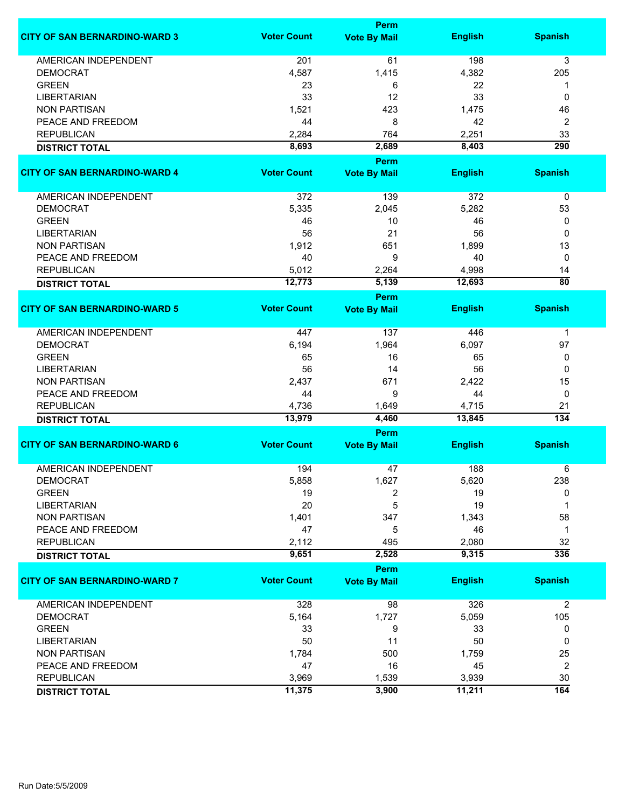|                                      |                    | <b>Perm</b>                 |                |                  |
|--------------------------------------|--------------------|-----------------------------|----------------|------------------|
| <b>CITY OF SAN BERNARDINO-WARD 3</b> | <b>Voter Count</b> | <b>Vote By Mail</b>         | <b>English</b> | <b>Spanish</b>   |
| <b>AMERICAN INDEPENDENT</b>          | 201                | 61                          | 198            | 3                |
| <b>DEMOCRAT</b>                      | 4,587              | 1,415                       | 4,382          | 205              |
| <b>GREEN</b>                         | 23                 | 6                           | 22             | 1                |
| <b>LIBERTARIAN</b>                   | 33                 | 12                          | 33             | 0                |
| <b>NON PARTISAN</b>                  | 1,521              | 423                         | 1,475          | 46               |
| PEACE AND FREEDOM                    | 44                 | 8                           | 42             | 2                |
| <b>REPUBLICAN</b>                    | 2,284              | 764                         | 2,251          | 33               |
| <b>DISTRICT TOTAL</b>                | 8,693              | 2,689                       | 8,403          | $\overline{290}$ |
|                                      |                    | <b>Perm</b>                 |                |                  |
| <b>CITY OF SAN BERNARDINO-WARD 4</b> | <b>Voter Count</b> | <b>Vote By Mail</b>         | <b>English</b> | <b>Spanish</b>   |
|                                      |                    |                             |                |                  |
| AMERICAN INDEPENDENT                 | 372                | 139                         | 372            | 0                |
| <b>DEMOCRAT</b>                      | 5,335              | 2,045                       | 5,282          | 53               |
| <b>GREEN</b>                         | 46                 | 10                          | 46             | 0                |
| <b>LIBERTARIAN</b>                   | 56                 | 21                          | 56             | 0                |
| <b>NON PARTISAN</b>                  | 1,912              | 651                         | 1,899          | 13               |
| PEACE AND FREEDOM                    | 40                 | 9                           | 40             | 0                |
| <b>REPUBLICAN</b>                    | 5,012              | 2,264                       | 4,998          | 14               |
| <b>DISTRICT TOTAL</b>                | 12,773             | 5,139                       | 12,693         | $\overline{80}$  |
|                                      |                    | Perm                        |                |                  |
| <b>CITY OF SAN BERNARDINO-WARD 5</b> | <b>Voter Count</b> | <b>Vote By Mail</b>         | <b>English</b> | <b>Spanish</b>   |
| <b>AMERICAN INDEPENDENT</b>          | 447                | 137                         | 446            | $\mathbf 1$      |
| <b>DEMOCRAT</b>                      | 6,194              | 1,964                       | 6,097          | 97               |
| <b>GREEN</b>                         | 65                 | 16                          | 65             | 0                |
| <b>LIBERTARIAN</b>                   | 56                 | 14                          | 56             | 0                |
| <b>NON PARTISAN</b>                  | 2,437              | 671                         | 2,422          | 15               |
| PEACE AND FREEDOM                    | 44                 | 9                           | 44             | 0                |
| <b>REPUBLICAN</b>                    | 4,736              | 1,649                       | 4,715          | 21               |
| <b>DISTRICT TOTAL</b>                | 13,979             | 4,460                       | 13,845         | 134              |
|                                      |                    | Perm                        |                |                  |
| <b>CITY OF SAN BERNARDINO-WARD 6</b> | <b>Voter Count</b> | <b>Vote By Mail</b>         | <b>English</b> | <b>Spanish</b>   |
| <b>AMERICAN INDEPENDENT</b>          | 194                |                             | 188            |                  |
| <b>DEMOCRAT</b>                      | 5,858              | 47<br>1,627                 | 5,620          | 6<br>238         |
| <b>GREEN</b>                         | 19                 | 2                           | 19             | 0                |
| <b>LIBERTARIAN</b>                   | 20                 | 5                           | 19             | 1                |
| <b>NON PARTISAN</b>                  | 1,401              | 347                         | 1,343          | 58               |
| PEACE AND FREEDOM                    | 47                 | 5                           | 46             | 1                |
| <b>REPUBLICAN</b>                    | 2,112              | 495                         | 2,080          | 32               |
| <b>DISTRICT TOTAL</b>                | 9,651              | 2,528                       | 9,315          | 336              |
|                                      |                    |                             |                |                  |
| <b>CITY OF SAN BERNARDINO-WARD 7</b> | <b>Voter Count</b> | Perm<br><b>Vote By Mail</b> | <b>English</b> | <b>Spanish</b>   |
|                                      |                    |                             |                |                  |
| <b>AMERICAN INDEPENDENT</b>          | 328                | 98                          | 326            | $\overline{c}$   |
| <b>DEMOCRAT</b>                      | 5,164              | 1,727                       | 5,059          | 105              |
| <b>GREEN</b>                         | 33                 | 9                           | 33             | 0                |
| <b>LIBERTARIAN</b>                   | 50                 | 11                          | 50             | 0                |
| <b>NON PARTISAN</b>                  | 1,784              | 500                         | 1,759          | 25               |
| PEACE AND FREEDOM                    | 47                 | 16                          | 45             | 2                |
| <b>REPUBLICAN</b>                    | 3,969              | 1,539                       | 3,939          | 30               |
| <b>DISTRICT TOTAL</b>                | 11,375             | 3,900                       | 11,211         | 164              |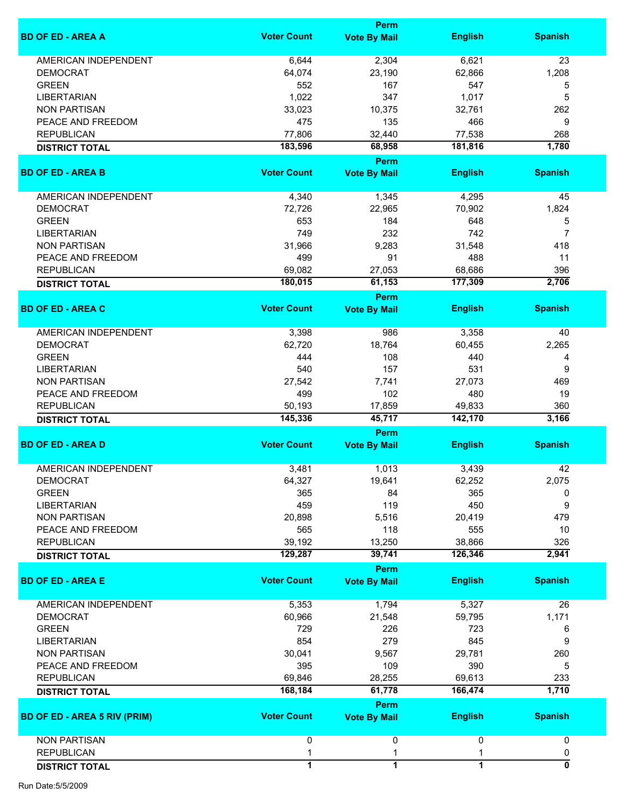|                                     |                    | <b>Perm</b>                 |                |                           |
|-------------------------------------|--------------------|-----------------------------|----------------|---------------------------|
| <b>BD OF ED - AREA A</b>            | <b>Voter Count</b> | <b>Vote By Mail</b>         | <b>English</b> | <b>Spanish</b>            |
| <b>AMERICAN INDEPENDENT</b>         | 6,644              | 2,304                       | 6,621          | 23                        |
| <b>DEMOCRAT</b>                     | 64,074             | 23,190                      | 62,866         | 1,208                     |
| <b>GREEN</b>                        | 552                | 167                         | 547            | 5                         |
| <b>LIBERTARIAN</b>                  | 1,022              | 347                         | 1,017          | 5                         |
| <b>NON PARTISAN</b>                 |                    |                             |                |                           |
|                                     | 33,023             | 10,375                      | 32,761         | 262                       |
| PEACE AND FREEDOM                   | 475                | 135                         | 466            | 9                         |
| <b>REPUBLICAN</b>                   | 77,806             | 32,440                      | 77,538         | 268                       |
| <b>DISTRICT TOTAL</b>               | 183,596            | 68,958                      | 181,816        | 1,780                     |
| <b>BD OF ED - AREA B</b>            | <b>Voter Count</b> | Perm<br><b>Vote By Mail</b> | <b>English</b> | <b>Spanish</b>            |
|                                     |                    |                             |                |                           |
| AMERICAN INDEPENDENT                | 4,340              | 1,345                       | 4,295          | 45                        |
| <b>DEMOCRAT</b>                     | 72,726             | 22,965                      | 70,902         | 1,824                     |
| <b>GREEN</b>                        | 653                | 184                         | 648            | 5                         |
| <b>LIBERTARIAN</b>                  | 749                | 232                         | 742            | $\overline{7}$            |
| <b>NON PARTISAN</b>                 | 31,966             | 9,283                       | 31,548         | 418                       |
| PEACE AND FREEDOM                   | 499                | 91                          | 488            | 11                        |
| <b>REPUBLICAN</b>                   | 69,082             | 27,053                      | 68,686         | 396                       |
| <b>DISTRICT TOTAL</b>               | 180,015            | 61,153                      | 177,309        | 2,706                     |
|                                     |                    | Perm                        |                |                           |
| <b>BD OF ED - AREA C</b>            | <b>Voter Count</b> | <b>Vote By Mail</b>         | <b>English</b> | <b>Spanish</b>            |
| AMERICAN INDEPENDENT                | 3,398              | 986                         | 3,358          | 40                        |
| <b>DEMOCRAT</b>                     | 62,720             | 18,764                      | 60,455         | 2,265                     |
| <b>GREEN</b>                        | 444                | 108                         | 440            | 4                         |
| <b>LIBERTARIAN</b>                  | 540                | 157                         | 531            | 9                         |
| <b>NON PARTISAN</b>                 | 27,542             | 7,741                       | 27,073         | 469                       |
|                                     | 499                | 102                         | 480            | 19                        |
| PEACE AND FREEDOM                   |                    |                             |                |                           |
| <b>REPUBLICAN</b>                   | 50,193             | 17,859                      | 49,833         | 360                       |
| <b>DISTRICT TOTAL</b>               | 145,336            | 45,717                      | 142,170        | 3,166                     |
|                                     |                    | Perm                        |                |                           |
| <b>BD OF ED - AREA D</b>            | <b>Voter Count</b> | <b>Vote By Mail</b>         | <b>English</b> | <b>Spanish</b>            |
| AMERICAN INDEPENDENT                | 3,481              | 1,013                       | 3,439          | 42                        |
| <b>DEMOCRAT</b>                     | 64,327             | 19,641                      | 62,252         | 2,075                     |
| <b>GREEN</b>                        | 365                | 84                          | 365            | 0                         |
| <b>LIBERTARIAN</b>                  | 459                | 119                         | 450            | 9                         |
| <b>NON PARTISAN</b>                 | 20,898             | 5,516                       | 20,419         | 479                       |
| PEACE AND FREEDOM                   | 565                | 118                         | 555            | 10                        |
| <b>REPUBLICAN</b>                   | 39,192             | 13,250                      | 38,866         | 326                       |
| <b>DISTRICT TOTAL</b>               | 129,287            | 39,741                      | 126,346        | 2,941                     |
|                                     |                    | Perm                        |                |                           |
| <b>BD OF ED - AREA E</b>            | <b>Voter Count</b> | <b>Vote By Mail</b>         | <b>English</b> | <b>Spanish</b>            |
| <b>AMERICAN INDEPENDENT</b>         | 5,353              | 1,794                       | 5,327          | 26                        |
| <b>DEMOCRAT</b>                     | 60,966             | 21,548                      | 59,795         | 1,171                     |
| <b>GREEN</b>                        | 729                | 226                         | 723            | 6                         |
| <b>LIBERTARIAN</b>                  | 854                | 279                         | 845            | 9                         |
| <b>NON PARTISAN</b>                 | 30,041             | 9,567                       | 29,781         | 260                       |
| PEACE AND FREEDOM                   | 395                | 109                         | 390            | 5                         |
| <b>REPUBLICAN</b>                   | 69,846             | 28,255                      | 69,613         | 233                       |
| <b>DISTRICT TOTAL</b>               | 168,184            | 61,778                      | 166,474        | 1,710                     |
|                                     |                    | Perm                        |                |                           |
| <b>BD OF ED - AREA 5 RIV (PRIM)</b> | <b>Voter Count</b> | <b>Vote By Mail</b>         | <b>English</b> | <b>Spanish</b>            |
| <b>NON PARTISAN</b>                 | 0                  | 0                           | 0              | 0                         |
| <b>REPUBLICAN</b>                   | 1                  | 1                           | 1              | 0                         |
|                                     | $\overline{1}$     | $\overline{1}$              | $\overline{1}$ | $\overline{\mathfrak{o}}$ |
| <b>DISTRICT TOTAL</b>               |                    |                             |                |                           |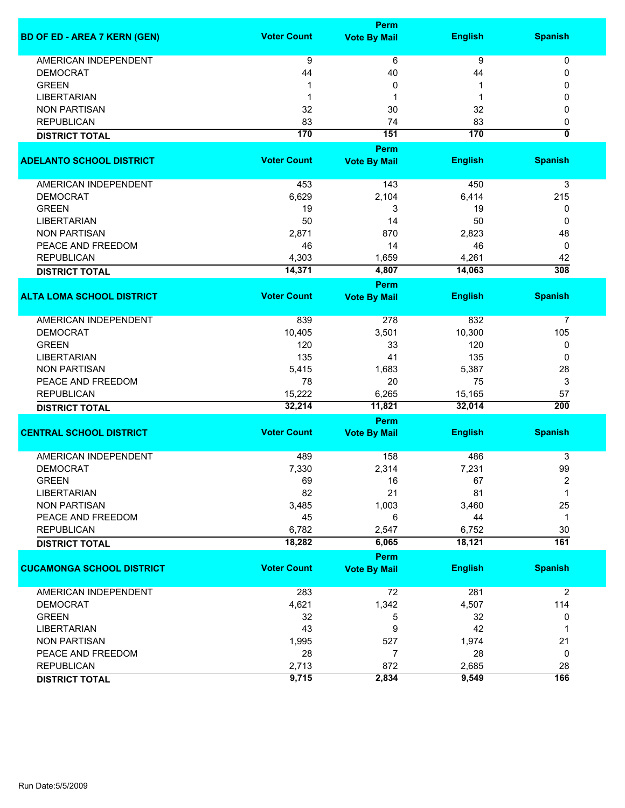|                                     |                    | Perm                |                |                           |
|-------------------------------------|--------------------|---------------------|----------------|---------------------------|
| <b>BD OF ED - AREA 7 KERN (GEN)</b> | <b>Voter Count</b> | <b>Vote By Mail</b> | <b>English</b> | <b>Spanish</b>            |
| AMERICAN INDEPENDENT                | 9                  | 6                   | 9              | 0                         |
| <b>DEMOCRAT</b>                     | 44                 | 40                  | 44             | 0                         |
| <b>GREEN</b>                        | 1                  | 0                   | 1              | 0                         |
| <b>LIBERTARIAN</b>                  | 1                  | 1                   | -1             | 0                         |
| <b>NON PARTISAN</b>                 | 32                 | 30                  | 32             | 0                         |
| <b>REPUBLICAN</b>                   | 83                 | 74                  | 83             | 0                         |
| <b>DISTRICT TOTAL</b>               | 170                | 151                 | 170            | $\overline{\mathfrak{o}}$ |
|                                     |                    | Perm                |                |                           |
| <b>ADELANTO SCHOOL DISTRICT</b>     | <b>Voter Count</b> | <b>Vote By Mail</b> | <b>English</b> | <b>Spanish</b>            |
|                                     |                    |                     |                |                           |
| AMERICAN INDEPENDENT                | 453                | 143                 | 450            | 3                         |
| <b>DEMOCRAT</b>                     | 6,629              | 2,104               | 6,414          | 215                       |
| <b>GREEN</b>                        | 19                 | 3                   | 19             | 0                         |
| <b>LIBERTARIAN</b>                  | 50                 | 14                  | 50             | 0                         |
| <b>NON PARTISAN</b>                 | 2,871              | 870                 | 2,823          | 48                        |
| PEACE AND FREEDOM                   | 46                 | 14                  | 46             | 0                         |
| <b>REPUBLICAN</b>                   |                    | 1,659               | 4,261          |                           |
|                                     | 4,303<br>14,371    | 4,807               | 14,063         | 42<br>308                 |
| <b>DISTRICT TOTAL</b>               |                    |                     |                |                           |
|                                     |                    | Perm                |                |                           |
| <b>ALTA LOMA SCHOOL DISTRICT</b>    | <b>Voter Count</b> | <b>Vote By Mail</b> | <b>English</b> | <b>Spanish</b>            |
| <b>AMERICAN INDEPENDENT</b>         | 839                | 278                 | 832            | 7                         |
| <b>DEMOCRAT</b>                     | 10,405             | 3,501               | 10,300         | 105                       |
| <b>GREEN</b>                        | 120                | 33                  | 120            | 0                         |
| <b>LIBERTARIAN</b>                  | 135                | 41                  | 135            | 0                         |
| <b>NON PARTISAN</b>                 | 5,415              | 1,683               | 5,387          | 28                        |
| PEACE AND FREEDOM                   | 78                 | 20                  | 75             | 3                         |
| <b>REPUBLICAN</b>                   | 15,222             | 6,265               | 15,165         | 57                        |
|                                     | 32,214             | 11,821              | 32,014         | $\overline{200}$          |
| <b>DISTRICT TOTAL</b>               |                    |                     |                |                           |
|                                     |                    | Perm                |                |                           |
| <b>CENTRAL SCHOOL DISTRICT</b>      | <b>Voter Count</b> | <b>Vote By Mail</b> | <b>English</b> | <b>Spanish</b>            |
| <b>AMERICAN INDEPENDENT</b>         | 489                | 158                 | 486            | 3                         |
| <b>DEMOCRAT</b>                     | 7,330              | 2,314               | 7,231          | 99                        |
| <b>GREEN</b>                        | 69                 | 16                  | 67             | 2                         |
| <b>LIBERTARIAN</b>                  | 82                 | 21                  | 81             | 1                         |
| <b>NON PARTISAN</b>                 | 3,485              | 1,003               | 3,460          | 25                        |
| PEACE AND FREEDOM                   | 45                 | 6                   | 44             | 1                         |
| <b>REPUBLICAN</b>                   | 6,782              | 2,547               | 6,752          | 30                        |
| <b>DISTRICT TOTAL</b>               | 18,282             | 6,065               | 18,121         | $\overline{161}$          |
|                                     |                    | Perm                |                |                           |
| <b>CUCAMONGA SCHOOL DISTRICT</b>    | <b>Voter Count</b> |                     | <b>English</b> | <b>Spanish</b>            |
|                                     |                    | <b>Vote By Mail</b> |                |                           |
| AMERICAN INDEPENDENT                | 283                | 72                  | 281            | $\overline{2}$            |
| <b>DEMOCRAT</b>                     | 4,621              | 1,342               | 4,507          | 114                       |
| <b>GREEN</b>                        | 32                 | 5                   | 32             | 0                         |
| <b>LIBERTARIAN</b>                  | 43                 | 9                   | 42             | $\mathbf 1$               |
| <b>NON PARTISAN</b>                 | 1,995              | 527                 | 1,974          | 21                        |
| PEACE AND FREEDOM                   | 28                 | $\overline{7}$      | 28             | 0                         |
| <b>REPUBLICAN</b>                   | 2,713              | 872                 | 2,685          | 28                        |
|                                     | 9,715              | 2,834               | 9,549          | 166                       |
| <b>DISTRICT TOTAL</b>               |                    |                     |                |                           |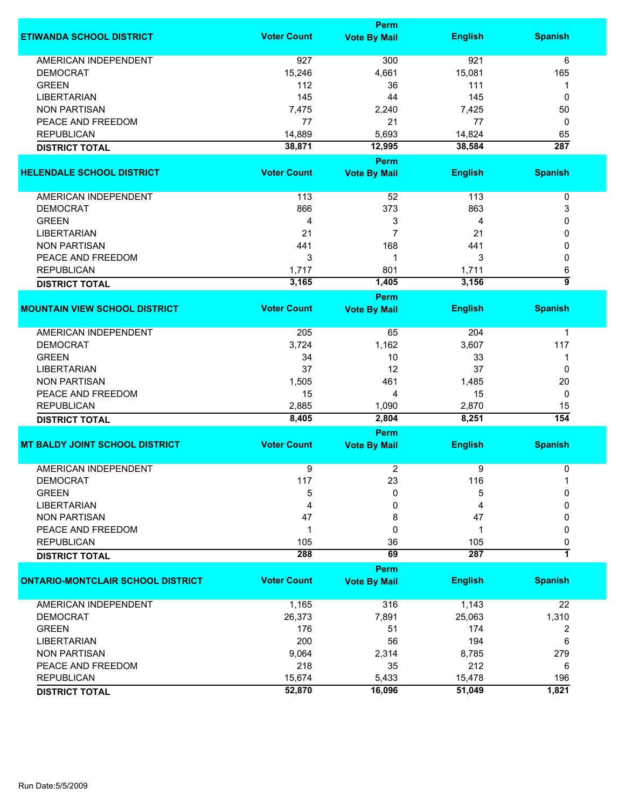|                                          |                    | <b>Perm</b>                 |                |                  |
|------------------------------------------|--------------------|-----------------------------|----------------|------------------|
| <b>ETIWANDA SCHOOL DISTRICT</b>          | <b>Voter Count</b> | <b>Vote By Mail</b>         | <b>English</b> | <b>Spanish</b>   |
| <b>AMERICAN INDEPENDENT</b>              | 927                | 300                         | 921            | 6                |
| <b>DEMOCRAT</b>                          | 15,246             | 4,661                       | 15,081         | 165              |
| <b>GREEN</b>                             | 112                | 36                          | 111            | 1                |
| <b>LIBERTARIAN</b>                       | 145                | 44                          | 145            | 0                |
| <b>NON PARTISAN</b>                      | 7,475              | 2,240                       | 7,425          | 50               |
| PEACE AND FREEDOM                        | 77                 | 21                          | 77             | 0                |
| <b>REPUBLICAN</b>                        | 14,889             | 5,693                       | 14,824         | 65               |
|                                          | 38,871             | 12,995                      | 38,584         | $\overline{287}$ |
| <b>DISTRICT TOTAL</b>                    |                    |                             |                |                  |
| <b>HELENDALE SCHOOL DISTRICT</b>         | <b>Voter Count</b> | <b>Perm</b>                 | <b>English</b> | <b>Spanish</b>   |
|                                          |                    | <b>Vote By Mail</b>         |                |                  |
| <b>AMERICAN INDEPENDENT</b>              | 113                | 52                          | 113            | $\pmb{0}$        |
| <b>DEMOCRAT</b>                          | 866                | 373                         | 863            | 3                |
| <b>GREEN</b>                             | 4                  | 3                           | 4              | 0                |
| <b>LIBERTARIAN</b>                       | 21                 | $\overline{7}$              | 21             | 0                |
| <b>NON PARTISAN</b>                      | 441                | 168                         | 441            | 0                |
| PEACE AND FREEDOM                        | 3                  | $\mathbf 1$                 | 3              | 0                |
| <b>REPUBLICAN</b>                        | 1,717              | 801                         | 1,711          |                  |
|                                          |                    | 1,405                       | 3,156          | 6<br>5           |
| <b>DISTRICT TOTAL</b>                    | 3,165              |                             |                |                  |
| <b>MOUNTAIN VIEW SCHOOL DISTRICT</b>     | <b>Voter Count</b> | Perm<br><b>Vote By Mail</b> | <b>English</b> | <b>Spanish</b>   |
|                                          |                    |                             |                |                  |
| <b>AMERICAN INDEPENDENT</b>              | 205                | 65                          | 204            | 1                |
| <b>DEMOCRAT</b>                          | 3,724              | 1,162                       | 3,607          | 117              |
| <b>GREEN</b>                             | 34                 | 10                          | 33             | 1                |
| <b>LIBERTARIAN</b>                       | 37                 | 12                          | 37             | 0                |
| <b>NON PARTISAN</b>                      | 1,505              | 461                         | 1,485          | 20               |
| PEACE AND FREEDOM                        | 15                 | 4                           | 15             | 0                |
| <b>REPUBLICAN</b>                        | 2,885              | 1,090                       | 2,870          | 15               |
| <b>DISTRICT TOTAL</b>                    | 8,405              | 2,804                       | 8,251          | 154              |
|                                          |                    | Perm                        |                |                  |
| <b>MT BALDY JOINT SCHOOL DISTRICT</b>    | <b>Voter Count</b> | <b>Vote By Mail</b>         | <b>English</b> | <b>Spanish</b>   |
|                                          |                    |                             |                |                  |
| <b>AMERICAN INDEPENDENT</b>              | 9                  | 2                           | 9              | 0                |
| <b>DEMOCRAT</b>                          | 117                | 23                          | 116            |                  |
| <b>GREEN</b>                             | 5                  | 0                           | 5              | 0                |
| <b>LIBERTARIAN</b>                       | 4                  | 0                           | 4              | 0                |
| <b>NON PARTISAN</b>                      | 47                 | 8                           | 47             | 0                |
| PEACE AND FREEDOM                        | 1                  | 0                           | 1              | 0                |
| <b>REPUBLICAN</b>                        | 105                | 36                          | 105            | 0                |
| <b>DISTRICT TOTAL</b>                    | 288                | 69                          | 287            | 7                |
|                                          |                    | Perm                        |                |                  |
| <b>ONTARIO-MONTCLAIR SCHOOL DISTRICT</b> | <b>Voter Count</b> | <b>Vote By Mail</b>         | <b>English</b> | <b>Spanish</b>   |
| <b>AMERICAN INDEPENDENT</b>              | 1,165              | 316                         | 1,143          | 22               |
| <b>DEMOCRAT</b>                          | 26,373             | 7,891                       | 25,063         | 1,310            |
| <b>GREEN</b>                             | 176                | 51                          | 174            | 2                |
| <b>LIBERTARIAN</b>                       | 200                | 56                          | 194            | 6                |
| <b>NON PARTISAN</b>                      | 9,064              | 2,314                       | 8,785          | 279              |
| PEACE AND FREEDOM                        | 218                | 35                          | 212            | 6                |
| <b>REPUBLICAN</b>                        | 15,674             | 5,433                       | 15,478         | 196              |
| <b>DISTRICT TOTAL</b>                    | 52,870             | 16,096                      | 51,049         | 1,821            |
|                                          |                    |                             |                |                  |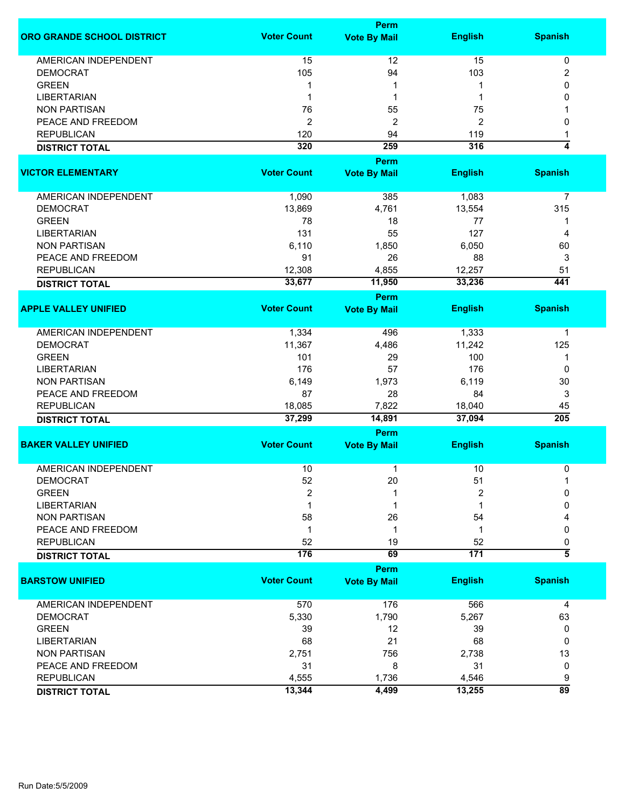|                             |                    | <b>Perm</b>         |                  |                         |
|-----------------------------|--------------------|---------------------|------------------|-------------------------|
| ORO GRANDE SCHOOL DISTRICT  | <b>Voter Count</b> | <b>Vote By Mail</b> | <b>English</b>   | <b>Spanish</b>          |
| <b>AMERICAN INDEPENDENT</b> | 15                 | 12                  | 15               | 0                       |
| <b>DEMOCRAT</b>             | 105                | 94                  | 103              | 2                       |
| <b>GREEN</b>                | 1                  | 1                   | 1                | 0                       |
| <b>LIBERTARIAN</b>          | 1                  | 1                   | 1                | 0                       |
|                             |                    |                     |                  |                         |
| <b>NON PARTISAN</b>         | 76                 | 55                  | 75               |                         |
| PEACE AND FREEDOM           | $\overline{2}$     | 2                   | 2                | 0                       |
| <b>REPUBLICAN</b>           | 120                | 94                  | 119              | 1                       |
| <b>DISTRICT TOTAL</b>       | 320                | 259                 | 316              | 4                       |
|                             |                    | Perm                |                  |                         |
| <b>VICTOR ELEMENTARY</b>    | <b>Voter Count</b> | <b>Vote By Mail</b> | <b>English</b>   | <b>Spanish</b>          |
| AMERICAN INDEPENDENT        | 1,090              | 385                 | 1,083            | 7                       |
| <b>DEMOCRAT</b>             | 13,869             | 4,761               | 13,554           | 315                     |
| <b>GREEN</b>                | 78                 | 18                  | 77               | 1                       |
| <b>LIBERTARIAN</b>          | 131                | 55                  | 127              | 4                       |
| <b>NON PARTISAN</b>         | 6,110              | 1,850               | 6,050            | 60                      |
| PEACE AND FREEDOM           | 91                 | 26                  | 88               | 3                       |
| <b>REPUBLICAN</b>           | 12,308             | 4,855               | 12,257           | 51                      |
|                             | 33,677             | 11,950              | 33,236           | 441                     |
| <b>DISTRICT TOTAL</b>       |                    |                     |                  |                         |
|                             |                    | Perm                |                  |                         |
| <b>APPLE VALLEY UNIFIED</b> | <b>Voter Count</b> | <b>Vote By Mail</b> | <b>English</b>   | <b>Spanish</b>          |
| <b>AMERICAN INDEPENDENT</b> | 1,334              | 496                 | 1,333            | 1                       |
| <b>DEMOCRAT</b>             | 11,367             | 4,486               | 11,242           | 125                     |
| <b>GREEN</b>                | 101                | 29                  | 100              | 1                       |
| <b>LIBERTARIAN</b>          | 176                | 57                  | 176              | 0                       |
| <b>NON PARTISAN</b>         | 6,149              | 1,973               | 6,119            | 30                      |
| PEACE AND FREEDOM           | 87                 | 28                  | 84               | 3                       |
| <b>REPUBLICAN</b>           | 18,085             | 7,822               | 18,040           | 45                      |
| <b>DISTRICT TOTAL</b>       | 37,299             | 14,891              | 37,094           | $\overline{205}$        |
|                             |                    | <b>Perm</b>         |                  |                         |
| <b>BAKER VALLEY UNIFIED</b> | <b>Voter Count</b> | <b>Vote By Mail</b> | <b>English</b>   | <b>Spanish</b>          |
| <b>AMERICAN INDEPENDENT</b> | 10                 | 1                   | 10               | 0                       |
| <b>DEMOCRAT</b>             | 52                 | 20                  | 51               | 1                       |
| <b>GREEN</b>                | $\overline{2}$     | 1                   | $\overline{2}$   | 0                       |
| <b>LIBERTARIAN</b>          |                    | 1                   |                  | 0                       |
| <b>NON PARTISAN</b>         | 58                 | 26                  | 54               |                         |
| PEACE AND FREEDOM           | -1                 | 1                   | 1                | 0                       |
| <b>REPUBLICAN</b>           | 52                 | 19                  | 52               |                         |
|                             | 176                | 69                  | $\overline{171}$ | 0<br>$\overline{\bf 5}$ |
| <b>DISTRICT TOTAL</b>       |                    | <b>Perm</b>         |                  |                         |
| <b>BARSTOW UNIFIED</b>      | <b>Voter Count</b> | <b>Vote By Mail</b> | <b>English</b>   | <b>Spanish</b>          |
|                             |                    |                     |                  |                         |
| <b>AMERICAN INDEPENDENT</b> | 570                | 176                 | 566              | 4                       |
| <b>DEMOCRAT</b>             | 5,330              | 1,790               | 5,267            | 63                      |
| <b>GREEN</b>                | 39                 | 12                  | 39               | 0                       |
| <b>LIBERTARIAN</b>          | 68                 | 21                  | 68               | 0                       |
| <b>NON PARTISAN</b>         | 2,751              | 756                 | 2,738            | 13                      |
| PEACE AND FREEDOM           | 31                 | 8                   | 31               | 0                       |
| <b>REPUBLICAN</b>           | 4,555              | 1,736               | 4,546            | 9                       |
| <b>DISTRICT TOTAL</b>       | 13,344             | 4,499               | 13,255           | $\overline{89}$         |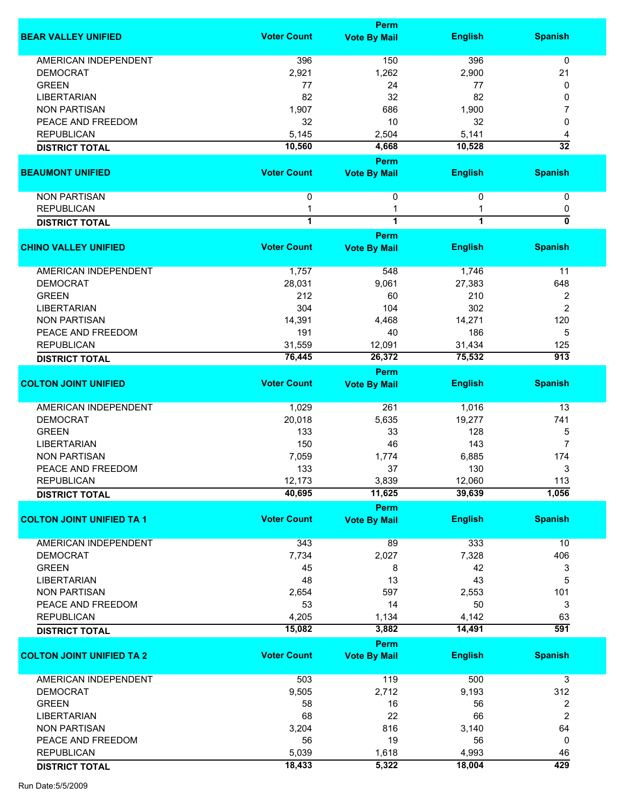|                                  |                     | <b>Perm</b>                 |                |                  |
|----------------------------------|---------------------|-----------------------------|----------------|------------------|
| <b>BEAR VALLEY UNIFIED</b>       | <b>Voter Count</b>  | <b>Vote By Mail</b>         | <b>English</b> | <b>Spanish</b>   |
| <b>AMERICAN INDEPENDENT</b>      | 396                 | 150                         | 396            | 0                |
| <b>DEMOCRAT</b>                  | 2,921               | 1,262                       | 2,900          | 21               |
| <b>GREEN</b>                     | 77                  | 24                          | 77             | 0                |
| <b>LIBERTARIAN</b>               | 82                  | 32                          | 82             | 0                |
|                                  |                     |                             |                |                  |
| <b>NON PARTISAN</b>              | 1,907               | 686                         | 1,900          | 7                |
| PEACE AND FREEDOM                | 32                  | 10                          | 32             | 0                |
| <b>REPUBLICAN</b>                | 5,145               | 2,504                       | 5,141          | 4                |
| <b>DISTRICT TOTAL</b>            | 10,560              | 4,668                       | 10,528         | $\overline{32}$  |
| <b>BEAUMONT UNIFIED</b>          | <b>Voter Count</b>  | Perm<br><b>Vote By Mail</b> | <b>English</b> | <b>Spanish</b>   |
| <b>NON PARTISAN</b>              | $\mathbf 0$         | 0                           | $\mathbf{0}$   | 0                |
|                                  |                     |                             |                |                  |
| <b>REPUBLICAN</b>                | 1<br>$\overline{1}$ | 1                           |                | 0<br>0           |
| <b>DISTRICT TOTAL</b>            |                     | $\overline{1}$              | 1              |                  |
| <b>CHINO VALLEY UNIFIED</b>      | <b>Voter Count</b>  | Perm<br><b>Vote By Mail</b> | <b>English</b> | <b>Spanish</b>   |
| AMERICAN INDEPENDENT             | 1,757               | 548                         | 1,746          | 11               |
| <b>DEMOCRAT</b>                  | 28,031              | 9,061                       | 27,383         | 648              |
|                                  |                     |                             |                |                  |
| <b>GREEN</b>                     | 212                 | 60                          | 210            | 2                |
| <b>LIBERTARIAN</b>               | 304                 | 104                         | 302            | $\overline{2}$   |
| <b>NON PARTISAN</b>              | 14,391              | 4,468                       | 14,271         | 120              |
| PEACE AND FREEDOM                | 191                 | 40                          | 186            | 5                |
| <b>REPUBLICAN</b>                | 31,559              | 12,091                      | 31,434         | 125              |
| <b>DISTRICT TOTAL</b>            | 76,445              | 26,372                      | 75,532         | $\overline{913}$ |
|                                  |                     | Perm                        |                |                  |
| <b>COLTON JOINT UNIFIED</b>      | <b>Voter Count</b>  | <b>Vote By Mail</b>         | <b>English</b> | <b>Spanish</b>   |
|                                  |                     |                             |                |                  |
| AMERICAN INDEPENDENT             | 1,029               | 261                         | 1,016          | 13               |
| <b>DEMOCRAT</b>                  | 20,018              | 5,635                       | 19,277         | 741              |
| <b>GREEN</b>                     | 133                 | 33                          | 128            | 5                |
| <b>LIBERTARIAN</b>               | 150                 | 46                          | 143            | $\overline{7}$   |
| <b>NON PARTISAN</b>              | 7,059               | 1,774                       | 6,885          | 174              |
| PEACE AND FREEDOM                | 133                 | 37                          | 130            | 3                |
|                                  |                     |                             |                |                  |
| <b>REPUBLICAN</b>                | 12,173              | 3,839                       | 12,060         | 113              |
| <b>DISTRICT TOTAL</b>            | 40,695              | 11,625                      | 39,639         | 1,056            |
| <b>COLTON JOINT UNIFIED TA 1</b> | <b>Voter Count</b>  | Perm<br><b>Vote By Mail</b> | <b>English</b> | <b>Spanish</b>   |
|                                  |                     |                             |                |                  |
| <b>AMERICAN INDEPENDENT</b>      | 343                 | 89                          | 333            | 10               |
| <b>DEMOCRAT</b>                  | 7,734               | 2,027                       | 7,328          | 406              |
| <b>GREEN</b>                     | 45                  | 8                           | 42             | 3                |
| <b>LIBERTARIAN</b>               | 48                  | 13                          | 43             | 5                |
| <b>NON PARTISAN</b>              | 2,654               | 597                         | 2,553          | 101              |
| PEACE AND FREEDOM                | 53                  | 14                          | 50             | 3                |
| <b>REPUBLICAN</b>                | 4,205               | 1,134                       | 4,142          | 63               |
|                                  | 15,082              |                             | 14,491         | 591              |
| <b>DISTRICT TOTAL</b>            |                     | 3,882<br>Perm               |                |                  |
|                                  | <b>Voter Count</b>  |                             |                |                  |
| <b>COLTON JOINT UNIFIED TA 2</b> |                     | <b>Vote By Mail</b>         | <b>English</b> | <b>Spanish</b>   |
| <b>AMERICAN INDEPENDENT</b>      | 503                 | 119                         | 500            | 3                |
| <b>DEMOCRAT</b>                  | 9,505               | 2,712                       | 9,193          | 312              |
| <b>GREEN</b>                     | 58                  | 16                          | 56             | 2                |
| <b>LIBERTARIAN</b>               | 68                  | 22                          | 66             | 2                |
| <b>NON PARTISAN</b>              | 3,204               | 816                         | 3,140          | 64               |
|                                  |                     |                             |                |                  |
| PEACE AND FREEDOM                | 56                  | 19                          | 56             | 0                |
| <b>REPUBLICAN</b>                | 5,039               | 1,618                       | 4,993          | 46               |
| <b>DISTRICT TOTAL</b>            | 18,433              | 5,322                       | 18,004         | 429              |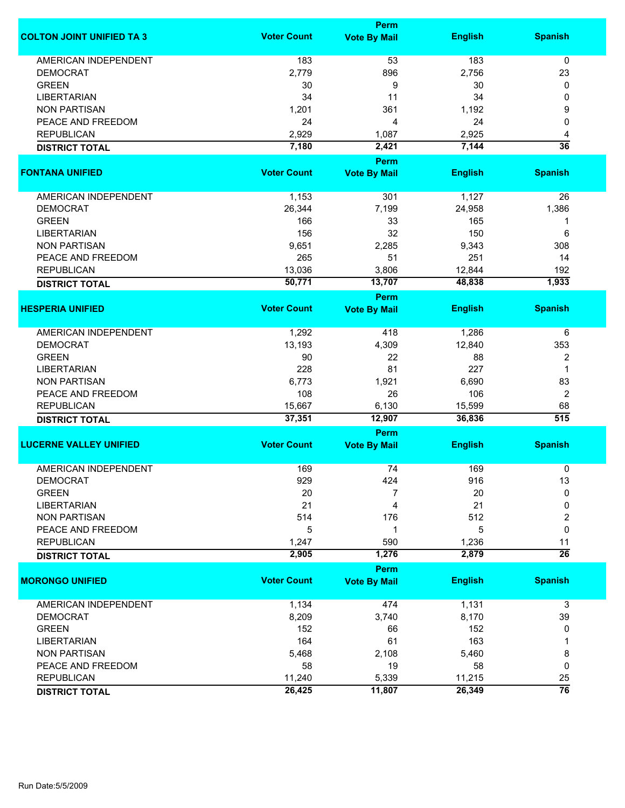|                                  |                    | <b>Perm</b>                        |                  |                        |  |  |
|----------------------------------|--------------------|------------------------------------|------------------|------------------------|--|--|
| <b>COLTON JOINT UNIFIED TA 3</b> | <b>Voter Count</b> | <b>Vote By Mail</b>                | <b>English</b>   | <b>Spanish</b>         |  |  |
| <b>AMERICAN INDEPENDENT</b>      | 183                | 53                                 | 183              | 0                      |  |  |
| <b>DEMOCRAT</b>                  | 2,779              | 896                                | 2,756            | 23                     |  |  |
| <b>GREEN</b>                     | 30                 | 9                                  | 30               | 0                      |  |  |
| <b>LIBERTARIAN</b>               | 34                 | 11                                 | 34               | 0                      |  |  |
|                                  |                    |                                    |                  |                        |  |  |
| <b>NON PARTISAN</b>              | 1,201              | 361                                | 1,192            | 9                      |  |  |
| PEACE AND FREEDOM                | 24                 | 4                                  | 24               | 0                      |  |  |
| <b>REPUBLICAN</b>                | 2,929              | 1,087                              | 2,925            | 4                      |  |  |
| <b>DISTRICT TOTAL</b>            | 7,180              | 2,421                              | 7,144            | $\overline{36}$        |  |  |
| <b>FONTANA UNIFIED</b>           | <b>Voter Count</b> | <b>Perm</b><br><b>Vote By Mail</b> | <b>English</b>   | <b>Spanish</b>         |  |  |
|                                  |                    |                                    |                  |                        |  |  |
| AMERICAN INDEPENDENT             | 1,153              | 301                                | 1,127            | 26                     |  |  |
| <b>DEMOCRAT</b>                  | 26,344             | 7,199                              | 24,958           | 1,386                  |  |  |
| <b>GREEN</b>                     | 166                | 33                                 | 165              | 1                      |  |  |
| <b>LIBERTARIAN</b>               | 156                | 32                                 | 150              | 6                      |  |  |
| <b>NON PARTISAN</b>              | 9,651              | 2,285                              | 9,343            | 308                    |  |  |
| PEACE AND FREEDOM                | 265                | 51                                 | 251              | 14                     |  |  |
| <b>REPUBLICAN</b>                | 13,036             | 3,806                              | 12,844           | 192                    |  |  |
|                                  |                    | 13,707                             |                  | 1,933                  |  |  |
| <b>DISTRICT TOTAL</b>            | 50,771             | <b>Perm</b>                        | 48,838           |                        |  |  |
| <b>HESPERIA UNIFIED</b>          | <b>Voter Count</b> | <b>Vote By Mail</b>                | <b>English</b>   | <b>Spanish</b>         |  |  |
|                                  |                    |                                    |                  |                        |  |  |
| <b>AMERICAN INDEPENDENT</b>      | 1,292              | 418                                | 1,286            | 6                      |  |  |
| <b>DEMOCRAT</b>                  | 13,193             | 4,309                              | 12,840           | 353                    |  |  |
| <b>GREEN</b>                     | 90                 | 22                                 | 88               | $\overline{2}$         |  |  |
| <b>LIBERTARIAN</b>               | 228                | 81                                 | 227              | 1                      |  |  |
| <b>NON PARTISAN</b>              | 6,773              | 1,921                              | 6,690            | 83                     |  |  |
| PEACE AND FREEDOM                | 108                | 26                                 | 106              | $\overline{2}$         |  |  |
|                                  |                    |                                    |                  |                        |  |  |
| <b>REPUBLICAN</b>                | 15,667<br>37,351   | 6,130<br>12,907                    | 15,599<br>36,836 | 68<br>$\overline{515}$ |  |  |
| <b>DISTRICT TOTAL</b>            |                    | Perm                               |                  |                        |  |  |
| <b>LUCERNE VALLEY UNIFIED</b>    | <b>Voter Count</b> | <b>Vote By Mail</b>                | <b>English</b>   | <b>Spanish</b>         |  |  |
|                                  |                    |                                    |                  |                        |  |  |
| <b>AMERICAN INDEPENDENT</b>      | 169                | 74                                 | 169              | 0                      |  |  |
| <b>DEMOCRAT</b>                  | 929                | 424                                | 916              | 13                     |  |  |
| <b>GREEN</b>                     | 20                 | 7                                  | 20               | 0                      |  |  |
| <b>LIBERTARIAN</b>               | 21                 | 4                                  | 21               | 0                      |  |  |
| <b>NON PARTISAN</b>              | 514                | 176                                | 512              | 2                      |  |  |
| PEACE AND FREEDOM                | 5                  | 1                                  | 5                | 0                      |  |  |
| <b>REPUBLICAN</b>                | 1,247              | 590                                | 1,236            | 11                     |  |  |
| <b>DISTRICT TOTAL</b>            | 2,905              | 1,276                              | 2,879            | $\overline{26}$        |  |  |
|                                  |                    | Perm                               |                  |                        |  |  |
| <b>MORONGO UNIFIED</b>           | <b>Voter Count</b> | <b>Vote By Mail</b>                | <b>English</b>   | <b>Spanish</b>         |  |  |
| <b>AMERICAN INDEPENDENT</b>      | 1,134              | 474                                | 1,131            | 3                      |  |  |
| <b>DEMOCRAT</b>                  | 8,209              | 3,740                              | 8,170            | 39                     |  |  |
| <b>GREEN</b>                     | 152                | 66                                 | 152              | 0                      |  |  |
| <b>LIBERTARIAN</b>               | 164                | 61                                 | 163              | 1                      |  |  |
| <b>NON PARTISAN</b>              | 5,468              | 2,108                              | 5,460            | 8                      |  |  |
| PEACE AND FREEDOM                | 58                 | 19                                 | 58               | 0                      |  |  |
| <b>REPUBLICAN</b>                |                    |                                    |                  |                        |  |  |
|                                  | 11,240             | 5,339                              | 11,215           | 25                     |  |  |
| <b>DISTRICT TOTAL</b>            | 26,425             | 11,807                             | 26,349           | $\overline{76}$        |  |  |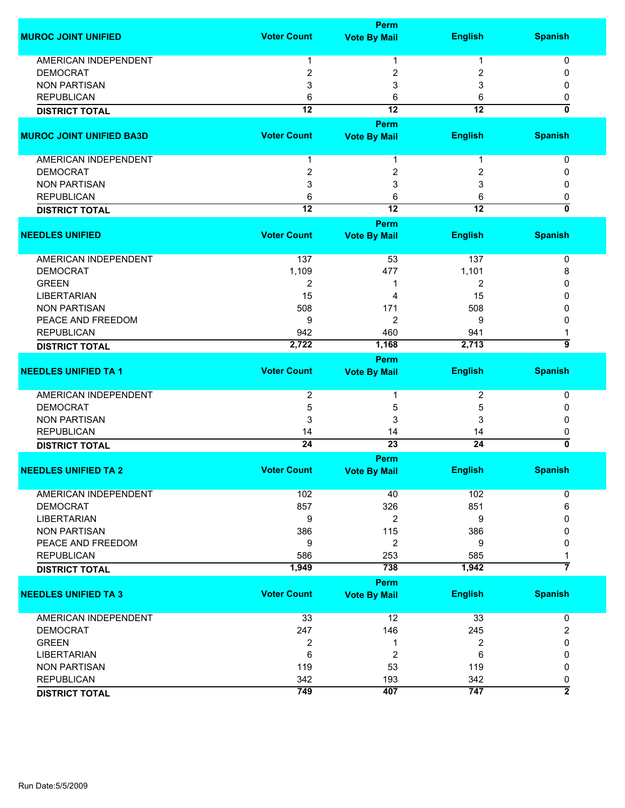|                                          |                     | Perm                  |                 |                           |
|------------------------------------------|---------------------|-----------------------|-----------------|---------------------------|
| <b>MUROC JOINT UNIFIED</b>               | <b>Voter Count</b>  | <b>Vote By Mail</b>   | <b>English</b>  | <b>Spanish</b>            |
| <b>AMERICAN INDEPENDENT</b>              |                     |                       |                 |                           |
| <b>DEMOCRAT</b>                          | 1                   | 1                     | 1               | 0                         |
| <b>NON PARTISAN</b>                      | $\overline{2}$<br>3 | 2<br>3                | 2<br>3          | 0<br>0                    |
| <b>REPUBLICAN</b>                        | 6                   | 6                     | 6               | 0                         |
|                                          | $\overline{12}$     | $\overline{12}$       | $\overline{12}$ | $\overline{\mathbf{0}}$   |
| <b>DISTRICT TOTAL</b>                    |                     |                       |                 |                           |
|                                          |                     | Perm                  |                 |                           |
| <b>MUROC JOINT UNIFIED BA3D</b>          | <b>Voter Count</b>  | <b>Vote By Mail</b>   | <b>English</b>  | <b>Spanish</b>            |
| AMERICAN INDEPENDENT                     | 1                   | 1                     | 1               | 0                         |
| <b>DEMOCRAT</b>                          | $\boldsymbol{2}$    | 2                     | 2               | 0                         |
| <b>NON PARTISAN</b>                      | 3                   | 3                     | 3               | 0                         |
| <b>REPUBLICAN</b>                        | 6                   | 6                     | 6               | 0                         |
| <b>DISTRICT TOTAL</b>                    | $\overline{12}$     | $\overline{12}$       | 12              | $\overline{0}$            |
|                                          |                     | Perm                  |                 |                           |
| <b>NEEDLES UNIFIED</b>                   | <b>Voter Count</b>  | <b>Vote By Mail</b>   | <b>English</b>  | <b>Spanish</b>            |
|                                          |                     |                       |                 |                           |
| AMERICAN INDEPENDENT                     | 137                 | 53                    | 137             | 0                         |
| <b>DEMOCRAT</b>                          | 1,109               | 477                   | 1,101           | 8                         |
| <b>GREEN</b>                             | 2                   | 1                     | 2               | 0                         |
| <b>LIBERTARIAN</b>                       | 15                  | 4                     | 15              | 0                         |
| <b>NON PARTISAN</b>                      | 508                 | 171                   | 508             | 0                         |
| PEACE AND FREEDOM                        | 9                   | 2                     | 9               | 0                         |
| <b>REPUBLICAN</b>                        | 942                 | 460                   | 941             |                           |
| <b>DISTRICT TOTAL</b>                    | 2,722               | 1,168                 | 2,713           | <u>ब</u>                  |
|                                          |                     | Perm                  |                 |                           |
| <b>NEEDLES UNIFIED TA 1</b>              | <b>Voter Count</b>  | <b>Vote By Mail</b>   | <b>English</b>  | <b>Spanish</b>            |
|                                          |                     |                       |                 |                           |
| AMERICAN INDEPENDENT                     | 2                   | 1                     | 2               | 0                         |
| <b>DEMOCRAT</b>                          | $\sqrt{5}$          | 5                     | 5               | 0                         |
| <b>NON PARTISAN</b>                      | 3                   | 3                     | 3               | 0                         |
| <b>REPUBLICAN</b>                        | 14                  | 14                    | 14              | 0                         |
| <b>DISTRICT TOTAL</b>                    | $\overline{24}$     | $\overline{23}$       | $\overline{24}$ | $\overline{\mathfrak{o}}$ |
|                                          |                     | Perm                  |                 |                           |
| <b>NEEDLES UNIFIED TA 2</b>              | <b>Voter Count</b>  | <b>Vote By Mail</b>   | <b>English</b>  | <b>Spanish</b>            |
| <b>AMERICAN INDEPENDENT</b>              |                     |                       |                 |                           |
|                                          | 102                 | 40                    | 102             | 0                         |
| <b>DEMOCRAT</b>                          | 857                 | 326                   | 851             | 6<br>0                    |
| <b>LIBERTARIAN</b>                       | 9                   | $\overline{2}$<br>115 | 9<br>386        | 0                         |
| <b>NON PARTISAN</b><br>PEACE AND FREEDOM | 386                 |                       |                 |                           |
|                                          | 9                   | 2                     | 9               | 0                         |
| <b>REPUBLICAN</b>                        | 586                 | 253<br>738            | 585<br>1,942    | 1<br>7                    |
| <b>DISTRICT TOTAL</b>                    | 1,949               |                       |                 |                           |
|                                          |                     | <b>Perm</b>           |                 |                           |
| <b>NEEDLES UNIFIED TA 3</b>              | <b>Voter Count</b>  | <b>Vote By Mail</b>   | <b>English</b>  | <b>Spanish</b>            |
| <b>AMERICAN INDEPENDENT</b>              | 33                  | 12                    | 33              | 0                         |
| <b>DEMOCRAT</b>                          | 247                 | 146                   | 245             | 2                         |
| <b>GREEN</b>                             | $\overline{2}$      | 1                     | $\overline{2}$  | 0                         |
| <b>LIBERTARIAN</b>                       | 6                   | 2                     | 6               | 0                         |
| <b>NON PARTISAN</b>                      | 119                 | 53                    | 119             | 0                         |
| <b>REPUBLICAN</b>                        | 342                 | 193                   | 342             | 0                         |
|                                          | 749                 | 407                   | 747             | $\overline{2}$            |
| <b>DISTRICT TOTAL</b>                    |                     |                       |                 |                           |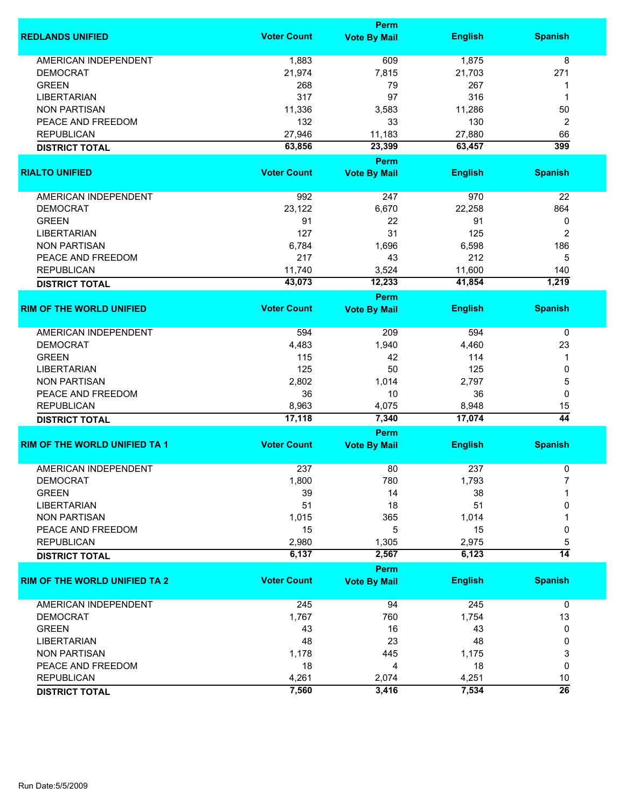|                                      | Perm               |                                    |                |                 |
|--------------------------------------|--------------------|------------------------------------|----------------|-----------------|
| <b>REDLANDS UNIFIED</b>              | <b>Voter Count</b> | <b>Vote By Mail</b>                | <b>English</b> | <b>Spanish</b>  |
| <b>AMERICAN INDEPENDENT</b>          | 1,883              | 609                                | 1,875          | 8               |
| <b>DEMOCRAT</b>                      | 21,974             | 7,815                              | 21,703         | 271             |
| <b>GREEN</b>                         | 268                | 79                                 | 267            | 1               |
| <b>LIBERTARIAN</b>                   | 317                | 97                                 | 316            | 1               |
| <b>NON PARTISAN</b>                  | 11,336             | 3,583                              | 11,286         | 50              |
|                                      |                    |                                    | 130            |                 |
| PEACE AND FREEDOM                    | 132                | 33                                 |                | 2               |
| <b>REPUBLICAN</b>                    | 27,946             | 11,183                             | 27,880         | 66              |
| <b>DISTRICT TOTAL</b>                | 63,856             | 23,399<br>Perm                     | 63,457         | 399             |
| <b>RIALTO UNIFIED</b>                | <b>Voter Count</b> | <b>Vote By Mail</b>                | <b>English</b> | <b>Spanish</b>  |
| AMERICAN INDEPENDENT                 | 992                | 247                                | 970            | 22              |
| <b>DEMOCRAT</b>                      | 23,122             | 6,670                              | 22,258         | 864             |
| <b>GREEN</b>                         | 91                 |                                    | 91             |                 |
|                                      |                    | 22                                 |                | 0               |
| <b>LIBERTARIAN</b>                   | 127                | 31                                 | 125            | 2               |
| <b>NON PARTISAN</b>                  | 6,784              | 1,696                              | 6,598          | 186             |
| PEACE AND FREEDOM                    | 217                | 43                                 | 212            | 5               |
| <b>REPUBLICAN</b>                    | 11,740             | 3,524                              | 11,600         | 140             |
| <b>DISTRICT TOTAL</b>                | 43,073             | 12,233                             | 41,854         | 1,219           |
| <b>RIM OF THE WORLD UNIFIED</b>      | <b>Voter Count</b> | <b>Perm</b><br><b>Vote By Mail</b> | <b>English</b> | <b>Spanish</b>  |
|                                      |                    |                                    |                |                 |
| <b>AMERICAN INDEPENDENT</b>          | 594                | 209                                | 594            | 0               |
| <b>DEMOCRAT</b>                      | 4,483              | 1,940                              | 4,460          | 23              |
| <b>GREEN</b>                         | 115                | 42                                 | 114            | 1               |
| <b>LIBERTARIAN</b>                   | 125                | 50                                 | 125            | 0               |
| <b>NON PARTISAN</b>                  | 2,802              | 1,014                              | 2,797          | 5               |
| PEACE AND FREEDOM                    | 36                 | 10                                 | 36             | 0               |
| <b>REPUBLICAN</b>                    | 8,963              | 4,075                              | 8,948          | 15              |
| <b>DISTRICT TOTAL</b>                | 17,118             | 7,340                              | 17,074         | $\overline{44}$ |
|                                      |                    | Perm                               |                |                 |
| <b>RIM OF THE WORLD UNIFIED TA 1</b> | <b>Voter Count</b> | <b>Vote By Mail</b>                | <b>English</b> | <b>Spanish</b>  |
| <b>AMERICAN INDEPENDENT</b>          | 237                | 80                                 | 237            | 0               |
| DEMOCRAT                             | 1,800              | 780                                | 1,793          |                 |
| <b>GREEN</b>                         | 39                 | 14                                 | 38             |                 |
| <b>LIBERTARIAN</b>                   | 51                 | 18                                 | 51             | 0               |
| <b>NON PARTISAN</b>                  | 1,015              | 365                                | 1,014          |                 |
| PEACE AND FREEDOM                    | 15                 | 5                                  | 15             | 0               |
| <b>REPUBLICAN</b>                    | 2,980              | 1,305                              | 2,975          | 5               |
|                                      | 6,137              | 2,567                              | 6,123          | $\overline{14}$ |
| <b>DISTRICT TOTAL</b>                |                    | Perm                               |                |                 |
| <b>RIM OF THE WORLD UNIFIED TA 2</b> | <b>Voter Count</b> | <b>Vote By Mail</b>                | <b>English</b> | <b>Spanish</b>  |
| <b>AMERICAN INDEPENDENT</b>          | 245                | 94                                 | 245            | $\mathbf 0$     |
| <b>DEMOCRAT</b>                      | 1,767              | 760                                | 1,754          | 13              |
| <b>GREEN</b>                         |                    |                                    |                |                 |
|                                      | 43                 | 16                                 | 43             | 0               |
| <b>LIBERTARIAN</b>                   | 48                 | 23                                 | 48             | 0               |
| <b>NON PARTISAN</b>                  | 1,178              | 445                                | 1,175          | 3               |
| PEACE AND FREEDOM                    | 18                 | 4                                  | 18             | 0               |
| <b>REPUBLICAN</b>                    | 4,261              | 2,074                              | 4,251          | 10              |
| <b>DISTRICT TOTAL</b>                | 7,560              | 3,416                              | 7,534          | $\overline{26}$ |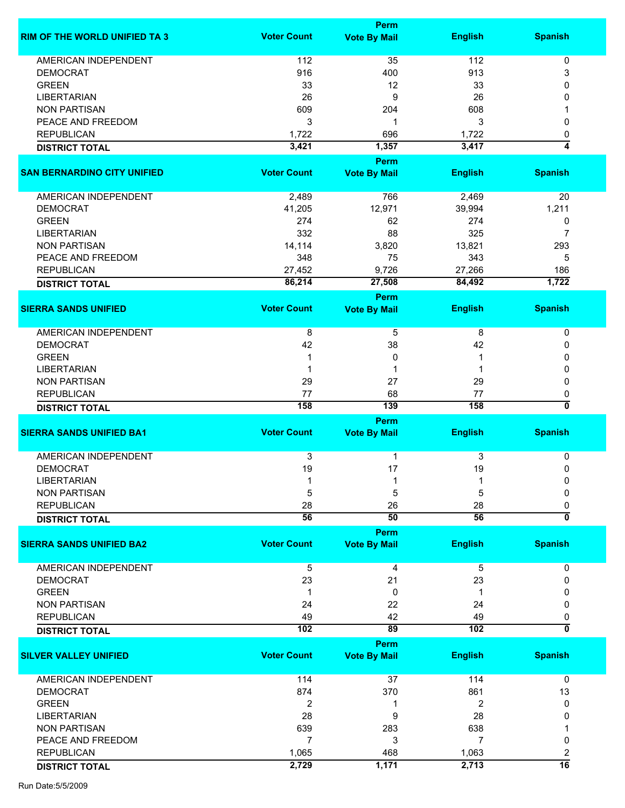|                                      |                    | Perm                        |                |                         |
|--------------------------------------|--------------------|-----------------------------|----------------|-------------------------|
| <b>RIM OF THE WORLD UNIFIED TA 3</b> | <b>Voter Count</b> | <b>Vote By Mail</b>         | <b>English</b> | <b>Spanish</b>          |
|                                      |                    |                             |                |                         |
| <b>AMERICAN INDEPENDENT</b>          | 112                | 35                          | 112            | 0                       |
| <b>DEMOCRAT</b>                      | 916                | 400                         | 913            | 3                       |
| <b>GREEN</b>                         | 33                 | 12                          | 33             | 0                       |
| <b>LIBERTARIAN</b>                   | 26                 | 9                           | 26             | 0                       |
| <b>NON PARTISAN</b>                  | 609                | 204                         | 608            |                         |
| PEACE AND FREEDOM                    | 3                  | 1                           | 3              | 0                       |
| <b>REPUBLICAN</b>                    | 1,722              | 696                         | 1,722          | 0                       |
| <b>DISTRICT TOTAL</b>                | 3,421              | 1,357                       | 3,417          | 4                       |
|                                      |                    | <b>Perm</b>                 |                |                         |
| <b>SAN BERNARDINO CITY UNIFIED</b>   | <b>Voter Count</b> | <b>Vote By Mail</b>         | <b>English</b> | <b>Spanish</b>          |
| AMERICAN INDEPENDENT                 | 2,489              | 766                         | 2,469          | 20                      |
| <b>DEMOCRAT</b>                      | 41,205             | 12,971                      | 39,994         | 1,211                   |
| <b>GREEN</b>                         | 274                | 62                          | 274            | 0                       |
| <b>LIBERTARIAN</b>                   | 332                | 88                          | 325            | 7                       |
| <b>NON PARTISAN</b>                  | 14,114             | 3,820                       | 13,821         | 293                     |
| PEACE AND FREEDOM                    | 348                | 75                          | 343            | 5                       |
|                                      |                    |                             |                |                         |
| <b>REPUBLICAN</b>                    | 27,452             | 9,726                       | 27,266         | 186                     |
| <b>DISTRICT TOTAL</b>                | 86,214             | 27,508                      | 84,492         | 1,722                   |
| <b>SIERRA SANDS UNIFIED</b>          | <b>Voter Count</b> | Perm<br><b>Vote By Mail</b> | <b>English</b> | <b>Spanish</b>          |
|                                      |                    |                             |                |                         |
| AMERICAN INDEPENDENT                 | 8                  | 5                           | 8              | $\pmb{0}$               |
| <b>DEMOCRAT</b>                      | 42                 | 38                          | 42             | 0                       |
| <b>GREEN</b>                         |                    | 0                           |                | 0                       |
| <b>LIBERTARIAN</b>                   |                    |                             |                | 0                       |
| <b>NON PARTISAN</b>                  | 29                 | 27                          | 29             | 0                       |
| <b>REPUBLICAN</b>                    | 77                 | 68                          | 77             | 0                       |
| <b>DISTRICT TOTAL</b>                | 158                | 139                         | 158            | 0                       |
|                                      |                    | Perm                        |                |                         |
| <b>SIERRA SANDS UNIFIED BA1</b>      | <b>Voter Count</b> | <b>Vote By Mail</b>         | <b>English</b> | <b>Spanish</b>          |
| <b>AMERICAN INDEPENDENT</b>          | 3                  | 1                           | 3              | 0                       |
|                                      | 19                 | 17                          |                |                         |
| <b>DEMOCRAT</b>                      |                    |                             | 19             | 0                       |
| <b>LIBERTARIAN</b>                   |                    |                             |                | 0                       |
| <b>NON PARTISAN</b>                  | 5                  | 5                           | 5              | 0                       |
| <b>REPUBLICAN</b>                    | 28                 | 26                          | 28             | 0                       |
| <b>DISTRICT TOTAL</b>                | 56                 | 50                          | 56             | $\overline{\mathbf{0}}$ |
| <b>SIERRA SANDS UNIFIED BA2</b>      | <b>Voter Count</b> | Perm<br><b>Vote By Mail</b> | <b>English</b> | <b>Spanish</b>          |
|                                      |                    |                             |                |                         |
| <b>AMERICAN INDEPENDENT</b>          | 5                  | 4                           | 5              | 0                       |
| <b>DEMOCRAT</b>                      | 23                 | 21                          | 23             | 0                       |
| <b>GREEN</b>                         | 1                  | 0                           |                |                         |
| <b>NON PARTISAN</b>                  | 24                 | 22                          | 24             | 0                       |
| <b>REPUBLICAN</b>                    | 49                 | 42                          | 49             | 0                       |
| <b>DISTRICT TOTAL</b>                | 102                | 89                          | 102            | 0                       |
|                                      |                    | Perm                        |                |                         |
| <b>SILVER VALLEY UNIFIED</b>         | <b>Voter Count</b> | <b>Vote By Mail</b>         | <b>English</b> | <b>Spanish</b>          |
| AMERICAN INDEPENDENT                 | 114                | 37                          | 114            | 0                       |
| <b>DEMOCRAT</b>                      | 874                | 370                         | 861            | 13                      |
| <b>GREEN</b>                         | 2                  | 1                           | 2              | 0                       |
| <b>LIBERTARIAN</b>                   | 28                 | 9                           | 28             | 0                       |
| <b>NON PARTISAN</b>                  | 639                | 283                         | 638            |                         |
|                                      |                    |                             |                |                         |
| PEACE AND FREEDOM                    | $\overline{7}$     | 3                           | 7              | 0                       |
| <b>REPUBLICAN</b>                    | 1,065              | 468                         | 1,063          | 2                       |
| <b>DISTRICT TOTAL</b>                | 2,729              | 1,171                       | 2,713          | $\overline{16}$         |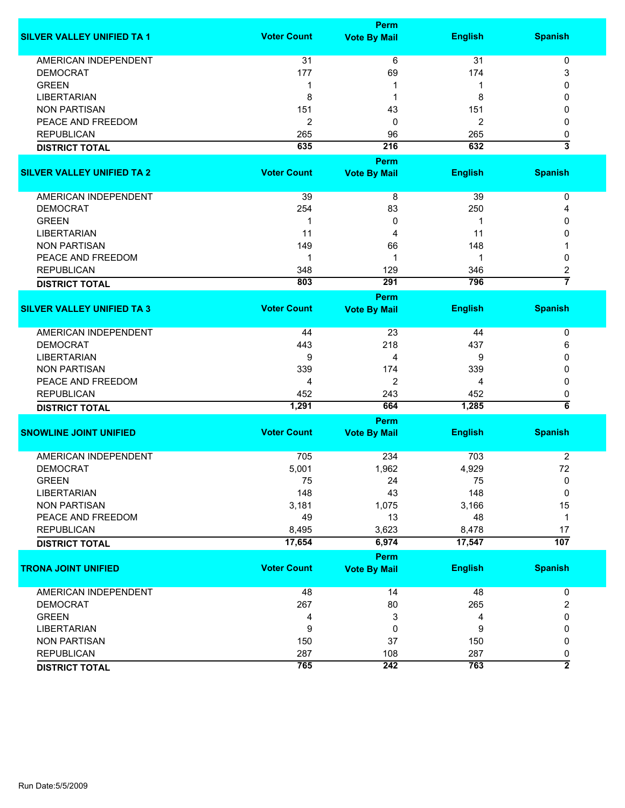|                                   |                    | <b>Perm</b>                 |                |                              |
|-----------------------------------|--------------------|-----------------------------|----------------|------------------------------|
| <b>SILVER VALLEY UNIFIED TA 1</b> | <b>Voter Count</b> | <b>Vote By Mail</b>         | <b>English</b> | <b>Spanish</b>               |
| <b>AMERICAN INDEPENDENT</b>       | 31                 | 6                           | 31             | 0                            |
| <b>DEMOCRAT</b>                   | 177                | 69                          | 174            | 3                            |
| <b>GREEN</b>                      | $\mathbf 1$        | 1                           | 1              | 0                            |
| <b>LIBERTARIAN</b>                | 8                  | 1                           | 8              | 0                            |
| <b>NON PARTISAN</b>               | 151                | 43                          | 151            | 0                            |
| PEACE AND FREEDOM                 | 2                  | 0                           | 2              | 0                            |
| <b>REPUBLICAN</b>                 | 265                |                             | 265            |                              |
|                                   |                    | 96                          |                | 0<br>$\overline{\mathbf{3}}$ |
| <b>DISTRICT TOTAL</b>             | 635                | 216                         | 632            |                              |
|                                   |                    | Perm                        |                |                              |
| <b>SILVER VALLEY UNIFIED TA 2</b> | <b>Voter Count</b> | <b>Vote By Mail</b>         | <b>English</b> | <b>Spanish</b>               |
| AMERICAN INDEPENDENT              | 39                 | 8                           | 39             | 0                            |
| <b>DEMOCRAT</b>                   | 254                | 83                          | 250            | 4                            |
| <b>GREEN</b>                      | 1                  | 0                           | -1             | 0                            |
| <b>LIBERTARIAN</b>                | 11                 | 4                           | 11             | 0                            |
| <b>NON PARTISAN</b>               | 149                | 66                          | 148            |                              |
| PEACE AND FREEDOM                 | 1                  | 1                           | 1              | 0                            |
| <b>REPUBLICAN</b>                 | 348                | 129                         | 346            | 2                            |
|                                   | 803                | 291                         | 796            | $\overline{7}$               |
| <b>DISTRICT TOTAL</b>             |                    |                             |                |                              |
|                                   |                    | <b>Perm</b>                 |                |                              |
| <b>SILVER VALLEY UNIFIED TA 3</b> | <b>Voter Count</b> | <b>Vote By Mail</b>         | <b>English</b> | <b>Spanish</b>               |
| <b>AMERICAN INDEPENDENT</b>       | 44                 | 23                          | 44             | 0                            |
| <b>DEMOCRAT</b>                   | 443                | 218                         | 437            | 6                            |
| <b>LIBERTARIAN</b>                | 9                  | 4                           | 9              | 0                            |
| <b>NON PARTISAN</b>               | 339                | 174                         | 339            | 0                            |
| PEACE AND FREEDOM                 | 4                  | 2                           | 4              | 0                            |
| <b>REPUBLICAN</b>                 | 452                | 243                         | 452            | 0                            |
| <b>DISTRICT TOTAL</b>             | 1,291              | 664                         | 1,285          | $\overline{\bf 6}$           |
|                                   |                    |                             |                |                              |
| <b>SNOWLINE JOINT UNIFIED</b>     | <b>Voter Count</b> | Perm<br><b>Vote By Mail</b> | <b>English</b> | <b>Spanish</b>               |
|                                   |                    |                             |                |                              |
| <b>AMERICAN INDEPENDENT</b>       | 705                | 234                         | 703            | $\overline{c}$               |
| <b>DEMOCRAT</b>                   | 5,001              | 1,962                       | 4,929          | 72                           |
| <b>GREEN</b>                      | 75                 | 24                          | 75             | 0                            |
| <b>LIBERTARIAN</b>                | 148                | 43                          | 148            | 0                            |
| <b>NON PARTISAN</b>               | 3,181              | 1,075                       | 3,166          | 15                           |
| PEACE AND FREEDOM                 | 49                 | 13                          | 48             | 1                            |
| <b>REPUBLICAN</b>                 | 8,495              | 3,623                       | 8,478          | 17                           |
| <b>DISTRICT TOTAL</b>             | 17,654             | 6,974                       | 17,547         | $\overline{107}$             |
|                                   |                    | Perm                        |                |                              |
| <b>TRONA JOINT UNIFIED</b>        | <b>Voter Count</b> | <b>Vote By Mail</b>         | <b>English</b> | <b>Spanish</b>               |
|                                   |                    |                             |                |                              |
| AMERICAN INDEPENDENT              | 48                 | 14                          | 48             | 0                            |
| <b>DEMOCRAT</b>                   | 267                | 80                          | 265            | $\overline{\mathbf{c}}$      |
| <b>GREEN</b>                      | 4                  | 3                           | 4              | 0                            |
| <b>LIBERTARIAN</b>                | 9                  | 0                           | 9              | 0                            |
| <b>NON PARTISAN</b>               | 150                | 37                          | 150            | 0                            |
| <b>REPUBLICAN</b>                 | 287                | 108                         | 287            | 0                            |
| <b>DISTRICT TOTAL</b>             | 765                | 242                         | 763            | $\overline{2}$               |
|                                   |                    |                             |                |                              |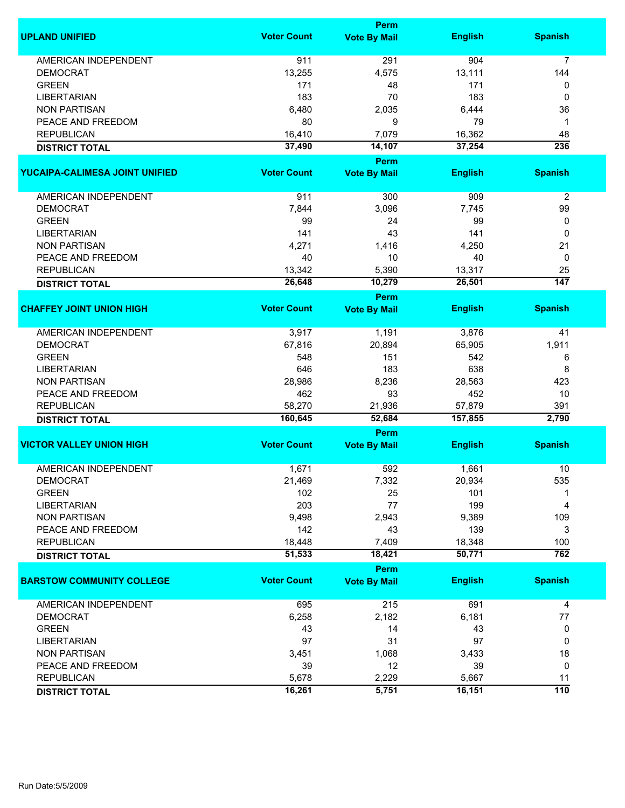|                                  |                    | <b>Perm</b>                 |                |                  |
|----------------------------------|--------------------|-----------------------------|----------------|------------------|
| <b>UPLAND UNIFIED</b>            | <b>Voter Count</b> | <b>Vote By Mail</b>         | <b>English</b> | <b>Spanish</b>   |
| <b>AMERICAN INDEPENDENT</b>      | 911                | 291                         | 904            | $\overline{7}$   |
| <b>DEMOCRAT</b>                  | 13,255             | 4,575                       | 13,111         | 144              |
| <b>GREEN</b>                     | 171                | 48                          | 171            | 0                |
| <b>LIBERTARIAN</b>               | 183                | 70                          | 183            | 0                |
| <b>NON PARTISAN</b>              | 6,480              | 2,035                       | 6,444          | 36               |
| PEACE AND FREEDOM                | 80                 | 9                           | 79             | 1                |
|                                  |                    |                             |                |                  |
| <b>REPUBLICAN</b>                | 16,410             | 7,079                       | 16,362         | 48               |
| <b>DISTRICT TOTAL</b>            | 37,490             | 14,107                      | 37,254         | 236              |
| YUCAIPA-CALIMESA JOINT UNIFIED   | <b>Voter Count</b> | Perm<br><b>Vote By Mail</b> | <b>English</b> | <b>Spanish</b>   |
|                                  |                    |                             |                |                  |
| AMERICAN INDEPENDENT             | 911                | 300                         | 909            | $\overline{2}$   |
| <b>DEMOCRAT</b>                  | 7,844              | 3,096                       | 7,745          | 99               |
| <b>GREEN</b>                     | 99                 | 24                          | 99             | 0                |
| <b>LIBERTARIAN</b>               | 141                | 43                          | 141            | 0                |
| <b>NON PARTISAN</b>              | 4,271              | 1,416                       | 4,250          | 21               |
| PEACE AND FREEDOM                | 40                 | 10                          | 40             | 0                |
| <b>REPUBLICAN</b>                | 13,342             | 5,390                       | 13,317         | 25               |
|                                  | 26,648             | 10,279                      | 26,501         | $\overline{147}$ |
| <b>DISTRICT TOTAL</b>            |                    | <b>Perm</b>                 |                |                  |
| <b>CHAFFEY JOINT UNION HIGH</b>  | <b>Voter Count</b> | <b>Vote By Mail</b>         | <b>English</b> | <b>Spanish</b>   |
| <b>AMERICAN INDEPENDENT</b>      | 3,917              | 1,191                       | 3,876          | 41               |
| <b>DEMOCRAT</b>                  | 67,816             | 20,894                      | 65,905         | 1,911            |
| <b>GREEN</b>                     | 548                | 151                         | 542            |                  |
|                                  |                    |                             |                | 6                |
| <b>LIBERTARIAN</b>               | 646                | 183                         | 638            | 8                |
| <b>NON PARTISAN</b>              | 28,986             | 8,236                       | 28,563         | 423              |
| PEACE AND FREEDOM                | 462                | 93                          | 452            | 10               |
| <b>REPUBLICAN</b>                | 58,270             | 21,936                      | 57,879         | 391              |
| <b>DISTRICT TOTAL</b>            | 160,645            | 52,684                      | 157,855        | 2,790            |
|                                  |                    | <b>Perm</b>                 |                |                  |
| <b>VICTOR VALLEY UNION HIGH</b>  | <b>Voter Count</b> | <b>Vote By Mail</b>         | <b>English</b> | <b>Spanish</b>   |
| <b>AMERICAN INDEPENDENT</b>      | 1,671              | 592                         | 1,661          | 10               |
| <b>DEMOCRAT</b>                  | 21,469             | 7,332                       | 20,934         | 535              |
| <b>GREEN</b>                     | 102                | 25                          | 101            |                  |
| <b>LIBERTARIAN</b>               | 203                | 77                          | 199            | 4                |
| <b>NON PARTISAN</b>              | 9,498              | 2,943                       | 9,389          | 109              |
| PEACE AND FREEDOM                | 142                | 43                          | 139            | 3                |
| <b>REPUBLICAN</b>                | 18,448             | 7,409                       | 18,348         | 100              |
| <b>DISTRICT TOTAL</b>            | 51,533             | 18,421                      | 50,771         | 762              |
|                                  |                    | Perm                        |                |                  |
| <b>BARSTOW COMMUNITY COLLEGE</b> | <b>Voter Count</b> | <b>Vote By Mail</b>         | <b>English</b> | <b>Spanish</b>   |
| <b>AMERICAN INDEPENDENT</b>      | 695                | 215                         | 691            | 4                |
| <b>DEMOCRAT</b>                  | 6,258              | 2,182                       | 6,181          | 77               |
| <b>GREEN</b>                     | 43                 | 14                          | 43             | 0                |
| <b>LIBERTARIAN</b>               | 97                 | 31                          | 97             | 0                |
| <b>NON PARTISAN</b>              | 3,451              | 1,068                       | 3,433          | 18               |
| PEACE AND FREEDOM                | 39                 | 12                          | 39             | 0                |
| <b>REPUBLICAN</b>                | 5,678              | 2,229                       | 5,667          | 11               |
|                                  | 16,261             | 5,751                       | 16,151         | 110              |
| <b>DISTRICT TOTAL</b>            |                    |                             |                |                  |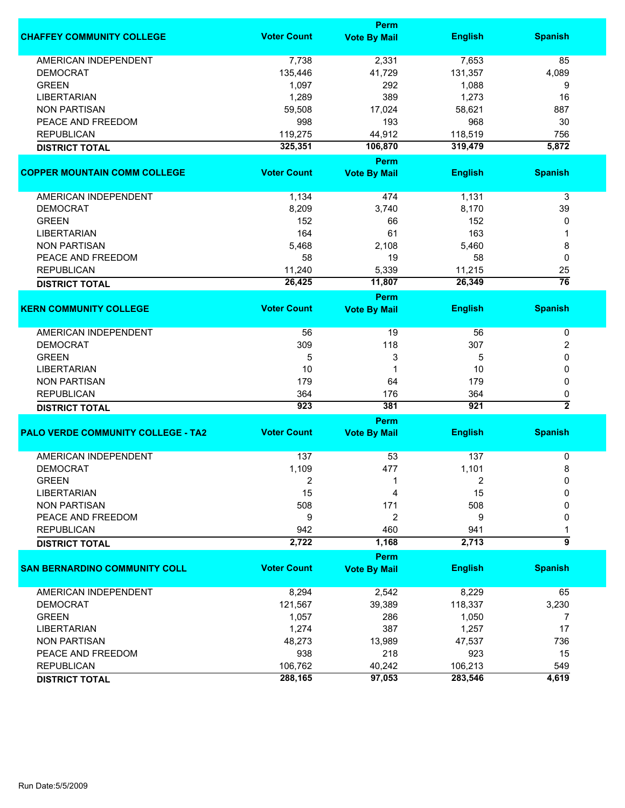|                                           |                    | Perm                        |                |                              |
|-------------------------------------------|--------------------|-----------------------------|----------------|------------------------------|
| <b>CHAFFEY COMMUNITY COLLEGE</b>          | <b>Voter Count</b> | <b>Vote By Mail</b>         | <b>English</b> | <b>Spanish</b>               |
| <b>AMERICAN INDEPENDENT</b>               | 7,738              | 2,331                       | 7,653          | 85                           |
| <b>DEMOCRAT</b>                           | 135,446            | 41,729                      | 131,357        | 4,089                        |
| <b>GREEN</b>                              | 1,097              | 292                         | 1,088          | 9                            |
| <b>LIBERTARIAN</b>                        | 1,289              | 389                         | 1,273          | 16                           |
| <b>NON PARTISAN</b>                       | 59,508             | 17,024                      | 58,621         | 887                          |
| PEACE AND FREEDOM                         | 998                | 193                         | 968            | 30                           |
| <b>REPUBLICAN</b>                         | 119,275            | 44,912                      | 118,519        | 756                          |
| <b>DISTRICT TOTAL</b>                     | 325,351            | 106,870                     | 319,479        | 5,872                        |
|                                           |                    | Perm                        |                |                              |
| <b>COPPER MOUNTAIN COMM COLLEGE</b>       | <b>Voter Count</b> | <b>Vote By Mail</b>         | <b>English</b> | <b>Spanish</b>               |
|                                           |                    |                             |                |                              |
| AMERICAN INDEPENDENT                      | 1,134              | 474                         | 1,131          | 3                            |
| <b>DEMOCRAT</b>                           | 8,209              | 3,740                       | 8,170          | 39                           |
| <b>GREEN</b>                              | 152                | 66                          | 152            | 0                            |
| <b>LIBERTARIAN</b>                        | 164                | 61                          | 163            |                              |
| <b>NON PARTISAN</b>                       | 5,468              | 2,108                       | 5,460          | 8                            |
| PEACE AND FREEDOM                         | 58                 | 19                          | 58             | 0                            |
| <b>REPUBLICAN</b>                         | 11,240             | 5,339                       | 11,215         | 25                           |
| <b>DISTRICT TOTAL</b>                     | 26,425             | 11,807                      | 26,349         | $\overline{76}$              |
|                                           |                    | Perm                        |                |                              |
| <b>KERN COMMUNITY COLLEGE</b>             | <b>Voter Count</b> | <b>Vote By Mail</b>         | <b>English</b> | <b>Spanish</b>               |
| <b>AMERICAN INDEPENDENT</b>               | 56                 | 19                          | 56             | 0                            |
| <b>DEMOCRAT</b>                           | 309                | 118                         | 307            | 2                            |
| <b>GREEN</b>                              | 5                  | 3                           | 5              | 0                            |
|                                           | 10                 | 1                           |                |                              |
| <b>LIBERTARIAN</b>                        |                    |                             | 10             | 0                            |
| <b>NON PARTISAN</b>                       | 179                | 64                          | 179            | 0                            |
| <b>REPUBLICAN</b>                         | 364                | 176                         | 364            | 0<br>$\overline{\mathbf{2}}$ |
| <b>DISTRICT TOTAL</b>                     | 923                | 381                         | 921            |                              |
| <b>PALO VERDE COMMUNITY COLLEGE - TA2</b> | <b>Voter Count</b> | Perm<br><b>Vote By Mail</b> | <b>English</b> | <b>Spanish</b>               |
|                                           |                    |                             |                |                              |
| <b>AMERICAN INDEPENDENT</b>               | 137                | 53                          | 137            | 0                            |
| <b>DEMOCRAT</b>                           | 1,109              | 477                         | 1,101          | 8                            |
| <b>GREEN</b>                              | 2                  |                             | 2              | 0                            |
| LIBERTARIAN                               | 15                 | 4                           | 15             | $\Omega$                     |
| <b>NON PARTISAN</b>                       | 508                | 171                         | 508            | 0                            |
| PEACE AND FREEDOM                         | 9                  | 2                           | 9              | 0                            |
| <b>REPUBLICAN</b>                         | 942                | 460                         | 941            |                              |
| <b>DISTRICT TOTAL</b>                     | 2,722              | 1,168                       | 2,713          | $\overline{9}$               |
|                                           |                    | Perm                        |                |                              |
| <b>SAN BERNARDINO COMMUNITY COLL</b>      | <b>Voter Count</b> | <b>Vote By Mail</b>         | <b>English</b> | <b>Spanish</b>               |
| <b>AMERICAN INDEPENDENT</b>               | 8,294              | 2,542                       | 8,229          | 65                           |
| <b>DEMOCRAT</b>                           | 121,567            | 39,389                      | 118,337        | 3,230                        |
| <b>GREEN</b>                              | 1,057              | 286                         | 1,050          | 7                            |
| <b>LIBERTARIAN</b>                        | 1,274              | 387                         | 1,257          | 17                           |
|                                           |                    |                             |                |                              |
| <b>NON PARTISAN</b>                       | 48,273             | 13,989                      | 47,537         | 736                          |
| PEACE AND FREEDOM                         | 938                | 218                         | 923            | 15                           |
| <b>REPUBLICAN</b>                         | 106,762            | 40,242                      | 106,213        | 549                          |
| <b>DISTRICT TOTAL</b>                     | 288,165            | 97,053                      | 283,546        | 4,619                        |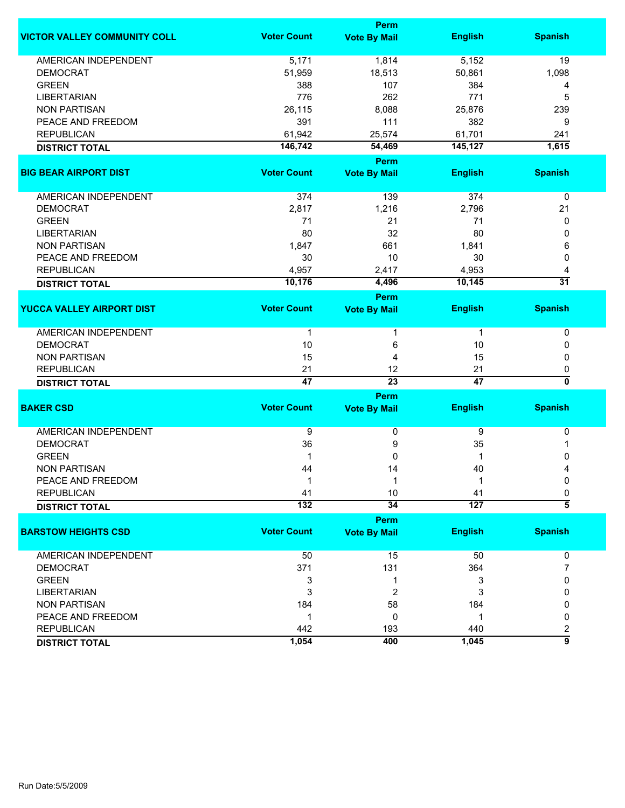|                                     | Perm               |                     |                  |                    |  |
|-------------------------------------|--------------------|---------------------|------------------|--------------------|--|
| <b>VICTOR VALLEY COMMUNITY COLL</b> | <b>Voter Count</b> | <b>Vote By Mail</b> | <b>English</b>   | <b>Spanish</b>     |  |
| <b>AMERICAN INDEPENDENT</b>         | 5,171              | 1,814               | 5,152            | 19                 |  |
| <b>DEMOCRAT</b>                     | 51,959             | 18,513              | 50,861           | 1,098              |  |
| <b>GREEN</b>                        | 388                | 107                 | 384              | 4                  |  |
| <b>LIBERTARIAN</b>                  | 776                | 262                 | 771              | 5                  |  |
| <b>NON PARTISAN</b>                 | 26,115             | 8,088               | 25,876           | 239                |  |
| PEACE AND FREEDOM                   | 391                | 111                 | 382              | 9                  |  |
| <b>REPUBLICAN</b>                   | 61,942             | 25,574              | 61,701           | 241                |  |
| <b>DISTRICT TOTAL</b>               | 146,742            | 54,469              | 145,127          | 1,615              |  |
|                                     |                    | Perm                |                  |                    |  |
| <b>BIG BEAR AIRPORT DIST</b>        | <b>Voter Count</b> | <b>Vote By Mail</b> | <b>English</b>   | <b>Spanish</b>     |  |
| AMERICAN INDEPENDENT                | 374                | 139                 | 374              | 0                  |  |
| <b>DEMOCRAT</b>                     | 2,817              | 1,216               | 2,796            | 21                 |  |
| <b>GREEN</b>                        | 71                 | 21                  | 71               | 0                  |  |
| <b>LIBERTARIAN</b>                  | 80                 | 32                  | 80               | 0                  |  |
|                                     |                    |                     |                  |                    |  |
| <b>NON PARTISAN</b>                 | 1,847              | 661                 | 1,841            | 6                  |  |
| PEACE AND FREEDOM                   | 30                 | 10                  | 30               | 0                  |  |
| <b>REPUBLICAN</b>                   | 4,957              | 2,417               | 4,953            | 4                  |  |
| <b>DISTRICT TOTAL</b>               | 10,176             | 4,496               | 10,145           | $\overline{31}$    |  |
|                                     |                    | Perm                |                  |                    |  |
| <b>YUCCA VALLEY AIRPORT DIST</b>    | <b>Voter Count</b> | <b>Vote By Mail</b> | <b>English</b>   | <b>Spanish</b>     |  |
| <b>AMERICAN INDEPENDENT</b>         | 1                  |                     | $\mathbf 1$      | 0                  |  |
| <b>DEMOCRAT</b>                     | 10                 | 6                   | 10               | 0                  |  |
| <b>NON PARTISAN</b>                 | 15                 | 4                   | 15               | 0                  |  |
| <b>REPUBLICAN</b>                   | 21                 | 12                  | 21               | 0                  |  |
| <b>DISTRICT TOTAL</b>               | 47                 | $\overline{23}$     | 47               | 0                  |  |
|                                     |                    | Perm                |                  |                    |  |
| <b>BAKER CSD</b>                    | <b>Voter Count</b> | <b>Vote By Mail</b> | <b>English</b>   | <b>Spanish</b>     |  |
| <b>AMERICAN INDEPENDENT</b>         | 9                  | 0                   | 9                | 0                  |  |
| <b>DEMOCRAT</b>                     | 36                 | 9                   | 35               | 1                  |  |
| <b>GREEN</b>                        | 1                  | 0                   | 1                | 0                  |  |
| <b>NON PARTISAN</b>                 | 44                 | 14                  | 40               | 4                  |  |
| PEACE AND FREEDOM                   | 1                  | 1                   | 1                | 0                  |  |
| <b>REPUBLICAN</b>                   | 41                 | $10\,$              | 41               | 0                  |  |
| <b>DISTRICT TOTAL</b>               | $\overline{132}$   | $\overline{34}$     | $\overline{127}$ | $\overline{\bf 5}$ |  |
|                                     |                    | Perm                |                  |                    |  |
| <b>BARSTOW HEIGHTS CSD</b>          | <b>Voter Count</b> | <b>Vote By Mail</b> | <b>English</b>   | <b>Spanish</b>     |  |
|                                     |                    |                     |                  |                    |  |
| <b>AMERICAN INDEPENDENT</b>         | 50                 | 15                  | 50               | 0                  |  |
| <b>DEMOCRAT</b>                     | 371                | 131                 | 364              | 7                  |  |
| <b>GREEN</b>                        | 3                  | 1                   | 3                | 0                  |  |
| <b>LIBERTARIAN</b>                  | 3                  | 2                   | 3                | 0                  |  |
| <b>NON PARTISAN</b>                 | 184                | 58                  | 184              | 0                  |  |
| PEACE AND FREEDOM                   | 1                  | 0                   | $\mathbf{1}$     | 0                  |  |
| <b>REPUBLICAN</b>                   | 442                | 193                 | 440              | 2                  |  |
| <b>DISTRICT TOTAL</b>               | 1,054              | 400                 | 1,045            | $\overline{9}$     |  |
|                                     |                    |                     |                  |                    |  |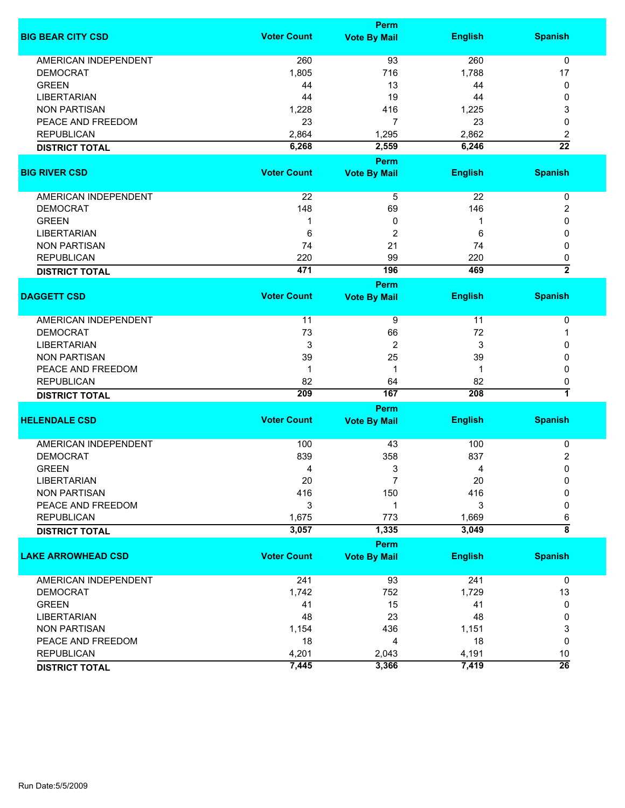|                             |                    | Perm                |                 |                    |
|-----------------------------|--------------------|---------------------|-----------------|--------------------|
| <b>BIG BEAR CITY CSD</b>    | <b>Voter Count</b> | <b>Vote By Mail</b> | <b>English</b>  | <b>Spanish</b>     |
| <b>AMERICAN INDEPENDENT</b> | 260                | 93                  | 260             | $\mathbf 0$        |
| <b>DEMOCRAT</b>             | 1,805              | 716                 | 1,788           | 17                 |
| <b>GREEN</b>                | 44                 | 13                  | 44              | 0                  |
| <b>LIBERTARIAN</b>          | 44                 | 19                  | 44              | 0                  |
| <b>NON PARTISAN</b>         | 1,228              | 416                 | 1,225           | 3                  |
| PEACE AND FREEDOM           | 23                 | $\overline{7}$      | 23              | 0                  |
| <b>REPUBLICAN</b>           | 2,864              | 1,295               | 2,862           | 2                  |
|                             | 6,268              | 2,559               | 6,246           | $\overline{22}$    |
| <b>DISTRICT TOTAL</b>       |                    |                     |                 |                    |
|                             |                    | Perm                |                 |                    |
| <b>BIG RIVER CSD</b>        | <b>Voter Count</b> | <b>Vote By Mail</b> | <b>English</b>  | <b>Spanish</b>     |
| AMERICAN INDEPENDENT        | 22                 | 5                   | $\overline{22}$ | 0                  |
| <b>DEMOCRAT</b>             | 148                | 69                  | 146             | 2                  |
| <b>GREEN</b>                | 1                  | 0                   | 1               | 0                  |
| <b>LIBERTARIAN</b>          | 6                  | $\overline{2}$      | 6               | 0                  |
| <b>NON PARTISAN</b>         | 74                 | 21                  | 74              | 0                  |
| <b>REPUBLICAN</b>           | 220                | 99                  | 220             | 0                  |
| <b>DISTRICT TOTAL</b>       | 471                | 196                 | 469             | $\overline{2}$     |
|                             |                    | Perm                |                 |                    |
| <b>DAGGETT CSD</b>          | <b>Voter Count</b> | <b>Vote By Mail</b> | <b>English</b>  | <b>Spanish</b>     |
|                             |                    |                     |                 |                    |
| <b>AMERICAN INDEPENDENT</b> | 11                 | 9                   | 11              | 0                  |
| <b>DEMOCRAT</b>             | 73                 | 66                  | 72              | 1                  |
| <b>LIBERTARIAN</b>          | 3                  | 2                   | 3               | 0                  |
| <b>NON PARTISAN</b>         | 39                 | 25                  | 39              | 0                  |
| PEACE AND FREEDOM           | 1                  | 1                   | -1              | 0                  |
| <b>REPUBLICAN</b>           | 82                 | 64                  | 82              | 0                  |
| <b>DISTRICT TOTAL</b>       | 209                | 167                 | 208             | 7                  |
|                             |                    | Perm                |                 |                    |
| <b>HELENDALE CSD</b>        | <b>Voter Count</b> | <b>Vote By Mail</b> | <b>English</b>  | <b>Spanish</b>     |
|                             |                    |                     |                 |                    |
| <b>AMERICAN INDEPENDENT</b> | 100                | 43                  | 100             | 0                  |
| <b>DEMOCRAT</b>             | 839                | 358                 | 837             | 2                  |
| <b>GREEN</b>                | 4                  | 3                   | 4               | 0                  |
| LIBERTARIAN                 | 20                 | 7                   | 20              | 0                  |
| <b>NON PARTISAN</b>         | 416                | 150                 | 416             | 0                  |
| PEACE AND FREEDOM           | 3                  | 1                   | 3               | 0                  |
| <b>REPUBLICAN</b>           | 1,675              | 773                 | 1,669           | 6                  |
| <b>DISTRICT TOTAL</b>       | 3,057              | 1,335               | 3,049           | $\overline{\bf 8}$ |
|                             |                    |                     |                 |                    |
| <b>LAKE ARROWHEAD CSD</b>   | <b>Voter Count</b> | Perm                | <b>English</b>  | <b>Spanish</b>     |
|                             |                    | <b>Vote By Mail</b> |                 |                    |
| AMERICAN INDEPENDENT        | 241                | 93                  | 241             | $\mathbf 0$        |
| <b>DEMOCRAT</b>             | 1,742              | 752                 | 1,729           | 13                 |
| <b>GREEN</b>                | 41                 | 15                  | 41              | 0                  |
| <b>LIBERTARIAN</b>          | 48                 | 23                  | 48              | 0                  |
| <b>NON PARTISAN</b>         | 1,154              | 436                 | 1,151           | 3                  |
| PEACE AND FREEDOM           | 18                 | 4                   | 18              | 0                  |
| <b>REPUBLICAN</b>           | 4,201              | 2,043               | 4,191           | 10                 |
| <b>DISTRICT TOTAL</b>       | 7,445              | 3,366               | 7,419           | $\overline{26}$    |
|                             |                    |                     |                 |                    |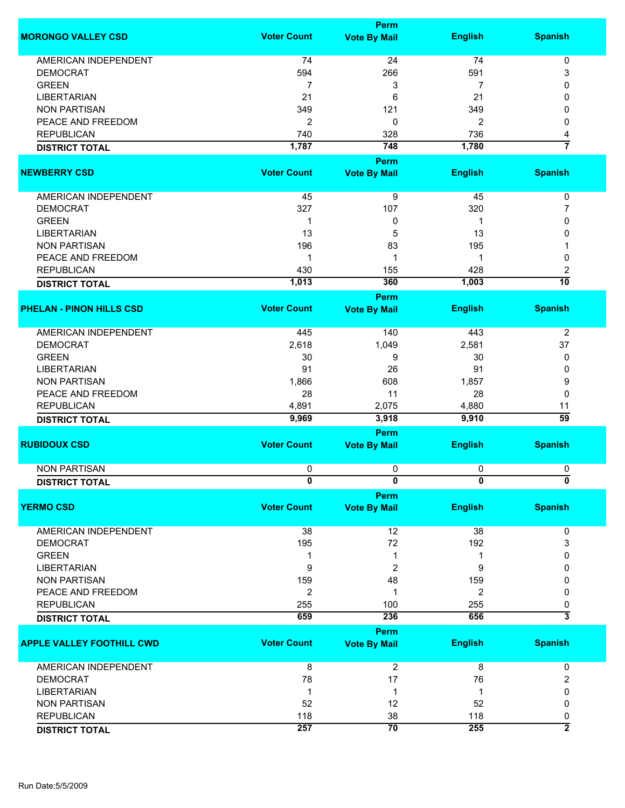|                                  |                    | <b>Perm</b>         |                |                           |
|----------------------------------|--------------------|---------------------|----------------|---------------------------|
| <b>MORONGO VALLEY CSD</b>        | <b>Voter Count</b> | <b>Vote By Mail</b> | <b>English</b> | <b>Spanish</b>            |
| <b>AMERICAN INDEPENDENT</b>      | 74                 | 24                  | 74             | 0                         |
| <b>DEMOCRAT</b>                  | 594                | 266                 | 591            | 3                         |
| <b>GREEN</b>                     |                    |                     |                |                           |
|                                  | 7                  | 3                   | 7              | 0                         |
| <b>LIBERTARIAN</b>               | 21                 | 6                   | 21             | 0                         |
| <b>NON PARTISAN</b>              | 349                | 121                 | 349            | 0                         |
| PEACE AND FREEDOM                | $\overline{2}$     | 0                   | $\overline{2}$ | 0                         |
| <b>REPUBLICAN</b>                | 740                | 328                 | 736            | 4                         |
| <b>DISTRICT TOTAL</b>            | 1,787              | 748                 | 1,780          | 7                         |
|                                  |                    | <b>Perm</b>         |                |                           |
| <b>NEWBERRY CSD</b>              | <b>Voter Count</b> | <b>Vote By Mail</b> | <b>English</b> | <b>Spanish</b>            |
| AMERICAN INDEPENDENT             | 45                 | 9                   | 45             | 0                         |
|                                  |                    |                     |                |                           |
| <b>DEMOCRAT</b>                  | 327                | 107                 | 320            | 7                         |
| <b>GREEN</b>                     | 1                  | 0                   | 1              | 0                         |
| <b>LIBERTARIAN</b>               | 13                 | 5                   | 13             | 0                         |
| <b>NON PARTISAN</b>              | 196                | 83                  | 195            |                           |
| PEACE AND FREEDOM                | 1                  | 1                   | 1              | 0                         |
| <b>REPUBLICAN</b>                | 430                | 155                 | 428            | 2                         |
| <b>DISTRICT TOTAL</b>            | 1,013              | 360                 | 1,003          | 10                        |
|                                  |                    | <b>Perm</b>         |                |                           |
| <b>PHELAN - PINON HILLS CSD</b>  | <b>Voter Count</b> | <b>Vote By Mail</b> | <b>English</b> | <b>Spanish</b>            |
|                                  |                    |                     |                |                           |
| <b>AMERICAN INDEPENDENT</b>      | 445                | 140                 | 443            | $\overline{2}$            |
| <b>DEMOCRAT</b>                  | 2,618              | 1,049               | 2,581          | 37                        |
| <b>GREEN</b>                     | 30                 | 9                   | 30             | 0                         |
| <b>LIBERTARIAN</b>               | 91                 | 26                  | 91             | 0                         |
| <b>NON PARTISAN</b>              | 1,866              | 608                 | 1,857          | 9                         |
| PEACE AND FREEDOM                | 28                 | 11                  |                |                           |
|                                  |                    |                     | 28             | 0                         |
| <b>REPUBLICAN</b>                | 4,891              | 2,075               | 4,880          | 11                        |
| <b>DISTRICT TOTAL</b>            | 9,969              | 3,918               | 9,910          | $\overline{59}$           |
|                                  |                    | <b>Perm</b>         |                |                           |
| <b>RUBIDOUX CSD</b>              | <b>Voter Count</b> | <b>Vote By Mail</b> | <b>English</b> | <b>Spanish</b>            |
| <b>NON PARTISAN</b>              | 0                  | 0                   | 0              | 0                         |
|                                  |                    |                     |                | 0                         |
| <b>DISTRICT TOTAL</b>            | $\bf{0}$           | U<br><b>Perm</b>    | $\bf{0}$       |                           |
| <b>YERMO CSD</b>                 | <b>Voter Count</b> | <b>Vote By Mail</b> | <b>English</b> | <b>Spanish</b>            |
|                                  |                    |                     |                |                           |
| AMERICAN INDEPENDENT             | 38                 | 12                  | 38             | 0                         |
| <b>DEMOCRAT</b>                  | 195                | 72                  | 192            | 3                         |
| <b>GREEN</b>                     | 1                  | 1                   | 1              | 0                         |
| <b>LIBERTARIAN</b>               | 9                  | 2                   | 9              | 0                         |
| <b>NON PARTISAN</b>              | 159                | 48                  | 159            | 0                         |
| PEACE AND FREEDOM                | $\overline{2}$     | 1                   | 2              | 0                         |
| <b>REPUBLICAN</b>                | 255                | 100                 | 255            | 0                         |
| <b>DISTRICT TOTAL</b>            | 659                | 236                 | 656            | $\overline{\overline{3}}$ |
|                                  |                    | Perm                |                |                           |
| <b>APPLE VALLEY FOOTHILL CWD</b> | <b>Voter Count</b> | <b>Vote By Mail</b> | <b>English</b> | <b>Spanish</b>            |
| AMERICAN INDEPENDENT             | 8                  | $\boldsymbol{2}$    | 8              | 0                         |
| <b>DEMOCRAT</b>                  | 78                 | 17                  | 76             | 2                         |
| <b>LIBERTARIAN</b>               | -1                 | 1                   | -1             | 0                         |
| <b>NON PARTISAN</b>              | 52                 | 12                  | 52             | 0                         |
| <b>REPUBLICAN</b>                | 118                | 38                  | 118            | 0                         |
|                                  | 257                | $\overline{70}$     | 255            | $\overline{2}$            |
| <b>DISTRICT TOTAL</b>            |                    |                     |                |                           |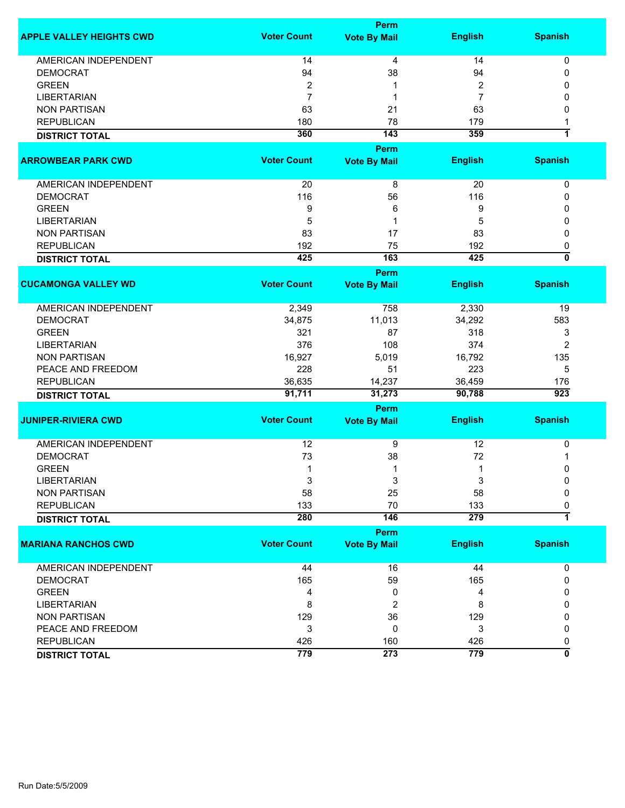|                                 |                    | <b>Perm</b>         |                |                           |
|---------------------------------|--------------------|---------------------|----------------|---------------------------|
| <b>APPLE VALLEY HEIGHTS CWD</b> | <b>Voter Count</b> | <b>Vote By Mail</b> | <b>English</b> | <b>Spanish</b>            |
| <b>AMERICAN INDEPENDENT</b>     | 14                 | 4                   | 14             | 0                         |
| <b>DEMOCRAT</b>                 | 94                 | 38                  | 94             | 0                         |
| <b>GREEN</b>                    | $\overline{2}$     | 1                   | 2              | 0                         |
| <b>LIBERTARIAN</b>              | $\overline{7}$     | 1                   | $\overline{7}$ | 0                         |
| <b>NON PARTISAN</b>             | 63                 | 21                  | 63             | 0                         |
| <b>REPUBLICAN</b>               | 180                | 78                  | 179            | 1                         |
| <b>DISTRICT TOTAL</b>           | 360                | 143                 | 359            | $\overline{\mathbf{1}}$   |
|                                 |                    | <b>Perm</b>         |                |                           |
| <b>ARROWBEAR PARK CWD</b>       | <b>Voter Count</b> | <b>Vote By Mail</b> | <b>English</b> | <b>Spanish</b>            |
| AMERICAN INDEPENDENT            | 20                 | 8                   | 20             | 0                         |
| <b>DEMOCRAT</b>                 | 116                | 56                  | 116            | 0                         |
| <b>GREEN</b>                    | 9                  | 6                   | 9              | 0                         |
| <b>LIBERTARIAN</b>              | 5                  | 1                   | 5              | 0                         |
| <b>NON PARTISAN</b>             | 83                 | 17                  | 83             | 0                         |
| <b>REPUBLICAN</b>               | 192                | 75                  | 192            | 0                         |
| <b>DISTRICT TOTAL</b>           | 425                | 163                 | 425            | $\overline{\mathfrak{o}}$ |
|                                 |                    | Perm                |                |                           |
| <b>CUCAMONGA VALLEY WD</b>      | <b>Voter Count</b> | <b>Vote By Mail</b> | <b>English</b> | <b>Spanish</b>            |
| <b>AMERICAN INDEPENDENT</b>     | 2,349              | 758                 | 2,330          | 19                        |
| <b>DEMOCRAT</b>                 | 34,875             | 11,013              | 34,292         | 583                       |
| <b>GREEN</b>                    | 321                | 87                  | 318            | 3                         |
| <b>LIBERTARIAN</b>              | 376                | 108                 | 374            | 2                         |
| <b>NON PARTISAN</b>             | 16,927             | 5,019               | 16,792         | 135                       |
| PEACE AND FREEDOM               | 228                | 51                  | 223            | 5                         |
| <b>REPUBLICAN</b>               | 36,635             | 14,237              | 36,459         | 176                       |
| <b>DISTRICT TOTAL</b>           | 91,711             | 31,273              | 90,788         | $\overline{923}$          |
|                                 |                    | <b>Perm</b>         |                |                           |
| <b>JUNIPER-RIVIERA CWD</b>      | <b>Voter Count</b> | <b>Vote By Mail</b> | <b>English</b> | <b>Spanish</b>            |
| <b>AMERICAN INDEPENDENT</b>     | 12                 | 9                   | 12             | $\pmb{0}$                 |
| <b>DEMOCRAT</b>                 | 73                 | 38                  | 72             | 1                         |
| <b>GREEN</b>                    | $\mathbf 1$        | 1                   | 1              | 0                         |
| <b>LIBERTARIAN</b>              | 3                  | 3                   | 3              | 0                         |
| <b>NON PARTISAN</b>             | 58                 | 25                  | 58             | 0                         |
| <b>REPUBLICAN</b>               | 133                | 70                  | 133            | 0                         |
|                                 | 280                | 146                 | 279            | 7                         |
| <b>DISTRICT TOTAL</b>           |                    |                     |                |                           |
|                                 |                    | <b>Perm</b>         |                |                           |
| <b>MARIANA RANCHOS CWD</b>      | <b>Voter Count</b> | <b>Vote By Mail</b> | <b>English</b> | <b>Spanish</b>            |
| <b>AMERICAN INDEPENDENT</b>     | 44                 | 16                  | 44             | 0                         |
| <b>DEMOCRAT</b>                 | 165                | 59                  | 165            | 0                         |
| <b>GREEN</b>                    | 4                  | 0                   | 4              | 0                         |
| <b>LIBERTARIAN</b>              | 8                  | $\overline{2}$      | 8              | 0                         |
| <b>NON PARTISAN</b>             | 129                | 36                  | 129            | 0                         |
| PEACE AND FREEDOM               | 3                  | 0                   | 3              | 0                         |
| <b>REPUBLICAN</b>               | 426                | 160                 | 426            | 0                         |
| <b>DISTRICT TOTAL</b>           | 779                | 273                 | 779            | ō                         |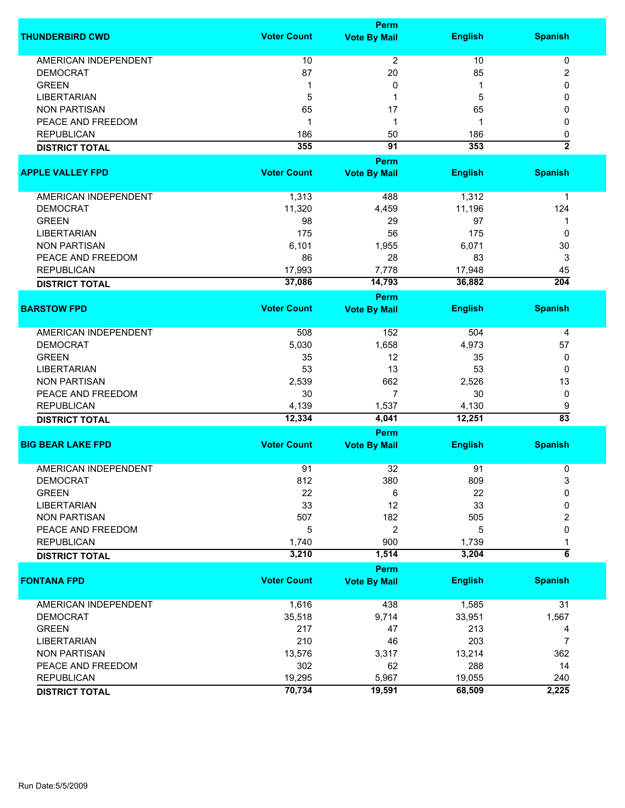|                             | <b>Perm</b>        |                                    |                |                         |  |
|-----------------------------|--------------------|------------------------------------|----------------|-------------------------|--|
| <b>THUNDERBIRD CWD</b>      | <b>Voter Count</b> | <b>Vote By Mail</b>                | <b>English</b> | <b>Spanish</b>          |  |
| <b>AMERICAN INDEPENDENT</b> | 10                 | $\overline{2}$                     | 10             | 0                       |  |
| <b>DEMOCRAT</b>             | 87                 | 20                                 | 85             | 2                       |  |
| <b>GREEN</b>                | 1                  | 0                                  | 1              | 0                       |  |
| <b>LIBERTARIAN</b>          | 5                  | 1                                  | 5              | 0                       |  |
|                             |                    |                                    |                |                         |  |
| <b>NON PARTISAN</b>         | 65                 | 17                                 | 65             | 0                       |  |
| PEACE AND FREEDOM           | 1                  | 1                                  | 1              | 0                       |  |
| <b>REPUBLICAN</b>           | 186                | 50                                 | 186            | 0                       |  |
| <b>DISTRICT TOTAL</b>       | 355                | $\overline{91}$                    | 353            | $\overline{2}$          |  |
|                             |                    | Perm                               |                |                         |  |
| <b>APPLE VALLEY FPD</b>     | <b>Voter Count</b> | <b>Vote By Mail</b>                | <b>English</b> | <b>Spanish</b>          |  |
| AMERICAN INDEPENDENT        | 1,313              | 488                                | 1,312          | 1                       |  |
| <b>DEMOCRAT</b>             | 11,320             | 4,459                              | 11,196         | 124                     |  |
| <b>GREEN</b>                | 98                 | 29                                 | 97             | 1                       |  |
| <b>LIBERTARIAN</b>          | 175                | 56                                 | 175            | 0                       |  |
| <b>NON PARTISAN</b>         | 6,101              | 1,955                              | 6,071          | 30                      |  |
| PEACE AND FREEDOM           | 86                 | 28                                 | 83             | 3                       |  |
| <b>REPUBLICAN</b>           | 17,993             | 7,778                              | 17,948         | 45                      |  |
| <b>DISTRICT TOTAL</b>       | 37,086             | 14,793                             | 36,882         | $\overline{204}$        |  |
|                             |                    | Perm                               |                |                         |  |
| <b>BARSTOW FPD</b>          | <b>Voter Count</b> | <b>Vote By Mail</b>                | <b>English</b> | <b>Spanish</b>          |  |
| <b>AMERICAN INDEPENDENT</b> | 508                | 152                                | 504            | 4                       |  |
| <b>DEMOCRAT</b>             | 5,030              | 1,658                              | 4,973          | 57                      |  |
| <b>GREEN</b>                | 35                 | 12                                 | 35             | 0                       |  |
| <b>LIBERTARIAN</b>          | 53                 | 13                                 | 53             | 0                       |  |
| <b>NON PARTISAN</b>         | 2,539              | 662                                | 2,526          | 13                      |  |
| PEACE AND FREEDOM           | 30                 | $\overline{7}$                     | 30             | 0                       |  |
| <b>REPUBLICAN</b>           | 4,139              | 1,537                              | 4,130          | 9                       |  |
| <b>DISTRICT TOTAL</b>       | 12,334             | 4,041                              | 12,251         | $\overline{83}$         |  |
|                             | Perm               |                                    |                |                         |  |
| <b>BIG BEAR LAKE FPD</b>    | <b>Voter Count</b> | <b>Vote By Mail</b>                | <b>English</b> | <b>Spanish</b>          |  |
| <b>AMERICAN INDEPENDENT</b> | 91                 | 32                                 | 91             | 0                       |  |
| <b>DEMOCRAT</b>             | 812                | 380                                | 809            | 3                       |  |
| <b>GREEN</b>                | 22                 | 6                                  | 22             | 0                       |  |
| <b>LIBERTARIAN</b>          | 33                 | 12                                 | 33             | 0                       |  |
| <b>NON PARTISAN</b>         | 507                | 182                                | 505            |                         |  |
| PEACE AND FREEDOM           |                    |                                    |                | 2                       |  |
| <b>REPUBLICAN</b>           | 5                  | 2                                  | 5              | 0                       |  |
|                             | 1,740<br>3,210     | 900<br>1,514                       | 1,739<br>3,204 | 1<br>$\overline{\bf 6}$ |  |
| <b>DISTRICT TOTAL</b>       |                    |                                    |                |                         |  |
| <b>FONTANA FPD</b>          | <b>Voter Count</b> | <b>Perm</b><br><b>Vote By Mail</b> | <b>English</b> | <b>Spanish</b>          |  |
|                             |                    |                                    |                |                         |  |
| AMERICAN INDEPENDENT        | 1,616              | 438                                | 1,585          | 31                      |  |
| <b>DEMOCRAT</b>             | 35,518             | 9,714                              | 33,951         | 1,567                   |  |
| <b>GREEN</b>                | 217                | 47                                 | 213            | 4                       |  |
| <b>LIBERTARIAN</b>          | 210                | 46                                 | 203            | $\overline{7}$          |  |
| <b>NON PARTISAN</b>         | 13,576             | 3,317                              | 13,214         | 362                     |  |
| PEACE AND FREEDOM           | 302                | 62                                 | 288            | 14                      |  |
| <b>REPUBLICAN</b>           | 19,295             | 5,967                              | 19,055         | 240                     |  |
| <b>DISTRICT TOTAL</b>       | 70,734             | 19,591                             | 68,509         | 2,225                   |  |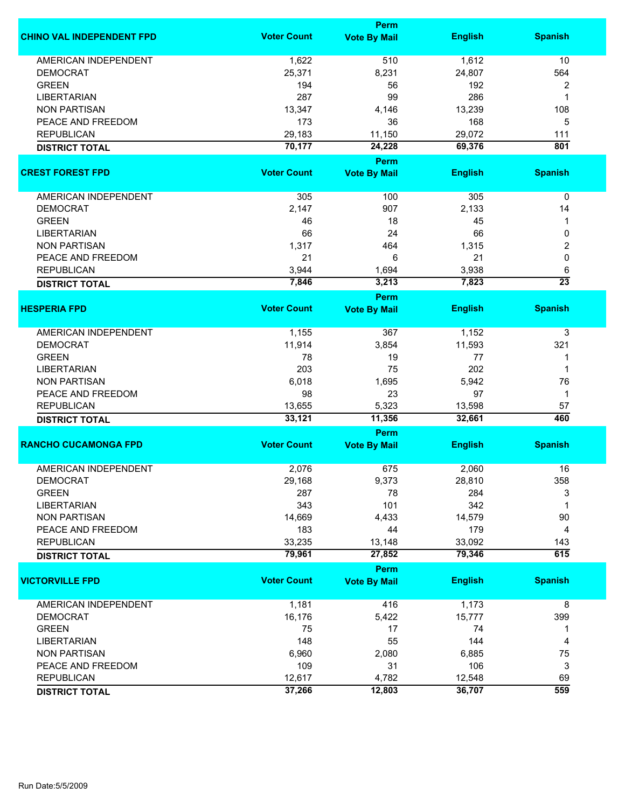|                                  | <b>Perm</b>        |                     |                |                         |  |
|----------------------------------|--------------------|---------------------|----------------|-------------------------|--|
| <b>CHINO VAL INDEPENDENT FPD</b> | <b>Voter Count</b> | <b>Vote By Mail</b> | <b>English</b> | <b>Spanish</b>          |  |
| AMERICAN INDEPENDENT             | 1,622              | 510                 | 1,612          | 10                      |  |
| <b>DEMOCRAT</b>                  | 25,371             | 8,231               | 24,807         | 564                     |  |
| <b>GREEN</b>                     | 194                | 56                  | 192            | $\overline{\mathbf{c}}$ |  |
| <b>LIBERTARIAN</b>               | 287                | 99                  | 286            | 1                       |  |
| <b>NON PARTISAN</b>              | 13,347             | 4,146               | 13,239         | 108                     |  |
| PEACE AND FREEDOM                | 173                | 36                  | 168            | 5                       |  |
| <b>REPUBLICAN</b>                | 29,183             | 11,150              | 29,072         | 111                     |  |
| <b>DISTRICT TOTAL</b>            | 70,177             | 24,228              | 69,376         | 801                     |  |
|                                  |                    | Perm                |                |                         |  |
| <b>CREST FOREST FPD</b>          | <b>Voter Count</b> | <b>Vote By Mail</b> | <b>English</b> | <b>Spanish</b>          |  |
|                                  |                    |                     |                |                         |  |
| AMERICAN INDEPENDENT             | 305                | 100                 | 305            | $\pmb{0}$               |  |
| <b>DEMOCRAT</b>                  | 2,147              | 907                 | 2,133          | 14                      |  |
| <b>GREEN</b>                     | 46                 | 18                  | 45             | 1                       |  |
| <b>LIBERTARIAN</b>               | 66                 | 24                  | 66             | 0                       |  |
| <b>NON PARTISAN</b>              | 1,317              | 464                 | 1,315          | 2                       |  |
| PEACE AND FREEDOM                | 21                 | 6                   | 21             | $\mathbf 0$             |  |
| <b>REPUBLICAN</b>                | 3,944              | 1,694               | 3,938          | 6                       |  |
| <b>DISTRICT TOTAL</b>            | 7,846              | 3,213               | 7,823          | $\overline{23}$         |  |
|                                  |                    | Perm                |                |                         |  |
| <b>HESPERIA FPD</b>              | <b>Voter Count</b> | <b>Vote By Mail</b> | <b>English</b> | <b>Spanish</b>          |  |
| <b>AMERICAN INDEPENDENT</b>      | 1,155              | 367                 | 1,152          | 3                       |  |
| <b>DEMOCRAT</b>                  | 11,914             | 3,854               | 11,593         | 321                     |  |
| <b>GREEN</b>                     | 78                 | 19                  | 77             | 1                       |  |
|                                  | 203                | 75                  | 202            | 1                       |  |
| <b>LIBERTARIAN</b>               |                    |                     |                |                         |  |
| <b>NON PARTISAN</b>              | 6,018              | 1,695               | 5,942          | 76                      |  |
| PEACE AND FREEDOM                | 98                 | 23                  | 97             | $\mathbf 1$             |  |
| <b>REPUBLICAN</b>                | 13,655             | 5,323               | 13,598         | 57                      |  |
| <b>DISTRICT TOTAL</b>            | 33,121             | 11,356              | 32,661         | 460                     |  |
| <b>RANCHO CUCAMONGA FPD</b>      | <b>Voter Count</b> | Perm                |                | <b>Spanish</b>          |  |
|                                  |                    | <b>Vote By Mail</b> | <b>English</b> |                         |  |
| <b>AMERICAN INDEPENDENT</b>      | 2,076              | 675                 | 2,060          | 16                      |  |
| <b>DEMOCRAT</b>                  | 29,168             | 9,373               | 28,810         | 358                     |  |
| <b>GREEN</b>                     | 287                | 78                  | 284            | 3                       |  |
| <b>LIBERTARIAN</b>               | 343                | 101                 | 342            | 1                       |  |
| <b>NON PARTISAN</b>              | 14,669             | 4,433               | 14,579         | 90                      |  |
| PEACE AND FREEDOM                | 183                | 44                  | 179            | 4                       |  |
| <b>REPUBLICAN</b>                | 33,235             | 13,148              | 33,092         | 143                     |  |
| <b>DISTRICT TOTAL</b>            | 79,961             | 27,852              | 79,346         | 615                     |  |
|                                  |                    | Perm                |                |                         |  |
| <b>VICTORVILLE FPD</b>           | <b>Voter Count</b> | <b>Vote By Mail</b> | <b>English</b> | <b>Spanish</b>          |  |
| AMERICAN INDEPENDENT             | 1,181              | 416                 | 1,173          | 8                       |  |
| <b>DEMOCRAT</b>                  | 16,176             | 5,422               | 15,777         | 399                     |  |
| <b>GREEN</b>                     | 75                 | 17                  | 74             | 1                       |  |
| <b>LIBERTARIAN</b>               | 148                | 55                  | 144            | 4                       |  |
| <b>NON PARTISAN</b>              | 6,960              | 2,080               | 6,885          | 75                      |  |
| PEACE AND FREEDOM                | 109                | 31                  | 106            | 3                       |  |
| <b>REPUBLICAN</b>                | 12,617             | 4,782               | 12,548         | 69                      |  |
|                                  | 37,266             | 12,803              | 36,707         | 559                     |  |
| <b>DISTRICT TOTAL</b>            |                    |                     |                |                         |  |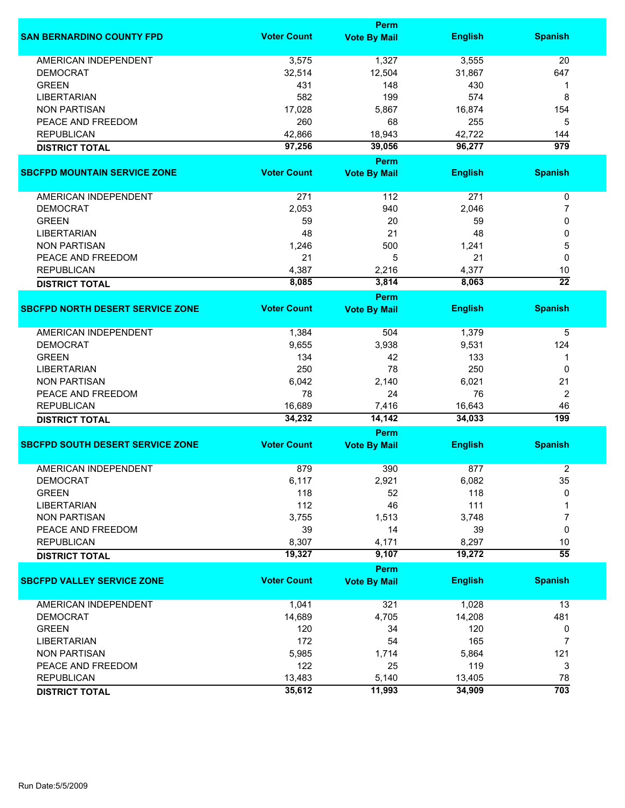|                                         |                    | <b>Perm</b>         |                |                  |
|-----------------------------------------|--------------------|---------------------|----------------|------------------|
| <b>SAN BERNARDINO COUNTY FPD</b>        | <b>Voter Count</b> | <b>Vote By Mail</b> | <b>English</b> | <b>Spanish</b>   |
| <b>AMERICAN INDEPENDENT</b>             | 3,575              | 1,327               | 3,555          | 20               |
| <b>DEMOCRAT</b>                         | 32,514             | 12,504              | 31,867         | 647              |
| <b>GREEN</b>                            | 431                | 148                 | 430            | 1                |
| <b>LIBERTARIAN</b>                      | 582                | 199                 | 574            | 8                |
| <b>NON PARTISAN</b>                     | 17,028             | 5,867               | 16,874         | 154              |
| PEACE AND FREEDOM                       | 260                | 68                  | 255            | 5                |
| <b>REPUBLICAN</b>                       | 42,866             | 18,943              | 42,722         | 144              |
| <b>DISTRICT TOTAL</b>                   | 97,256             | 39,056              | 96,277         | $\overline{979}$ |
|                                         |                    | <b>Perm</b>         |                |                  |
| <b>SBCFPD MOUNTAIN SERVICE ZONE</b>     | <b>Voter Count</b> |                     |                |                  |
|                                         |                    | <b>Vote By Mail</b> | <b>English</b> | <b>Spanish</b>   |
| AMERICAN INDEPENDENT                    | 271                | 112                 | 271            | 0                |
| <b>DEMOCRAT</b>                         | 2,053              | 940                 | 2,046          | 7                |
| <b>GREEN</b>                            | 59                 | 20                  | 59             | 0                |
| <b>LIBERTARIAN</b>                      | 48                 | 21                  | 48             | 0                |
| <b>NON PARTISAN</b>                     | 1,246              | 500                 | 1,241          | 5                |
| PEACE AND FREEDOM                       | 21                 | 5                   | 21             | 0                |
| <b>REPUBLICAN</b>                       | 4,387              | 2,216               | 4,377          | 10               |
| <b>DISTRICT TOTAL</b>                   | 8,085              | 3,814               | 8,063          | $\overline{22}$  |
|                                         |                    | Perm                |                |                  |
| <b>SBCFPD NORTH DESERT SERVICE ZONE</b> | <b>Voter Count</b> | <b>Vote By Mail</b> | <b>English</b> | <b>Spanish</b>   |
| <b>AMERICAN INDEPENDENT</b>             | 1,384              | 504                 | 1,379          | 5                |
| <b>DEMOCRAT</b>                         | 9,655              | 3,938               | 9,531          | 124              |
| <b>GREEN</b>                            | 134                | 42                  | 133            | 1                |
| <b>LIBERTARIAN</b>                      | 250                | 78                  | 250            | 0                |
|                                         |                    |                     |                | 21               |
| <b>NON PARTISAN</b>                     | 6,042              | 2,140               | 6,021          |                  |
| PEACE AND FREEDOM                       | 78                 | 24                  | 76             | 2                |
| <b>REPUBLICAN</b>                       | 16,689             | 7,416               | 16,643         | 46               |
| <b>DISTRICT TOTAL</b>                   | 34,232             | 14,142              | 34,033         | 199              |
|                                         |                    | <b>Perm</b>         |                |                  |
| <b>SBCFPD SOUTH DESERT SERVICE ZONE</b> | <b>Voter Count</b> | <b>Vote By Mail</b> | <b>English</b> | <b>Spanish</b>   |
| <b>AMERICAN INDEPENDENT</b>             | 879                | 390                 | 877            | 2                |
| <b>DEMOCRAT</b>                         | 6,117              | 2,921               | 6,082          | 35               |
| <b>GREEN</b>                            | 118                | 52                  | 118            | 0                |
| <b>LIBERTARIAN</b>                      | 112                | 46                  | 111            |                  |
| <b>NON PARTISAN</b>                     | 3,755              | 1,513               | 3,748          | 7                |
| PEACE AND FREEDOM                       | 39                 | 14                  | 39             | 0                |
| <b>REPUBLICAN</b>                       | 8,307              | 4,171               | 8,297          | 10               |
| <b>DISTRICT TOTAL</b>                   | 19,327             | 9,107               | 19,272         | $\overline{55}$  |
|                                         |                    | Perm                |                |                  |
| <b>SBCFPD VALLEY SERVICE ZONE</b>       | <b>Voter Count</b> | <b>Vote By Mail</b> | <b>English</b> | <b>Spanish</b>   |
| <b>AMERICAN INDEPENDENT</b>             | 1,041              | 321                 | 1,028          | 13               |
| <b>DEMOCRAT</b>                         | 14,689             | 4,705               | 14,208         | 481              |
| <b>GREEN</b>                            | 120                | 34                  | 120            | 0                |
| <b>LIBERTARIAN</b>                      | 172                | 54                  | 165            | 7                |
| <b>NON PARTISAN</b>                     | 5,985              | 1,714               | 5,864          | 121              |
| PEACE AND FREEDOM                       | 122                | 25                  | 119            | 3                |
| <b>REPUBLICAN</b>                       | 13,483             | 5,140               | 13,405         | 78               |
| <b>DISTRICT TOTAL</b>                   | 35,612             | 11,993              | 34,909         | 703              |
|                                         |                    |                     |                |                  |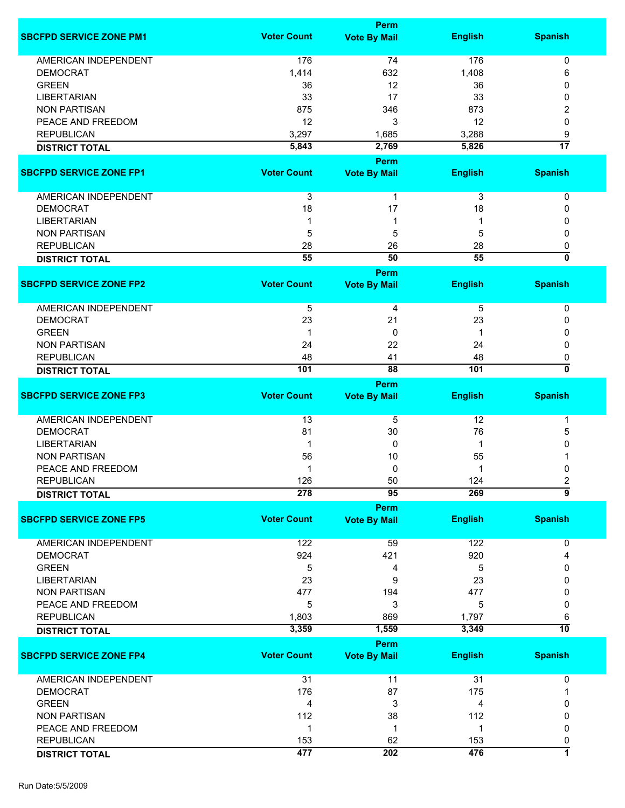|                                |                    | <b>Perm</b>         |                |                 |
|--------------------------------|--------------------|---------------------|----------------|-----------------|
| <b>SBCFPD SERVICE ZONE PM1</b> | <b>Voter Count</b> | <b>Vote By Mail</b> | <b>English</b> | <b>Spanish</b>  |
| <b>AMERICAN INDEPENDENT</b>    | 176                | 74                  | 176            | 0               |
| <b>DEMOCRAT</b>                | 1,414              | 632                 | 1,408          | 6               |
| <b>GREEN</b>                   | 36                 | 12                  | 36             | 0               |
|                                |                    |                     |                |                 |
| <b>LIBERTARIAN</b>             | 33                 | 17                  | 33             | 0               |
| <b>NON PARTISAN</b>            | 875                | 346                 | 873            | 2               |
| PEACE AND FREEDOM              | 12                 | 3                   | 12             | 0               |
| <b>REPUBLICAN</b>              | 3,297              | 1,685               | 3,288          | 9               |
| <b>DISTRICT TOTAL</b>          | 5,843              | 2,769               | 5,826          | $\overline{17}$ |
|                                |                    | Perm                |                |                 |
| <b>SBCFPD SERVICE ZONE FP1</b> | <b>Voter Count</b> | <b>Vote By Mail</b> | <b>English</b> | <b>Spanish</b>  |
| AMERICAN INDEPENDENT           | 3                  | 1                   | 3              | 0               |
| <b>DEMOCRAT</b>                | 18                 | 17                  | 18             | 0               |
| <b>LIBERTARIAN</b>             |                    | 1                   |                | 0               |
| <b>NON PARTISAN</b>            | 5                  | 5                   | 5              | 0               |
| <b>REPUBLICAN</b>              | 28                 | 26                  | 28             | 0               |
|                                | $\overline{55}$    | 50                  | 55             | ō               |
| <b>DISTRICT TOTAL</b>          |                    |                     |                |                 |
|                                |                    | <b>Perm</b>         |                |                 |
| <b>SBCFPD SERVICE ZONE FP2</b> | <b>Voter Count</b> | <b>Vote By Mail</b> | <b>English</b> | <b>Spanish</b>  |
| <b>AMERICAN INDEPENDENT</b>    | 5                  | 4                   | 5              | 0               |
| <b>DEMOCRAT</b>                | 23                 | 21                  | 23             | 0               |
| <b>GREEN</b>                   | 1                  | 0                   |                | 0               |
| <b>NON PARTISAN</b>            | 24                 | 22                  | 24             | 0               |
| <b>REPUBLICAN</b>              | 48                 | 41                  | 48             | 0               |
|                                | 101                | 88                  | 101            | 0               |
| <b>DISTRICT TOTAL</b>          |                    | <b>Perm</b>         |                |                 |
| <b>SBCFPD SERVICE ZONE FP3</b> | <b>Voter Count</b> | <b>Vote By Mail</b> | <b>English</b> | <b>Spanish</b>  |
| <b>AMERICAN INDEPENDENT</b>    | 13                 | 5                   | 12             | 1               |
| <b>DEMOCRAT</b>                | 81                 | 30                  | 76             | 5               |
| <b>LIBERTARIAN</b>             | 1                  | 0                   | 1              | 0               |
| <b>NON PARTISAN</b>            | 56                 | 10                  | 55             |                 |
| PEACE AND FREEDOM              |                    | 0                   |                | 0               |
|                                | 126                | 50                  | 124            |                 |
| <b>REPUBLICAN</b>              | 278                | 95                  | 269            | 2<br>5          |
| <b>DISTRICT TOTAL</b>          |                    | <b>Perm</b>         |                |                 |
| <b>SBCFPD SERVICE ZONE FP5</b> | <b>Voter Count</b> | <b>Vote By Mail</b> | <b>English</b> | <b>Spanish</b>  |
| <b>AMERICAN INDEPENDENT</b>    | 122                | 59                  | 122            | 0               |
| <b>DEMOCRAT</b>                | 924                | 421                 | 920            | 4               |
| <b>GREEN</b>                   |                    |                     |                |                 |
|                                | 5                  | 4                   | 5              | 0               |
| <b>LIBERTARIAN</b>             | 23                 | 9                   | 23             | 0               |
| <b>NON PARTISAN</b>            | 477                | 194                 | 477            | 0               |
| PEACE AND FREEDOM              | 5                  | 3                   | 5              | 0               |
| <b>REPUBLICAN</b>              | 1,803              | 869                 | 1,797          | 6               |
| <b>DISTRICT TOTAL</b>          | 3,359              | 1,559               | 3,349          | 10              |
|                                |                    | <b>Perm</b>         |                |                 |
| <b>SBCFPD SERVICE ZONE FP4</b> | <b>Voter Count</b> | <b>Vote By Mail</b> | <b>English</b> | <b>Spanish</b>  |
| AMERICAN INDEPENDENT           | 31                 | 11                  | 31             | 0               |
| <b>DEMOCRAT</b>                | 176                | 87                  | 175            |                 |
| <b>GREEN</b>                   | 4                  | 3                   | 4              | 0               |
| <b>NON PARTISAN</b>            | 112                | 38                  | 112            | 0               |
| PEACE AND FREEDOM              | 1                  | 1                   | 1              | 0               |
| <b>REPUBLICAN</b>              | 153                | 62                  | 153            | 0               |
| <b>DISTRICT TOTAL</b>          | 477                | 202                 | 476            | $\overline{1}$  |
|                                |                    |                     |                |                 |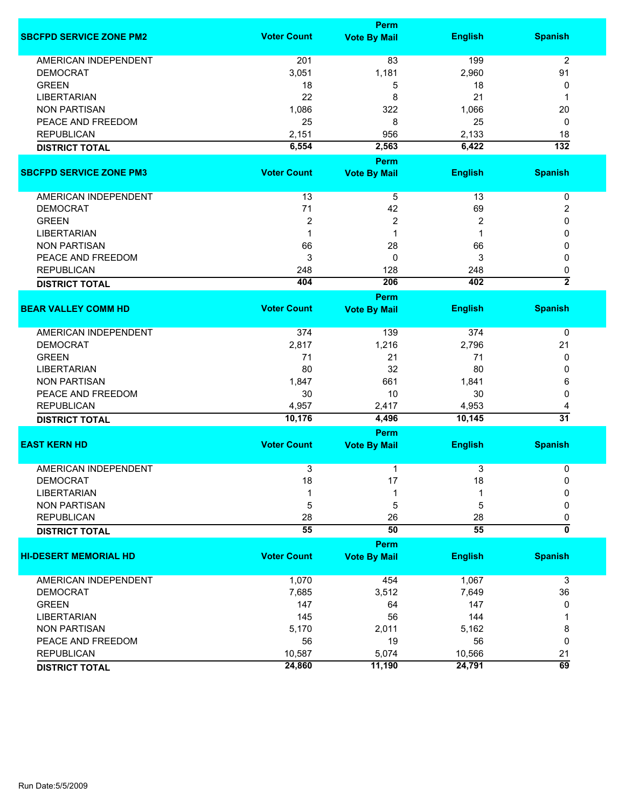|                                |                    | <b>Perm</b>         |                |                  |
|--------------------------------|--------------------|---------------------|----------------|------------------|
| <b>SBCFPD SERVICE ZONE PM2</b> | <b>Voter Count</b> | <b>Vote By Mail</b> | <b>English</b> | <b>Spanish</b>   |
| <b>AMERICAN INDEPENDENT</b>    | 201                | 83                  | 199            | $\overline{2}$   |
| <b>DEMOCRAT</b>                | 3,051              | 1,181               | 2,960          | 91               |
| <b>GREEN</b>                   | 18                 | 5                   | 18             | 0                |
| <b>LIBERTARIAN</b>             | 22                 | 8                   | 21             | 1                |
| <b>NON PARTISAN</b>            | 1,086              | 322                 | 1,066          | 20               |
| PEACE AND FREEDOM              | 25                 | 8                   | 25             | 0                |
| <b>REPUBLICAN</b>              | 2,151              | 956                 | 2,133          | 18               |
|                                | 6,554              | 2,563               | 6,422          | $\overline{132}$ |
| <b>DISTRICT TOTAL</b>          |                    |                     |                |                  |
|                                |                    | Perm                |                |                  |
| <b>SBCFPD SERVICE ZONE PM3</b> | <b>Voter Count</b> | <b>Vote By Mail</b> | <b>English</b> | <b>Spanish</b>   |
| AMERICAN INDEPENDENT           | 13                 | 5                   | 13             | 0                |
| <b>DEMOCRAT</b>                | 71                 | 42                  | 69             | 2                |
| <b>GREEN</b>                   | $\overline{2}$     | 2                   | $\overline{2}$ | 0                |
| <b>LIBERTARIAN</b>             | $\mathbf{1}$       | 1                   | 1              | 0                |
| <b>NON PARTISAN</b>            | 66                 | 28                  | 66             | 0                |
| PEACE AND FREEDOM              | 3                  | 0                   | 3              | 0                |
| <b>REPUBLICAN</b>              | 248                | 128                 | 248            | 0                |
| <b>DISTRICT TOTAL</b>          | 404                | 206                 | 402            | $\overline{2}$   |
|                                |                    |                     |                |                  |
|                                |                    | <b>Perm</b>         |                |                  |
| <b>BEAR VALLEY COMM HD</b>     | <b>Voter Count</b> | <b>Vote By Mail</b> | <b>English</b> | <b>Spanish</b>   |
| <b>AMERICAN INDEPENDENT</b>    | 374                | 139                 | 374            | 0                |
| <b>DEMOCRAT</b>                | 2,817              | 1,216               | 2,796          | 21               |
| <b>GREEN</b>                   | 71                 | 21                  | 71             | 0                |
| <b>LIBERTARIAN</b>             | 80                 | 32                  | 80             | 0                |
| <b>NON PARTISAN</b>            | 1,847              | 661                 | 1,841          | 6                |
| PEACE AND FREEDOM              | 30                 | 10                  | 30             | $\Omega$         |
| <b>REPUBLICAN</b>              | 4,957              | 2,417               | 4,953          | 4                |
| <b>DISTRICT TOTAL</b>          | 10,176             | 4,496               | 10,145         | $\overline{31}$  |
|                                |                    | Perm                |                |                  |
| <b>EAST KERN HD</b>            | <b>Voter Count</b> | <b>Vote By Mail</b> | <b>English</b> | <b>Spanish</b>   |
|                                |                    |                     |                |                  |
| <b>AMERICAN INDEPENDENT</b>    | $\overline{3}$     | 1                   | 3              | 0                |
| <b>DEMOCRAT</b>                | 18                 | 17                  | 18             | 0                |
| <b>LIBERTARIAN</b>             |                    | 1                   |                | 0                |
| <b>NON PARTISAN</b>            | 5                  | 5                   | 5              | 0                |
| <b>REPUBLICAN</b>              | 28                 | 26                  | 28             | 0                |
| <b>DISTRICT TOTAL</b>          | 55                 | 50                  | 55             | ō                |
|                                |                    | Perm                |                |                  |
| <b>HI-DESERT MEMORIAL HD</b>   | <b>Voter Count</b> | <b>Vote By Mail</b> | <b>English</b> | <b>Spanish</b>   |
|                                |                    |                     |                |                  |
| <b>AMERICAN INDEPENDENT</b>    | 1,070              | 454                 | 1,067          | 3                |
| <b>DEMOCRAT</b>                | 7,685              | 3,512               | 7,649          | 36               |
| <b>GREEN</b>                   | 147                | 64                  | 147            | 0                |
| <b>LIBERTARIAN</b>             | 145                | 56                  | 144            |                  |
| <b>NON PARTISAN</b>            | 5,170              | 2,011               | 5,162          | 8                |
| PEACE AND FREEDOM              | 56                 | 19                  | 56             | 0                |
| <b>REPUBLICAN</b>              | 10,587             | 5,074               | 10,566         | 21               |
| <b>DISTRICT TOTAL</b>          | 24,860             | 11,190              | 24,791         | $\overline{69}$  |
|                                |                    |                     |                |                  |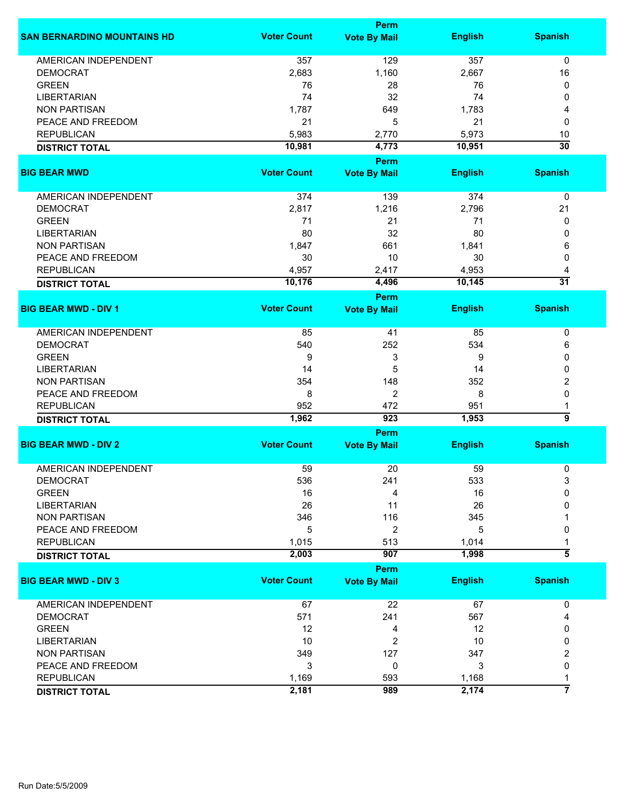|                                    | Perm               |                     |                |                      |  |
|------------------------------------|--------------------|---------------------|----------------|----------------------|--|
| <b>SAN BERNARDINO MOUNTAINS HD</b> | <b>Voter Count</b> | <b>Vote By Mail</b> | <b>English</b> | <b>Spanish</b>       |  |
| <b>AMERICAN INDEPENDENT</b>        | 357                | 129                 | 357            | $\mathbf 0$          |  |
| <b>DEMOCRAT</b>                    | 2,683              | 1,160               | 2,667          | 16                   |  |
| <b>GREEN</b>                       | 76                 | 28                  | 76             | 0                    |  |
| <b>LIBERTARIAN</b>                 | 74                 | 32                  | 74             | 0                    |  |
| <b>NON PARTISAN</b>                | 1,787              | 649                 | 1,783          | 4                    |  |
|                                    |                    |                     |                |                      |  |
| PEACE AND FREEDOM                  | 21                 | 5                   | 21             | 0                    |  |
| <b>REPUBLICAN</b>                  | 5,983              | 2,770               | 5,973          | 10                   |  |
| <b>DISTRICT TOTAL</b>              | 10,981             | 4,773               | 10,951         | $\overline{30}$      |  |
|                                    | <b>Voter Count</b> | Perm                |                |                      |  |
| <b>BIG BEAR MWD</b>                |                    | <b>Vote By Mail</b> | <b>English</b> | <b>Spanish</b>       |  |
| AMERICAN INDEPENDENT               | 374                | 139                 | 374            | $\pmb{0}$            |  |
| <b>DEMOCRAT</b>                    | 2,817              | 1,216               | 2,796          | 21                   |  |
| <b>GREEN</b>                       | 71                 | 21                  | 71             | 0                    |  |
| <b>LIBERTARIAN</b>                 | 80                 | 32                  | 80             | 0                    |  |
| <b>NON PARTISAN</b>                | 1,847              | 661                 | 1,841          | 6                    |  |
| PEACE AND FREEDOM                  | 30                 | 10                  | 30             | 0                    |  |
| <b>REPUBLICAN</b>                  |                    |                     |                |                      |  |
|                                    | 4,957              | 2,417               | 4,953          | 4<br>$\overline{31}$ |  |
| <b>DISTRICT TOTAL</b>              | 10,176             | 4,496<br>Perm       | 10,145         |                      |  |
| <b>BIG BEAR MWD - DIV 1</b>        | <b>Voter Count</b> | <b>Vote By Mail</b> | <b>English</b> | <b>Spanish</b>       |  |
|                                    |                    |                     |                |                      |  |
| <b>AMERICAN INDEPENDENT</b>        | 85                 | 41                  | 85             | 0                    |  |
| <b>DEMOCRAT</b>                    | 540                | 252                 | 534            | 6                    |  |
| <b>GREEN</b>                       | 9                  | 3                   | 9              | 0                    |  |
| <b>LIBERTARIAN</b>                 | 14                 | 5                   | 14             | 0                    |  |
| <b>NON PARTISAN</b>                | 354                | 148                 | 352            | 2                    |  |
| PEACE AND FREEDOM                  | 8                  | $\overline{2}$      | 8              | 0                    |  |
| <b>REPUBLICAN</b>                  | 952                | 472                 | 951            | 1                    |  |
| <b>DISTRICT TOTAL</b>              | 1,962              | 923                 | 1,953          | 5                    |  |
|                                    | Perm               |                     |                |                      |  |
| <b>BIG BEAR MWD - DIV 2</b>        | <b>Voter Count</b> | <b>Vote By Mail</b> | <b>English</b> | <b>Spanish</b>       |  |
| <b>AMERICAN INDEPENDENT</b>        | 59                 | 20                  | 59             | 0                    |  |
| <b>DEMOCRAT</b>                    | 536                | 241                 | 533            | 3                    |  |
| <b>GREEN</b>                       | 16                 | 4                   | 16             | $\Omega$             |  |
| <b>LIBERTARIAN</b>                 | 26                 | 11                  | 26             | 0                    |  |
|                                    |                    | 116                 |                |                      |  |
| <b>NON PARTISAN</b>                | 346                |                     | 345            |                      |  |
| PEACE AND FREEDOM                  | 5                  | 2                   | 5              | 0                    |  |
| <b>REPUBLICAN</b>                  | 1,015              | 513                 | 1,014          |                      |  |
| <b>DISTRICT TOTAL</b>              | 2,003              | 907                 | 1,998          | 5                    |  |
| <b>BIG BEAR MWD - DIV 3</b>        | <b>Voter Count</b> | Perm                |                |                      |  |
|                                    |                    | <b>Vote By Mail</b> | <b>English</b> | <b>Spanish</b>       |  |
| AMERICAN INDEPENDENT               | 67                 | 22                  | 67             | 0                    |  |
| <b>DEMOCRAT</b>                    | 571                | 241                 | 567            | 4                    |  |
| <b>GREEN</b>                       | 12                 | 4                   | 12             | 0                    |  |
| <b>LIBERTARIAN</b>                 | 10                 | 2                   | 10             | 0                    |  |
| <b>NON PARTISAN</b>                | 349                | 127                 | 347            | 2                    |  |
| PEACE AND FREEDOM                  | 3                  | 0                   | 3              | 0                    |  |
| <b>REPUBLICAN</b>                  | 1,169              | 593                 | 1,168          | 1                    |  |
|                                    | 2,181              | 989                 | 2,174          | 7                    |  |
| <b>DISTRICT TOTAL</b>              |                    |                     |                |                      |  |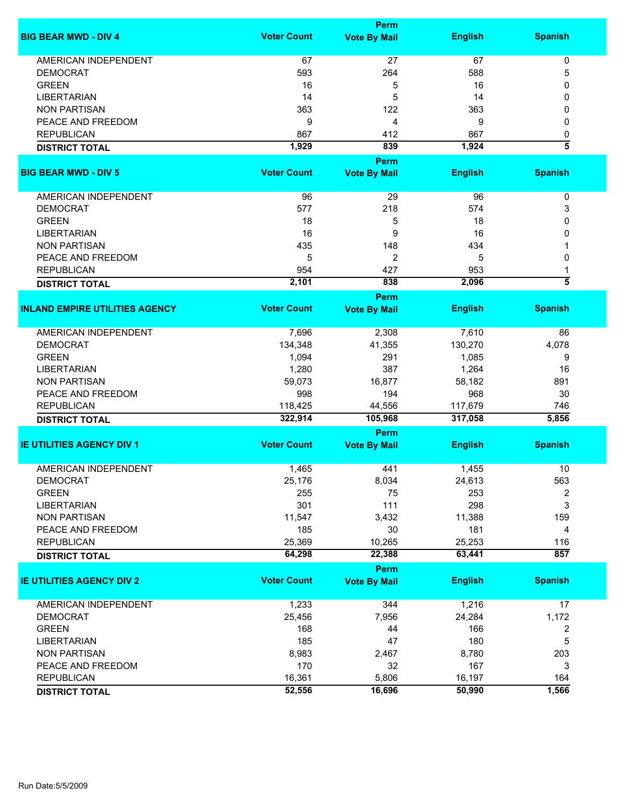|                                       |                    | <b>Perm</b>         |                |                         |
|---------------------------------------|--------------------|---------------------|----------------|-------------------------|
| <b>BIG BEAR MWD - DIV 4</b>           | <b>Voter Count</b> | <b>Vote By Mail</b> | <b>English</b> | <b>Spanish</b>          |
| <b>AMERICAN INDEPENDENT</b>           | 67                 | 27                  | 67             | $\pmb{0}$               |
| <b>DEMOCRAT</b>                       | 593                | 264                 | 588            | 5                       |
| <b>GREEN</b>                          | 16                 | 5                   | 16             | 0                       |
| <b>LIBERTARIAN</b>                    | 14                 | 5                   | 14             | 0                       |
|                                       |                    |                     |                |                         |
| <b>NON PARTISAN</b>                   | 363                | 122                 | 363            | 0                       |
| PEACE AND FREEDOM                     | 9                  | 4                   | 9              | 0                       |
| <b>REPUBLICAN</b>                     | 867                | 412                 | 867            | 0                       |
| <b>DISTRICT TOTAL</b>                 | 1,929              | 839                 | 1,924          | $\overline{\bf 5}$      |
|                                       |                    | Perm                |                |                         |
| <b>BIG BEAR MWD - DIV 5</b>           | <b>Voter Count</b> | <b>Vote By Mail</b> | <b>English</b> | <b>Spanish</b>          |
| AMERICAN INDEPENDENT                  | 96                 | 29                  | 96             | 0                       |
| <b>DEMOCRAT</b>                       | 577                | 218                 | 574            | 3                       |
| <b>GREEN</b>                          | 18                 | 5                   | 18             | 0                       |
| <b>LIBERTARIAN</b>                    | 16                 | 9                   | 16             | 0                       |
| <b>NON PARTISAN</b>                   | 435                | 148                 | 434            |                         |
|                                       |                    |                     |                |                         |
| PEACE AND FREEDOM                     | 5                  | 2                   | 5              | 0                       |
| <b>REPUBLICAN</b>                     | 954                | 427                 | 953            | 1                       |
| <b>DISTRICT TOTAL</b>                 | 2,101              | 838                 | 2,096          | $\overline{\bf{5}}$     |
|                                       |                    | Perm                |                |                         |
| <b>INLAND EMPIRE UTILITIES AGENCY</b> | <b>Voter Count</b> | <b>Vote By Mail</b> | <b>English</b> | <b>Spanish</b>          |
| <b>AMERICAN INDEPENDENT</b>           | 7,696              | 2,308               | 7,610          | 86                      |
| <b>DEMOCRAT</b>                       | 134,348            | 41,355              | 130,270        | 4,078                   |
| <b>GREEN</b>                          | 1,094              | 291                 | 1,085          | 9                       |
| <b>LIBERTARIAN</b>                    | 1,280              | 387                 | 1,264          | 16                      |
| <b>NON PARTISAN</b>                   | 59,073             | 16,877              | 58,182         | 891                     |
| PEACE AND FREEDOM                     | 998                | 194                 | 968            | 30                      |
| <b>REPUBLICAN</b>                     | 118,425            | 44,556              | 117,679        | 746                     |
|                                       | 322,914            | 105,968             | 317,058        | 5,856                   |
| <b>DISTRICT TOTAL</b>                 |                    |                     |                |                         |
|                                       |                    | Perm                |                |                         |
| <b>IE UTILITIES AGENCY DIV 1</b>      | <b>Voter Count</b> | <b>Vote By Mail</b> | <b>English</b> | <b>Spanish</b>          |
| <b>AMERICAN INDEPENDENT</b>           | 1,465              | 441                 | 1,455          | 10                      |
| <b>DEMOCRAT</b>                       | 25,176             | 8,034               | 24,613         | 563                     |
| <b>GREEN</b>                          | 255                | 75                  | 253            | 2                       |
| <b>LIBERTARIAN</b>                    | 301                | 111                 | 298            | 3                       |
|                                       |                    |                     |                |                         |
| <b>NON PARTISAN</b>                   | 11,547             | 3,432               | 11,388         | 159                     |
| PEACE AND FREEDOM                     | 185                | 30                  | 181            | 4                       |
| <b>REPUBLICAN</b>                     | 25,369             | 10,265              | 25,253         | 116                     |
| <b>DISTRICT TOTAL</b>                 | 64,298             | 22,388              | 63,441         | 857                     |
|                                       |                    | Perm                |                |                         |
| <b>IE UTILITIES AGENCY DIV 2</b>      | <b>Voter Count</b> | <b>Vote By Mail</b> | <b>English</b> | <b>Spanish</b>          |
| <b>AMERICAN INDEPENDENT</b>           | 1,233              | 344                 | 1,216          | 17                      |
| <b>DEMOCRAT</b>                       | 25,456             | 7,956               | 24,284         | 1,172                   |
| <b>GREEN</b>                          | 168                | 44                  | 166            | $\overline{\mathbf{c}}$ |
| <b>LIBERTARIAN</b>                    | 185                | 47                  | 180            | 5                       |
| <b>NON PARTISAN</b>                   | 8,983              | 2,467               | 8,780          | 203                     |
| PEACE AND FREEDOM                     | 170                | 32                  | 167            | 3                       |
|                                       |                    |                     |                |                         |
| <b>REPUBLICAN</b>                     | 16,361             | 5,806               | 16,197         | 164                     |
| <b>DISTRICT TOTAL</b>                 | 52,556             | 16,696              | 50,990         | 1,566                   |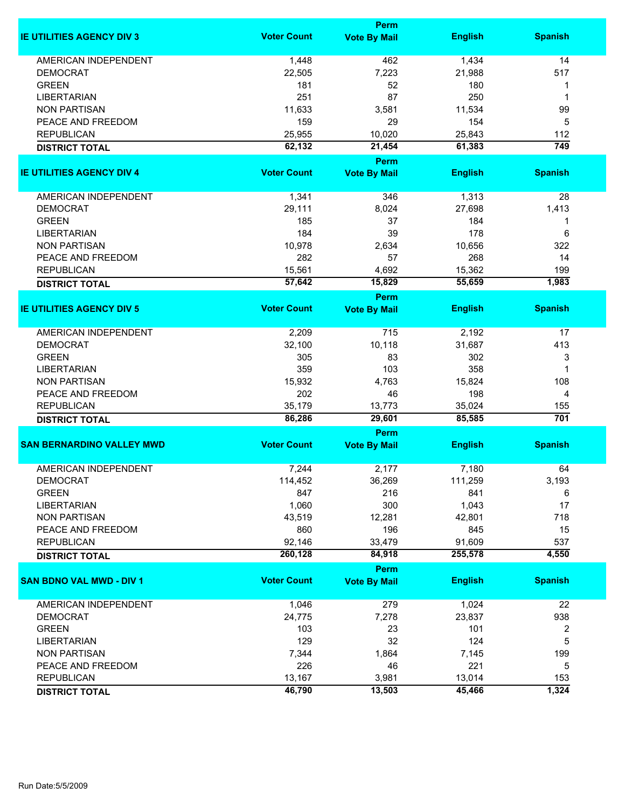|                                  |                    | Perm                        |                |                |
|----------------------------------|--------------------|-----------------------------|----------------|----------------|
| <b>IE UTILITIES AGENCY DIV 3</b> | <b>Voter Count</b> | <b>Vote By Mail</b>         | <b>English</b> | <b>Spanish</b> |
| <b>AMERICAN INDEPENDENT</b>      | 1,448              | 462                         | 1,434          | 14             |
| <b>DEMOCRAT</b>                  | 22,505             | 7,223                       | 21,988         | 517            |
| <b>GREEN</b>                     | 181                | 52                          | 180            | 1              |
| <b>LIBERTARIAN</b>               | 251                | 87                          | 250            | 1              |
| <b>NON PARTISAN</b>              | 11,633             | 3,581                       | 11,534         | 99             |
| PEACE AND FREEDOM                | 159                | 29                          | 154            | 5              |
|                                  |                    |                             |                |                |
| <b>REPUBLICAN</b>                | 25,955             | 10,020                      | 25,843         | 112            |
| <b>DISTRICT TOTAL</b>            | 62,132             | 21,454<br>Perm              | 61,383         | 749            |
| <b>IE UTILITIES AGENCY DIV 4</b> | <b>Voter Count</b> | <b>Vote By Mail</b>         | <b>English</b> | <b>Spanish</b> |
|                                  |                    |                             |                |                |
| AMERICAN INDEPENDENT             | 1,341              | 346                         | 1,313          | 28             |
| <b>DEMOCRAT</b>                  | 29,111             | 8,024                       | 27,698         | 1,413          |
| <b>GREEN</b>                     | 185                | 37                          | 184            | 1              |
| <b>LIBERTARIAN</b>               | 184                | 39                          | 178            | 6              |
| <b>NON PARTISAN</b>              | 10,978             | 2,634                       | 10,656         | 322            |
| PEACE AND FREEDOM                | 282                | 57                          | 268            | 14             |
| <b>REPUBLICAN</b>                | 15,561             | 4,692                       | 15,362         | 199            |
| <b>DISTRICT TOTAL</b>            | 57,642             | 15,829                      | 55,659         | 1,983          |
|                                  |                    | Perm                        |                |                |
| <b>IE UTILITIES AGENCY DIV 5</b> | <b>Voter Count</b> | <b>Vote By Mail</b>         | <b>English</b> | <b>Spanish</b> |
| <b>AMERICAN INDEPENDENT</b>      | 2,209              | 715                         | 2,192          | 17             |
| <b>DEMOCRAT</b>                  | 32,100             | 10,118                      | 31,687         | 413            |
| <b>GREEN</b>                     | 305                | 83                          | 302            | 3              |
| <b>LIBERTARIAN</b>               | 359                | 103                         | 358            | 1              |
| <b>NON PARTISAN</b>              | 15,932             | 4,763                       | 15,824         | 108            |
| PEACE AND FREEDOM                | 202                | 46                          | 198            | $\overline{4}$ |
| <b>REPUBLICAN</b>                | 35,179             | 13,773                      | 35,024         | 155            |
| <b>DISTRICT TOTAL</b>            | 86,286             | 29,601                      | 85,585         | 701            |
|                                  |                    | Perm                        |                |                |
| <b>SAN BERNARDINO VALLEY MWD</b> | <b>Voter Count</b> | <b>Vote By Mail</b>         | <b>English</b> | <b>Spanish</b> |
| <b>AMERICAN INDEPENDENT</b>      | 7,244              | 2,177                       | 7,180          | 64             |
| <b>DEMOCRAT</b>                  | 114,452            | 36,269                      | 111,259        | 3,193          |
| <b>GREEN</b>                     | 847                | 216                         | 841            | 6              |
| <b>LIBERTARIAN</b>               | 1,060              | 300                         | 1,043          | 17             |
| <b>NON PARTISAN</b>              | 43,519             |                             |                | 718            |
|                                  |                    | 12,281                      | 42,801         |                |
| PEACE AND FREEDOM                | 860                | 196                         | 845            | 15             |
| <b>REPUBLICAN</b>                | 92,146             | 33,479                      | 91,609         | 537            |
| <b>DISTRICT TOTAL</b>            | 260,128            | 84,918                      | 255,578        | 4,550          |
| <b>SAN BDNO VAL MWD - DIV 1</b>  | <b>Voter Count</b> | Perm<br><b>Vote By Mail</b> | <b>English</b> | <b>Spanish</b> |
|                                  |                    |                             |                |                |
| AMERICAN INDEPENDENT             | 1,046              | 279                         | 1,024          | 22             |
| <b>DEMOCRAT</b>                  | 24,775             | 7,278                       | 23,837         | 938            |
| <b>GREEN</b>                     | 103                | 23                          | 101            | 2              |
| <b>LIBERTARIAN</b>               | 129                | 32                          | 124            | 5              |
| <b>NON PARTISAN</b>              | 7,344              | 1,864                       | 7,145          | 199            |
| PEACE AND FREEDOM                | 226                | 46                          | 221            | 5              |
| <b>REPUBLICAN</b>                | 13,167             | 3,981                       | 13,014         | 153            |
| <b>DISTRICT TOTAL</b>            | 46,790             | 13,503                      | 45,466         | 1,324          |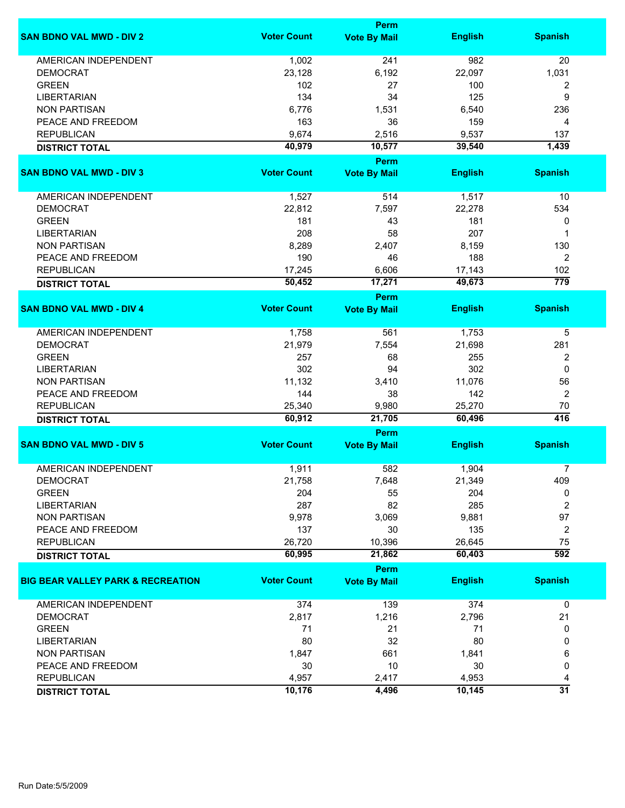|                                              |                    | Perm                        |                |                         |
|----------------------------------------------|--------------------|-----------------------------|----------------|-------------------------|
| <b>SAN BDNO VAL MWD - DIV 2</b>              | <b>Voter Count</b> | <b>Vote By Mail</b>         | <b>English</b> | <b>Spanish</b>          |
| <b>AMERICAN INDEPENDENT</b>                  | 1,002              | 241                         | 982            | 20                      |
| <b>DEMOCRAT</b>                              | 23,128             | 6,192                       | 22,097         | 1,031                   |
| <b>GREEN</b>                                 | 102                | 27                          | 100            | $\overline{\mathbf{c}}$ |
| <b>LIBERTARIAN</b>                           | 134                | 34                          | 125            | 9                       |
| <b>NON PARTISAN</b>                          | 6,776              | 1,531                       | 6,540          | 236                     |
|                                              |                    |                             |                |                         |
| PEACE AND FREEDOM                            | 163                | 36                          | 159            | 4                       |
| <b>REPUBLICAN</b>                            | 9,674              | 2,516                       | 9,537          | 137                     |
| <b>DISTRICT TOTAL</b>                        | 40,979             | 10,577                      | 39,540         | 1,439                   |
| <b>SAN BDNO VAL MWD - DIV 3</b>              | <b>Voter Count</b> | Perm<br><b>Vote By Mail</b> | <b>English</b> | <b>Spanish</b>          |
|                                              |                    |                             |                |                         |
| AMERICAN INDEPENDENT                         | 1,527              | 514                         | 1,517          | 10                      |
| <b>DEMOCRAT</b>                              | 22,812             | 7,597                       | 22,278         | 534                     |
| <b>GREEN</b>                                 | 181                | 43                          | 181            | 0                       |
| <b>LIBERTARIAN</b>                           | 208                | 58                          | 207            | 1                       |
| <b>NON PARTISAN</b>                          | 8,289              | 2,407                       | 8,159          | 130                     |
| PEACE AND FREEDOM                            | 190                | 46                          | 188            | $\overline{2}$          |
|                                              |                    |                             |                |                         |
| <b>REPUBLICAN</b>                            | 17,245             | 6,606                       | 17,143         | 102                     |
| <b>DISTRICT TOTAL</b>                        | 50,452             | 17,271                      | 49,673         | $\overline{779}$        |
| <b>SAN BDNO VAL MWD - DIV 4</b>              | <b>Voter Count</b> | Perm<br><b>Vote By Mail</b> | <b>English</b> | <b>Spanish</b>          |
|                                              |                    |                             |                |                         |
| <b>AMERICAN INDEPENDENT</b>                  | 1,758              | 561                         | 1,753          | 5                       |
| <b>DEMOCRAT</b>                              | 21,979             | 7,554                       | 21,698         | 281                     |
| <b>GREEN</b>                                 | 257                | 68                          | 255            | 2                       |
| <b>LIBERTARIAN</b>                           | 302                | 94                          | 302            | 0                       |
| <b>NON PARTISAN</b>                          | 11,132             | 3,410                       | 11,076         | 56                      |
| PEACE AND FREEDOM                            | 144                | 38                          | 142            | 2                       |
|                                              |                    |                             |                |                         |
| <b>REPUBLICAN</b>                            | 25,340<br>60,912   | 9,980<br>21,705             | 25,270         | 70<br>416               |
| <b>DISTRICT TOTAL</b>                        |                    | Perm                        | 60,496         |                         |
| <b>SAN BDNO VAL MWD - DIV 5</b>              | <b>Voter Count</b> | <b>Vote By Mail</b>         | <b>English</b> | <b>Spanish</b>          |
|                                              |                    |                             |                |                         |
| <b>AMERICAN INDEPENDENT</b>                  | 1,911              | 582                         | 1,904          | 7                       |
| <b>DEMOCRAT</b>                              | 21,758             | 7,648                       | 21,349         | 409                     |
| <b>GREEN</b>                                 | 204                | 55                          | 204            | 0                       |
| <b>LIBERTARIAN</b>                           | 287                | 82                          | 285            | $\overline{2}$          |
| <b>NON PARTISAN</b>                          | 9,978              | 3,069                       | 9,881          | 97                      |
| PEACE AND FREEDOM                            | 137                | 30                          | 135            | 2                       |
| <b>REPUBLICAN</b>                            | 26,720             | 10,396                      | 26,645         | 75                      |
| <b>DISTRICT TOTAL</b>                        | 60,995             | 21,862                      | 60,403         | $\overline{592}$        |
|                                              |                    | Perm                        |                |                         |
| <b>BIG BEAR VALLEY PARK &amp; RECREATION</b> | <b>Voter Count</b> | <b>Vote By Mail</b>         | <b>English</b> | <b>Spanish</b>          |
| AMERICAN INDEPENDENT                         | 374                | 139                         | 374            | 0                       |
| <b>DEMOCRAT</b>                              | 2,817              | 1,216                       | 2,796          | 21                      |
| <b>GREEN</b>                                 | 71                 | 21                          | 71             | 0                       |
| <b>LIBERTARIAN</b>                           | 80                 | 32                          | 80             | 0                       |
|                                              |                    |                             |                |                         |
| <b>NON PARTISAN</b>                          | 1,847              | 661                         | 1,841          | 6                       |
| PEACE AND FREEDOM                            | 30                 | 10                          | 30             | 0                       |
| <b>REPUBLICAN</b>                            | 4,957              | 2,417                       | 4,953          | 4                       |
| <b>DISTRICT TOTAL</b>                        | 10,176             | 4,496                       | 10,145         | $\overline{31}$         |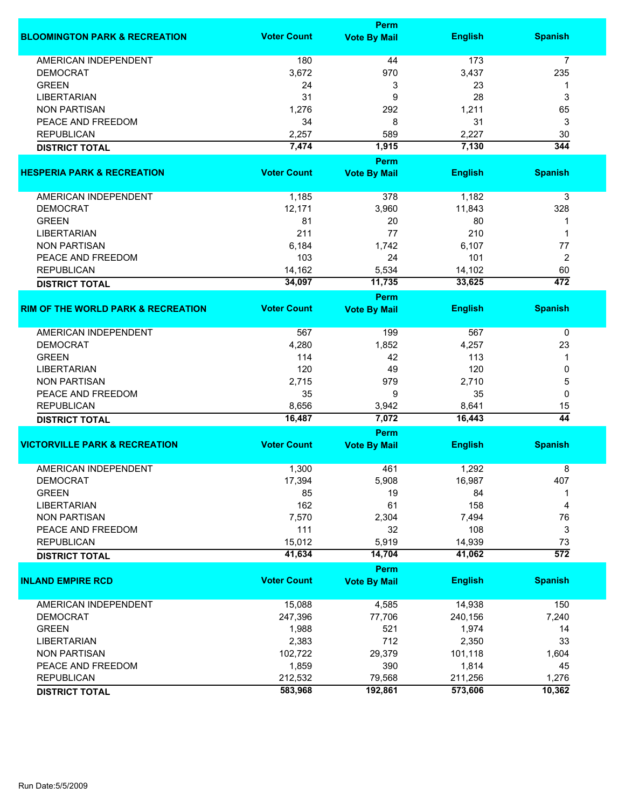|                                               | Perm               |                     |                |                  |  |
|-----------------------------------------------|--------------------|---------------------|----------------|------------------|--|
| <b>BLOOMINGTON PARK &amp; RECREATION</b>      | <b>Voter Count</b> | <b>Vote By Mail</b> | <b>English</b> | <b>Spanish</b>   |  |
| <b>AMERICAN INDEPENDENT</b>                   | 180                | 44                  | 173            | 7                |  |
| <b>DEMOCRAT</b>                               | 3,672              | 970                 | 3,437          | 235              |  |
| <b>GREEN</b>                                  | 24                 | 3                   | 23             | 1                |  |
| <b>LIBERTARIAN</b>                            | 31                 | 9                   | 28             | 3                |  |
| <b>NON PARTISAN</b>                           | 1,276              | 292                 | 1,211          | 65               |  |
| PEACE AND FREEDOM                             | 34                 | 8                   | 31             | 3                |  |
| <b>REPUBLICAN</b>                             | 2,257              | 589                 | 2,227          | 30               |  |
| <b>DISTRICT TOTAL</b>                         | 7,474              | 1,915               | 7,130          | 344              |  |
|                                               |                    | Perm                |                |                  |  |
| <b>HESPERIA PARK &amp; RECREATION</b>         | <b>Voter Count</b> | <b>Vote By Mail</b> | <b>English</b> | <b>Spanish</b>   |  |
|                                               |                    |                     |                |                  |  |
| AMERICAN INDEPENDENT                          | 1,185              | 378                 | 1,182          | 3                |  |
| <b>DEMOCRAT</b>                               | 12,171             | 3,960               | 11,843         | 328              |  |
| <b>GREEN</b>                                  | 81                 | 20                  | 80             | 1                |  |
| <b>LIBERTARIAN</b>                            | 211                | 77                  | 210            | 1                |  |
| <b>NON PARTISAN</b>                           | 6,184              | 1,742               | 6,107          | 77               |  |
| PEACE AND FREEDOM                             | 103                | 24                  | 101            | 2                |  |
| <b>REPUBLICAN</b>                             | 14,162             | 5,534               | 14,102         | 60               |  |
| <b>DISTRICT TOTAL</b>                         | 34,097             | 11,735              | 33,625         | 472              |  |
|                                               |                    | Perm                |                |                  |  |
| <b>RIM OF THE WORLD PARK &amp; RECREATION</b> | <b>Voter Count</b> | <b>Vote By Mail</b> | <b>English</b> | <b>Spanish</b>   |  |
| <b>AMERICAN INDEPENDENT</b>                   | 567                | 199                 | 567            | 0                |  |
| <b>DEMOCRAT</b>                               | 4,280              | 1,852               | 4,257          | 23               |  |
| <b>GREEN</b>                                  | 114                | 42                  | 113            | 1                |  |
| <b>LIBERTARIAN</b>                            | 120                | 49                  | 120            | 0                |  |
| <b>NON PARTISAN</b>                           | 2,715              | 979                 | 2,710          | 5                |  |
| PEACE AND FREEDOM                             | 35                 | 9                   | 35             | 0                |  |
| <b>REPUBLICAN</b>                             | 8,656              | 3,942               | 8,641          | 15               |  |
| <b>DISTRICT TOTAL</b>                         | 16,487             | 7,072               | 16,443         | $\overline{44}$  |  |
|                                               |                    | Perm                |                |                  |  |
| <b>VICTORVILLE PARK &amp; RECREATION</b>      | <b>Voter Count</b> | <b>Vote By Mail</b> | <b>English</b> | <b>Spanish</b>   |  |
| <b>AMERICAN INDEPENDENT</b>                   | 1,300              | 461                 | 1,292          | 8                |  |
| <b>DEMOCRAT</b>                               | 17,394             | 5,908               | 16,987         | 407              |  |
| <b>GREEN</b>                                  | 85                 | 19                  | 84             | 1                |  |
| <b>LIBERTARIAN</b>                            | 162                | 61                  | 158            | 4                |  |
| <b>NON PARTISAN</b>                           | 7,570              | 2,304               | 7,494          | 76               |  |
| PEACE AND FREEDOM                             | 111                | 32                  | 108            | 3                |  |
| <b>REPUBLICAN</b>                             | 15,012             | 5,919               | 14,939         | 73               |  |
| <b>DISTRICT TOTAL</b>                         | 41,634             | 14,704              | 41,062         | $\overline{572}$ |  |
|                                               |                    | <b>Perm</b>         |                |                  |  |
| <b>INLAND EMPIRE RCD</b>                      | <b>Voter Count</b> | <b>Vote By Mail</b> | <b>English</b> | <b>Spanish</b>   |  |
| AMERICAN INDEPENDENT                          | 15,088             | 4,585               | 14,938         | 150              |  |
| <b>DEMOCRAT</b>                               | 247,396            | 77,706              | 240,156        | 7,240            |  |
| <b>GREEN</b>                                  | 1,988              | 521                 | 1,974          | 14               |  |
| <b>LIBERTARIAN</b>                            | 2,383              | 712                 | 2,350          | 33               |  |
| <b>NON PARTISAN</b>                           | 102,722            | 29,379              | 101,118        | 1,604            |  |
| PEACE AND FREEDOM                             | 1,859              | 390                 | 1,814          | 45               |  |
| <b>REPUBLICAN</b>                             | 212,532            | 79,568              | 211,256        | 1,276            |  |
| <b>DISTRICT TOTAL</b>                         | 583,968            | 192,861             | 573,606        | 10,362           |  |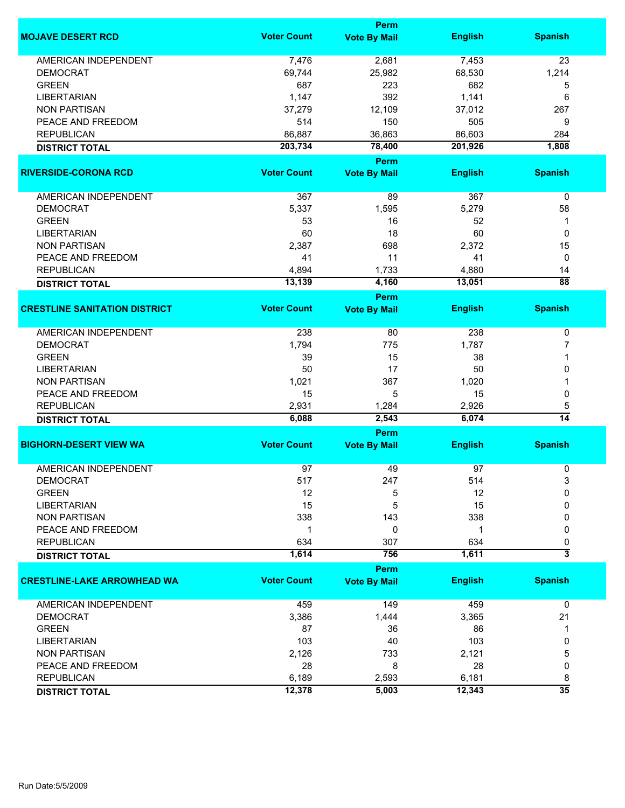|                                      |                    | <b>Perm</b>                 |                |                      |
|--------------------------------------|--------------------|-----------------------------|----------------|----------------------|
| <b>MOJAVE DESERT RCD</b>             | <b>Voter Count</b> | <b>Vote By Mail</b>         | <b>English</b> | <b>Spanish</b>       |
| <b>AMERICAN INDEPENDENT</b>          | 7,476              | 2,681                       | 7,453          | 23                   |
| <b>DEMOCRAT</b>                      | 69,744             | 25,982                      | 68,530         | 1,214                |
| <b>GREEN</b>                         | 687                | 223                         | 682            | 5                    |
| <b>LIBERTARIAN</b>                   | 1,147              | 392                         | 1,141          | 6                    |
| <b>NON PARTISAN</b>                  | 37,279             | 12,109                      | 37,012         | 267                  |
| PEACE AND FREEDOM                    | 514                | 150                         | 505            | 9                    |
| <b>REPUBLICAN</b>                    | 86,887             | 36,863                      | 86,603         | 284                  |
|                                      | 203,734            | 78,400                      | 201,926        | 1,808                |
| <b>DISTRICT TOTAL</b>                |                    | Perm                        |                |                      |
| <b>RIVERSIDE-CORONA RCD</b>          | <b>Voter Count</b> | <b>Vote By Mail</b>         | <b>English</b> | <b>Spanish</b>       |
| AMERICAN INDEPENDENT                 | 367                | 89                          | 367            | 0                    |
| <b>DEMOCRAT</b>                      | 5,337              | 1,595                       | 5,279          | 58                   |
| <b>GREEN</b>                         | 53                 | 16                          | 52             | 1                    |
| <b>LIBERTARIAN</b>                   | 60                 | 18                          | 60             | 0                    |
| <b>NON PARTISAN</b>                  | 2,387              | 698                         | 2,372          | 15                   |
| PEACE AND FREEDOM                    | 41                 | 11                          | 41             | 0                    |
| <b>REPUBLICAN</b>                    | 4,894              | 1,733                       | 4,880          | 14                   |
|                                      | 13,139             | 4,160                       | 13,051         | $\overline{88}$      |
| <b>DISTRICT TOTAL</b>                |                    |                             |                |                      |
| <b>CRESTLINE SANITATION DISTRICT</b> | <b>Voter Count</b> | Perm<br><b>Vote By Mail</b> | <b>English</b> | <b>Spanish</b>       |
|                                      |                    |                             |                |                      |
| <b>AMERICAN INDEPENDENT</b>          | 238                | 80                          | 238            | 0                    |
| <b>DEMOCRAT</b>                      | 1,794              | 775                         | 1,787          | 7                    |
| <b>GREEN</b>                         | 39                 | 15                          | 38             | 1                    |
| <b>LIBERTARIAN</b>                   | 50                 | 17                          | 50             | 0                    |
| <b>NON PARTISAN</b>                  | 1,021              | 367                         | 1,020          |                      |
| PEACE AND FREEDOM                    | 15                 | 5                           | 15             | 0                    |
| <b>REPUBLICAN</b>                    | 2,931              | 1,284                       | 2,926          | 5                    |
| <b>DISTRICT TOTAL</b>                | 6,088              | 2,543                       | 6,074          | $\overline{14}$      |
|                                      |                    | <b>Perm</b>                 |                |                      |
| <b>BIGHORN-DESERT VIEW WA</b>        | <b>Voter Count</b> | <b>Vote By Mail</b>         | <b>English</b> | <b>Spanish</b>       |
| <b>AMERICAN INDEPENDENT</b>          | 97                 | 49                          | 97             | 0                    |
| DEMOCRAI                             | 517                | 247                         | 514            | 3                    |
| <b>GREEN</b>                         | 12                 | 5                           | 12             | 0                    |
| <b>LIBERTARIAN</b>                   | 15                 | 5                           | 15             | 0                    |
| <b>NON PARTISAN</b>                  | 338                | 143                         | 338            | 0                    |
| PEACE AND FREEDOM                    | 1                  | 0                           | 1              | 0                    |
| <b>REPUBLICAN</b>                    | 634                | 307                         | 634            | 0                    |
| <b>DISTRICT TOTAL</b>                | 1,614              | 756                         | 1,611          | 3                    |
|                                      |                    | <b>Perm</b>                 |                |                      |
| <b>CRESTLINE-LAKE ARROWHEAD WA</b>   | <b>Voter Count</b> | <b>Vote By Mail</b>         | <b>English</b> | <b>Spanish</b>       |
| <b>AMERICAN INDEPENDENT</b>          | 459                | 149                         | 459            | 0                    |
| <b>DEMOCRAT</b>                      | 3,386              | 1,444                       | 3,365          | 21                   |
| <b>GREEN</b>                         | 87                 | 36                          | 86             | 1                    |
| <b>LIBERTARIAN</b>                   | 103                | 40                          | 103            | 0                    |
| <b>NON PARTISAN</b>                  | 2,126              | 733                         | 2,121          | 5                    |
| PEACE AND FREEDOM                    | 28                 | 8                           | 28             | 0                    |
|                                      |                    |                             |                |                      |
| <b>REPUBLICAN</b>                    | 6,189              | 2,593                       | 6,181          | 8<br>$\overline{35}$ |
| <b>DISTRICT TOTAL</b>                | 12,378             | 5,003                       | 12,343         |                      |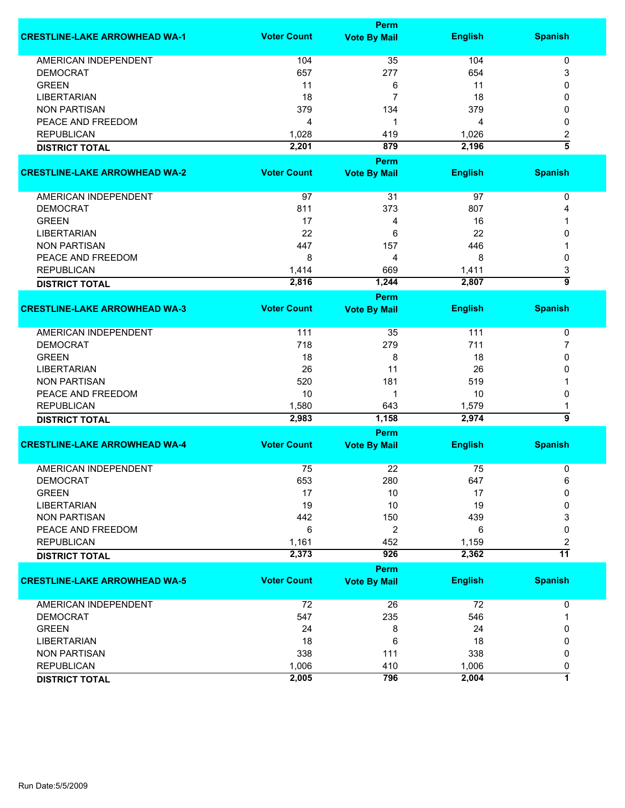|                                      |                    | Perm                        |                |                     |
|--------------------------------------|--------------------|-----------------------------|----------------|---------------------|
| <b>CRESTLINE-LAKE ARROWHEAD WA-1</b> | <b>Voter Count</b> | <b>Vote By Mail</b>         | <b>English</b> | <b>Spanish</b>      |
| <b>AMERICAN INDEPENDENT</b>          | 104                | 35                          | 104            | 0                   |
| <b>DEMOCRAT</b>                      | 657                | 277                         | 654            | 3                   |
| <b>GREEN</b>                         | 11                 | 6                           | 11             | 0                   |
| <b>LIBERTARIAN</b>                   | 18                 | 7                           | 18             | 0                   |
| <b>NON PARTISAN</b>                  |                    |                             | 379            |                     |
|                                      | 379                | 134                         |                | 0                   |
| PEACE AND FREEDOM                    | 4                  | 1                           | 4              | 0                   |
| <b>REPUBLICAN</b>                    | 1,028              | 419                         | 1,026          | 2                   |
| <b>DISTRICT TOTAL</b>                | 2,201              | 879                         | 2,196          | $\overline{\bf{5}}$ |
|                                      |                    | <b>Perm</b>                 |                |                     |
| <b>CRESTLINE-LAKE ARROWHEAD WA-2</b> | <b>Voter Count</b> | <b>Vote By Mail</b>         | <b>English</b> | <b>Spanish</b>      |
| AMERICAN INDEPENDENT                 | 97                 | 31                          | 97             | 0                   |
| <b>DEMOCRAT</b>                      | 811                | 373                         | 807            | 4                   |
| <b>GREEN</b>                         | 17                 | 4                           | 16             |                     |
| <b>LIBERTARIAN</b>                   | 22                 | 6                           | 22             | 0                   |
|                                      |                    |                             |                |                     |
| <b>NON PARTISAN</b>                  | 447                | 157                         | 446            |                     |
| PEACE AND FREEDOM                    | 8                  | 4                           | 8              | 0                   |
| <b>REPUBLICAN</b>                    | 1,414              | 669                         | 1,411          | 3                   |
| <b>DISTRICT TOTAL</b>                | 2,816              | 1,244                       | 2,807          | $\overline{9}$      |
|                                      |                    | Perm                        |                |                     |
| <b>CRESTLINE-LAKE ARROWHEAD WA-3</b> | <b>Voter Count</b> | <b>Vote By Mail</b>         | <b>English</b> | <b>Spanish</b>      |
| AMERICAN INDEPENDENT                 | 111                | 35                          | 111            | 0                   |
| <b>DEMOCRAT</b>                      | 718                | 279                         | 711            | 7                   |
| <b>GREEN</b>                         | 18                 | 8                           | 18             | 0                   |
| <b>LIBERTARIAN</b>                   | 26                 | 11                          | 26             | 0                   |
|                                      |                    |                             |                |                     |
| <b>NON PARTISAN</b>                  | 520                | 181                         | 519            |                     |
| PEACE AND FREEDOM                    | 10                 | 1                           | 10             | 0                   |
| <b>REPUBLICAN</b>                    | 1,580              | 643                         | 1,579          | 1                   |
| <b>DISTRICT TOTAL</b>                | 2,983              | 1,158                       | 2,974          | 5                   |
|                                      |                    | <b>Perm</b>                 |                |                     |
| <b>CRESTLINE-LAKE ARROWHEAD WA-4</b> | <b>Voter Count</b> | <b>Vote By Mail</b>         | <b>English</b> | <b>Spanish</b>      |
| <b>AMERICAN INDEPENDENT</b>          | 75                 | 22                          | 75             | 0                   |
| <b>DEMOCRAT</b>                      | 653                | 280                         | 647            | 6                   |
| <b>GREEN</b>                         | 17                 | 10                          | 17             | 0                   |
| <b>LIBERTARIAN</b>                   | 19                 | 10                          | 19             | 0                   |
| <b>NON PARTISAN</b>                  | 442                | 150                         | 439            | 3                   |
| PEACE AND FREEDOM                    | 6                  | $\overline{2}$              | 6              | 0                   |
| <b>REPUBLICAN</b>                    | 1,161              | 452                         | 1,159          | 2                   |
|                                      | 2,373              | 926                         | 2,362          | $\overline{11}$     |
| <b>DISTRICT TOTAL</b>                |                    |                             |                |                     |
| <b>CRESTLINE-LAKE ARROWHEAD WA-5</b> | <b>Voter Count</b> | Perm<br><b>Vote By Mail</b> | <b>English</b> | <b>Spanish</b>      |
|                                      |                    |                             |                |                     |
| <b>AMERICAN INDEPENDENT</b>          | 72                 | 26                          | 72             | 0                   |
| <b>DEMOCRAT</b>                      | 547                | 235                         | 546            | 1                   |
| <b>GREEN</b>                         | 24                 | 8                           | 24             | 0                   |
| <b>LIBERTARIAN</b>                   | 18                 | 6                           | 18             | 0                   |
| <b>NON PARTISAN</b>                  | 338                | 111                         | 338            | 0                   |
| <b>REPUBLICAN</b>                    | 1,006              | 410                         | 1,006          | 0                   |
|                                      | 2,005              | 796                         | 2,004          | 7                   |
| <b>DISTRICT TOTAL</b>                |                    |                             |                |                     |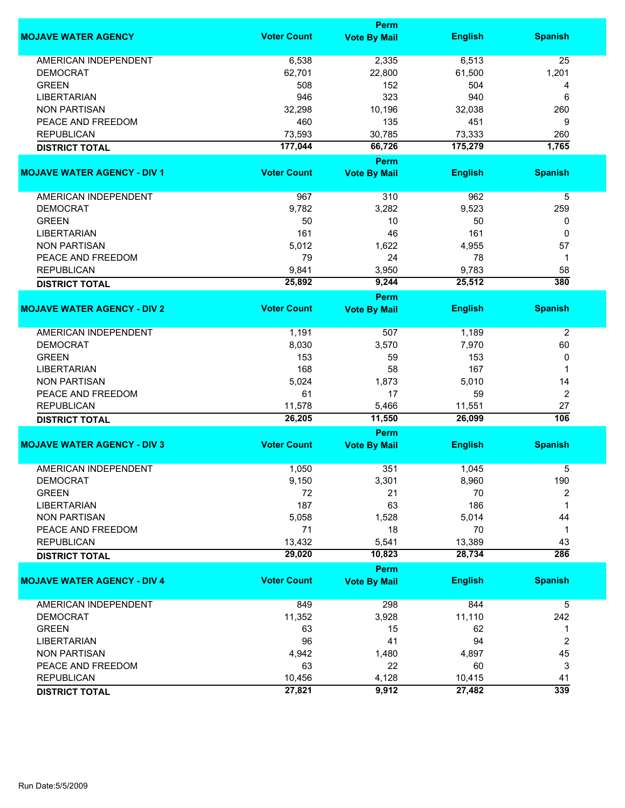|                                    |                    | Perm                |                |                |
|------------------------------------|--------------------|---------------------|----------------|----------------|
| <b>MOJAVE WATER AGENCY</b>         | <b>Voter Count</b> | <b>Vote By Mail</b> | <b>English</b> | <b>Spanish</b> |
| <b>AMERICAN INDEPENDENT</b>        | 6,538              | 2,335               | 6,513          | 25             |
| <b>DEMOCRAT</b>                    | 62,701             | 22,800              | 61,500         | 1,201          |
| <b>GREEN</b>                       | 508                | 152                 | 504            | 4              |
| <b>LIBERTARIAN</b>                 | 946                | 323                 | 940            | 6              |
| <b>NON PARTISAN</b>                | 32,298             | 10,196              | 32,038         | 260            |
| PEACE AND FREEDOM                  | 460                | 135                 | 451            | 9              |
|                                    |                    |                     |                |                |
| <b>REPUBLICAN</b>                  | 73,593             | 30,785              | 73,333         | 260            |
| <b>DISTRICT TOTAL</b>              | 177,044            | 66,726<br>Perm      | 175,279        | 1,765          |
| <b>MOJAVE WATER AGENCY - DIV 1</b> | <b>Voter Count</b> | <b>Vote By Mail</b> | <b>English</b> | <b>Spanish</b> |
|                                    |                    |                     |                |                |
| AMERICAN INDEPENDENT               | 967                | 310                 | 962            | 5              |
| <b>DEMOCRAT</b>                    | 9,782              | 3,282               | 9,523          | 259            |
| <b>GREEN</b>                       | 50                 | 10                  | 50             | 0              |
| <b>LIBERTARIAN</b>                 | 161                | 46                  | 161            | 0              |
| <b>NON PARTISAN</b>                | 5,012              | 1,622               | 4,955          | 57             |
| PEACE AND FREEDOM                  | 79                 | 24                  | 78             | 1              |
| <b>REPUBLICAN</b>                  | 9,841              | 3,950               | 9,783          | 58             |
| <b>DISTRICT TOTAL</b>              | 25,892             | 9,244               | 25,512         | 380            |
|                                    |                    | <b>Perm</b>         |                |                |
| <b>MOJAVE WATER AGENCY - DIV 2</b> | <b>Voter Count</b> | <b>Vote By Mail</b> | <b>English</b> | <b>Spanish</b> |
| <b>AMERICAN INDEPENDENT</b>        | 1,191              | 507                 | 1,189          | $\overline{2}$ |
| <b>DEMOCRAT</b>                    | 8,030              | 3,570               | 7,970          | 60             |
| <b>GREEN</b>                       | 153                | 59                  | 153            | 0              |
| <b>LIBERTARIAN</b>                 | 168                | 58                  | 167            | 1              |
| <b>NON PARTISAN</b>                | 5,024              | 1,873               | 5,010          | 14             |
| PEACE AND FREEDOM                  | 61                 | 17                  | 59             | $\overline{2}$ |
| <b>REPUBLICAN</b>                  | 11,578             | 5,466               | 11,551         | 27             |
| <b>DISTRICT TOTAL</b>              | 26,205             | 11,550              | 26,099         | 106            |
|                                    |                    | Perm                |                |                |
| <b>MOJAVE WATER AGENCY - DIV 3</b> | <b>Voter Count</b> | <b>Vote By Mail</b> | <b>English</b> | <b>Spanish</b> |
| <b>AMERICAN INDEPENDENT</b>        | 1,050              | 351                 | 1,045          | 5              |
| <b>DEMOCRAT</b>                    | 9,150              | 3,301               | 8,960          | 190            |
| <b>GREEN</b>                       | 72                 | 21                  | 70             | 2              |
| <b>LIBERTARIAN</b>                 | 187                | 63                  | 186            | 1              |
| <b>NON PARTISAN</b>                | 5,058              | 1,528               | 5,014          | 44             |
| PEACE AND FREEDOM                  | 71                 | 18                  | 70             | $\mathbf 1$    |
| <b>REPUBLICAN</b>                  | 13,432             | 5,541               | 13,389         | 43             |
| <b>DISTRICT TOTAL</b>              | 29,020             | 10,823              | 28,734         | 286            |
|                                    |                    | Perm                |                |                |
| <b>MOJAVE WATER AGENCY - DIV 4</b> | <b>Voter Count</b> | <b>Vote By Mail</b> | <b>English</b> | <b>Spanish</b> |
| AMERICAN INDEPENDENT               | 849                | 298                 | 844            | 5              |
| <b>DEMOCRAT</b>                    | 11,352             | 3,928               | 11,110         | 242            |
| <b>GREEN</b>                       | 63                 | 15                  | 62             | 1              |
| <b>LIBERTARIAN</b>                 | 96                 | 41                  | 94             | $\overline{2}$ |
| <b>NON PARTISAN</b>                |                    |                     |                | 45             |
|                                    | 4,942              | 1,480               | 4,897          |                |
| PEACE AND FREEDOM                  | 63                 | 22                  | 60             | 3              |
| <b>REPUBLICAN</b>                  | 10,456             | 4,128               | 10,415         | 41             |
| <b>DISTRICT TOTAL</b>              | 27,821             | 9,912               | 27,482         | 339            |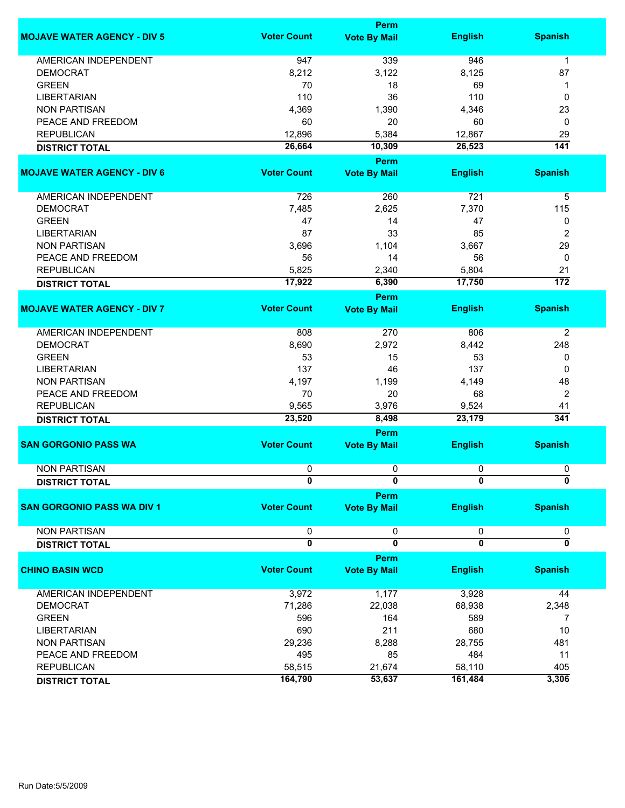|                                    | <b>Perm</b>             |                         |                         |                  |  |
|------------------------------------|-------------------------|-------------------------|-------------------------|------------------|--|
| <b>MOJAVE WATER AGENCY - DIV 5</b> | <b>Voter Count</b>      | <b>Vote By Mail</b>     | <b>English</b>          | <b>Spanish</b>   |  |
| <b>AMERICAN INDEPENDENT</b>        | 947                     | 339                     | 946                     | 1                |  |
| <b>DEMOCRAT</b>                    | 8,212                   | 3,122                   | 8,125                   | 87               |  |
| <b>GREEN</b>                       | 70                      | 18                      | 69                      | 1                |  |
| <b>LIBERTARIAN</b>                 | 110                     | 36                      | 110                     | 0                |  |
|                                    |                         |                         |                         |                  |  |
| <b>NON PARTISAN</b>                | 4,369                   | 1,390                   | 4,346                   | 23               |  |
| PEACE AND FREEDOM                  | 60                      | 20                      | 60                      | 0                |  |
| <b>REPUBLICAN</b>                  | 12,896                  | 5,384                   | 12,867                  | 29               |  |
| <b>DISTRICT TOTAL</b>              | 26,664                  | 10,309                  | 26,523                  | $\overline{141}$ |  |
|                                    |                         | <b>Perm</b>             |                         |                  |  |
| <b>MOJAVE WATER AGENCY - DIV 6</b> | <b>Voter Count</b>      | <b>Vote By Mail</b>     | <b>English</b>          | <b>Spanish</b>   |  |
| AMERICAN INDEPENDENT               | 726                     | 260                     | 721                     | 5                |  |
| <b>DEMOCRAT</b>                    | 7,485                   | 2,625                   | 7,370                   | 115              |  |
| <b>GREEN</b>                       | 47                      | 14                      | 47                      | 0                |  |
|                                    |                         |                         |                         |                  |  |
| <b>LIBERTARIAN</b>                 | 87                      | 33                      | 85                      | 2                |  |
| <b>NON PARTISAN</b>                | 3,696                   | 1,104                   | 3,667                   | 29               |  |
| PEACE AND FREEDOM                  | 56                      | 14                      | 56                      | 0                |  |
| <b>REPUBLICAN</b>                  | 5,825                   | 2,340                   | 5,804                   | 21               |  |
| <b>DISTRICT TOTAL</b>              | 17,922                  | 6,390                   | 17,750                  | $\overline{172}$ |  |
|                                    |                         | Perm                    |                         |                  |  |
| <b>MOJAVE WATER AGENCY - DIV 7</b> | <b>Voter Count</b>      | <b>Vote By Mail</b>     | <b>English</b>          | <b>Spanish</b>   |  |
| <b>AMERICAN INDEPENDENT</b>        | 808                     | 270                     | 806                     | $\overline{2}$   |  |
| <b>DEMOCRAT</b>                    | 8,690                   | 2,972                   | 8,442                   | 248              |  |
| <b>GREEN</b>                       | 53                      | 15                      | 53                      | 0                |  |
|                                    | 137                     | 46                      | 137                     |                  |  |
| <b>LIBERTARIAN</b>                 |                         |                         |                         | 0                |  |
| <b>NON PARTISAN</b>                | 4,197                   | 1,199                   | 4,149                   | 48               |  |
| PEACE AND FREEDOM                  | 70                      | 20                      | 68                      | 2                |  |
| <b>REPUBLICAN</b>                  | 9,565                   | 3,976                   | 9,524                   | 41               |  |
| <b>DISTRICT TOTAL</b>              | 23,520                  | 8,498                   | 23,179                  | 341              |  |
|                                    |                         | Perm                    |                         |                  |  |
| <b>SAN GORGONIO PASS WA</b>        | <b>Voter Count</b>      | <b>Vote By Mail</b>     | <b>English</b>          | <b>Spanish</b>   |  |
| <b>NON PARTISAN</b>                | 0                       | 0                       | 0                       | 0                |  |
| <b>DISTRICT TOTAL</b>              | 0                       | 0                       | 0                       | 0                |  |
|                                    |                         | <b>Perm</b>             |                         |                  |  |
| <b>SAN GORGONIO PASS WA DIV 1</b>  | <b>Voter Count</b>      | <b>Vote By Mail</b>     | <b>English</b>          | <b>Spanish</b>   |  |
| <b>NON PARTISAN</b>                | 0                       | 0                       | 0                       | 0                |  |
| <b>DISTRICT TOTAL</b>              | $\overline{\mathbf{0}}$ | $\overline{\mathbf{0}}$ | $\overline{\mathbf{0}}$ | ō                |  |
|                                    |                         | Perm                    |                         |                  |  |
| <b>CHINO BASIN WCD</b>             | <b>Voter Count</b>      | <b>Vote By Mail</b>     | <b>English</b>          | <b>Spanish</b>   |  |
| AMERICAN INDEPENDENT               | 3,972                   | 1,177                   | 3,928                   | 44               |  |
|                                    |                         |                         |                         |                  |  |
| <b>DEMOCRAT</b>                    | 71,286                  | 22,038                  | 68,938                  | 2,348            |  |
| <b>GREEN</b>                       | 596                     | 164                     | 589                     | 7                |  |
| <b>LIBERTARIAN</b>                 | 690                     | 211                     | 680                     | $10$             |  |
| <b>NON PARTISAN</b>                | 29,236                  | 8,288                   | 28,755                  | 481              |  |
| PEACE AND FREEDOM                  | 495                     | 85                      | 484                     | 11               |  |
| <b>REPUBLICAN</b>                  | 58,515                  | 21,674                  | 58,110                  | 405              |  |
| <b>DISTRICT TOTAL</b>              | 164,790                 | 53,637                  | 161,484                 | 3,306            |  |
|                                    |                         |                         |                         |                  |  |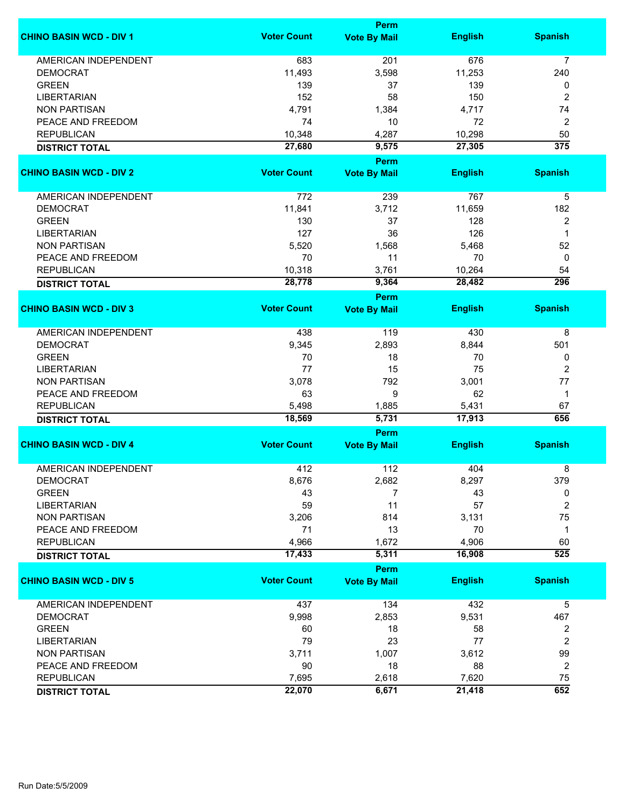|                                | Perm               |                             |                |                  |  |
|--------------------------------|--------------------|-----------------------------|----------------|------------------|--|
| <b>CHINO BASIN WCD - DIV 1</b> | <b>Voter Count</b> | <b>Vote By Mail</b>         | <b>English</b> | <b>Spanish</b>   |  |
| <b>AMERICAN INDEPENDENT</b>    | 683                | 201                         | 676            | $\overline{7}$   |  |
| <b>DEMOCRAT</b>                | 11,493             | 3,598                       | 11,253         | 240              |  |
| <b>GREEN</b>                   | 139                | 37                          | 139            | 0                |  |
| <b>LIBERTARIAN</b>             | 152                | 58                          | 150            | 2                |  |
| <b>NON PARTISAN</b>            | 4,791              | 1,384                       | 4,717          | 74               |  |
|                                |                    |                             |                |                  |  |
| PEACE AND FREEDOM              | 74                 | 10                          | 72             | $\overline{2}$   |  |
| <b>REPUBLICAN</b>              | 10,348             | 4,287                       | 10,298         | 50               |  |
| <b>DISTRICT TOTAL</b>          | 27,680             | 9,575                       | 27,305         | 375              |  |
| <b>CHINO BASIN WCD - DIV 2</b> | <b>Voter Count</b> | Perm<br><b>Vote By Mail</b> | <b>English</b> | <b>Spanish</b>   |  |
|                                |                    |                             |                |                  |  |
| AMERICAN INDEPENDENT           | 772                | 239                         | 767            | 5                |  |
| <b>DEMOCRAT</b>                | 11,841             | 3,712                       | 11,659         | 182              |  |
| <b>GREEN</b>                   | 130                | 37                          | 128            | 2                |  |
| <b>LIBERTARIAN</b>             | 127                | 36                          | 126            | 1                |  |
| <b>NON PARTISAN</b>            | 5,520              | 1,568                       | 5,468          | 52               |  |
| PEACE AND FREEDOM              | 70                 | 11                          | 70             | 0                |  |
| <b>REPUBLICAN</b>              | 10,318             | 3,761                       | 10,264         | 54               |  |
| <b>DISTRICT TOTAL</b>          | 28,778             | 9,364                       | 28,482         | 296              |  |
|                                |                    | <b>Perm</b>                 |                |                  |  |
| <b>CHINO BASIN WCD - DIV 3</b> | <b>Voter Count</b> | <b>Vote By Mail</b>         | <b>English</b> | <b>Spanish</b>   |  |
| <b>AMERICAN INDEPENDENT</b>    | 438                | 119                         | 430            | 8                |  |
| <b>DEMOCRAT</b>                | 9,345              | 2,893                       | 8,844          | 501              |  |
| <b>GREEN</b>                   | 70                 | 18                          | 70             | 0                |  |
| <b>LIBERTARIAN</b>             | 77                 | 15                          | 75             | $\overline{2}$   |  |
| <b>NON PARTISAN</b>            | 3,078              | 792                         | 3,001          | 77               |  |
| PEACE AND FREEDOM              | 63                 | 9                           | 62             | $\mathbf{1}$     |  |
| <b>REPUBLICAN</b>              | 5,498              | 1,885                       | 5,431          | 67               |  |
| <b>DISTRICT TOTAL</b>          | 18,569             | 5,731                       | 17,913         | 656              |  |
|                                |                    | Perm                        |                |                  |  |
| <b>CHINO BASIN WCD - DIV 4</b> | <b>Voter Count</b> | <b>Vote By Mail</b>         | <b>English</b> | <b>Spanish</b>   |  |
| <b>AMERICAN INDEPENDENT</b>    | 412                | 112                         | 404            | 8                |  |
| <b>DEMOCRAT</b>                | 8,676              | 2,682                       | 8,297          | 379              |  |
| <b>GREEN</b>                   | 43                 | 7                           | 43             | 0                |  |
| <b>LIBERTARIAN</b>             | 59                 | 11                          | 57             | $\boldsymbol{2}$ |  |
| <b>NON PARTISAN</b>            | 3,206              | 814                         | 3,131          | 75               |  |
|                                | 71                 |                             |                |                  |  |
| PEACE AND FREEDOM              |                    | 13                          | 70             | $\mathbf 1$      |  |
| <b>REPUBLICAN</b>              | 4,966              | 1,672                       | 4,906          | 60               |  |
| <b>DISTRICT TOTAL</b>          | 17,433             | 5,311                       | 16,908         | $\overline{525}$ |  |
| <b>CHINO BASIN WCD - DIV 5</b> | <b>Voter Count</b> | Perm<br><b>Vote By Mail</b> | <b>English</b> | <b>Spanish</b>   |  |
| AMERICAN INDEPENDENT           | 437                | 134                         | 432            | 5                |  |
| <b>DEMOCRAT</b>                | 9,998              | 2,853                       | 9,531          | 467              |  |
| <b>GREEN</b>                   | 60                 | 18                          | 58             | 2                |  |
| <b>LIBERTARIAN</b>             | 79                 | 23                          | 77             | $\overline{2}$   |  |
| <b>NON PARTISAN</b>            | 3,711              | 1,007                       | 3,612          | 99               |  |
| PEACE AND FREEDOM              | 90                 | 18                          | 88             | 2                |  |
|                                |                    |                             |                |                  |  |
| <b>REPUBLICAN</b>              | 7,695              | 2,618                       | 7,620          | 75               |  |
| <b>DISTRICT TOTAL</b>          | 22,070             | 6,671                       | 21,418         | 652              |  |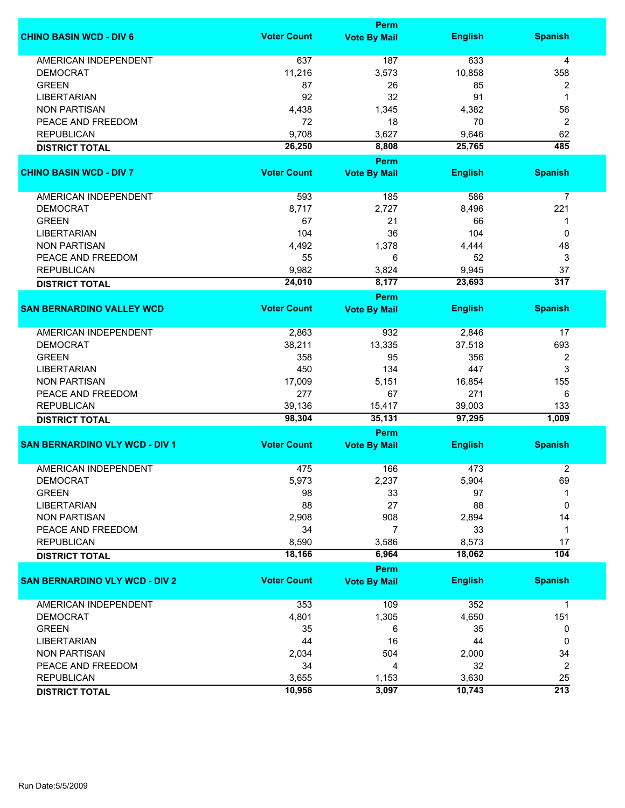|                                       | Perm               |                     |                |                         |  |
|---------------------------------------|--------------------|---------------------|----------------|-------------------------|--|
| <b>CHINO BASIN WCD - DIV 6</b>        | <b>Voter Count</b> | <b>Vote By Mail</b> | <b>English</b> | <b>Spanish</b>          |  |
| <b>AMERICAN INDEPENDENT</b>           | 637                | 187                 | 633            | $\overline{4}$          |  |
| <b>DEMOCRAT</b>                       | 11,216             | 3,573               | 10,858         | 358                     |  |
| <b>GREEN</b>                          | 87                 | 26                  | 85             | $\overline{\mathbf{c}}$ |  |
| <b>LIBERTARIAN</b>                    | 92                 | 32                  | 91             | 1                       |  |
| <b>NON PARTISAN</b>                   | 4,438              | 1,345               | 4,382          | 56                      |  |
| PEACE AND FREEDOM                     | 72                 | 18                  | 70             |                         |  |
|                                       |                    |                     |                | $\overline{2}$          |  |
| <b>REPUBLICAN</b>                     | 9,708              | 3,627               | 9,646          | 62                      |  |
| <b>DISTRICT TOTAL</b>                 | 26,250             | 8,808               | 25,765         | 485                     |  |
|                                       | <b>Voter Count</b> | Perm                |                |                         |  |
| <b>CHINO BASIN WCD - DIV 7</b>        |                    | <b>Vote By Mail</b> | <b>English</b> | <b>Spanish</b>          |  |
| AMERICAN INDEPENDENT                  | 593                | 185                 | 586            | $\overline{7}$          |  |
| <b>DEMOCRAT</b>                       | 8,717              | 2,727               | 8,496          | 221                     |  |
| <b>GREEN</b>                          | 67                 | 21                  | 66             | 1                       |  |
| <b>LIBERTARIAN</b>                    | 104                | 36                  | 104            | $\mathbf 0$             |  |
| <b>NON PARTISAN</b>                   | 4,492              | 1,378               | 4,444          | 48                      |  |
| PEACE AND FREEDOM                     | 55                 | 6                   | 52             | 3                       |  |
| <b>REPUBLICAN</b>                     | 9,982              | 3,824               | 9,945          | 37                      |  |
| <b>DISTRICT TOTAL</b>                 | 24,010             | 8,177               | 23,693         | $\overline{317}$        |  |
|                                       |                    | Perm                |                |                         |  |
| <b>SAN BERNARDINO VALLEY WCD</b>      | <b>Voter Count</b> | <b>Vote By Mail</b> | <b>English</b> | <b>Spanish</b>          |  |
| <b>AMERICAN INDEPENDENT</b>           | 2,863              | 932                 | 2,846          | 17                      |  |
| <b>DEMOCRAT</b>                       | 38,211             | 13,335              | 37,518         | 693                     |  |
| <b>GREEN</b>                          | 358                | 95                  | 356            | 2                       |  |
| <b>LIBERTARIAN</b>                    | 450                | 134                 | 447            | 3                       |  |
| <b>NON PARTISAN</b>                   | 17,009             | 5,151               | 16,854         | 155                     |  |
| PEACE AND FREEDOM                     | 277                | 67                  | 271            | 6                       |  |
| <b>REPUBLICAN</b>                     | 39,136             | 15,417              | 39,003         | 133                     |  |
| <b>DISTRICT TOTAL</b>                 | 98,304             | 35,131              | 97,295         | 1,009                   |  |
|                                       |                    | Perm                |                |                         |  |
| <b>SAN BERNARDINO VLY WCD - DIV 1</b> | <b>Voter Count</b> | <b>Vote By Mail</b> | <b>English</b> | <b>Spanish</b>          |  |
| <b>AMERICAN INDEPENDENT</b>           | 475                | 166                 | 473            | $\overline{2}$          |  |
| <b>DEMOCRAT</b>                       | 5,973              | 2,237               | 5,904          | 69                      |  |
| <b>GREEN</b>                          | 98                 | 33                  | 97             |                         |  |
| <b>LIBERTARIAN</b>                    | 88                 | 27                  | 88             | 0                       |  |
| <b>NON PARTISAN</b>                   | 2,908              | 908                 | 2,894          | 14                      |  |
| PEACE AND FREEDOM                     | 34                 | $\overline{7}$      | 33             | $\mathbf 1$             |  |
| <b>REPUBLICAN</b>                     | 8,590              | 3,586               | 8,573          | 17                      |  |
| <b>DISTRICT TOTAL</b>                 | 18,166             | 6,964               | 18,062         | $\overline{104}$        |  |
|                                       |                    | Perm                |                |                         |  |
| <b>SAN BERNARDINO VLY WCD - DIV 2</b> | <b>Voter Count</b> | <b>Vote By Mail</b> | <b>English</b> | <b>Spanish</b>          |  |
| AMERICAN INDEPENDENT                  | 353                | 109                 | 352            | $\mathbf{1}$            |  |
| <b>DEMOCRAT</b>                       | 4,801              | 1,305               | 4,650          | 151                     |  |
| <b>GREEN</b>                          | 35                 | 6                   | 35             | 0                       |  |
| <b>LIBERTARIAN</b>                    | 44                 | 16                  | 44             | 0                       |  |
| <b>NON PARTISAN</b>                   | 2,034              | 504                 | 2,000          | 34                      |  |
| PEACE AND FREEDOM                     | 34                 | 4                   | 32             | 2                       |  |
| <b>REPUBLICAN</b>                     | 3,655              | 1,153               | 3,630          | 25                      |  |
| <b>DISTRICT TOTAL</b>                 | 10,956             | 3,097               | 10,743         | $\overline{213}$        |  |
|                                       |                    |                     |                |                         |  |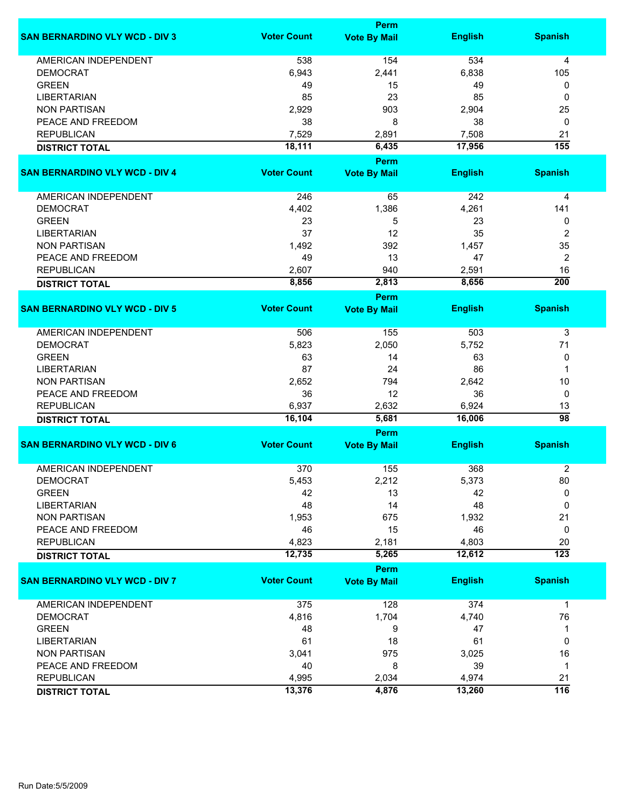|                                       |                    | Perm                |                |                  |
|---------------------------------------|--------------------|---------------------|----------------|------------------|
| <b>SAN BERNARDINO VLY WCD - DIV 3</b> | <b>Voter Count</b> | <b>Vote By Mail</b> | <b>English</b> | <b>Spanish</b>   |
| <b>AMERICAN INDEPENDENT</b>           | 538                | 154                 | 534            | 4                |
| <b>DEMOCRAT</b>                       | 6,943              | 2,441               | 6,838          | 105              |
| <b>GREEN</b>                          | 49                 | 15                  | 49             | 0                |
| <b>LIBERTARIAN</b>                    | 85                 | 23                  | 85             | 0                |
| <b>NON PARTISAN</b>                   | 2,929              | 903                 | 2,904          | 25               |
| PEACE AND FREEDOM                     | 38                 | 8                   | 38             | 0                |
| <b>REPUBLICAN</b>                     | 7,529              | 2,891               | 7,508          | 21               |
| <b>DISTRICT TOTAL</b>                 | 18,111             | 6,435               | 17,956         | 155              |
|                                       |                    | Perm                |                |                  |
| <b>SAN BERNARDINO VLY WCD - DIV 4</b> | <b>Voter Count</b> | <b>Vote By Mail</b> | <b>English</b> | <b>Spanish</b>   |
|                                       |                    |                     |                |                  |
| AMERICAN INDEPENDENT                  | 246                | 65                  | 242            | 4                |
| <b>DEMOCRAT</b>                       | 4,402              | 1,386               | 4,261          | 141              |
| <b>GREEN</b>                          | 23                 | 5                   | 23             | 0                |
| <b>LIBERTARIAN</b>                    | 37                 | 12                  | 35             | 2                |
| <b>NON PARTISAN</b>                   | 1,492              | 392                 | 1,457          | 35               |
| PEACE AND FREEDOM                     | 49                 | 13                  | 47             | 2                |
| <b>REPUBLICAN</b>                     | 2,607              | 940                 | 2,591          | 16               |
| <b>DISTRICT TOTAL</b>                 | 8,856              | 2,813               | 8,656          | $\overline{200}$ |
|                                       |                    | Perm                |                |                  |
| <b>SAN BERNARDINO VLY WCD - DIV 5</b> | <b>Voter Count</b> | <b>Vote By Mail</b> | <b>English</b> | <b>Spanish</b>   |
| <b>AMERICAN INDEPENDENT</b>           | 506                | 155                 | 503            | 3                |
| <b>DEMOCRAT</b>                       | 5,823              | 2,050               | 5,752          | 71               |
| <b>GREEN</b>                          | 63                 | 14                  | 63             | 0                |
| <b>LIBERTARIAN</b>                    | 87                 | 24                  | 86             | $\mathbf 1$      |
| <b>NON PARTISAN</b>                   | 2,652              | 794                 | 2,642          | 10               |
| PEACE AND FREEDOM                     | 36                 | 12                  | 36             | 0                |
| <b>REPUBLICAN</b>                     | 6,937              | 2,632               | 6,924          | 13               |
| <b>DISTRICT TOTAL</b>                 | 16,104             | 5,681               | 16,006         | 98               |
|                                       |                    | Perm                |                |                  |
| <b>SAN BERNARDINO VLY WCD - DIV 6</b> | <b>Voter Count</b> | <b>Vote By Mail</b> | <b>English</b> | <b>Spanish</b>   |
|                                       |                    |                     |                |                  |
| <b>AMERICAN INDEPENDENT</b>           | 370                | 155                 | 368            | $\overline{c}$   |
| <b>DEMOCRAT</b>                       | 5,453              | 2,212               | 5,373          | 80               |
| <b>GREEN</b>                          | 42                 | 13                  | 42             | 0                |
| <b>LIBERTARIAN</b>                    | 48                 | 14                  | 48             | 0                |
| <b>NON PARTISAN</b>                   | 1,953              | 675                 | 1,932          | 21               |
| PEACE AND FREEDOM                     | 46                 | 15                  | 46             | 0                |
| <b>REPUBLICAN</b>                     | 4,823              | 2,181               | 4,803          | 20               |
| <b>DISTRICT TOTAL</b>                 | 12,735             | 5,265               | 12,612         | $\overline{123}$ |
|                                       |                    | Perm                |                |                  |
| <b>SAN BERNARDINO VLY WCD - DIV 7</b> | <b>Voter Count</b> | <b>Vote By Mail</b> | <b>English</b> | <b>Spanish</b>   |
| <b>AMERICAN INDEPENDENT</b>           | 375                | 128                 | 374            | $\mathbf{1}$     |
| <b>DEMOCRAT</b>                       | 4,816              | 1,704               | 4,740          | 76               |
| <b>GREEN</b>                          | 48                 | 9                   | 47             | 1                |
| <b>LIBERTARIAN</b>                    | 61                 | 18                  | 61             | 0                |
| <b>NON PARTISAN</b>                   | 3,041              | 975                 | 3,025          | 16               |
| PEACE AND FREEDOM                     | 40                 | 8                   | 39             | 1                |
| <b>REPUBLICAN</b>                     | 4,995              | 2,034               | 4,974          | 21               |
| <b>DISTRICT TOTAL</b>                 | 13,376             | 4,876               | 13,260         | 116              |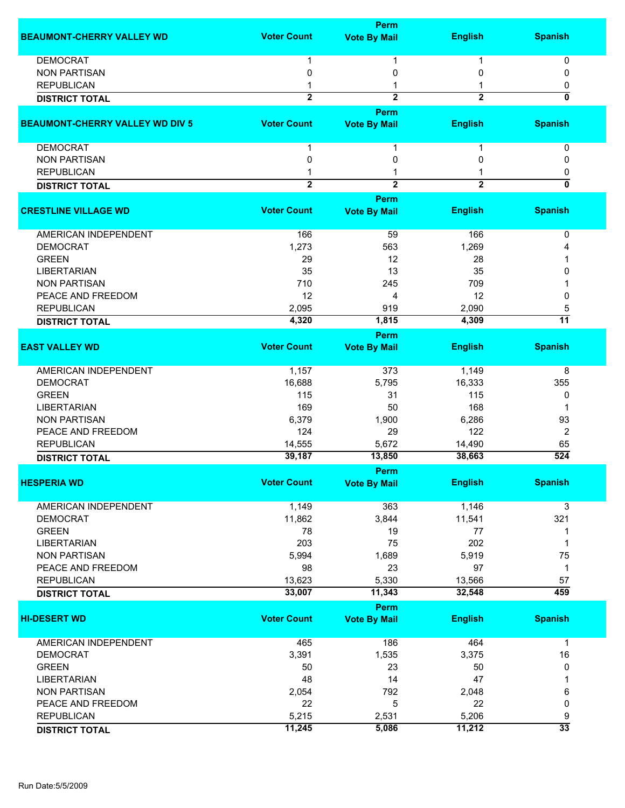|                                        |                    | <b>Perm</b>                 |                |                           |
|----------------------------------------|--------------------|-----------------------------|----------------|---------------------------|
| <b>BEAUMONT-CHERRY VALLEY WD</b>       | <b>Voter Count</b> | <b>Vote By Mail</b>         | <b>English</b> | <b>Spanish</b>            |
| <b>DEMOCRAT</b>                        | 1                  | 1                           | 1              | 0                         |
| <b>NON PARTISAN</b>                    | 0                  | 0                           | 0              | 0                         |
| <b>REPUBLICAN</b>                      | 1                  | 1                           |                | 0                         |
| <b>DISTRICT TOTAL</b>                  | $\overline{2}$     | $\overline{2}$              | $\overline{2}$ | ō                         |
|                                        |                    | Perm                        |                |                           |
| <b>BEAUMONT-CHERRY VALLEY WD DIV 5</b> | <b>Voter Count</b> | <b>Vote By Mail</b>         | <b>English</b> | <b>Spanish</b>            |
| <b>DEMOCRAT</b>                        | $\mathbf 1$        | 1                           | 1              | 0                         |
| <b>NON PARTISAN</b>                    | 0                  | 0                           | 0              | 0                         |
| <b>REPUBLICAN</b>                      |                    | 1                           |                | 0                         |
| <b>DISTRICT TOTAL</b>                  | $\overline{2}$     | $\overline{2}$              | $\overline{2}$ | $\overline{\mathfrak{o}}$ |
| <b>CRESTLINE VILLAGE WD</b>            | <b>Voter Count</b> | Perm<br><b>Vote By Mail</b> | <b>English</b> | <b>Spanish</b>            |
| <b>AMERICAN INDEPENDENT</b>            | 166                | 59                          | 166            | 0                         |
| <b>DEMOCRAT</b>                        | 1,273              | 563                         | 1,269          | 4                         |
| <b>GREEN</b>                           | 29                 | 12                          | 28             |                           |
| <b>LIBERTARIAN</b>                     | 35                 | 13                          | 35             | 0                         |
| <b>NON PARTISAN</b>                    | 710                | 245                         | 709            |                           |
| PEACE AND FREEDOM                      | 12                 | 4                           | 12             | 0                         |
| <b>REPUBLICAN</b>                      | 2,095              | 919                         | 2,090          | 5                         |
| <b>DISTRICT TOTAL</b>                  | 4,320              | 1,815                       | 4,309          | $\overline{11}$           |
|                                        |                    | Perm                        |                |                           |
| <b>EAST VALLEY WD</b>                  | <b>Voter Count</b> | <b>Vote By Mail</b>         | <b>English</b> | <b>Spanish</b>            |
| AMERICAN INDEPENDENT                   | 1,157              | 373                         | 1,149          | 8                         |
| <b>DEMOCRAT</b>                        | 16,688             | 5,795                       | 16,333         | 355                       |
| <b>GREEN</b>                           | 115                | 31                          | 115            | 0                         |
| <b>LIBERTARIAN</b>                     | 169                | 50                          | 168            | 1                         |
| <b>NON PARTISAN</b>                    | 6,379              | 1,900                       | 6,286          | 93                        |
| PEACE AND FREEDOM                      | 124                | 29                          | 122            | $\overline{2}$            |
| <b>REPUBLICAN</b>                      | 14,555             | 5,672                       | 14,490         | 65                        |
| <b>DISTRICT TOTAL</b>                  | 39,187             | 13,850                      | 38,663         | $\overline{524}$          |
|                                        |                    | Perm                        |                |                           |
| <b>HESPERIA WD</b>                     | <b>Voter Count</b> | <b>Vote By Mail</b>         | <b>English</b> | <b>Spanish</b>            |
| <b>AMERICAN INDEPENDENT</b>            | 1,149              | 363                         | 1,146          | 3                         |
| <b>DEMOCRAT</b>                        | 11,862             | 3,844                       | 11,541         | 321                       |
| <b>GREEN</b>                           | 78                 | 19                          | 77             | 1                         |
| <b>LIBERTARIAN</b>                     | 203                | 75                          | 202            | 1                         |
| <b>NON PARTISAN</b>                    | 5,994              | 1,689                       | 5,919          | 75                        |
| PEACE AND FREEDOM                      | 98                 | 23                          | 97             | $\mathbf 1$               |
| <b>REPUBLICAN</b>                      | 13,623             | 5,330                       | 13,566         | 57                        |
| <b>DISTRICT TOTAL</b>                  | 33,007             | 11,343                      | 32,548         | 459                       |
|                                        |                    | Perm                        |                |                           |
| <b>HI-DESERT WD</b>                    | <b>Voter Count</b> | <b>Vote By Mail</b>         | <b>English</b> | <b>Spanish</b>            |
| <b>AMERICAN INDEPENDENT</b>            | 465                | 186                         | 464            | $\mathbf 1$               |
| <b>DEMOCRAT</b>                        | 3,391              | 1,535                       | 3,375          | 16                        |
| <b>GREEN</b>                           | 50                 | 23                          | 50             | 0                         |
| <b>LIBERTARIAN</b>                     | 48                 | 14                          | 47             |                           |
| <b>NON PARTISAN</b>                    | 2,054              | 792                         | 2,048          | 6                         |
| PEACE AND FREEDOM                      | 22                 | 5                           | 22             | 0                         |
| <b>REPUBLICAN</b>                      | 5,215              | 2,531                       | 5,206          | 9                         |
|                                        | 11,245             | 5,086                       | 11,212         | $\overline{33}$           |
| <b>DISTRICT TOTAL</b>                  |                    |                             |                |                           |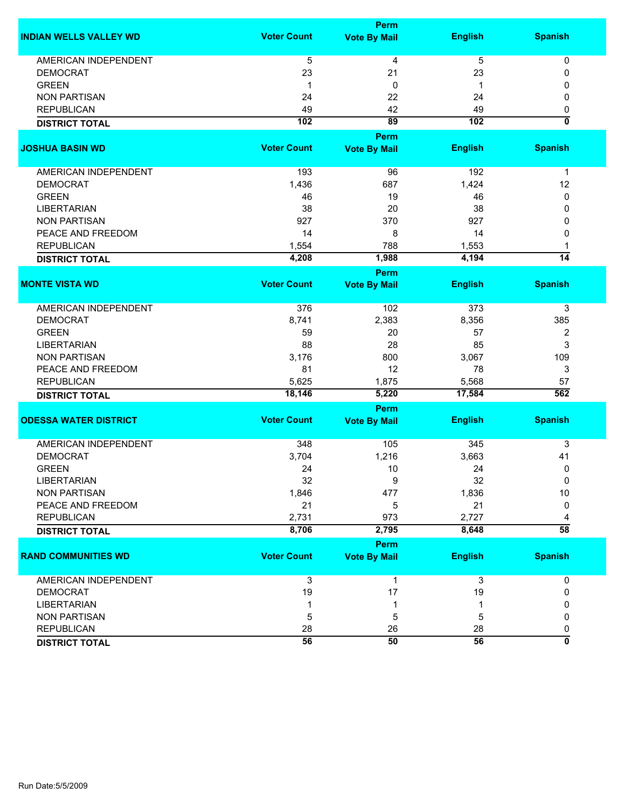|                               |                    | <b>Perm</b>         |                |                           |
|-------------------------------|--------------------|---------------------|----------------|---------------------------|
| <b>INDIAN WELLS VALLEY WD</b> | <b>Voter Count</b> | <b>Vote By Mail</b> | <b>English</b> | <b>Spanish</b>            |
| <b>AMERICAN INDEPENDENT</b>   | 5                  | 4                   | $\overline{5}$ | 0                         |
| <b>DEMOCRAT</b>               | 23                 | 21                  | 23             | 0                         |
| <b>GREEN</b>                  | 1                  | 0                   | 1              | 0                         |
| <b>NON PARTISAN</b>           | 24                 | 22                  | 24             | 0                         |
| <b>REPUBLICAN</b>             | 49                 | 42                  | 49             | 0                         |
| <b>DISTRICT TOTAL</b>         | 102                | 89                  | 102            | $\overline{\mathbf{0}}$   |
| <b>JOSHUA BASIN WD</b>        |                    | <b>Perm</b>         |                |                           |
|                               | <b>Voter Count</b> | <b>Vote By Mail</b> | <b>English</b> | <b>Spanish</b>            |
| <b>AMERICAN INDEPENDENT</b>   | 193                | 96                  | 192            | $\mathbf 1$               |
| <b>DEMOCRAT</b>               | 1,436              | 687                 | 1,424          | 12                        |
| <b>GREEN</b>                  | 46                 | 19                  | 46             | 0                         |
| <b>LIBERTARIAN</b>            | 38                 | 20                  | 38             | 0                         |
| <b>NON PARTISAN</b>           | 927                | 370                 | 927            | 0                         |
| PEACE AND FREEDOM             | 14                 | 8                   | 14             | 0                         |
| <b>REPUBLICAN</b>             | 1,554              | 788                 | 1,553          |                           |
| <b>DISTRICT TOTAL</b>         | 4,208              | 1,988               | 4,194          | $\overline{14}$           |
|                               |                    | <b>Perm</b>         |                |                           |
| <b>MONTE VISTA WD</b>         | <b>Voter Count</b> | <b>Vote By Mail</b> | <b>English</b> | <b>Spanish</b>            |
| <b>AMERICAN INDEPENDENT</b>   | 376                | 102                 | 373            | 3                         |
| <b>DEMOCRAT</b>               | 8,741              | 2,383               | 8,356          | 385                       |
| <b>GREEN</b>                  | 59                 | 20                  | 57             | 2                         |
| <b>LIBERTARIAN</b>            | 88                 | 28                  | 85             | 3                         |
| <b>NON PARTISAN</b>           | 3,176              | 800                 | 3,067          | 109                       |
| PEACE AND FREEDOM             | 81                 | 12                  | 78             | 3                         |
| <b>REPUBLICAN</b>             | 5,625              | 1,875               | 5,568          | 57                        |
| <b>DISTRICT TOTAL</b>         | 18,146             | 5,220               | 17,584         | 562                       |
|                               |                    | <b>Perm</b>         |                |                           |
| <b>ODESSA WATER DISTRICT</b>  | <b>Voter Count</b> | <b>Vote By Mail</b> | <b>English</b> | <b>Spanish</b>            |
| <b>AMERICAN INDEPENDENT</b>   | 348                | 105                 | 345            | 3                         |
| <b>DEMOCRAT</b>               | 3,704              | 1,216               | 3,663          | 41                        |
| <b>GREEN</b>                  | 24                 | 10                  | 24             | 0                         |
| LIBERTARIAN                   | 32                 | 9                   | 32             | 0                         |
| <b>NON PARTISAN</b>           | 1,846              | 477                 | 1,836          | 10                        |
| PEACE AND FREEDOM             | 21                 | 5                   | 21             | 0                         |
| <b>REPUBLICAN</b>             | 2,731              | 973                 | 2,727          | 4                         |
| <b>DISTRICT TOTAL</b>         | 8,706              | 2,795               | 8,648          | $\overline{58}$           |
|                               |                    | <b>Perm</b>         |                |                           |
| <b>RAND COMMUNITIES WD</b>    | <b>Voter Count</b> | <b>Vote By Mail</b> | <b>English</b> | <b>Spanish</b>            |
| AMERICAN INDEPENDENT          | 3                  | 1                   | 3              | 0                         |
| <b>DEMOCRAT</b>               | 19                 | 17                  | 19             | 0                         |
| <b>LIBERTARIAN</b>            |                    | 1                   |                | 0                         |
| <b>NON PARTISAN</b>           | 5                  | 5                   | 5              | 0                         |
| <b>REPUBLICAN</b>             | 28                 | 26                  | 28             | 0                         |
| <b>DISTRICT TOTAL</b>         | $\overline{56}$    | 50                  | 56             | $\overline{\mathfrak{o}}$ |
|                               |                    |                     |                |                           |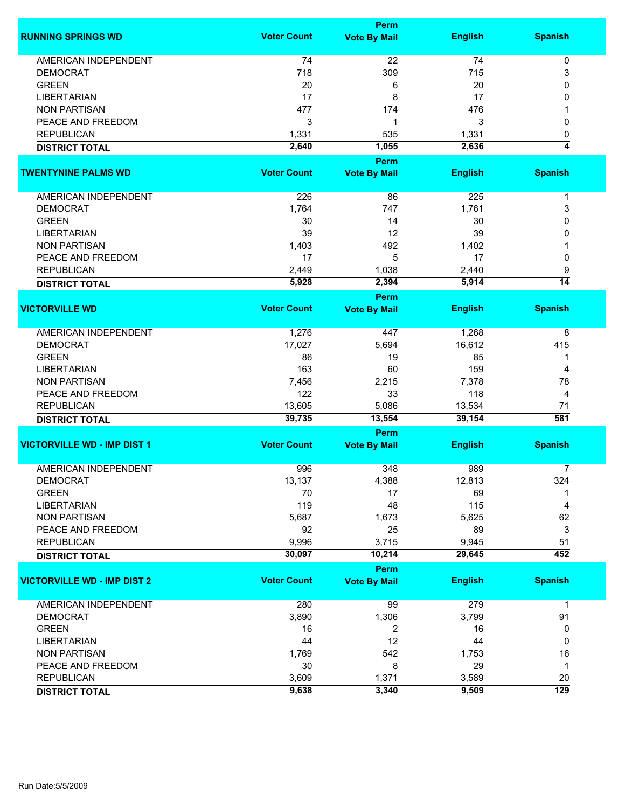|                                          |                    | <b>Perm</b>         |                  |                  |  |  |
|------------------------------------------|--------------------|---------------------|------------------|------------------|--|--|
| <b>RUNNING SPRINGS WD</b>                | <b>Voter Count</b> | <b>Vote By Mail</b> | <b>English</b>   | <b>Spanish</b>   |  |  |
| <b>AMERICAN INDEPENDENT</b>              | 74                 | 22                  | 74               | 0                |  |  |
| <b>DEMOCRAT</b>                          | 718                | 309                 | 715              | 3                |  |  |
| <b>GREEN</b>                             | 20                 | 6                   | 20               | 0                |  |  |
| <b>LIBERTARIAN</b>                       | 17                 | 8                   | 17               | 0                |  |  |
|                                          |                    |                     |                  |                  |  |  |
| <b>NON PARTISAN</b>                      | 477                | 174                 | 476              |                  |  |  |
| PEACE AND FREEDOM                        | 3                  | 1                   | 3                | 0                |  |  |
| <b>REPUBLICAN</b>                        | 1,331              | 535                 | 1,331            | 0                |  |  |
| <b>DISTRICT TOTAL</b>                    | 2,640              | 1,055               | 2,636            | 4                |  |  |
|                                          |                    | <b>Perm</b>         |                  |                  |  |  |
| <b>TWENTYNINE PALMS WD</b>               | <b>Voter Count</b> | <b>Vote By Mail</b> | <b>English</b>   | <b>Spanish</b>   |  |  |
| AMERICAN INDEPENDENT                     | 226                | 86                  | 225              | $\mathbf 1$      |  |  |
| <b>DEMOCRAT</b>                          | 1,764              | 747                 | 1,761            | 3                |  |  |
| <b>GREEN</b>                             | 30                 | 14                  | 30               | 0                |  |  |
| <b>LIBERTARIAN</b>                       | 39                 | 12                  | 39               | 0                |  |  |
|                                          | 1,403              | 492                 |                  |                  |  |  |
| <b>NON PARTISAN</b><br>PEACE AND FREEDOM | 17                 |                     | 1,402<br>17      |                  |  |  |
|                                          |                    | 5                   |                  | 0                |  |  |
| <b>REPUBLICAN</b>                        | 2,449              | 1,038               | 2,440            | 9                |  |  |
| <b>DISTRICT TOTAL</b>                    | 5,928              | 2,394               | 5,914            | $\overline{14}$  |  |  |
|                                          |                    | <b>Perm</b>         |                  |                  |  |  |
| <b>VICTORVILLE WD</b>                    | <b>Voter Count</b> | <b>Vote By Mail</b> | <b>English</b>   | <b>Spanish</b>   |  |  |
| <b>AMERICAN INDEPENDENT</b>              | 1,276              | 447                 | 1,268            | 8                |  |  |
| <b>DEMOCRAT</b>                          | 17,027             | 5,694               | 16,612           | 415              |  |  |
| <b>GREEN</b>                             | 86                 | 19                  | 85               | 1                |  |  |
| <b>LIBERTARIAN</b>                       | 163                | 60                  | 159              | 4                |  |  |
| <b>NON PARTISAN</b>                      | 7,456              | 2,215               | 7,378            | 78               |  |  |
| PEACE AND FREEDOM                        | 122                | 33                  | 118              | 4                |  |  |
|                                          |                    | 5,086               |                  |                  |  |  |
| <b>REPUBLICAN</b>                        | 13,605<br>39,735   | 13,554              | 13,534<br>39,154 | 71<br>581        |  |  |
| <b>DISTRICT TOTAL</b>                    |                    | <b>Perm</b>         |                  |                  |  |  |
| <b>VICTORVILLE WD - IMP DIST 1</b>       | <b>Voter Count</b> | <b>Vote By Mail</b> | <b>English</b>   | <b>Spanish</b>   |  |  |
|                                          |                    |                     |                  |                  |  |  |
| <b>AMERICAN INDEPENDENT</b>              | 996                | 348                 | 989              | 7                |  |  |
| <b>DEMOCRAT</b>                          | 13,137             | 4,388               | 12,813           | 324              |  |  |
| <b>GREEN</b>                             | 70                 | 17                  | 69               |                  |  |  |
| <b>LIBERTARIAN</b>                       | 119                | 48                  | 115              | 4                |  |  |
| <b>NON PARTISAN</b>                      | 5,687              | 1,673               | 5,625            | 62               |  |  |
| PEACE AND FREEDOM                        | 92                 | 25                  | 89               | 3                |  |  |
| <b>REPUBLICAN</b>                        | 9,996              | 3,715               | 9,945            | 51               |  |  |
| <b>DISTRICT TOTAL</b>                    | 30,097             | 10,214              | 29,645           | 452              |  |  |
|                                          |                    | Perm                |                  |                  |  |  |
| <b>VICTORVILLE WD - IMP DIST 2</b>       | <b>Voter Count</b> | <b>Vote By Mail</b> | <b>English</b>   | <b>Spanish</b>   |  |  |
| <b>AMERICAN INDEPENDENT</b>              | 280                | 99                  | 279              | $\mathbf 1$      |  |  |
| <b>DEMOCRAT</b>                          | 3,890              | 1,306               | 3,799            | 91               |  |  |
| <b>GREEN</b>                             | 16                 | 2                   | 16               | 0                |  |  |
| <b>LIBERTARIAN</b>                       | 44                 | 12                  | 44               | 0                |  |  |
| <b>NON PARTISAN</b>                      | 1,769              | 542                 | 1,753            | 16               |  |  |
| PEACE AND FREEDOM                        | 30                 | 8                   | 29               | $\mathbf 1$      |  |  |
|                                          |                    |                     |                  |                  |  |  |
| <b>REPUBLICAN</b>                        | 3,609              | 1,371               | 3,589            | 20               |  |  |
| <b>DISTRICT TOTAL</b>                    | 9,638              | 3,340               | 9,509            | $\overline{129}$ |  |  |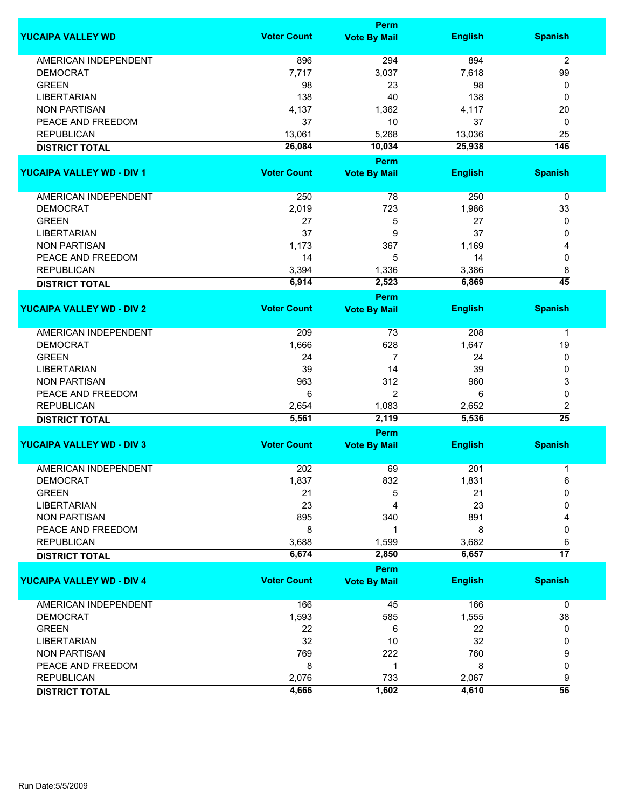|                                  |                    | Perm                               |                |                  |
|----------------------------------|--------------------|------------------------------------|----------------|------------------|
| <b>YUCAIPA VALLEY WD</b>         | <b>Voter Count</b> | <b>Vote By Mail</b>                | <b>English</b> | <b>Spanish</b>   |
| <b>AMERICAN INDEPENDENT</b>      | 896                | 294                                | 894            | 2                |
| <b>DEMOCRAT</b>                  | 7,717              | 3,037                              | 7,618          | 99               |
| <b>GREEN</b>                     | 98                 | 23                                 | 98             | 0                |
| <b>LIBERTARIAN</b>               | 138                | 40                                 | 138            | 0                |
| <b>NON PARTISAN</b>              | 4,137              | 1,362                              | 4,117          | 20               |
| PEACE AND FREEDOM                |                    |                                    |                |                  |
|                                  | 37                 | 10                                 | 37             | 0                |
| <b>REPUBLICAN</b>                | 13,061             | 5,268                              | 13,036         | 25               |
| <b>DISTRICT TOTAL</b>            | 26,084             | 10,034                             | 25,938         | $\overline{146}$ |
| <b>YUCAIPA VALLEY WD - DIV 1</b> | <b>Voter Count</b> | Perm<br><b>Vote By Mail</b>        | <b>English</b> | <b>Spanish</b>   |
|                                  |                    |                                    |                |                  |
| AMERICAN INDEPENDENT             | 250                | 78                                 | 250            | 0                |
| <b>DEMOCRAT</b>                  | 2,019              | 723                                | 1,986          | 33               |
| <b>GREEN</b>                     | 27                 | 5                                  | 27             | 0                |
| <b>LIBERTARIAN</b>               | 37                 | 9                                  | 37             | 0                |
| <b>NON PARTISAN</b>              | 1,173              | 367                                | 1,169          | 4                |
| PEACE AND FREEDOM                | 14                 | 5                                  | 14             | 0                |
| <b>REPUBLICAN</b>                | 3,394              | 1,336                              | 3,386          | 8                |
|                                  | 6,914              | 2,523                              | 6,869          | $\overline{45}$  |
| <b>DISTRICT TOTAL</b>            |                    | <b>Perm</b>                        |                |                  |
| <b>YUCAIPA VALLEY WD - DIV 2</b> | <b>Voter Count</b> | <b>Vote By Mail</b>                | <b>English</b> | <b>Spanish</b>   |
|                                  |                    |                                    |                |                  |
| <b>AMERICAN INDEPENDENT</b>      | 209                | 73                                 | 208            | 1                |
| <b>DEMOCRAT</b>                  | 1,666              | 628                                | 1,647          | 19               |
| <b>GREEN</b>                     | 24                 | 7                                  | 24             | 0                |
| <b>LIBERTARIAN</b>               | 39                 | 14                                 | 39             | 0                |
| <b>NON PARTISAN</b>              | 963                | 312                                | 960            | 3                |
| PEACE AND FREEDOM                | 6                  | $\overline{2}$                     | 6              | 0                |
| <b>REPUBLICAN</b>                | 2,654              | 1,083                              | 2,652          | 2                |
| <b>DISTRICT TOTAL</b>            | 5,561              | 2,119                              | 5,536          | $\overline{25}$  |
|                                  |                    | Perm                               |                |                  |
| <b>YUCAIPA VALLEY WD - DIV 3</b> | <b>Voter Count</b> | <b>Vote By Mail</b>                | <b>English</b> | <b>Spanish</b>   |
| <b>AMERICAN INDEPENDENT</b>      | 202                | 69                                 | 201            | 1                |
| <b>DEMOCRAT</b>                  | 1,837              | 832                                | 1,831          | 6                |
| <b>GREEN</b>                     | 21                 | 5                                  | 21             | 0                |
| <b>LIBERTARIAN</b>               | 23                 | 4                                  | 23             | 0                |
| <b>NON PARTISAN</b>              | 895                | 340                                | 891            |                  |
|                                  |                    |                                    |                |                  |
| PEACE AND FREEDOM                | 8                  |                                    | 8              | 0                |
| <b>REPUBLICAN</b>                | 3,688              | 1,599                              | 3,682          | 6                |
| <b>DISTRICT TOTAL</b>            | 6,674              | 2,850                              | 6,657          | $\overline{17}$  |
| <b>YUCAIPA VALLEY WD - DIV 4</b> | <b>Voter Count</b> | <b>Perm</b><br><b>Vote By Mail</b> | <b>English</b> | <b>Spanish</b>   |
|                                  |                    |                                    |                |                  |
| AMERICAN INDEPENDENT             | 166                | 45                                 | 166            | $\mathbf 0$      |
| <b>DEMOCRAT</b>                  | 1,593              | 585                                | 1,555          | 38               |
| <b>GREEN</b>                     | 22                 | 6                                  | 22             | 0                |
| <b>LIBERTARIAN</b>               | 32                 | 10                                 | 32             | 0                |
| <b>NON PARTISAN</b>              | 769                | 222                                | 760            | 9                |
| PEACE AND FREEDOM                | 8                  | -1                                 | 8              | 0                |
| <b>REPUBLICAN</b>                | 2,076              | 733                                | 2,067          | 9                |
| <b>DISTRICT TOTAL</b>            | 4,666              | 1,602                              | 4,610          | $\overline{56}$  |
|                                  |                    |                                    |                |                  |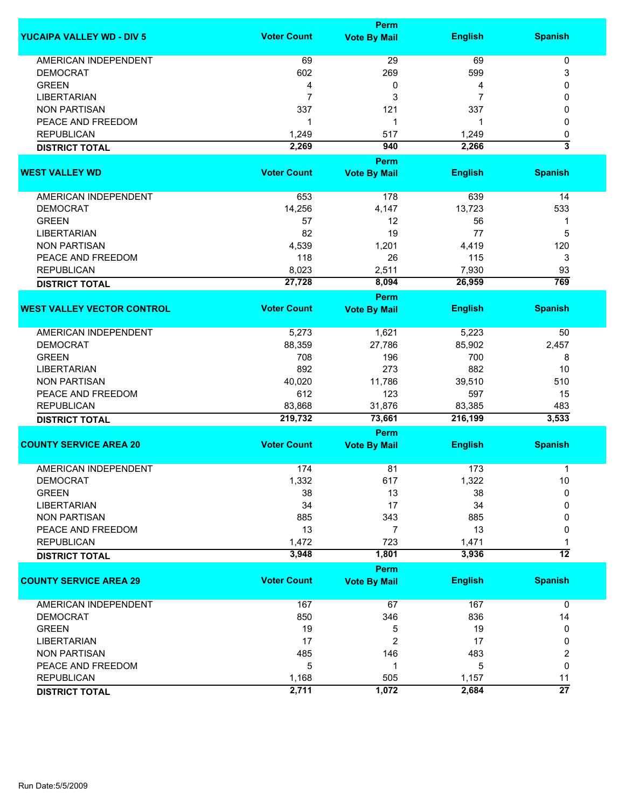|                                   |                    | <b>Perm</b>         |                |                         |  |  |
|-----------------------------------|--------------------|---------------------|----------------|-------------------------|--|--|
| <b>YUCAIPA VALLEY WD - DIV 5</b>  | <b>Voter Count</b> | <b>Vote By Mail</b> | <b>English</b> | <b>Spanish</b>          |  |  |
| <b>AMERICAN INDEPENDENT</b>       | 69                 | 29                  | 69             | 0                       |  |  |
| <b>DEMOCRAT</b>                   | 602                | 269                 | 599            | 3                       |  |  |
| <b>GREEN</b>                      | 4                  | 0                   | 4              | 0                       |  |  |
| <b>LIBERTARIAN</b>                | $\overline{7}$     | 3                   | 7              | 0                       |  |  |
| <b>NON PARTISAN</b>               | 337                | 121                 | 337            | 0                       |  |  |
| PEACE AND FREEDOM                 | 1                  | 1                   |                | 0                       |  |  |
|                                   |                    |                     | 1              |                         |  |  |
| <b>REPUBLICAN</b>                 | 1,249              | 517                 | 1,249          | 0                       |  |  |
| <b>DISTRICT TOTAL</b>             | 2,269              | 940                 | 2,266          | $\overline{\mathbf{3}}$ |  |  |
|                                   | <b>Voter Count</b> | <b>Perm</b>         |                |                         |  |  |
| <b>WEST VALLEY WD</b>             |                    | <b>Vote By Mail</b> | <b>English</b> | <b>Spanish</b>          |  |  |
| AMERICAN INDEPENDENT              | 653                | 178                 | 639            | 14                      |  |  |
| <b>DEMOCRAT</b>                   | 14,256             | 4,147               | 13,723         | 533                     |  |  |
| <b>GREEN</b>                      | 57                 | 12                  | 56             | 1                       |  |  |
| <b>LIBERTARIAN</b>                | 82                 | 19                  | 77             | 5                       |  |  |
| <b>NON PARTISAN</b>               | 4,539              | 1,201               | 4,419          | 120                     |  |  |
| PEACE AND FREEDOM                 | 118                | 26                  | 115            | 3                       |  |  |
| <b>REPUBLICAN</b>                 | 8,023              | 2,511               | 7,930          | 93                      |  |  |
|                                   | 27,728             | 8,094               | 26,959         | 769                     |  |  |
| <b>DISTRICT TOTAL</b>             |                    | <b>Perm</b>         |                |                         |  |  |
| <b>WEST VALLEY VECTOR CONTROL</b> | <b>Voter Count</b> | <b>Vote By Mail</b> | <b>English</b> | <b>Spanish</b>          |  |  |
| <b>AMERICAN INDEPENDENT</b>       | 5,273              | 1,621               | 5,223          | 50                      |  |  |
| <b>DEMOCRAT</b>                   | 88,359             | 27,786              | 85,902         | 2,457                   |  |  |
| <b>GREEN</b>                      | 708                | 196                 | 700            | 8                       |  |  |
| <b>LIBERTARIAN</b>                | 892                | 273                 | 882            | 10                      |  |  |
| <b>NON PARTISAN</b>               | 40,020             | 11,786              | 39,510         | 510                     |  |  |
| PEACE AND FREEDOM                 | 612                | 123                 | 597            | 15                      |  |  |
| <b>REPUBLICAN</b>                 | 83,868             | 31,876              | 83,385         | 483                     |  |  |
| <b>DISTRICT TOTAL</b>             | 219,732            | 73,661              | 216,199        | 3,533                   |  |  |
|                                   |                    | <b>Perm</b>         |                |                         |  |  |
| <b>COUNTY SERVICE AREA 20</b>     | <b>Voter Count</b> | <b>Vote By Mail</b> | <b>English</b> | <b>Spanish</b>          |  |  |
|                                   |                    |                     |                |                         |  |  |
| <b>AMERICAN INDEPENDENT</b>       | 174                | 81                  | 173            | 1                       |  |  |
| <b>DEMOCRAT</b>                   | 1,332              | 617                 | 1,322          | 10                      |  |  |
| <b>GREEN</b>                      | 38                 | 13                  | 38             | 0                       |  |  |
| <b>LIBERTARIAN</b>                | 34                 | 17                  | 34             | 0                       |  |  |
| <b>NON PARTISAN</b>               | 885                | 343                 | 885            | 0                       |  |  |
| PEACE AND FREEDOM                 | 13                 | 7                   | 13             | 0                       |  |  |
| <b>REPUBLICAN</b>                 | 1,472              | 723                 | 1,471          |                         |  |  |
| <b>DISTRICT TOTAL</b>             | 3,948              | 1,801               | 3,936          | $\overline{12}$         |  |  |
|                                   |                    | Perm                |                |                         |  |  |
| <b>COUNTY SERVICE AREA 29</b>     | <b>Voter Count</b> | <b>Vote By Mail</b> | <b>English</b> | <b>Spanish</b>          |  |  |
| <b>AMERICAN INDEPENDENT</b>       | 167                | 67                  | 167            | 0                       |  |  |
| <b>DEMOCRAT</b>                   | 850                | 346                 | 836            | 14                      |  |  |
| <b>GREEN</b>                      | 19                 | 5                   | 19             | 0                       |  |  |
| <b>LIBERTARIAN</b>                | 17                 | 2                   | 17             | 0                       |  |  |
| <b>NON PARTISAN</b>               | 485                | 146                 | 483            | 2                       |  |  |
| PEACE AND FREEDOM                 | 5                  | 1                   | 5              | 0                       |  |  |
| <b>REPUBLICAN</b>                 | 1,168              | 505                 | 1,157          | 11                      |  |  |
| <b>DISTRICT TOTAL</b>             | 2,711              | 1,072               | 2,684          | $\overline{27}$         |  |  |
|                                   |                    |                     |                |                         |  |  |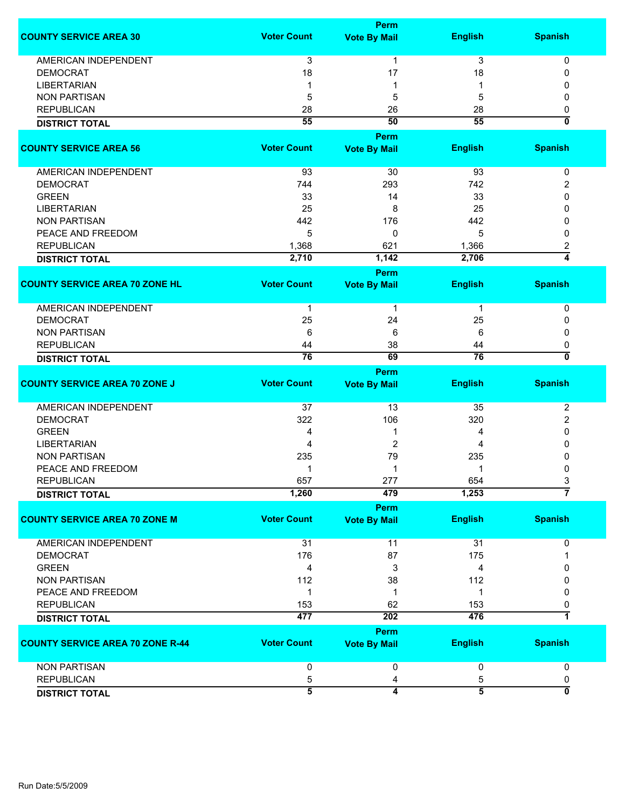|                                         |                    | <b>Perm</b>             |                 |                           |
|-----------------------------------------|--------------------|-------------------------|-----------------|---------------------------|
| <b>COUNTY SERVICE AREA 30</b>           | <b>Voter Count</b> | <b>Vote By Mail</b>     | <b>English</b>  | <b>Spanish</b>            |
| <b>AMERICAN INDEPENDENT</b>             | 3                  | 1                       | 3               | 0                         |
| <b>DEMOCRAT</b>                         | 18                 | 17                      | 18              | 0                         |
| <b>LIBERTARIAN</b>                      |                    |                         |                 |                           |
| <b>NON PARTISAN</b>                     | 5                  | 5                       | 5               | O                         |
| <b>REPUBLICAN</b>                       |                    |                         |                 |                           |
|                                         | 28                 | 26                      | 28              | 0                         |
| <b>DISTRICT TOTAL</b>                   | $\overline{55}$    | 50                      | 55              | $\overline{\mathbf{0}}$   |
|                                         |                    | <b>Perm</b>             |                 |                           |
| <b>COUNTY SERVICE AREA 56</b>           | <b>Voter Count</b> | <b>Vote By Mail</b>     | <b>English</b>  | <b>Spanish</b>            |
| AMERICAN INDEPENDENT                    | 93                 | 30                      | 93              | 0                         |
| <b>DEMOCRAT</b>                         | 744                | 293                     | 742             | 2                         |
| <b>GREEN</b>                            | 33                 | 14                      | 33              | ŋ                         |
| <b>LIBERTARIAN</b>                      | 25                 | 8                       |                 | n                         |
|                                         |                    |                         | 25              |                           |
| <b>NON PARTISAN</b>                     | 442                | 176                     | 442             | n                         |
| PEACE AND FREEDOM                       | 5                  | 0                       | 5               | ŋ                         |
| <b>REPUBLICAN</b>                       | 1,368              | 621                     | 1,366           | 2                         |
| <b>DISTRICT TOTAL</b>                   | 2,710              | 1,142                   | 2,706           | 4                         |
|                                         |                    | <b>Perm</b>             |                 |                           |
| <b>COUNTY SERVICE AREA 70 ZONE HL</b>   | <b>Voter Count</b> | <b>Vote By Mail</b>     | <b>English</b>  | <b>Spanish</b>            |
| AMERICAN INDEPENDENT                    | 1                  | 1                       | 1               | 0                         |
| <b>DEMOCRAT</b>                         | 25                 | 24                      | 25              | 0                         |
| <b>NON PARTISAN</b>                     | 6                  | 6                       | 6               | 0                         |
| <b>REPUBLICAN</b>                       | 44                 | 38                      | 44              | 0                         |
| <b>DISTRICT TOTAL</b>                   | 76                 | 69                      | $\overline{76}$ | 0                         |
|                                         |                    | Perm                    |                 |                           |
| <b>COUNTY SERVICE AREA 70 ZONE J</b>    | <b>Voter Count</b> | <b>Vote By Mail</b>     | <b>English</b>  | <b>Spanish</b>            |
| <b>AMERICAN INDEPENDENT</b>             | 37                 | 13                      | 35              | 2                         |
| <b>DEMOCRAT</b>                         | 322                | 106                     | 320             | 2                         |
| <b>GREEN</b>                            | 4                  | 1                       | 4               | 0                         |
| <b>LIBERTARIAN</b>                      | 4                  | $\overline{2}$          | 4               | 0                         |
| <b>NON PARTISAN</b>                     | 235                | 79                      | 235             |                           |
| PEACE AND FREEDOM                       | 1                  | 1                       | 1               | 0                         |
| <b>REPUBLICAN</b>                       | 657                | 277                     | 654             | 3                         |
| <b>DISTRICT TOTAL</b>                   | 1,260              | 479                     | 1,253           | $\overline{7}$            |
|                                         |                    | <b>Perm</b>             |                 |                           |
| <b>COUNTY SERVICE AREA 70 ZONE M</b>    | <b>Voter Count</b> | <b>Vote By Mail</b>     | <b>English</b>  | <b>Spanish</b>            |
| <b>AMERICAN INDEPENDENT</b>             | 31                 | 11                      | 31              | 0                         |
| <b>DEMOCRAT</b>                         | 176                | 87                      | 175             |                           |
| <b>GREEN</b>                            | 4                  | 3                       | 4               | 0                         |
|                                         |                    |                         |                 |                           |
| <b>NON PARTISAN</b>                     | 112                | 38                      | 112             | 0                         |
| PEACE AND FREEDOM                       | 1                  | 1                       | 1               | 0                         |
| <b>REPUBLICAN</b>                       | 153                | 62                      | 153             | 0                         |
| <b>DISTRICT TOTAL</b>                   | 477                | 202                     | 476             | $\mathbf 1$               |
|                                         |                    | Perm                    |                 |                           |
| <b>COUNTY SERVICE AREA 70 ZONE R-44</b> | <b>Voter Count</b> | <b>Vote By Mail</b>     | <b>English</b>  | <b>Spanish</b>            |
| <b>NON PARTISAN</b>                     | 0                  | 0                       | 0               | $\mathbf 0$               |
| <b>REPUBLICAN</b>                       | 5                  | 4                       | 5               | 0                         |
| <b>DISTRICT TOTAL</b>                   | $\overline{5}$     | $\overline{\mathbf{4}}$ | $\overline{5}$  | $\overline{\mathfrak{o}}$ |
|                                         |                    |                         |                 |                           |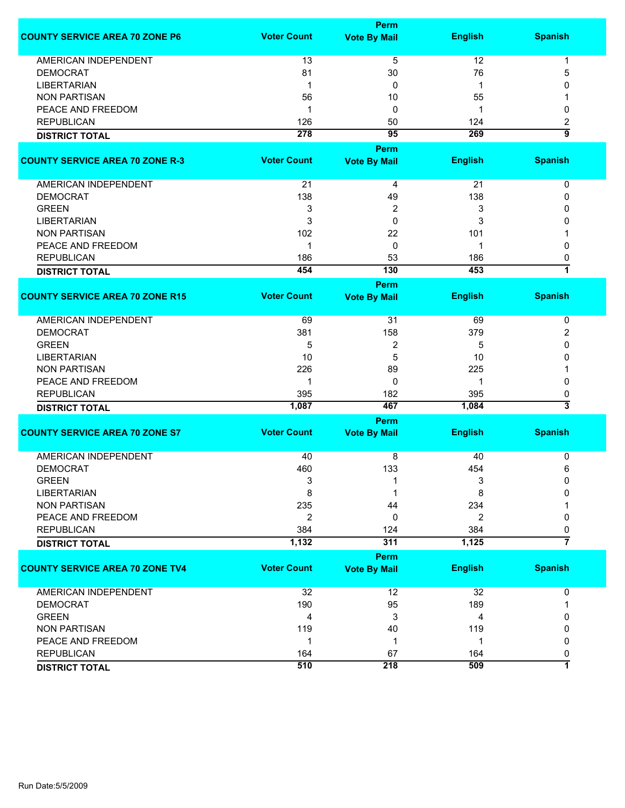|                                        |                    | Perm                |                |                |
|----------------------------------------|--------------------|---------------------|----------------|----------------|
| <b>COUNTY SERVICE AREA 70 ZONE P6</b>  | <b>Voter Count</b> | <b>Vote By Mail</b> | <b>English</b> | <b>Spanish</b> |
| AMERICAN INDEPENDENT                   | 13                 | 5                   | 12             | 1              |
| <b>DEMOCRAT</b>                        | 81                 | 30                  | 76             | 5              |
| <b>LIBERTARIAN</b>                     | 1                  | 0                   | $\mathbf 1$    | 0              |
| <b>NON PARTISAN</b>                    | 56                 | 10                  | 55             |                |
| PEACE AND FREEDOM                      | 1                  | 0                   | 1              | 0              |
| <b>REPUBLICAN</b>                      | 126                | 50                  | 124            | 2              |
|                                        | 278                | $\overline{95}$     | 269            | $\overline{9}$ |
| <b>DISTRICT TOTAL</b>                  |                    | Perm                |                |                |
| <b>COUNTY SERVICE AREA 70 ZONE R-3</b> | <b>Voter Count</b> | <b>Vote By Mail</b> | <b>English</b> | <b>Spanish</b> |
|                                        |                    |                     |                |                |
| AMERICAN INDEPENDENT                   | 21                 | 4                   | 21             | 0              |
| <b>DEMOCRAT</b>                        | 138                | 49                  | 138            | 0              |
| <b>GREEN</b>                           | 3                  | 2                   | 3              | 0              |
| <b>LIBERTARIAN</b>                     | 3                  | 0                   | 3              | 0              |
| <b>NON PARTISAN</b>                    | 102                | 22                  | 101            |                |
| PEACE AND FREEDOM                      | 1                  | 0                   | 1              | 0              |
| <b>REPUBLICAN</b>                      | 186                | 53                  | 186            | 0              |
| <b>DISTRICT TOTAL</b>                  | 454                | 130                 | 453            | $\overline{1}$ |
|                                        |                    | Perm                |                |                |
| <b>COUNTY SERVICE AREA 70 ZONE R15</b> | <b>Voter Count</b> | <b>Vote By Mail</b> | <b>English</b> | <b>Spanish</b> |
|                                        |                    |                     |                |                |
| <b>AMERICAN INDEPENDENT</b>            | 69                 | 31                  | 69             | $\mathbf 0$    |
| <b>DEMOCRAT</b>                        | 381                | 158                 | 379            | 2              |
| <b>GREEN</b>                           | 5                  | 2                   | 5              | 0              |
| <b>LIBERTARIAN</b>                     | 10                 | 5                   | 10             | 0              |
| <b>NON PARTISAN</b>                    | 226                | 89                  | 225            |                |
| PEACE AND FREEDOM                      | 1                  | 0                   | 1              | 0              |
| <b>REPUBLICAN</b>                      | 395                | 182                 | 395            | 0              |
| <b>DISTRICT TOTAL</b>                  | 1,087              | 467                 | 1,084          | 3              |
|                                        |                    | Perm                |                |                |
| <b>COUNTY SERVICE AREA 70 ZONE S7</b>  | <b>Voter Count</b> | <b>Vote By Mail</b> | <b>English</b> | <b>Spanish</b> |
| <b>AMERICAN INDEPENDENT</b>            | 40                 | 8                   | 40             | 0              |
| <b>DEMOCRAT</b>                        | 460                | 133                 | 454            | 6              |
| <b>GREEN</b>                           | 3                  | 1                   | 3              | 0              |
| <b>LIBERTARIAN</b>                     | 8                  |                     | 8              | O              |
| <b>NON PARTISAN</b>                    | 235                | 44                  | 234            |                |
| PEACE AND FREEDOM                      | 2                  | 0                   | $\overline{2}$ | 0              |
| <b>REPUBLICAN</b>                      | 384                | 124                 | 384            | 0              |
|                                        | 1,132              | 311                 | 1,125          | $\overline{7}$ |
| <b>DISTRICT TOTAL</b>                  |                    |                     |                |                |
|                                        |                    | Perm                |                |                |
| <b>COUNTY SERVICE AREA 70 ZONE TV4</b> | <b>Voter Count</b> | <b>Vote By Mail</b> | <b>English</b> | <b>Spanish</b> |
| AMERICAN INDEPENDENT                   | 32                 | 12                  | 32             | 0              |
| <b>DEMOCRAT</b>                        | 190                | 95                  | 189            |                |
| <b>GREEN</b>                           | 4                  | 3                   | 4              | 0              |
| <b>NON PARTISAN</b>                    | 119                | 40                  | 119            | 0              |
| PEACE AND FREEDOM                      | 1                  | $\mathbf 1$         | $\mathbf{1}$   | 0              |
| <b>REPUBLICAN</b>                      | 164                | 67                  | 164            | 0              |
| <b>DISTRICT TOTAL</b>                  | 510                | 218                 | 509            | 7              |
|                                        |                    |                     |                |                |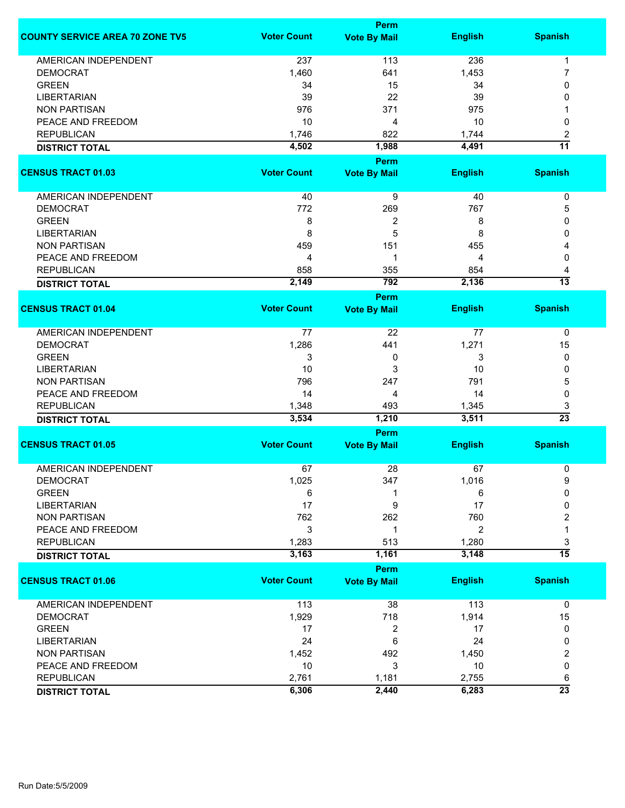|                                        | <b>Perm</b>        |                     |                |                 |
|----------------------------------------|--------------------|---------------------|----------------|-----------------|
| <b>COUNTY SERVICE AREA 70 ZONE TV5</b> | <b>Voter Count</b> | <b>Vote By Mail</b> | <b>English</b> | <b>Spanish</b>  |
| <b>AMERICAN INDEPENDENT</b>            | 237                | 113                 | 236            | $\mathbf{1}$    |
| <b>DEMOCRAT</b>                        | 1,460              | 641                 | 1,453          | 7               |
| <b>GREEN</b>                           | 34                 | 15                  | 34             | 0               |
| <b>LIBERTARIAN</b>                     | 39                 | 22                  | 39             | 0               |
| <b>NON PARTISAN</b>                    | 976                | 371                 | 975            |                 |
| PEACE AND FREEDOM                      | 10                 | 4                   | 10             | 0               |
| <b>REPUBLICAN</b>                      | 1,746              | 822                 | 1,744          | 2               |
| <b>DISTRICT TOTAL</b>                  | 4,502              | 1,988               | 4,491          | $\overline{11}$ |
|                                        |                    | <b>Perm</b>         |                |                 |
| <b>CENSUS TRACT 01.03</b>              | <b>Voter Count</b> | <b>Vote By Mail</b> | <b>English</b> | <b>Spanish</b>  |
| AMERICAN INDEPENDENT                   | 40                 | 9                   | 40             | $\pmb{0}$       |
| <b>DEMOCRAT</b>                        | 772                | 269                 | 767            | 5               |
| <b>GREEN</b>                           | 8                  | 2                   | 8              | 0               |
| <b>LIBERTARIAN</b>                     | 8                  | 5                   | 8              | 0               |
| <b>NON PARTISAN</b>                    | 459                | 151                 | 455            | 4               |
| PEACE AND FREEDOM                      | 4                  | 1                   | 4              | 0               |
| <b>REPUBLICAN</b>                      | 858                | 355                 | 854            | 4               |
| <b>DISTRICT TOTAL</b>                  | 2,149              | 792                 | 2,136          | $\overline{13}$ |
|                                        |                    | Perm                |                |                 |
| <b>CENSUS TRACT 01.04</b>              | <b>Voter Count</b> | <b>Vote By Mail</b> | <b>English</b> | <b>Spanish</b>  |
| AMERICAN INDEPENDENT                   | 77                 | 22                  | 77             | 0               |
| <b>DEMOCRAT</b>                        | 1,286              | 441                 | 1,271          | 15              |
| <b>GREEN</b>                           | 3                  | 0                   | 3              | 0               |
| <b>LIBERTARIAN</b>                     | 10                 | 3                   | 10             | 0               |
| <b>NON PARTISAN</b>                    | 796                | 247                 | 791            | 5               |
| PEACE AND FREEDOM                      | 14                 | 4                   | 14             | $\mathbf 0$     |
| <b>REPUBLICAN</b>                      | 1,348              | 493                 | 1,345          | 3               |
| <b>DISTRICT TOTAL</b>                  | 3,534              | 1,210               | 3,511          | $\overline{23}$ |
|                                        |                    | <b>Perm</b>         |                |                 |
| <b>CENSUS TRACT 01.05</b>              | <b>Voter Count</b> | <b>Vote By Mail</b> | <b>English</b> | <b>Spanish</b>  |
| <b>AMERICAN INDEPENDENT</b>            | 67                 | 28                  | 67             | 0               |
| DEMOCRAT                               | 1,025              | 347                 | 1,016          | 9               |
| <b>GREEN</b>                           | 6                  |                     | 6              | 0               |
| <b>LIBERTARIAN</b>                     | 17                 | 9                   | 17             | 0               |
| <b>NON PARTISAN</b>                    | 762                | 262                 | 760            | 2               |
| PEACE AND FREEDOM                      | $\mathsf 3$        | 1                   | $\overline{2}$ | 1               |
| <b>REPUBLICAN</b>                      | 1,283              | 513                 | 1,280          | 3               |
| <b>DISTRICT TOTAL</b>                  | 3,163              | 1,161               | 3,148          | $\overline{15}$ |
|                                        |                    | <b>Perm</b>         |                |                 |
| <b>CENSUS TRACT 01.06</b>              | <b>Voter Count</b> | <b>Vote By Mail</b> | <b>English</b> | <b>Spanish</b>  |
| <b>AMERICAN INDEPENDENT</b>            | 113                | 38                  | 113            | $\mathbf 0$     |
| <b>DEMOCRAT</b>                        | 1,929              | 718                 | 1,914          | 15              |
| <b>GREEN</b>                           | 17                 | 2                   | 17             | 0               |
| <b>LIBERTARIAN</b>                     | 24                 | 6                   | 24             | 0               |
| <b>NON PARTISAN</b>                    | 1,452              | 492                 | 1,450          | 2               |
| PEACE AND FREEDOM                      | 10                 | 3                   | 10             | 0               |
| <b>REPUBLICAN</b>                      | 2,761              | 1,181               | 2,755          | 6               |
| <b>DISTRICT TOTAL</b>                  | 6,306              | 2,440               | 6,283          | $\overline{23}$ |
|                                        |                    |                     |                |                 |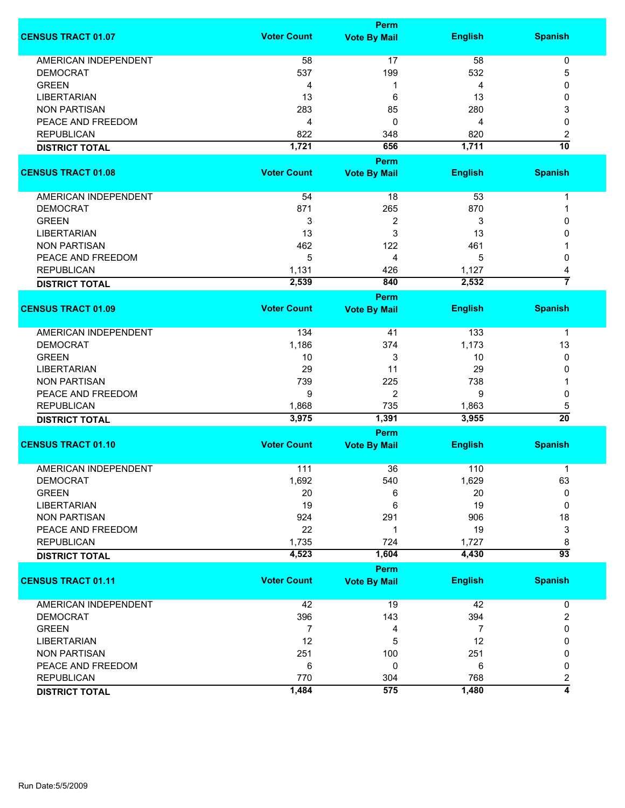|                             |                    | <b>Perm</b>         |                |                                     |
|-----------------------------|--------------------|---------------------|----------------|-------------------------------------|
| <b>CENSUS TRACT 01.07</b>   | <b>Voter Count</b> | <b>Vote By Mail</b> | <b>English</b> | <b>Spanish</b>                      |
| <b>AMERICAN INDEPENDENT</b> | 58                 | 17                  | 58             | $\pmb{0}$                           |
| <b>DEMOCRAT</b>             | 537                | 199                 | 532            | 5                                   |
| <b>GREEN</b>                | 4                  | 1                   | 4              | 0                                   |
| <b>LIBERTARIAN</b>          | 13                 | 6                   | 13             | 0                                   |
| <b>NON PARTISAN</b>         | 283                | 85                  | 280            | 3                                   |
| PEACE AND FREEDOM           |                    | 0                   | 4              | 0                                   |
| <b>REPUBLICAN</b>           | 4                  |                     |                |                                     |
|                             | 822                | 348                 | 820            | $\boldsymbol{2}$<br>$\overline{10}$ |
| <b>DISTRICT TOTAL</b>       | 1,721              | 656                 | 1,711          |                                     |
|                             |                    | <b>Perm</b>         |                |                                     |
| <b>CENSUS TRACT 01.08</b>   | <b>Voter Count</b> | <b>Vote By Mail</b> | <b>English</b> | <b>Spanish</b>                      |
| AMERICAN INDEPENDENT        | 54                 | 18                  | 53             | $\mathbf 1$                         |
| <b>DEMOCRAT</b>             | 871                | 265                 | 870            | 1                                   |
| <b>GREEN</b>                | 3                  | 2                   | 3              | 0                                   |
| <b>LIBERTARIAN</b>          | 13                 | 3                   | 13             | 0                                   |
| <b>NON PARTISAN</b>         | 462                | 122                 | 461            |                                     |
| PEACE AND FREEDOM           | 5                  | 4                   | 5              | 0                                   |
| <b>REPUBLICAN</b>           |                    |                     | 1,127          |                                     |
|                             | 1,131              | 426<br>840          |                | 4<br>7                              |
| <b>DISTRICT TOTAL</b>       | 2,539              |                     | 2,532          |                                     |
| <b>CENSUS TRACT 01.09</b>   | <b>Voter Count</b> | <b>Perm</b>         | <b>English</b> | <b>Spanish</b>                      |
|                             |                    | <b>Vote By Mail</b> |                |                                     |
| <b>AMERICAN INDEPENDENT</b> | 134                | 41                  | 133            | 1                                   |
| <b>DEMOCRAT</b>             | 1,186              | 374                 | 1,173          | 13                                  |
| <b>GREEN</b>                | 10                 | 3                   | 10             | 0                                   |
| <b>LIBERTARIAN</b>          | 29                 | 11                  | 29             | 0                                   |
| <b>NON PARTISAN</b>         | 739                | 225                 | 738            |                                     |
| PEACE AND FREEDOM           | 9                  | $\overline{2}$      | 9              | 0                                   |
| <b>REPUBLICAN</b>           | 1,868              | 735                 | 1,863          | 5                                   |
| <b>DISTRICT TOTAL</b>       | 3,975              | 1,391               | 3,955          | $\overline{20}$                     |
|                             |                    | <b>Perm</b>         |                |                                     |
| <b>CENSUS TRACT 01.10</b>   | <b>Voter Count</b> | <b>Vote By Mail</b> | <b>English</b> | <b>Spanish</b>                      |
|                             |                    |                     |                |                                     |
| <b>AMERICAN INDEPENDENT</b> | 111                | 36                  | 110            | 1                                   |
| <b>DEMOCRAT</b>             | 1,692              | 540                 | 1,629          | 63                                  |
| <b>GREEN</b>                | 20                 | 6                   | 20             | 0                                   |
| <b>LIBERTARIAN</b>          | 19                 | 6                   | 19             | 0                                   |
| <b>NON PARTISAN</b>         | 924                | 291                 | 906            | 18                                  |
| PEACE AND FREEDOM           | 22                 | 1                   | 19             | 3                                   |
| <b>REPUBLICAN</b>           | 1,735              | 724                 | 1,727          | 8                                   |
| <b>DISTRICT TOTAL</b>       | 4,523              | 1,604               | 4,430          | $\overline{93}$                     |
|                             |                    | <b>Perm</b>         |                |                                     |
| <b>CENSUS TRACT 01.11</b>   | <b>Voter Count</b> | <b>Vote By Mail</b> | <b>English</b> | <b>Spanish</b>                      |
| <b>AMERICAN INDEPENDENT</b> | 42                 | 19                  | 42             | 0                                   |
| <b>DEMOCRAT</b>             | 396                | 143                 | 394            | 2                                   |
| <b>GREEN</b>                | 7                  | 4                   | 7              | 0                                   |
| <b>LIBERTARIAN</b>          | 12                 | 5                   | 12             | 0                                   |
| <b>NON PARTISAN</b>         | 251                | 100                 | 251            | 0                                   |
| PEACE AND FREEDOM           | 6                  | 0                   | 6              | 0                                   |
| <b>REPUBLICAN</b>           | 770                | 304                 | 768            | 2                                   |
|                             | 1,484              | 575                 | 1,480          | $\overline{4}$                      |
| <b>DISTRICT TOTAL</b>       |                    |                     |                |                                     |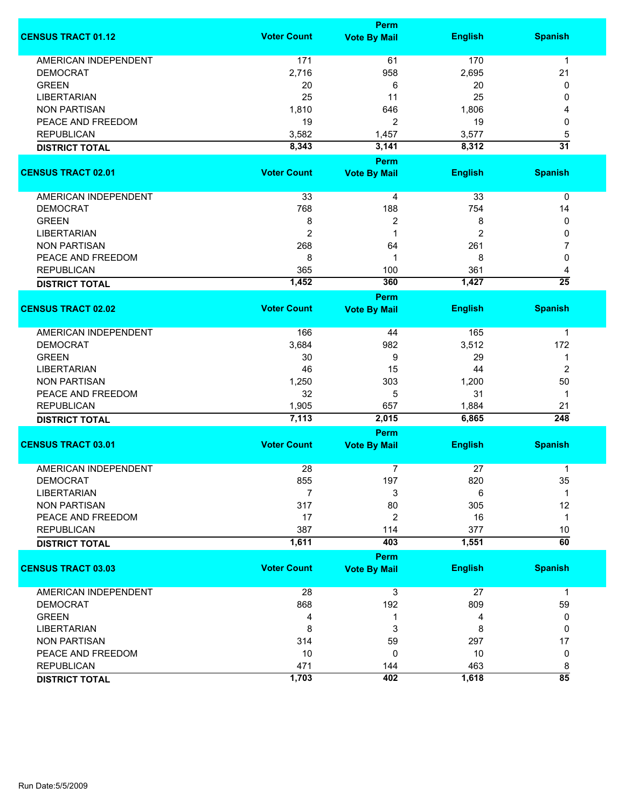|                             |                    | Perm                |                |                 |
|-----------------------------|--------------------|---------------------|----------------|-----------------|
| <b>CENSUS TRACT 01.12</b>   | <b>Voter Count</b> | <b>Vote By Mail</b> | <b>English</b> | <b>Spanish</b>  |
| <b>AMERICAN INDEPENDENT</b> | 171                | 61                  | 170            | $\mathbf 1$     |
| <b>DEMOCRAT</b>             | 2,716              | 958                 | 2,695          | 21              |
| <b>GREEN</b>                | 20                 | 6                   | 20             | 0               |
| <b>LIBERTARIAN</b>          | 25                 | 11                  | 25             | 0               |
| <b>NON PARTISAN</b>         | 1,810              | 646                 | 1,806          | 4               |
| PEACE AND FREEDOM           | 19                 | 2                   | 19             | 0               |
| <b>REPUBLICAN</b>           | 3,582              | 1,457               | 3,577          | 5               |
|                             | 8,343              |                     | 8,312          | $\overline{31}$ |
| <b>DISTRICT TOTAL</b>       |                    | 3,141               |                |                 |
|                             |                    | Perm                |                |                 |
| <b>CENSUS TRACT 02.01</b>   | <b>Voter Count</b> | <b>Vote By Mail</b> | <b>English</b> | <b>Spanish</b>  |
| AMERICAN INDEPENDENT        | 33                 | 4                   | 33             | $\pmb{0}$       |
| <b>DEMOCRAT</b>             | 768                | 188                 | 754            | 14              |
| <b>GREEN</b>                | 8                  | $\overline{2}$      | 8              | 0               |
| <b>LIBERTARIAN</b>          | $\overline{2}$     | 1                   | $\overline{2}$ | 0               |
| <b>NON PARTISAN</b>         | 268                | 64                  | 261            | 7               |
| PEACE AND FREEDOM           | 8                  | 1                   | 8              | 0               |
| <b>REPUBLICAN</b>           | 365                | 100                 | 361            | 4               |
| <b>DISTRICT TOTAL</b>       | 1,452              | 360                 | 1,427          | $\overline{25}$ |
|                             |                    | <b>Perm</b>         |                |                 |
| <b>CENSUS TRACT 02.02</b>   | <b>Voter Count</b> | <b>Vote By Mail</b> | <b>English</b> | <b>Spanish</b>  |
| <b>AMERICAN INDEPENDENT</b> | 166                | 44                  | 165            | 1               |
| <b>DEMOCRAT</b>             | 3,684              | 982                 | 3,512          | 172             |
| <b>GREEN</b>                | 30                 | 9                   | 29             | 1               |
| <b>LIBERTARIAN</b>          | 46                 | 15                  | 44             | $\overline{2}$  |
| <b>NON PARTISAN</b>         | 1,250              | 303                 | 1,200          | 50              |
| PEACE AND FREEDOM           | 32                 |                     | 31             | $\mathbf 1$     |
|                             |                    | 5                   |                |                 |
| <b>REPUBLICAN</b>           | 1,905              | 657                 | 1,884          | 21<br>248       |
| <b>DISTRICT TOTAL</b>       | 7,113              | 2,015<br>Perm       | 6,865          |                 |
| <b>CENSUS TRACT 03.01</b>   | <b>Voter Count</b> | <b>Vote By Mail</b> | <b>English</b> | <b>Spanish</b>  |
| <b>AMERICAN INDEPENDENT</b> |                    |                     |                |                 |
|                             | 28                 | 7                   | 27             | 1               |
| <b>DEMOCRAT</b>             | 855                | 197                 | 820            | 35              |
| <b>LIBERTARIAN</b>          | $\overline{7}$     | 3                   | 6              | 1               |
| <b>NON PARTISAN</b>         | 317                | 80                  | 305            | 12              |
| PEACE AND FREEDOM           | 17                 | 2                   | 16             | $\mathbf 1$     |
| <b>REPUBLICAN</b>           | 387                | 114                 | 377            | 10              |
| <b>DISTRICT TOTAL</b>       | 1,611              | 403                 | 1,551          | $\overline{60}$ |
|                             | <b>Voter Count</b> | Perm                |                |                 |
| <b>CENSUS TRACT 03.03</b>   |                    | <b>Vote By Mail</b> | <b>English</b> | <b>Spanish</b>  |
| AMERICAN INDEPENDENT        | 28                 | 3                   | 27             | $\mathbf{1}$    |
| <b>DEMOCRAT</b>             | 868                | 192                 | 809            | 59              |
| <b>GREEN</b>                | 4                  | 1                   | 4              | 0               |
| <b>LIBERTARIAN</b>          | 8                  | 3                   | 8              | 0               |
| <b>NON PARTISAN</b>         | 314                | 59                  | 297            | 17              |
| PEACE AND FREEDOM           | 10                 | 0                   | 10             | 0               |
| <b>REPUBLICAN</b>           | 471                | 144                 | 463            | 8               |
| <b>DISTRICT TOTAL</b>       | 1,703              | 402                 | 1,618          | $\overline{85}$ |
|                             |                    |                     |                |                 |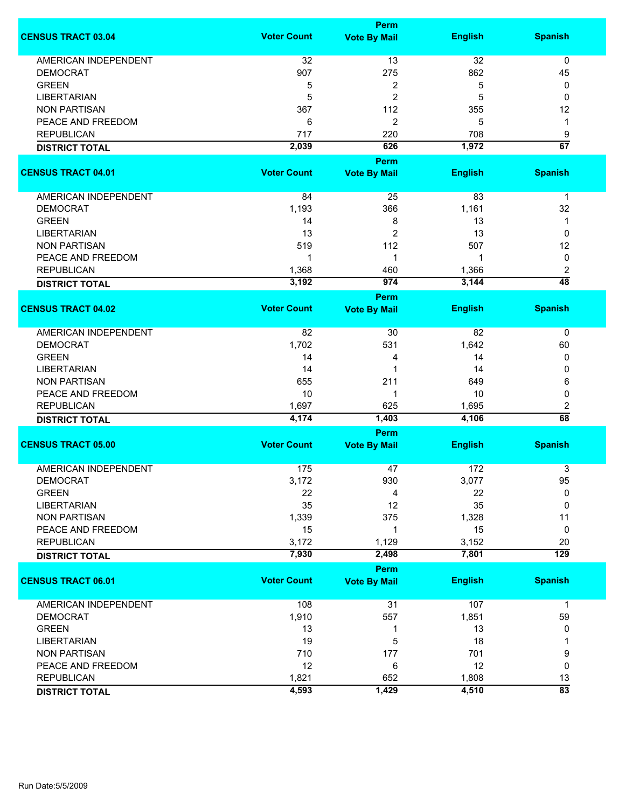|                             |                    | <b>Perm</b>                        |                |                  |
|-----------------------------|--------------------|------------------------------------|----------------|------------------|
| <b>CENSUS TRACT 03.04</b>   | <b>Voter Count</b> | <b>Vote By Mail</b>                | <b>English</b> | <b>Spanish</b>   |
| <b>AMERICAN INDEPENDENT</b> | 32                 | 13                                 | 32             | 0                |
| <b>DEMOCRAT</b>             | 907                | 275                                | 862            | 45               |
| <b>GREEN</b>                | 5                  | 2                                  | 5              | 0                |
| <b>LIBERTARIAN</b>          | 5                  | $\overline{c}$                     | 5              | 0                |
| <b>NON PARTISAN</b>         |                    | 112                                |                |                  |
|                             | 367                |                                    | 355            | 12               |
| PEACE AND FREEDOM           | 6                  | 2                                  | 5              | 1                |
| <b>REPUBLICAN</b>           | 717                | 220                                | 708            | 9                |
| <b>DISTRICT TOTAL</b>       | 2,039              | 626                                | 1,972          | $\overline{67}$  |
| <b>CENSUS TRACT 04.01</b>   | <b>Voter Count</b> | <b>Perm</b><br><b>Vote By Mail</b> | <b>English</b> | <b>Spanish</b>   |
|                             |                    |                                    |                |                  |
| AMERICAN INDEPENDENT        | 84                 | 25                                 | 83             | $\mathbf 1$      |
| <b>DEMOCRAT</b>             | 1,193              | 366                                | 1,161          | 32               |
| <b>GREEN</b>                | 14                 | 8                                  | 13             | 1                |
| <b>LIBERTARIAN</b>          | 13                 | 2                                  | 13             | 0                |
| <b>NON PARTISAN</b>         | 519                | 112                                | 507            | 12               |
| PEACE AND FREEDOM           | 1                  | 1                                  | 1              | 0                |
| <b>REPUBLICAN</b>           | 1,368              | 460                                | 1,366          | $\boldsymbol{2}$ |
|                             | 3,192              | 974                                | 3,144          | $\overline{48}$  |
| <b>DISTRICT TOTAL</b>       |                    | Perm                               |                |                  |
| <b>CENSUS TRACT 04.02</b>   | <b>Voter Count</b> | <b>Vote By Mail</b>                | <b>English</b> | <b>Spanish</b>   |
|                             |                    |                                    |                |                  |
| <b>AMERICAN INDEPENDENT</b> | 82                 | 30                                 | 82             | 0                |
| <b>DEMOCRAT</b>             | 1,702              | 531                                | 1,642          | 60               |
| <b>GREEN</b>                | 14                 | 4                                  | 14             | 0                |
| <b>LIBERTARIAN</b>          | 14                 | 1                                  | 14             | 0                |
| <b>NON PARTISAN</b>         | 655                | 211                                | 649            | 6                |
| PEACE AND FREEDOM           | 10                 | 1                                  | 10             | 0                |
| <b>REPUBLICAN</b>           | 1,697              | 625                                | 1,695          | 2                |
| <b>DISTRICT TOTAL</b>       | 4,174              | 1,403                              | 4,106          | 68               |
|                             |                    | Perm                               |                |                  |
| <b>CENSUS TRACT 05.00</b>   | <b>Voter Count</b> | <b>Vote By Mail</b>                | <b>English</b> | <b>Spanish</b>   |
|                             |                    |                                    |                |                  |
| <b>AMERICAN INDEPENDENT</b> | 175                | 47                                 | 172            | 3                |
| <b>DEMOCRAT</b>             | 3,172              | 930                                | 3,077          | 95               |
| <b>GREEN</b>                | 22                 | 4                                  | 22             | 0                |
| <b>LIBERTARIAN</b>          | 35                 | 12                                 | 35             | 0                |
| <b>NON PARTISAN</b>         | 1,339              | 375                                | 1,328          | 11               |
| PEACE AND FREEDOM           | 15                 | 1                                  | 15             | 0                |
| <b>REPUBLICAN</b>           | 3,172              | 1,129                              | 3,152          | 20               |
| <b>DISTRICT TOTAL</b>       | 7,930              | 2,498                              | 7,801          | $\overline{129}$ |
|                             |                    | <b>Perm</b>                        |                |                  |
| <b>CENSUS TRACT 06.01</b>   | <b>Voter Count</b> | <b>Vote By Mail</b>                | <b>English</b> | <b>Spanish</b>   |
| <b>AMERICAN INDEPENDENT</b> | 108                | 31                                 | 107            | $\mathbf{1}$     |
| <b>DEMOCRAT</b>             | 1,910              | 557                                | 1,851          | 59               |
| <b>GREEN</b>                | 13                 | 1                                  | 13             | 0                |
| <b>LIBERTARIAN</b>          | 19                 | 5                                  | 18             | 1                |
| <b>NON PARTISAN</b>         | 710                | 177                                | 701            | 9                |
| PEACE AND FREEDOM           | 12                 | 6                                  | 12             | 0                |
| <b>REPUBLICAN</b>           | 1,821              | 652                                | 1,808          | 13               |
|                             | 4,593              |                                    |                | $\overline{83}$  |
| <b>DISTRICT TOTAL</b>       |                    | 1,429                              | 4,510          |                  |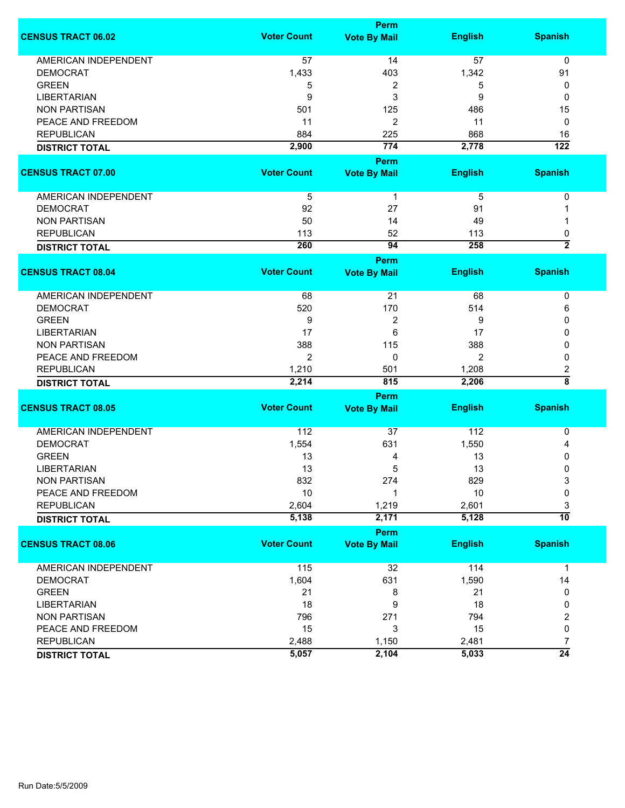|                             |                    | Perm                |                |                         |
|-----------------------------|--------------------|---------------------|----------------|-------------------------|
| <b>CENSUS TRACT 06.02</b>   | <b>Voter Count</b> | <b>Vote By Mail</b> | <b>English</b> | <b>Spanish</b>          |
| <b>AMERICAN INDEPENDENT</b> | 57                 | 14                  | 57             | 0                       |
| <b>DEMOCRAT</b>             | 1,433              | 403                 | 1,342          | 91                      |
| <b>GREEN</b>                | 5                  | 2                   | 5              | 0                       |
| <b>LIBERTARIAN</b>          | 9                  | 3                   | 9              | 0                       |
| <b>NON PARTISAN</b>         | 501                | 125                 | 486            | 15                      |
| PEACE AND FREEDOM           | 11                 | 2                   | 11             | 0                       |
| <b>REPUBLICAN</b>           | 884                | 225                 | 868            | 16                      |
|                             | 2,900              | 774                 | 2,778          | $\overline{122}$        |
| <b>DISTRICT TOTAL</b>       |                    |                     |                |                         |
|                             |                    | Perm                |                |                         |
| <b>CENSUS TRACT 07.00</b>   | <b>Voter Count</b> | <b>Vote By Mail</b> | <b>English</b> | <b>Spanish</b>          |
| AMERICAN INDEPENDENT        | 5                  | $\mathbf{1}$        | 5              | 0                       |
| <b>DEMOCRAT</b>             | 92                 | 27                  | 91             |                         |
| <b>NON PARTISAN</b>         | 50                 | 14                  | 49             |                         |
| <b>REPUBLICAN</b>           | 113                | 52                  | 113            | 0                       |
| <b>DISTRICT TOTAL</b>       | 260                | 94                  | 258            | $\overline{2}$          |
|                             |                    | Perm                |                |                         |
| <b>CENSUS TRACT 08.04</b>   | <b>Voter Count</b> | <b>Vote By Mail</b> | <b>English</b> | <b>Spanish</b>          |
|                             |                    |                     |                |                         |
| AMERICAN INDEPENDENT        | 68                 | 21                  | 68             | 0                       |
| <b>DEMOCRAT</b>             | 520                | 170                 | 514            | 6                       |
| <b>GREEN</b>                | 9                  | 2                   | 9              | 0                       |
| <b>LIBERTARIAN</b>          | 17                 | 6                   | 17             | 0                       |
| <b>NON PARTISAN</b>         | 388                | 115                 | 388            | 0                       |
| PEACE AND FREEDOM           | $\overline{2}$     | 0                   | 2              | 0                       |
| <b>REPUBLICAN</b>           | 1,210              | 501                 | 1,208          | $\overline{\mathbf{c}}$ |
| <b>DISTRICT TOTAL</b>       | 2,214              | 815                 | 2,206          | $\overline{\bf 8}$      |
|                             |                    | <b>Perm</b>         |                |                         |
| <b>CENSUS TRACT 08.05</b>   | <b>Voter Count</b> | <b>Vote By Mail</b> | <b>English</b> | <b>Spanish</b>          |
| <b>AMERICAN INDEPENDENT</b> | 112                | 37                  | 112            | 0                       |
| <b>DEMOCRAT</b>             | 1,554              | 631                 | 1,550          | 4                       |
| <b>GREEN</b>                | 13                 | 4                   | 13             | 0                       |
| <b>LIBERTARIAN</b>          | 13                 | 5                   | 13             | 0                       |
| NON PARTISAN                | 832                | 274                 | 829            | 3                       |
| PEACE AND FREEDOM           | 10                 |                     | 10             | 0                       |
|                             | 2,604              | 1,219               | 2,601          |                         |
| <b>REPUBLICAN</b>           | 5,138              | 2,171               | 5,128          | 3<br>$\overline{10}$    |
| <b>DISTRICT TOTAL</b>       |                    |                     |                |                         |
|                             |                    | <b>Perm</b>         |                |                         |
| <b>CENSUS TRACT 08.06</b>   | <b>Voter Count</b> | <b>Vote By Mail</b> | <b>English</b> | <b>Spanish</b>          |
| <b>AMERICAN INDEPENDENT</b> | 115                | 32                  | 114            | $\mathbf{1}$            |
| <b>DEMOCRAT</b>             | 1,604              | 631                 | 1,590          | 14                      |
| <b>GREEN</b>                | 21                 | 8                   | 21             | 0                       |
| <b>LIBERTARIAN</b>          | 18                 | 9                   | 18             | 0                       |
| <b>NON PARTISAN</b>         | 796                | 271                 | 794            | 2                       |
| PEACE AND FREEDOM           | 15                 | 3                   | 15             | 0                       |
| <b>REPUBLICAN</b>           | 2,488              | 1,150               | 2,481          | 7                       |
| <b>DISTRICT TOTAL</b>       | 5,057              | 2,104               | 5,033          | $\overline{24}$         |
|                             |                    |                     |                |                         |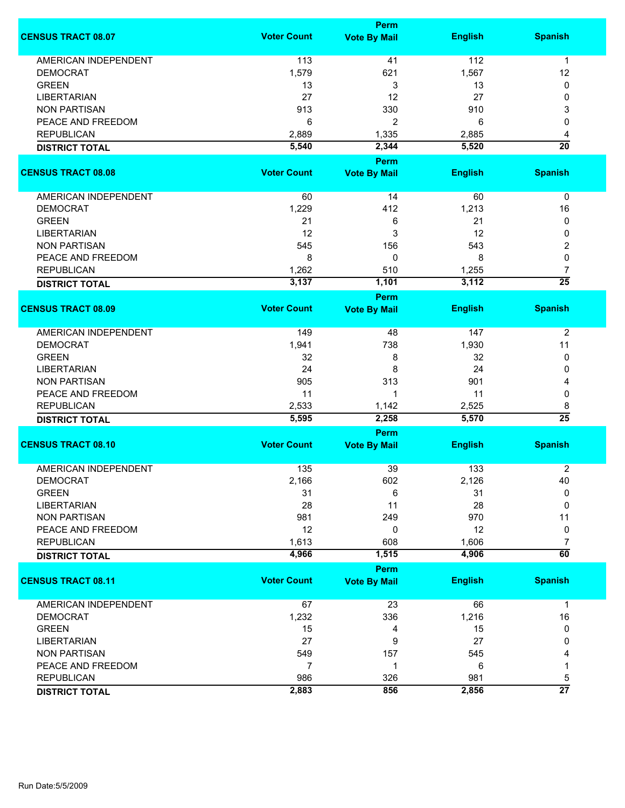|                                         |                    | Perm                        |                |                      |  |  |
|-----------------------------------------|--------------------|-----------------------------|----------------|----------------------|--|--|
| <b>CENSUS TRACT 08.07</b>               | <b>Voter Count</b> | <b>Vote By Mail</b>         | <b>English</b> | <b>Spanish</b>       |  |  |
| <b>AMERICAN INDEPENDENT</b>             | 113                | 41                          | 112            | $\mathbf 1$          |  |  |
| <b>DEMOCRAT</b>                         | 1,579              | 621                         | 1,567          | 12                   |  |  |
| <b>GREEN</b>                            | 13                 | 3                           | 13             | 0                    |  |  |
| <b>LIBERTARIAN</b>                      | 27                 | 12                          | 27             | 0                    |  |  |
| <b>NON PARTISAN</b>                     | 913                | 330                         | 910            | 3                    |  |  |
| PEACE AND FREEDOM                       |                    |                             | 6              | 0                    |  |  |
|                                         | 6                  | 2                           |                |                      |  |  |
| <b>REPUBLICAN</b>                       | 2,889              | 1,335                       | 2,885          | 4                    |  |  |
| <b>DISTRICT TOTAL</b>                   | 5,540              | 2,344                       | 5,520          | $\overline{20}$      |  |  |
| <b>CENSUS TRACT 08.08</b>               | <b>Voter Count</b> | Perm<br><b>Vote By Mail</b> | <b>English</b> | <b>Spanish</b>       |  |  |
| <b>AMERICAN INDEPENDENT</b>             | 60                 | 14                          | 60             | 0                    |  |  |
| <b>DEMOCRAT</b>                         | 1,229              | 412                         | 1,213          | 16                   |  |  |
| <b>GREEN</b>                            |                    |                             | 21             |                      |  |  |
|                                         | 21                 | 6                           |                | 0                    |  |  |
| <b>LIBERTARIAN</b>                      | 12                 | 3                           | 12             | 0                    |  |  |
| <b>NON PARTISAN</b>                     | 545                | 156                         | 543            | 2                    |  |  |
| PEACE AND FREEDOM                       | 8                  | 0                           | 8              | 0                    |  |  |
| <b>REPUBLICAN</b>                       | 1,262              | 510                         | 1,255          | 7                    |  |  |
| <b>DISTRICT TOTAL</b>                   | 3,137              | 1,101                       | 3,112          | $\overline{25}$      |  |  |
|                                         |                    | <b>Perm</b>                 |                |                      |  |  |
| <b>CENSUS TRACT 08.09</b>               | <b>Voter Count</b> | <b>Vote By Mail</b>         | <b>English</b> | <b>Spanish</b>       |  |  |
| <b>AMERICAN INDEPENDENT</b>             | 149                | 48                          | 147            | $\overline{2}$       |  |  |
| <b>DEMOCRAT</b>                         | 1,941              | 738                         | 1,930          | 11                   |  |  |
| <b>GREEN</b>                            | 32                 | 8                           | 32             | 0                    |  |  |
| <b>LIBERTARIAN</b>                      | 24                 | 8                           | 24             | 0                    |  |  |
| <b>NON PARTISAN</b>                     | 905                | 313                         | 901            | 4                    |  |  |
| PEACE AND FREEDOM                       | 11                 | 1                           | 11             | 0                    |  |  |
|                                         |                    |                             |                |                      |  |  |
| <b>REPUBLICAN</b>                       | 2,533<br>5,595     | 1,142<br>2,258              | 2,525<br>5,570 | 8<br>$\overline{25}$ |  |  |
| <b>DISTRICT TOTAL</b>                   |                    | Perm                        |                |                      |  |  |
| <b>CENSUS TRACT 08.10</b>               | <b>Voter Count</b> | <b>Vote By Mail</b>         | <b>English</b> | <b>Spanish</b>       |  |  |
|                                         |                    |                             |                |                      |  |  |
| <b>AMERICAN INDEPENDENT</b><br>DEMOCRAT | 135                | 39                          | 133            | $\boldsymbol{2}$     |  |  |
| <b>GREEN</b>                            | 2,166              | 602                         | 2,126          | 40<br>0              |  |  |
|                                         | 31                 | 6                           | 31             |                      |  |  |
| <b>LIBERTARIAN</b>                      | 28                 | 11                          | 28             | 0                    |  |  |
| <b>NON PARTISAN</b>                     | 981                | 249                         | 970            | 11                   |  |  |
| PEACE AND FREEDOM                       | 12                 | 0                           | 12             | 0                    |  |  |
| <b>REPUBLICAN</b>                       | 1,613              | 608                         | 1,606          | $\overline{7}$       |  |  |
| <b>DISTRICT TOTAL</b>                   | 4,966              | 1,515                       | 4,906          | $\overline{60}$      |  |  |
|                                         |                    | Perm                        |                |                      |  |  |
| <b>CENSUS TRACT 08.11</b>               | <b>Voter Count</b> | <b>Vote By Mail</b>         | <b>English</b> | <b>Spanish</b>       |  |  |
| <b>AMERICAN INDEPENDENT</b>             | 67                 | 23                          | 66             | $\mathbf{1}$         |  |  |
| <b>DEMOCRAT</b>                         | 1,232              | 336                         | 1,216          | 16                   |  |  |
| <b>GREEN</b>                            | 15                 | 4                           | 15             | 0                    |  |  |
| <b>LIBERTARIAN</b>                      | 27                 | 9                           | 27             | 0                    |  |  |
| <b>NON PARTISAN</b>                     | 549                | 157                         | 545            | 4                    |  |  |
| PEACE AND FREEDOM                       | $\overline{7}$     | 1                           | 6              | 1                    |  |  |
| <b>REPUBLICAN</b>                       | 986                | 326                         | 981            | 5                    |  |  |
| <b>DISTRICT TOTAL</b>                   | 2,883              | 856                         | 2,856          | $\overline{27}$      |  |  |
|                                         |                    |                             |                |                      |  |  |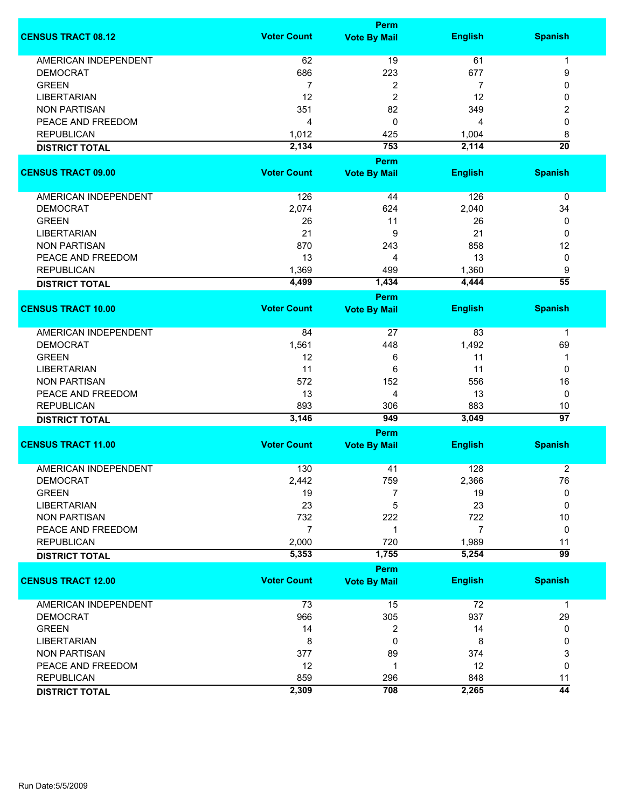|                             |                    | <b>Perm</b>         |                |                      |
|-----------------------------|--------------------|---------------------|----------------|----------------------|
| <b>CENSUS TRACT 08.12</b>   | <b>Voter Count</b> | <b>Vote By Mail</b> | <b>English</b> | <b>Spanish</b>       |
| <b>AMERICAN INDEPENDENT</b> | 62                 | 19                  | 61             | 1                    |
| <b>DEMOCRAT</b>             | 686                | 223                 | 677            | 9                    |
| <b>GREEN</b>                | $\overline{7}$     | 2                   | 7              | 0                    |
| <b>LIBERTARIAN</b>          | 12                 | 2                   | 12             | 0                    |
| <b>NON PARTISAN</b>         | 351                | 82                  | 349            | 2                    |
| PEACE AND FREEDOM           | 4                  | 0                   |                | 0                    |
| <b>REPUBLICAN</b>           |                    |                     | 4              |                      |
|                             | 1,012              | 425                 | 1,004          | 8<br>$\overline{20}$ |
| <b>DISTRICT TOTAL</b>       | 2,134              | 753                 | 2,114          |                      |
|                             |                    | <b>Perm</b>         |                |                      |
| <b>CENSUS TRACT 09.00</b>   | <b>Voter Count</b> | <b>Vote By Mail</b> | <b>English</b> | <b>Spanish</b>       |
| AMERICAN INDEPENDENT        | 126                | 44                  | 126            | $\pmb{0}$            |
| <b>DEMOCRAT</b>             | 2,074              | 624                 | 2,040          | 34                   |
| <b>GREEN</b>                | 26                 | 11                  | 26             | 0                    |
| <b>LIBERTARIAN</b>          | 21                 | 9                   | 21             | 0                    |
| <b>NON PARTISAN</b>         | 870                | 243                 | 858            | 12                   |
| PEACE AND FREEDOM           |                    | 4                   |                |                      |
|                             | 13                 |                     | 13             | 0                    |
| <b>REPUBLICAN</b>           | 1,369              | 499                 | 1,360          | 9<br>$\overline{55}$ |
| <b>DISTRICT TOTAL</b>       | 4,499              | 1,434               | 4,444          |                      |
| <b>CENSUS TRACT 10.00</b>   | <b>Voter Count</b> | Perm                |                |                      |
|                             |                    | <b>Vote By Mail</b> | <b>English</b> | <b>Spanish</b>       |
| <b>AMERICAN INDEPENDENT</b> | 84                 | 27                  | 83             | 1                    |
| <b>DEMOCRAT</b>             | 1,561              | 448                 | 1,492          | 69                   |
| <b>GREEN</b>                | 12                 | 6                   | 11             | 1                    |
| <b>LIBERTARIAN</b>          | 11                 | 6                   | 11             | 0                    |
| <b>NON PARTISAN</b>         | 572                | 152                 | 556            | 16                   |
| PEACE AND FREEDOM           | 13                 | 4                   | 13             | 0                    |
| <b>REPUBLICAN</b>           | 893                | 306                 | 883            | 10                   |
| <b>DISTRICT TOTAL</b>       | 3,146              | 949                 | 3,049          | $\overline{97}$      |
|                             |                    | <b>Perm</b>         |                |                      |
| <b>CENSUS TRACT 11.00</b>   | <b>Voter Count</b> | <b>Vote By Mail</b> | <b>English</b> | <b>Spanish</b>       |
|                             |                    |                     |                |                      |
| <b>AMERICAN INDEPENDENT</b> | 130                | 41                  | 128            | $\overline{2}$       |
| <b>DEMOCRAT</b>             | 2,442              | 759                 | 2,366          | 76                   |
| <b>GREEN</b>                | 19                 | 7                   | 19             | 0                    |
| <b>LIBERTARIAN</b>          | 23                 | 5                   | 23             | 0                    |
| <b>NON PARTISAN</b>         | 732                | 222                 | 722            | 10                   |
| PEACE AND FREEDOM           | 7                  | 1                   | 7              | 0                    |
| <b>REPUBLICAN</b>           | 2,000              | 720                 | 1,989          | 11                   |
| <b>DISTRICT TOTAL</b>       | 5,353              | 1,755               | 5,254          | 99                   |
|                             |                    | <b>Perm</b>         |                |                      |
| <b>CENSUS TRACT 12.00</b>   | <b>Voter Count</b> | <b>Vote By Mail</b> | <b>English</b> | <b>Spanish</b>       |
| <b>AMERICAN INDEPENDENT</b> | 73                 | 15                  | 72             | $\mathbf 1$          |
| <b>DEMOCRAT</b>             | 966                | 305                 | 937            | 29                   |
| <b>GREEN</b>                | 14                 | 2                   | 14             | 0                    |
| <b>LIBERTARIAN</b>          | 8                  | 0                   | 8              | 0                    |
| <b>NON PARTISAN</b>         | 377                | 89                  | 374            | 3                    |
| PEACE AND FREEDOM           | 12                 | 1                   | 12             | 0                    |
| <b>REPUBLICAN</b>           | 859                | 296                 | 848            | 11                   |
|                             | 2,309              | 708                 | 2,265          | $\overline{44}$      |
| <b>DISTRICT TOTAL</b>       |                    |                     |                |                      |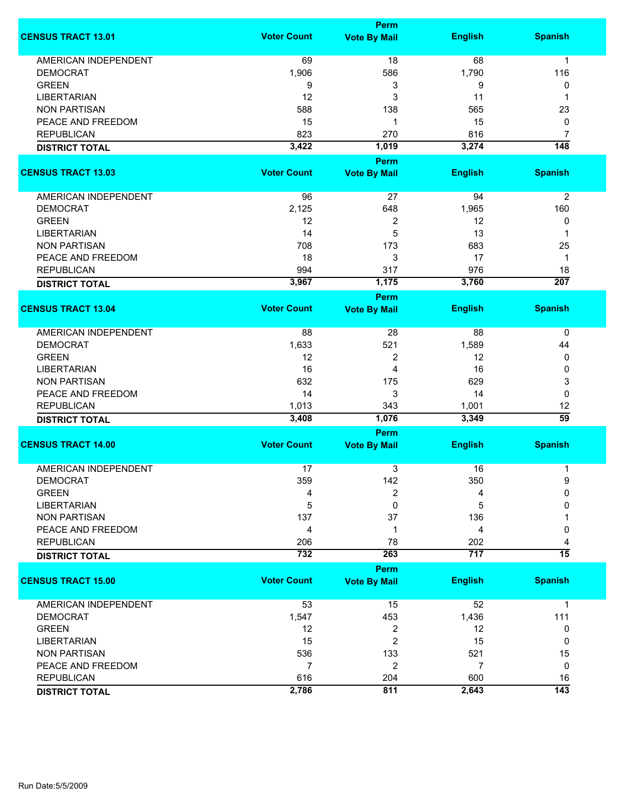|                             |                    | <b>Perm</b>          |                |                  |
|-----------------------------|--------------------|----------------------|----------------|------------------|
| <b>CENSUS TRACT 13.01</b>   | <b>Voter Count</b> | <b>Vote By Mail</b>  | <b>English</b> | <b>Spanish</b>   |
| <b>AMERICAN INDEPENDENT</b> | 69                 | 18                   | 68             | $\mathbf{1}$     |
| <b>DEMOCRAT</b>             | 1,906              | 586                  | 1,790          | 116              |
| <b>GREEN</b>                | 9                  | 3                    | 9              | 0                |
| <b>LIBERTARIAN</b>          | 12                 | 3                    | 11             | 1                |
| <b>NON PARTISAN</b>         | 588                | 138                  | 565            | 23               |
| PEACE AND FREEDOM           | 15                 | 1                    | 15             | 0                |
| <b>REPUBLICAN</b>           | 823                | 270                  | 816            | 7                |
|                             |                    |                      |                |                  |
| <b>DISTRICT TOTAL</b>       | 3,422              | 1,019<br><b>Perm</b> | 3,274          | $\overline{148}$ |
| <b>CENSUS TRACT 13.03</b>   | <b>Voter Count</b> | <b>Vote By Mail</b>  | <b>English</b> | <b>Spanish</b>   |
| AMERICAN INDEPENDENT        | 96                 | 27                   | 94             | $\overline{2}$   |
| <b>DEMOCRAT</b>             | 2,125              | 648                  | 1,965          | 160              |
| <b>GREEN</b>                | 12                 | 2                    | 12             | 0                |
| <b>LIBERTARIAN</b>          | 14                 | 5                    | 13             | 1                |
| <b>NON PARTISAN</b>         | 708                | 173                  | 683            | 25               |
| PEACE AND FREEDOM           | 18                 | 3                    | 17             | 1                |
| <b>REPUBLICAN</b>           | 994                | 317                  | 976            | 18               |
| <b>DISTRICT TOTAL</b>       | 3,967              | 1,175                | 3,760          | 207              |
|                             |                    | <b>Perm</b>          |                |                  |
| <b>CENSUS TRACT 13.04</b>   | <b>Voter Count</b> | <b>Vote By Mail</b>  | <b>English</b> | <b>Spanish</b>   |
| AMERICAN INDEPENDENT        | 88                 | 28                   | 88             | 0                |
| <b>DEMOCRAT</b>             | 1,633              | 521                  | 1,589          | 44               |
| <b>GREEN</b>                | 12                 | 2                    | 12             | 0                |
| <b>LIBERTARIAN</b>          | 16                 | 4                    | 16             | 0                |
| <b>NON PARTISAN</b>         | 632                | 175                  | 629            | 3                |
| PEACE AND FREEDOM           | 14                 | 3                    | 14             | $\mathbf 0$      |
| <b>REPUBLICAN</b>           | 1,013              | 343                  | 1,001          | 12               |
| <b>DISTRICT TOTAL</b>       | 3,408              | 1,076                | 3,349          | $\overline{59}$  |
|                             |                    | <b>Perm</b>          |                |                  |
| <b>CENSUS TRACT 14.00</b>   | <b>Voter Count</b> | <b>Vote By Mail</b>  | <b>English</b> | <b>Spanish</b>   |
| <b>AMERICAN INDEPENDENT</b> | 17                 | 3                    | 16             | 1                |
| DEMOCRAT                    | 359                | 142                  | 350            | 9                |
| <b>GREEN</b>                | 4                  | 2                    | 4              | 0                |
| <b>LIBERTARIAN</b>          | 5                  | 0                    | 5              | 0                |
| <b>NON PARTISAN</b>         | 137                | 37                   | 136            |                  |
| PEACE AND FREEDOM           | 4                  | 1                    | 4              | 0                |
| <b>REPUBLICAN</b>           | 206                | 78                   | 202            | 4                |
| <b>DISTRICT TOTAL</b>       | 732                | 263                  | 717            | $\overline{15}$  |
|                             |                    | <b>Perm</b>          |                |                  |
| <b>CENSUS TRACT 15.00</b>   | <b>Voter Count</b> | <b>Vote By Mail</b>  | <b>English</b> | <b>Spanish</b>   |
| <b>AMERICAN INDEPENDENT</b> | 53                 | 15                   | 52             | $\mathbf{1}$     |
| <b>DEMOCRAT</b>             | 1,547              | 453                  | 1,436          | 111              |
| <b>GREEN</b>                | 12                 | 2                    | 12             | 0                |
| <b>LIBERTARIAN</b>          | 15                 | $\overline{2}$       | 15             | 0                |
| <b>NON PARTISAN</b>         | 536                | 133                  | 521            | 15               |
| PEACE AND FREEDOM           | $\overline{7}$     | $\overline{2}$       | 7              | 0                |
| <b>REPUBLICAN</b>           | 616                | 204                  | 600            | 16               |
| <b>DISTRICT TOTAL</b>       | 2,786              | 811                  | 2,643          | $\overline{143}$ |
|                             |                    |                      |                |                  |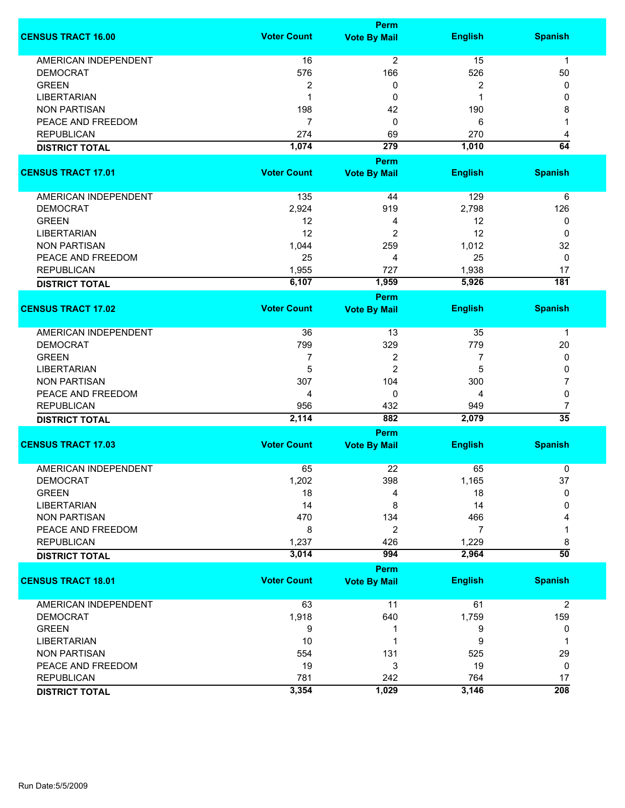|                             | <b>Perm</b>        |                     |                |                 |  |
|-----------------------------|--------------------|---------------------|----------------|-----------------|--|
| <b>CENSUS TRACT 16.00</b>   | <b>Voter Count</b> | <b>Vote By Mail</b> | <b>English</b> | <b>Spanish</b>  |  |
| <b>AMERICAN INDEPENDENT</b> | 16                 | 2                   | 15             | $\mathbf{1}$    |  |
| <b>DEMOCRAT</b>             | 576                | 166                 | 526            | 50              |  |
| <b>GREEN</b>                | $\overline{2}$     | 0                   | 2              | 0               |  |
| <b>LIBERTARIAN</b>          | 1                  | 0                   | 1              | 0               |  |
|                             |                    |                     |                |                 |  |
| <b>NON PARTISAN</b>         | 198                | 42                  | 190            | 8               |  |
| PEACE AND FREEDOM           | 7                  | 0                   | 6              |                 |  |
| <b>REPUBLICAN</b>           | 274                | 69                  | 270            | 4               |  |
| <b>DISTRICT TOTAL</b>       | 1,074              | 279                 | 1,010          | 64              |  |
| <b>CENSUS TRACT 17.01</b>   | <b>Voter Count</b> | <b>Perm</b>         |                | <b>Spanish</b>  |  |
|                             |                    | <b>Vote By Mail</b> | <b>English</b> |                 |  |
| AMERICAN INDEPENDENT        | 135                | 44                  | 129            | 6               |  |
| <b>DEMOCRAT</b>             | 2,924              | 919                 | 2,798          | 126             |  |
| <b>GREEN</b>                | 12                 | 4                   | 12             | 0               |  |
| <b>LIBERTARIAN</b>          | 12                 | 2                   | 12             | 0               |  |
| <b>NON PARTISAN</b>         | 1,044              | 259                 | 1,012          | 32              |  |
| PEACE AND FREEDOM           | 25                 | 4                   | 25             | $\mathbf 0$     |  |
| <b>REPUBLICAN</b>           | 1,955              | 727                 | 1,938          | 17              |  |
|                             | 6,107              | 1,959               | 5,926          | 181             |  |
| <b>DISTRICT TOTAL</b>       |                    | <b>Perm</b>         |                |                 |  |
| <b>CENSUS TRACT 17.02</b>   | <b>Voter Count</b> | <b>Vote By Mail</b> | <b>English</b> | <b>Spanish</b>  |  |
|                             |                    |                     |                |                 |  |
| <b>AMERICAN INDEPENDENT</b> | 36                 | 13                  | 35             | $\mathbf 1$     |  |
| <b>DEMOCRAT</b>             | 799                | 329                 | 779            | 20              |  |
| <b>GREEN</b>                | 7                  | 2                   | 7              | 0               |  |
| <b>LIBERTARIAN</b>          | 5                  | $\overline{c}$      | 5              | 0               |  |
| <b>NON PARTISAN</b>         | 307                | 104                 | 300            | 7               |  |
| PEACE AND FREEDOM           | 4                  | 0                   | 4              | 0               |  |
| <b>REPUBLICAN</b>           | 956                | 432                 | 949            | 7               |  |
|                             | 2,114              | 882                 | 2,079          | $\overline{35}$ |  |
| <b>DISTRICT TOTAL</b>       |                    | <b>Perm</b>         |                |                 |  |
| <b>CENSUS TRACT 17.03</b>   | <b>Voter Count</b> | <b>Vote By Mail</b> | <b>English</b> | <b>Spanish</b>  |  |
|                             |                    |                     |                |                 |  |
| <b>AMERICAN INDEPENDENT</b> | 65                 | 22                  | 65             | 0               |  |
| <b>DEMOCRAT</b>             | 1,202              | 398                 | 1,165          | 37              |  |
| <b>GREEN</b>                | 18                 | 4                   | 18             | $\mathbf{0}$    |  |
| <b>LIBERTARIAN</b>          | 14                 | 8                   | 14             | 0               |  |
| <b>NON PARTISAN</b>         | 470                | 134                 | 466            |                 |  |
| PEACE AND FREEDOM           | 8                  | 2                   | $\overline{7}$ |                 |  |
| <b>REPUBLICAN</b>           | 1,237              | 426                 | 1,229          | 8               |  |
| <b>DISTRICT TOTAL</b>       | 3,014              | 994                 | 2,964          | $\overline{50}$ |  |
|                             |                    | Perm                |                |                 |  |
| <b>CENSUS TRACT 18.01</b>   | <b>Voter Count</b> | <b>Vote By Mail</b> | <b>English</b> | <b>Spanish</b>  |  |
| <b>AMERICAN INDEPENDENT</b> | 63                 | 11                  | 61             | $\overline{2}$  |  |
| <b>DEMOCRAT</b>             | 1,918              | 640                 | 1,759          | 159             |  |
| <b>GREEN</b>                | 9                  | 1                   | 9              | 0               |  |
| <b>LIBERTARIAN</b>          | 10                 | 1                   | 9              | 1               |  |
| <b>NON PARTISAN</b>         | 554                | 131                 | 525            | 29              |  |
| PEACE AND FREEDOM           | 19                 | 3                   | 19             | 0               |  |
| <b>REPUBLICAN</b>           | 781                | 242                 | 764            | 17              |  |
|                             | 3,354              | 1,029               | 3,146          | 208             |  |
| <b>DISTRICT TOTAL</b>       |                    |                     |                |                 |  |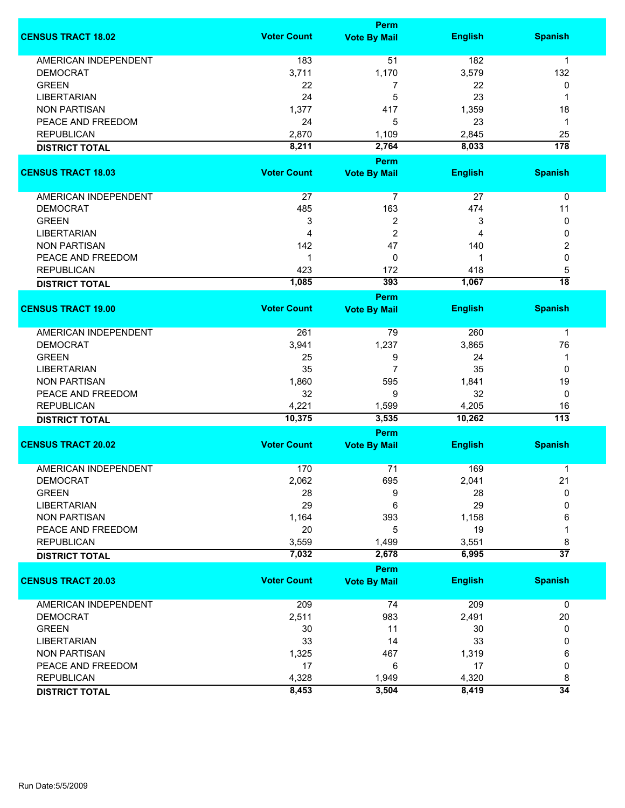|                             |                    | Perm                               |                |                  |
|-----------------------------|--------------------|------------------------------------|----------------|------------------|
| <b>CENSUS TRACT 18.02</b>   | <b>Voter Count</b> | <b>Vote By Mail</b>                | <b>English</b> | <b>Spanish</b>   |
| <b>AMERICAN INDEPENDENT</b> | 183                | 51                                 | 182            | 1                |
| <b>DEMOCRAT</b>             | 3,711              | 1,170                              | 3,579          | 132              |
| <b>GREEN</b>                | 22                 | 7                                  | 22             | 0                |
| <b>LIBERTARIAN</b>          | 24                 | 5                                  | 23             | 1                |
| <b>NON PARTISAN</b>         | 1,377              | 417                                | 1,359          | 18               |
| PEACE AND FREEDOM           | 24                 | 5                                  | 23             | $\mathbf{1}$     |
|                             |                    |                                    |                |                  |
| <b>REPUBLICAN</b>           | 2,870              | 1,109                              | 2,845          | 25               |
| <b>DISTRICT TOTAL</b>       | 8,211              | 2,764                              | 8,033          | $\overline{178}$ |
| <b>CENSUS TRACT 18.03</b>   | <b>Voter Count</b> | Perm<br><b>Vote By Mail</b>        | <b>English</b> | <b>Spanish</b>   |
|                             |                    |                                    |                |                  |
| AMERICAN INDEPENDENT        | 27                 | $\overline{7}$                     | 27             | $\pmb{0}$        |
| <b>DEMOCRAT</b>             | 485                | 163                                | 474            | 11               |
| <b>GREEN</b>                | 3                  | $\overline{2}$                     | 3              | 0                |
| <b>LIBERTARIAN</b>          | $\overline{4}$     | $\overline{2}$                     | 4              | 0                |
| <b>NON PARTISAN</b>         | 142                | 47                                 | 140            | $\boldsymbol{2}$ |
| PEACE AND FREEDOM           | 1                  | 0                                  | 1              | 0                |
| <b>REPUBLICAN</b>           | 423                | 172                                | 418            | 5                |
|                             | 1,085              | 393                                | 1,067          | $\overline{18}$  |
| <b>DISTRICT TOTAL</b>       |                    |                                    |                |                  |
| <b>CENSUS TRACT 19.00</b>   | <b>Voter Count</b> | <b>Perm</b><br><b>Vote By Mail</b> | <b>English</b> | <b>Spanish</b>   |
|                             |                    |                                    |                |                  |
| <b>AMERICAN INDEPENDENT</b> | 261                | 79                                 | 260            | 1                |
| <b>DEMOCRAT</b>             | 3,941              | 1,237                              | 3,865          | 76               |
| <b>GREEN</b>                | 25                 | 9                                  | 24             | 1                |
| <b>LIBERTARIAN</b>          | 35                 | 7                                  | 35             | 0                |
| <b>NON PARTISAN</b>         | 1,860              | 595                                | 1,841          | 19               |
| PEACE AND FREEDOM           | 32                 | 9                                  | 32             | 0                |
| <b>REPUBLICAN</b>           | 4,221              | 1,599                              | 4,205          | 16               |
| <b>DISTRICT TOTAL</b>       | 10,375             | 3,535                              | 10,262         | $\overline{113}$ |
|                             |                    | Perm                               |                |                  |
| <b>CENSUS TRACT 20.02</b>   | <b>Voter Count</b> | <b>Vote By Mail</b>                | <b>English</b> | <b>Spanish</b>   |
| <b>AMERICAN INDEPENDENT</b> | 170                | 71                                 | 169            | 1                |
| <b>DEMOCRAT</b>             | 2,062              | 695                                | 2,041          | 21               |
| <b>GREEN</b>                | 28                 | 9                                  | 28             | 0                |
| <b>LIBERTARIAN</b>          | 29                 | 6                                  | 29             | 0                |
| <b>NON PARTISAN</b>         | 1,164              | 393                                | 1,158          | 6                |
| PEACE AND FREEDOM           | 20                 | 5                                  | 19             | 1                |
|                             |                    |                                    |                |                  |
| <b>REPUBLICAN</b>           | 3,559              | 1,499                              | 3,551          | 8                |
| <b>DISTRICT TOTAL</b>       | 7,032              | 2,678                              | 6,995          | $\overline{37}$  |
|                             |                    | Perm                               |                |                  |
| <b>CENSUS TRACT 20.03</b>   | <b>Voter Count</b> | <b>Vote By Mail</b>                | <b>English</b> | <b>Spanish</b>   |
| AMERICAN INDEPENDENT        | 209                | 74                                 | 209            | 0                |
| <b>DEMOCRAT</b>             | 2,511              | 983                                | 2,491          | 20               |
| <b>GREEN</b>                | 30                 | 11                                 | 30             | 0                |
| <b>LIBERTARIAN</b>          | 33                 | 14                                 | 33             | 0                |
| <b>NON PARTISAN</b>         | 1,325              | 467                                | 1,319          | 6                |
| PEACE AND FREEDOM           | 17                 | 6                                  | 17             | 0                |
| <b>REPUBLICAN</b>           | 4,328              | 1,949                              | 4,320          | 8                |
|                             | 8,453              | 3,504                              | 8,419          | $\overline{34}$  |
| <b>DISTRICT TOTAL</b>       |                    |                                    |                |                  |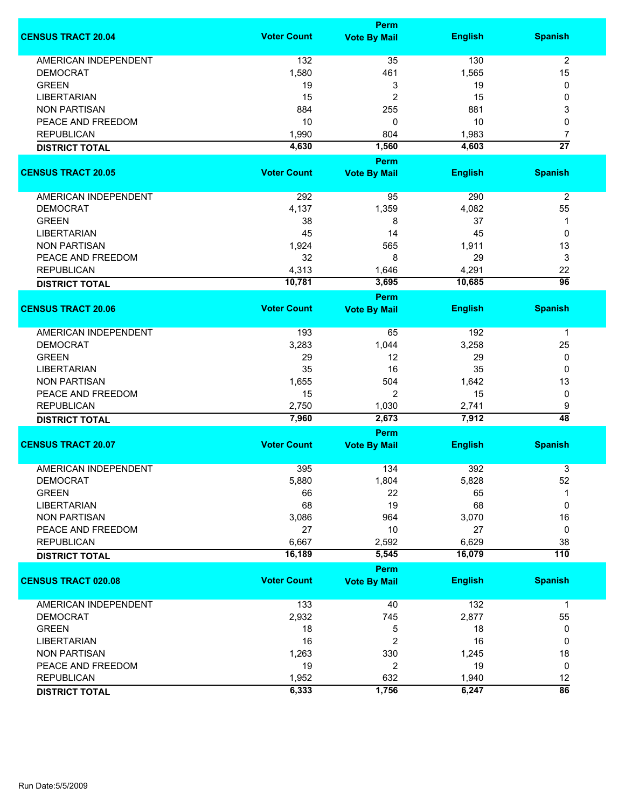|                             |                    | Perm                               |                |                      |
|-----------------------------|--------------------|------------------------------------|----------------|----------------------|
| <b>CENSUS TRACT 20.04</b>   | <b>Voter Count</b> | <b>Vote By Mail</b>                | <b>English</b> | <b>Spanish</b>       |
| <b>AMERICAN INDEPENDENT</b> | 132                | 35                                 | 130            | $\overline{2}$       |
| <b>DEMOCRAT</b>             | 1,580              | 461                                | 1,565          | 15                   |
| <b>GREEN</b>                | 19                 | 3                                  | 19             | 0                    |
| <b>LIBERTARIAN</b>          | 15                 | $\overline{c}$                     | 15             | 0                    |
| <b>NON PARTISAN</b>         | 884                | 255                                | 881            | 3                    |
| PEACE AND FREEDOM           | 10                 |                                    |                |                      |
|                             |                    | 0                                  | 10             | 0                    |
| <b>REPUBLICAN</b>           | 1,990              | 804                                | 1,983          | 7                    |
| <b>DISTRICT TOTAL</b>       | 4,630              | 1,560                              | 4,603          | $\overline{27}$      |
| <b>CENSUS TRACT 20.05</b>   | <b>Voter Count</b> | Perm<br><b>Vote By Mail</b>        | <b>English</b> | <b>Spanish</b>       |
|                             |                    |                                    |                |                      |
| AMERICAN INDEPENDENT        | 292                | 95                                 | 290            | $\overline{2}$       |
| <b>DEMOCRAT</b>             | 4,137              | 1,359                              | 4,082          | 55                   |
| <b>GREEN</b>                | 38                 | 8                                  | 37             | 1                    |
| <b>LIBERTARIAN</b>          | 45                 | 14                                 | 45             | 0                    |
| <b>NON PARTISAN</b>         | 1,924              | 565                                | 1,911          | 13                   |
| PEACE AND FREEDOM           | 32                 | 8                                  | 29             | 3                    |
| <b>REPUBLICAN</b>           | 4,313              |                                    | 4,291          | 22                   |
|                             |                    | 1,646                              |                | $\overline{96}$      |
| <b>DISTRICT TOTAL</b>       | 10,781             | 3,695                              | 10,685         |                      |
| <b>CENSUS TRACT 20.06</b>   | <b>Voter Count</b> | <b>Perm</b><br><b>Vote By Mail</b> | <b>English</b> | <b>Spanish</b>       |
|                             |                    |                                    |                |                      |
| <b>AMERICAN INDEPENDENT</b> | 193                | 65                                 | 192            | $\mathbf 1$          |
| <b>DEMOCRAT</b>             | 3,283              | 1,044                              | 3,258          | 25                   |
| <b>GREEN</b>                | 29                 | 12                                 | 29             | 0                    |
| <b>LIBERTARIAN</b>          | 35                 | 16                                 | 35             | 0                    |
| <b>NON PARTISAN</b>         | 1,655              | 504                                | 1,642          | 13                   |
|                             | 15                 | $\overline{2}$                     | 15             |                      |
| PEACE AND FREEDOM           |                    |                                    |                | 0                    |
| <b>REPUBLICAN</b>           | 2,750              | 1,030<br>2,673                     | 2,741<br>7,912 | 9<br>$\overline{48}$ |
| <b>DISTRICT TOTAL</b>       | 7,960              |                                    |                |                      |
| <b>CENSUS TRACT 20.07</b>   | <b>Voter Count</b> | Perm<br><b>Vote By Mail</b>        | <b>English</b> | <b>Spanish</b>       |
|                             |                    |                                    |                |                      |
| <b>AMERICAN INDEPENDENT</b> | 395                | 134                                | 392            | 3                    |
| <b>DEMOCRAT</b>             | 5,880              | 1,804                              | 5,828          | 52                   |
| <b>GREEN</b>                | 66                 | 22                                 | 65             | 1                    |
| <b>LIBERTARIAN</b>          | 68                 | 19                                 | 68             | 0                    |
| <b>NON PARTISAN</b>         | 3,086              | 964                                | 3,070          | 16                   |
| PEACE AND FREEDOM           | 27                 | 10                                 | 27             | 0                    |
| <b>REPUBLICAN</b>           | 6,667              | 2,592                              | 6,629          | 38                   |
| <b>DISTRICT TOTAL</b>       | 16,189             | 5,545                              | 16,079         | $\overline{110}$     |
|                             |                    | Perm                               |                |                      |
| <b>CENSUS TRACT 020.08</b>  | <b>Voter Count</b> | <b>Vote By Mail</b>                | <b>English</b> | <b>Spanish</b>       |
| <b>AMERICAN INDEPENDENT</b> | 133                | 40                                 | 132            | $\mathbf{1}$         |
| <b>DEMOCRAT</b>             | 2,932              | 745                                | 2,877          | 55                   |
| <b>GREEN</b>                | 18                 | 5                                  | 18             | 0                    |
| <b>LIBERTARIAN</b>          | 16                 | $\overline{2}$                     | 16             | 0                    |
| <b>NON PARTISAN</b>         | 1,263              | 330                                | 1,245          | 18                   |
| PEACE AND FREEDOM           | 19                 | $\overline{2}$                     | 19             | 0                    |
| <b>REPUBLICAN</b>           | 1,952              | 632                                | 1,940          | 12                   |
|                             |                    | 1,756                              | 6,247          | $\overline{86}$      |
| <b>DISTRICT TOTAL</b>       | 6,333              |                                    |                |                      |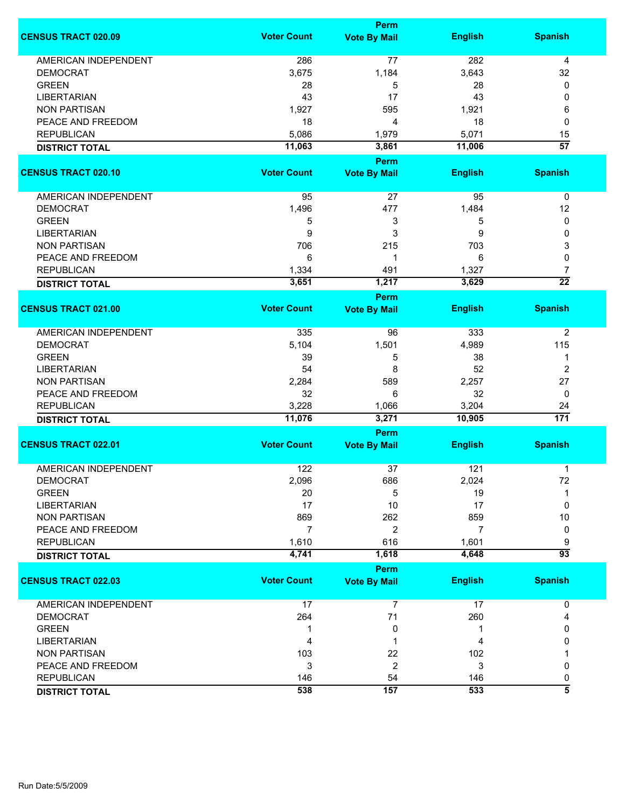|                             | Perm               |                                    |                 |                        |  |
|-----------------------------|--------------------|------------------------------------|-----------------|------------------------|--|
| <b>CENSUS TRACT 020.09</b>  | <b>Voter Count</b> | <b>Vote By Mail</b>                | <b>English</b>  | <b>Spanish</b>         |  |
| <b>AMERICAN INDEPENDENT</b> | 286                | 77                                 | 282             | 4                      |  |
| <b>DEMOCRAT</b>             | 3,675              | 1,184                              | 3,643           | 32                     |  |
| <b>GREEN</b>                | 28                 | 5                                  | 28              | 0                      |  |
| <b>LIBERTARIAN</b>          | 43                 | 17                                 | 43              | 0                      |  |
| <b>NON PARTISAN</b>         | 1,927              | 595                                | 1,921           | 6                      |  |
| PEACE AND FREEDOM           |                    |                                    |                 |                        |  |
|                             | 18                 | 4                                  | 18              | 0                      |  |
| <b>REPUBLICAN</b>           | 5,086              | 1,979                              | 5,071           | 15                     |  |
| <b>DISTRICT TOTAL</b>       | 11,063             | 3,861                              | 11,006          | $\overline{57}$        |  |
| <b>CENSUS TRACT 020.10</b>  | <b>Voter Count</b> | Perm<br><b>Vote By Mail</b>        | <b>English</b>  | <b>Spanish</b>         |  |
|                             |                    |                                    |                 |                        |  |
| AMERICAN INDEPENDENT        | 95                 | 27                                 | 95              | $\pmb{0}$              |  |
| <b>DEMOCRAT</b>             | 1,496              | 477                                | 1,484           | 12                     |  |
| <b>GREEN</b>                | 5                  | 3                                  | 5               | 0                      |  |
| <b>LIBERTARIAN</b>          | 9                  | 3                                  | 9               | 0                      |  |
| <b>NON PARTISAN</b>         | 706                | 215                                | 703             | 3                      |  |
| PEACE AND FREEDOM           |                    | 1                                  | 6               |                        |  |
|                             | 6                  |                                    |                 | 0                      |  |
| <b>REPUBLICAN</b>           | 1,334              | 491                                | 1,327           | 7                      |  |
| <b>DISTRICT TOTAL</b>       | 3,651              | 1,217                              | 3,629           | $\overline{22}$        |  |
| <b>CENSUS TRACT 021.00</b>  | <b>Voter Count</b> | <b>Perm</b><br><b>Vote By Mail</b> | <b>English</b>  | <b>Spanish</b>         |  |
|                             |                    |                                    |                 |                        |  |
| <b>AMERICAN INDEPENDENT</b> | 335                | 96                                 | 333             | $\overline{2}$         |  |
| <b>DEMOCRAT</b>             | 5,104              | 1,501                              | 4,989           | 115                    |  |
| <b>GREEN</b>                | 39                 | 5                                  | 38              | 1                      |  |
| <b>LIBERTARIAN</b>          | 54                 | 8                                  | 52              | $\overline{2}$         |  |
| <b>NON PARTISAN</b>         | 2,284              | 589                                | 2,257           | 27                     |  |
|                             |                    | 6                                  | 32              |                        |  |
| PEACE AND FREEDOM           | 32                 |                                    |                 | 0                      |  |
| <b>REPUBLICAN</b>           | 3,228<br>11,076    | 1,066<br>3,271                     | 3,204<br>10,905 | 24<br>$\overline{171}$ |  |
| <b>DISTRICT TOTAL</b>       |                    | Perm                               |                 |                        |  |
| <b>CENSUS TRACT 022.01</b>  | <b>Voter Count</b> | <b>Vote By Mail</b>                | <b>English</b>  | <b>Spanish</b>         |  |
|                             |                    |                                    |                 |                        |  |
| <b>AMERICAN INDEPENDENT</b> | 122                | 37                                 | 121             | 1                      |  |
| <b>DEMOCRAT</b>             | 2,096              | 686                                | 2,024           | 72                     |  |
| <b>GREEN</b>                | 20                 | 5                                  | 19              | 1                      |  |
| <b>LIBERTARIAN</b>          | 17                 | 10                                 | 17              | 0                      |  |
| <b>NON PARTISAN</b>         | 869                | 262                                | 859             | 10                     |  |
| PEACE AND FREEDOM           | $\overline{7}$     | 2                                  | 7               | 0                      |  |
| <b>REPUBLICAN</b>           | 1,610              | 616                                | 1,601           | 9                      |  |
| <b>DISTRICT TOTAL</b>       | 4,741              | 1,618                              | 4,648           | $\overline{93}$        |  |
|                             |                    | Perm                               |                 |                        |  |
| <b>CENSUS TRACT 022.03</b>  | <b>Voter Count</b> | <b>Vote By Mail</b>                | <b>English</b>  | <b>Spanish</b>         |  |
| AMERICAN INDEPENDENT        | 17                 | $\overline{7}$                     | 17              | 0                      |  |
| <b>DEMOCRAT</b>             | 264                | 71                                 | 260             | 4                      |  |
| <b>GREEN</b>                | 1                  | 0                                  | 1               | 0                      |  |
| <b>LIBERTARIAN</b>          | 4                  |                                    | 4               | 0                      |  |
| <b>NON PARTISAN</b>         |                    |                                    |                 |                        |  |
|                             | 103                | 22                                 | 102             |                        |  |
| PEACE AND FREEDOM           | 3                  | $\overline{2}$                     | 3               | 0                      |  |
| <b>REPUBLICAN</b>           | 146                | 54                                 | 146             | 0                      |  |
| <b>DISTRICT TOTAL</b>       | 538                | 157                                | 533             | $\overline{\bf 5}$     |  |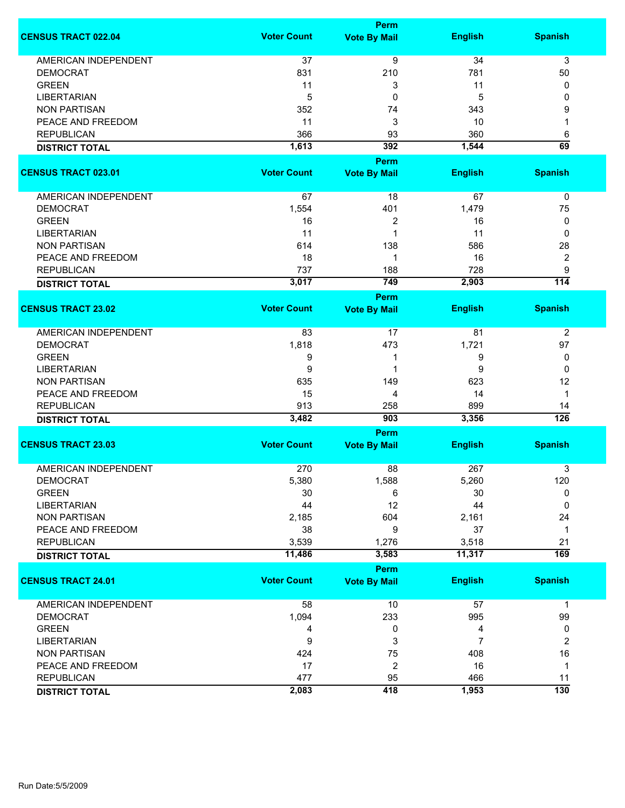|                             | <b>Perm</b>        |                     |                |                  |  |
|-----------------------------|--------------------|---------------------|----------------|------------------|--|
| <b>CENSUS TRACT 022.04</b>  | <b>Voter Count</b> | <b>Vote By Mail</b> | <b>English</b> | <b>Spanish</b>   |  |
| <b>AMERICAN INDEPENDENT</b> | 37                 | $\overline{9}$      | 34             | $\overline{3}$   |  |
| <b>DEMOCRAT</b>             | 831                | 210                 | 781            | 50               |  |
| <b>GREEN</b>                | 11                 | 3                   | 11             | 0                |  |
| <b>LIBERTARIAN</b>          | 5                  | 0                   | 5              | 0                |  |
| <b>NON PARTISAN</b>         | 352                | 74                  | 343            | 9                |  |
| PEACE AND FREEDOM           | 11                 | 3                   | 10             | 1                |  |
| <b>REPUBLICAN</b>           | 366                | 93                  | 360            | 6                |  |
|                             | 1,613              | 392                 | 1,544          | 69               |  |
| <b>DISTRICT TOTAL</b>       |                    |                     |                |                  |  |
|                             | <b>Voter Count</b> | Perm                |                |                  |  |
| <b>CENSUS TRACT 023.01</b>  |                    | <b>Vote By Mail</b> | <b>English</b> | <b>Spanish</b>   |  |
| AMERICAN INDEPENDENT        | 67                 | 18                  | 67             | 0                |  |
| <b>DEMOCRAT</b>             | 1,554              | 401                 | 1,479          | 75               |  |
| <b>GREEN</b>                | 16                 | 2                   | 16             | 0                |  |
| <b>LIBERTARIAN</b>          | 11                 | $\mathbf 1$         | 11             | 0                |  |
| <b>NON PARTISAN</b>         | 614                | 138                 | 586            | 28               |  |
| PEACE AND FREEDOM           | 18                 | 1                   | 16             | $\boldsymbol{2}$ |  |
| <b>REPUBLICAN</b>           | 737                | 188                 | 728            | $\boldsymbol{9}$ |  |
| <b>DISTRICT TOTAL</b>       | 3,017              | 749                 | 2,903          | $\overline{114}$ |  |
|                             |                    | <b>Perm</b>         |                |                  |  |
| <b>CENSUS TRACT 23.02</b>   | <b>Voter Count</b> | <b>Vote By Mail</b> | <b>English</b> | <b>Spanish</b>   |  |
| <b>AMERICAN INDEPENDENT</b> | 83                 | 17                  | 81             | $\overline{2}$   |  |
| <b>DEMOCRAT</b>             | 1,818              | 473                 | 1,721          | 97               |  |
| <b>GREEN</b>                | 9                  | 1                   | 9              | 0                |  |
| <b>LIBERTARIAN</b>          | 9                  | 1                   | 9              | 0                |  |
| <b>NON PARTISAN</b>         | 635                | 149                 | 623            | 12               |  |
| PEACE AND FREEDOM           | 15                 | 4                   | 14             | $\mathbf 1$      |  |
| <b>REPUBLICAN</b>           | 913                | 258                 | 899            | 14               |  |
| <b>DISTRICT TOTAL</b>       | 3,482              | 903                 | 3,356          | $\overline{126}$ |  |
|                             | <b>Perm</b>        |                     |                |                  |  |
| <b>CENSUS TRACT 23.03</b>   | <b>Voter Count</b> | <b>Vote By Mail</b> | <b>English</b> | <b>Spanish</b>   |  |
| <b>AMERICAN INDEPENDENT</b> | 270                | 88                  | 267            | 3                |  |
| <b>DEMOCRAT</b>             | 5,380              | 1,588               | 5,260          | 120              |  |
| <b>GREEN</b>                | 30                 | 6                   | 30             | 0                |  |
| <b>LIBERTARIAN</b>          | 44                 | 12                  | 44             | 0                |  |
| <b>NON PARTISAN</b>         | 2,185              | 604                 | 2,161          | 24               |  |
| PEACE AND FREEDOM           | 38                 | 9                   | 37             | 1                |  |
| <b>REPUBLICAN</b>           | 3,539              | 1,276               | 3,518          | 21               |  |
| <b>DISTRICT TOTAL</b>       | 11,486             | 3,583               | 11,317         | 169              |  |
|                             |                    | Perm                |                |                  |  |
| <b>CENSUS TRACT 24.01</b>   | <b>Voter Count</b> | <b>Vote By Mail</b> | <b>English</b> | <b>Spanish</b>   |  |
| <b>AMERICAN INDEPENDENT</b> | 58                 | 10                  | 57             | $\mathbf 1$      |  |
| <b>DEMOCRAT</b>             | 1,094              | 233                 | 995            | 99               |  |
| <b>GREEN</b>                | 4                  | 0                   | 4              | 0                |  |
| <b>LIBERTARIAN</b>          | 9                  | 3                   | 7              | $\overline{2}$   |  |
| <b>NON PARTISAN</b>         | 424                | 75                  | 408            | 16               |  |
| PEACE AND FREEDOM           | 17                 | $\boldsymbol{2}$    | 16             | 1                |  |
| <b>REPUBLICAN</b>           | 477                | 95                  | 466            | 11               |  |
| <b>DISTRICT TOTAL</b>       | 2,083              | 418                 | 1,953          | $\overline{130}$ |  |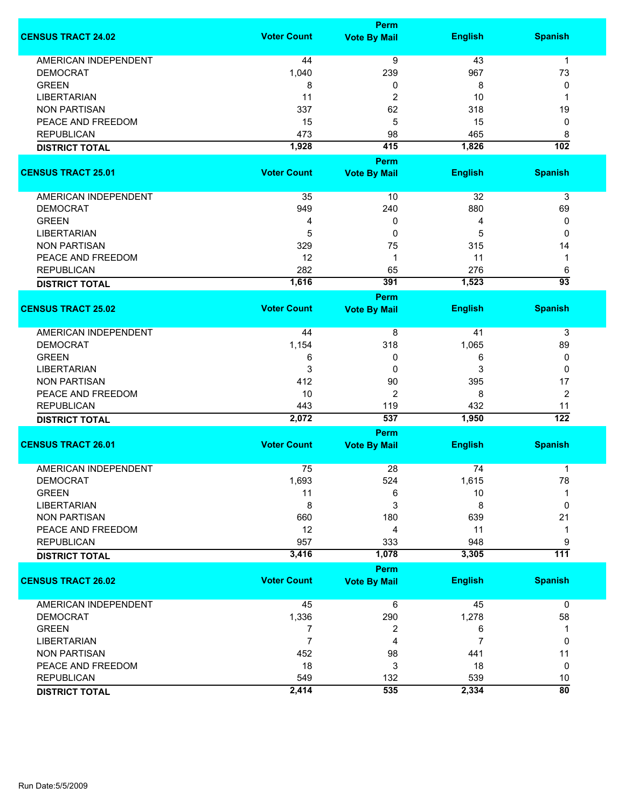| <b>Perm</b>        |                                                                                                                                                                                                                                        |                                                                                                                                                                                                                                                                                       |                                                                                                                                                                                                                                 |
|--------------------|----------------------------------------------------------------------------------------------------------------------------------------------------------------------------------------------------------------------------------------|---------------------------------------------------------------------------------------------------------------------------------------------------------------------------------------------------------------------------------------------------------------------------------------|---------------------------------------------------------------------------------------------------------------------------------------------------------------------------------------------------------------------------------|
| <b>Voter Count</b> | <b>Vote By Mail</b>                                                                                                                                                                                                                    | <b>English</b>                                                                                                                                                                                                                                                                        | <b>Spanish</b>                                                                                                                                                                                                                  |
|                    |                                                                                                                                                                                                                                        |                                                                                                                                                                                                                                                                                       | $\mathbf{1}$                                                                                                                                                                                                                    |
|                    |                                                                                                                                                                                                                                        |                                                                                                                                                                                                                                                                                       | 73                                                                                                                                                                                                                              |
|                    |                                                                                                                                                                                                                                        |                                                                                                                                                                                                                                                                                       | 0                                                                                                                                                                                                                               |
|                    |                                                                                                                                                                                                                                        |                                                                                                                                                                                                                                                                                       | 1                                                                                                                                                                                                                               |
|                    |                                                                                                                                                                                                                                        |                                                                                                                                                                                                                                                                                       | 19                                                                                                                                                                                                                              |
|                    |                                                                                                                                                                                                                                        |                                                                                                                                                                                                                                                                                       | 0                                                                                                                                                                                                                               |
|                    |                                                                                                                                                                                                                                        |                                                                                                                                                                                                                                                                                       | 8                                                                                                                                                                                                                               |
|                    |                                                                                                                                                                                                                                        |                                                                                                                                                                                                                                                                                       | $\overline{102}$                                                                                                                                                                                                                |
|                    |                                                                                                                                                                                                                                        |                                                                                                                                                                                                                                                                                       |                                                                                                                                                                                                                                 |
|                    |                                                                                                                                                                                                                                        |                                                                                                                                                                                                                                                                                       |                                                                                                                                                                                                                                 |
|                    |                                                                                                                                                                                                                                        |                                                                                                                                                                                                                                                                                       | <b>Spanish</b>                                                                                                                                                                                                                  |
| 35                 | 10                                                                                                                                                                                                                                     | 32                                                                                                                                                                                                                                                                                    | 3                                                                                                                                                                                                                               |
|                    |                                                                                                                                                                                                                                        |                                                                                                                                                                                                                                                                                       | 69                                                                                                                                                                                                                              |
|                    |                                                                                                                                                                                                                                        |                                                                                                                                                                                                                                                                                       | 0                                                                                                                                                                                                                               |
|                    |                                                                                                                                                                                                                                        |                                                                                                                                                                                                                                                                                       | 0                                                                                                                                                                                                                               |
|                    |                                                                                                                                                                                                                                        |                                                                                                                                                                                                                                                                                       | 14                                                                                                                                                                                                                              |
|                    |                                                                                                                                                                                                                                        |                                                                                                                                                                                                                                                                                       | 1                                                                                                                                                                                                                               |
|                    |                                                                                                                                                                                                                                        |                                                                                                                                                                                                                                                                                       | 6                                                                                                                                                                                                                               |
|                    |                                                                                                                                                                                                                                        |                                                                                                                                                                                                                                                                                       | $\overline{93}$                                                                                                                                                                                                                 |
|                    |                                                                                                                                                                                                                                        |                                                                                                                                                                                                                                                                                       |                                                                                                                                                                                                                                 |
| <b>Voter Count</b> | <b>Vote By Mail</b>                                                                                                                                                                                                                    | <b>English</b>                                                                                                                                                                                                                                                                        | <b>Spanish</b>                                                                                                                                                                                                                  |
| 44                 | 8                                                                                                                                                                                                                                      | 41                                                                                                                                                                                                                                                                                    | 3                                                                                                                                                                                                                               |
| 1,154              | 318                                                                                                                                                                                                                                    |                                                                                                                                                                                                                                                                                       | 89                                                                                                                                                                                                                              |
| 6                  | 0                                                                                                                                                                                                                                      | 6                                                                                                                                                                                                                                                                                     | 0                                                                                                                                                                                                                               |
|                    | 0                                                                                                                                                                                                                                      | 3                                                                                                                                                                                                                                                                                     | $\Omega$                                                                                                                                                                                                                        |
|                    |                                                                                                                                                                                                                                        |                                                                                                                                                                                                                                                                                       | 17                                                                                                                                                                                                                              |
|                    |                                                                                                                                                                                                                                        |                                                                                                                                                                                                                                                                                       | $\overline{2}$                                                                                                                                                                                                                  |
|                    |                                                                                                                                                                                                                                        |                                                                                                                                                                                                                                                                                       | 11                                                                                                                                                                                                                              |
|                    |                                                                                                                                                                                                                                        |                                                                                                                                                                                                                                                                                       | $\overline{122}$                                                                                                                                                                                                                |
|                    |                                                                                                                                                                                                                                        |                                                                                                                                                                                                                                                                                       |                                                                                                                                                                                                                                 |
| <b>Voter Count</b> | <b>Vote By Mail</b>                                                                                                                                                                                                                    | <b>English</b>                                                                                                                                                                                                                                                                        | <b>Spanish</b>                                                                                                                                                                                                                  |
|                    |                                                                                                                                                                                                                                        |                                                                                                                                                                                                                                                                                       |                                                                                                                                                                                                                                 |
|                    |                                                                                                                                                                                                                                        |                                                                                                                                                                                                                                                                                       | 1<br>78                                                                                                                                                                                                                         |
|                    |                                                                                                                                                                                                                                        |                                                                                                                                                                                                                                                                                       | 1                                                                                                                                                                                                                               |
|                    |                                                                                                                                                                                                                                        |                                                                                                                                                                                                                                                                                       | 0                                                                                                                                                                                                                               |
|                    |                                                                                                                                                                                                                                        |                                                                                                                                                                                                                                                                                       | 21                                                                                                                                                                                                                              |
|                    |                                                                                                                                                                                                                                        |                                                                                                                                                                                                                                                                                       |                                                                                                                                                                                                                                 |
|                    |                                                                                                                                                                                                                                        |                                                                                                                                                                                                                                                                                       | 1                                                                                                                                                                                                                               |
|                    |                                                                                                                                                                                                                                        |                                                                                                                                                                                                                                                                                       | 9                                                                                                                                                                                                                               |
|                    |                                                                                                                                                                                                                                        |                                                                                                                                                                                                                                                                                       | $\overline{111}$                                                                                                                                                                                                                |
|                    |                                                                                                                                                                                                                                        |                                                                                                                                                                                                                                                                                       |                                                                                                                                                                                                                                 |
|                    |                                                                                                                                                                                                                                        |                                                                                                                                                                                                                                                                                       | <b>Spanish</b>                                                                                                                                                                                                                  |
| 45                 | 6                                                                                                                                                                                                                                      | 45                                                                                                                                                                                                                                                                                    | $\mathbf 0$                                                                                                                                                                                                                     |
| 1,336              | 290                                                                                                                                                                                                                                    | 1,278                                                                                                                                                                                                                                                                                 | 58                                                                                                                                                                                                                              |
| 7                  | 2                                                                                                                                                                                                                                      | 6                                                                                                                                                                                                                                                                                     | 1                                                                                                                                                                                                                               |
| $\overline{7}$     | 4                                                                                                                                                                                                                                      | 7                                                                                                                                                                                                                                                                                     | 0                                                                                                                                                                                                                               |
| 452                | 98                                                                                                                                                                                                                                     | 441                                                                                                                                                                                                                                                                                   | 11                                                                                                                                                                                                                              |
| 18                 | 3                                                                                                                                                                                                                                      | 18                                                                                                                                                                                                                                                                                    | 0                                                                                                                                                                                                                               |
| 549                | 132                                                                                                                                                                                                                                    | 539                                                                                                                                                                                                                                                                                   | 10                                                                                                                                                                                                                              |
| 2,414              | 535                                                                                                                                                                                                                                    | 2,334                                                                                                                                                                                                                                                                                 | $\overline{80}$                                                                                                                                                                                                                 |
|                    | 44<br>1,040<br>8<br>11<br>337<br>15<br>473<br>1,928<br><b>Voter Count</b><br>949<br>4<br>5<br>329<br>12<br>282<br>1,616<br>3<br>412<br>10<br>443<br>2,072<br>75<br>1,693<br>11<br>8<br>660<br>12<br>957<br>3,416<br><b>Voter Count</b> | $\overline{9}$<br>239<br>0<br>2<br>62<br>5<br>98<br>415<br>Perm<br><b>Vote By Mail</b><br>240<br>0<br>0<br>75<br>1<br>65<br>391<br><b>Perm</b><br>90<br>$\overline{2}$<br>119<br>537<br>Perm<br>28<br>524<br>6<br>3<br>180<br>4<br>333<br>1,078<br><b>Perm</b><br><b>Vote By Mail</b> | 43<br>967<br>8<br>10<br>318<br>15<br>465<br>1,826<br><b>English</b><br>880<br>4<br>5<br>315<br>11<br>276<br>1,523<br>1,065<br>395<br>8<br>432<br>1,950<br>74<br>1,615<br>10<br>8<br>639<br>11<br>948<br>3,305<br><b>English</b> |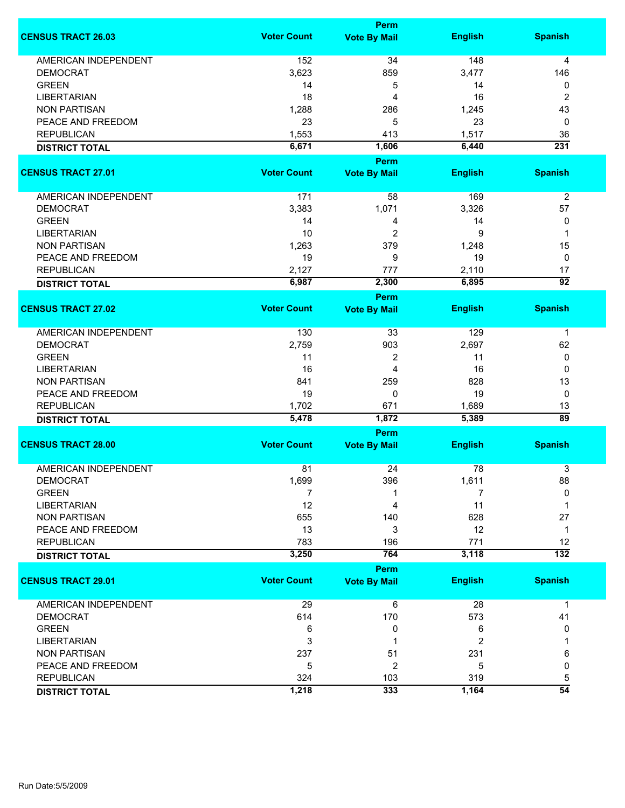|                             | Perm               |                                    |                |                       |  |
|-----------------------------|--------------------|------------------------------------|----------------|-----------------------|--|
| <b>CENSUS TRACT 26.03</b>   | <b>Voter Count</b> | <b>Vote By Mail</b>                | <b>English</b> | <b>Spanish</b>        |  |
| <b>AMERICAN INDEPENDENT</b> | 152                | 34                                 | 148            | 4                     |  |
| <b>DEMOCRAT</b>             | 3,623              | 859                                | 3,477          | 146                   |  |
| <b>GREEN</b>                | 14                 | 5                                  | 14             | 0                     |  |
| <b>LIBERTARIAN</b>          | 18                 | 4                                  | 16             | 2                     |  |
| <b>NON PARTISAN</b>         | 1,288              | 286                                | 1,245          | 43                    |  |
| PEACE AND FREEDOM           | 23                 | 5                                  | 23             | 0                     |  |
| <b>REPUBLICAN</b>           |                    |                                    |                |                       |  |
|                             | 1,553              | 413                                | 1,517          | 36                    |  |
| <b>DISTRICT TOTAL</b>       | 6,671              | 1,606<br>Perm                      | 6,440          | 231                   |  |
| <b>CENSUS TRACT 27.01</b>   | <b>Voter Count</b> | <b>Vote By Mail</b>                | <b>English</b> | <b>Spanish</b>        |  |
|                             |                    |                                    |                |                       |  |
| AMERICAN INDEPENDENT        | 171                | 58                                 | 169            | $\overline{2}$        |  |
| <b>DEMOCRAT</b>             | 3,383              | 1,071                              | 3,326          | 57                    |  |
| <b>GREEN</b>                | 14                 | 4                                  | 14             | 0                     |  |
| <b>LIBERTARIAN</b>          | 10                 | 2                                  | 9              | 1                     |  |
| <b>NON PARTISAN</b>         | 1,263              | 379                                | 1,248          | 15                    |  |
| PEACE AND FREEDOM           | 19                 | 9                                  | 19             | 0                     |  |
| <b>REPUBLICAN</b>           | 2,127              | 777                                | 2,110          | 17                    |  |
|                             | 6,987              | 2,300                              | 6,895          | $\overline{92}$       |  |
| <b>DISTRICT TOTAL</b>       |                    |                                    |                |                       |  |
| <b>CENSUS TRACT 27.02</b>   | <b>Voter Count</b> | <b>Perm</b><br><b>Vote By Mail</b> | <b>English</b> | <b>Spanish</b>        |  |
|                             |                    |                                    |                |                       |  |
| <b>AMERICAN INDEPENDENT</b> | 130                | 33                                 | 129            | $\mathbf 1$           |  |
| <b>DEMOCRAT</b>             | 2,759              | 903                                | 2,697          | 62                    |  |
| <b>GREEN</b>                | 11                 | 2                                  | 11             | 0                     |  |
| <b>LIBERTARIAN</b>          | 16                 | 4                                  | 16             | 0                     |  |
| <b>NON PARTISAN</b>         | 841                | 259                                | 828            | 13                    |  |
| PEACE AND FREEDOM           | 19                 | 0                                  | 19             | 0                     |  |
|                             | 1,702              | 671                                |                |                       |  |
| <b>REPUBLICAN</b>           | 5,478              | 1,872                              | 1,689<br>5,389 | 13<br>$\overline{89}$ |  |
| <b>DISTRICT TOTAL</b>       |                    |                                    |                |                       |  |
| <b>CENSUS TRACT 28.00</b>   | <b>Voter Count</b> | Perm                               |                | <b>Spanish</b>        |  |
|                             |                    | <b>Vote By Mail</b>                | <b>English</b> |                       |  |
| <b>AMERICAN INDEPENDENT</b> | 81                 | 24                                 | 78             | 3                     |  |
| <b>DEMOCRAT</b>             | 1,699              | 396                                | 1,611          | 88                    |  |
| <b>GREEN</b>                | 7                  |                                    | 7              | $\Omega$              |  |
| <b>LIBERTARIAN</b>          | 12                 | 4                                  | 11             | 1                     |  |
| <b>NON PARTISAN</b>         | 655                | 140                                | 628            | 27                    |  |
| PEACE AND FREEDOM           | 13                 | 3                                  | 12             | $\mathbf 1$           |  |
| <b>REPUBLICAN</b>           | 783                | 196                                | 771            | 12                    |  |
| <b>DISTRICT TOTAL</b>       | 3,250              | 764                                | 3,118          | $\overline{132}$      |  |
|                             |                    | Perm                               |                |                       |  |
| <b>CENSUS TRACT 29.01</b>   | <b>Voter Count</b> | <b>Vote By Mail</b>                | <b>English</b> | <b>Spanish</b>        |  |
| <b>AMERICAN INDEPENDENT</b> | 29                 | 6                                  | 28             | $\mathbf{1}$          |  |
| <b>DEMOCRAT</b>             | 614                | 170                                | 573            | 41                    |  |
| <b>GREEN</b>                | 6                  | 0                                  | 6              | 0                     |  |
|                             |                    |                                    | $\overline{2}$ |                       |  |
| <b>LIBERTARIAN</b>          | 3                  |                                    |                |                       |  |
| <b>NON PARTISAN</b>         | 237                | 51                                 | 231            | 6                     |  |
| PEACE AND FREEDOM           | 5                  | $\overline{2}$                     | 5              | 0                     |  |
| <b>REPUBLICAN</b>           | 324                | 103                                | 319            | 5                     |  |
| <b>DISTRICT TOTAL</b>       | 1,218              | 333                                | 1,164          | $\overline{54}$       |  |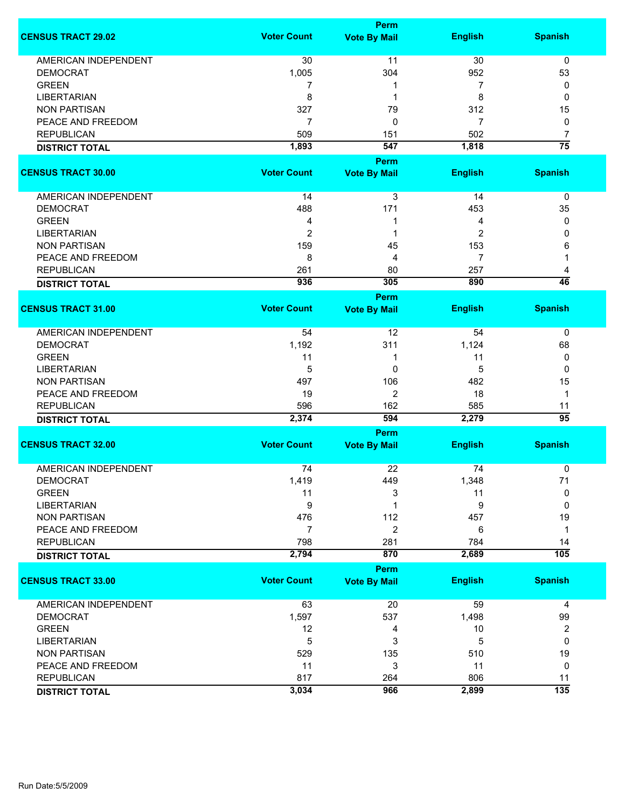|                             | <b>Perm</b>        |                                    |                |                         |  |
|-----------------------------|--------------------|------------------------------------|----------------|-------------------------|--|
| <b>CENSUS TRACT 29.02</b>   | <b>Voter Count</b> | <b>Vote By Mail</b>                | <b>English</b> | <b>Spanish</b>          |  |
| <b>AMERICAN INDEPENDENT</b> | 30                 | 11                                 | 30             | $\pmb{0}$               |  |
| <b>DEMOCRAT</b>             | 1,005              | 304                                | 952            | 53                      |  |
| <b>GREEN</b>                | 7                  | 1                                  | 7              | 0                       |  |
| <b>LIBERTARIAN</b>          | 8                  | 1                                  | 8              | 0                       |  |
|                             |                    |                                    |                |                         |  |
| <b>NON PARTISAN</b>         | 327                | 79                                 | 312            | 15                      |  |
| PEACE AND FREEDOM           | $\overline{7}$     | 0                                  | 7              | 0                       |  |
| <b>REPUBLICAN</b>           | 509                | 151                                | 502            | $\overline{7}$          |  |
| <b>DISTRICT TOTAL</b>       | 1,893              | 547                                | 1,818          | $\overline{75}$         |  |
|                             |                    | Perm                               |                |                         |  |
| <b>CENSUS TRACT 30.00</b>   | <b>Voter Count</b> | <b>Vote By Mail</b>                | <b>English</b> | <b>Spanish</b>          |  |
| AMERICAN INDEPENDENT        | 14                 | 3                                  | 14             | 0                       |  |
| <b>DEMOCRAT</b>             | 488                | 171                                | 453            | 35                      |  |
| <b>GREEN</b>                | 4                  | 1                                  | 4              | 0                       |  |
| <b>LIBERTARIAN</b>          | $\overline{2}$     | 1                                  | 2              | 0                       |  |
| <b>NON PARTISAN</b>         | 159                | 45                                 | 153            | 6                       |  |
| PEACE AND FREEDOM           | 8                  | 4                                  | 7              |                         |  |
| <b>REPUBLICAN</b>           | 261                | 80                                 | 257            | 4                       |  |
|                             | 936                | 305                                | 890            | 46                      |  |
| <b>DISTRICT TOTAL</b>       |                    | <b>Perm</b>                        |                |                         |  |
| <b>CENSUS TRACT 31.00</b>   | <b>Voter Count</b> | <b>Vote By Mail</b>                | <b>English</b> | <b>Spanish</b>          |  |
|                             |                    |                                    |                |                         |  |
| <b>AMERICAN INDEPENDENT</b> | 54                 | 12                                 | 54             | 0                       |  |
| <b>DEMOCRAT</b>             | 1,192              | 311                                | 1,124          | 68                      |  |
| <b>GREEN</b>                | 11                 | 1                                  | 11             | 0                       |  |
| <b>LIBERTARIAN</b>          | 5                  | $\mathbf{0}$                       | 5              | $\Omega$                |  |
| <b>NON PARTISAN</b>         | 497                | 106                                | 482            | 15                      |  |
| PEACE AND FREEDOM           | 19                 | 2                                  | 18             | $\mathbf{1}$            |  |
| <b>REPUBLICAN</b>           | 596                | 162                                | 585            | 11                      |  |
| <b>DISTRICT TOTAL</b>       | 2,374              | 594                                | 2,279          | $\overline{95}$         |  |
|                             |                    | <b>Perm</b>                        |                |                         |  |
| <b>CENSUS TRACT 32.00</b>   | <b>Voter Count</b> | <b>Vote By Mail</b>                | <b>English</b> | <b>Spanish</b>          |  |
| <b>AMERICAN INDEPENDENT</b> | 74                 | 22                                 | 74             | 0                       |  |
| <b>DEMOCRAT</b>             | 1,419              | 449                                | 1,348          | 71                      |  |
| <b>GREEN</b>                | 11                 | 3                                  | 11             | $\mathbf 0$             |  |
| <b>LIBERTARIAN</b>          | $\boldsymbol{9}$   | 1                                  | 9              | 0                       |  |
| <b>NON PARTISAN</b>         | 476                | 112                                | 457            | 19                      |  |
| PEACE AND FREEDOM           | $\overline{7}$     | $\overline{c}$                     | 6              | $\mathbf 1$             |  |
| <b>REPUBLICAN</b>           | 798                |                                    |                |                         |  |
|                             | 2,794              | 281<br>870                         | 784<br>2,689   | 14<br>105               |  |
| <b>DISTRICT TOTAL</b>       |                    |                                    |                |                         |  |
| <b>CENSUS TRACT 33.00</b>   | <b>Voter Count</b> | <b>Perm</b><br><b>Vote By Mail</b> | <b>English</b> | <b>Spanish</b>          |  |
|                             |                    |                                    |                |                         |  |
| <b>AMERICAN INDEPENDENT</b> | 63                 | 20                                 | 59             | 4                       |  |
| <b>DEMOCRAT</b>             | 1,597              | 537                                | 1,498          | 99                      |  |
| <b>GREEN</b>                | 12                 | 4                                  | 10             | $\overline{\mathbf{c}}$ |  |
| <b>LIBERTARIAN</b>          | 5                  | 3                                  | 5              | $\mathbf 0$             |  |
| <b>NON PARTISAN</b>         | 529                | 135                                | 510            | 19                      |  |
| PEACE AND FREEDOM           | 11                 | 3                                  | 11             | 0                       |  |
| <b>REPUBLICAN</b>           | 817                | 264                                | 806            | 11                      |  |
| <b>DISTRICT TOTAL</b>       | 3,034              | 966                                | 2,899          | $\overline{135}$        |  |
|                             |                    |                                    |                |                         |  |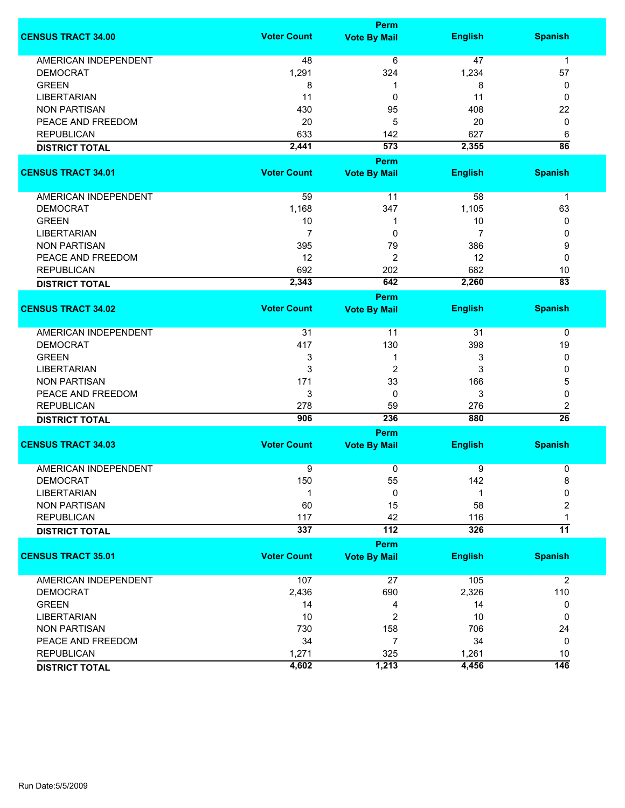|                             |                    | <b>Perm</b>         |                |                      |  |
|-----------------------------|--------------------|---------------------|----------------|----------------------|--|
| <b>CENSUS TRACT 34.00</b>   | <b>Voter Count</b> | <b>Vote By Mail</b> | <b>English</b> | <b>Spanish</b>       |  |
| <b>AMERICAN INDEPENDENT</b> | 48                 | 6                   | 47             | $\mathbf{1}$         |  |
| <b>DEMOCRAT</b>             | 1,291              | 324                 | 1,234          | 57                   |  |
|                             |                    |                     |                |                      |  |
| <b>GREEN</b>                | 8                  | 1                   | 8              | 0                    |  |
| <b>LIBERTARIAN</b>          | 11                 | 0                   | 11             | 0                    |  |
| <b>NON PARTISAN</b>         | 430                | 95                  | 408            | 22                   |  |
| PEACE AND FREEDOM           | 20                 | 5                   | 20             | 0                    |  |
| <b>REPUBLICAN</b>           | 633                | 142                 | 627            | 6                    |  |
| <b>DISTRICT TOTAL</b>       | 2,441              | $\overline{573}$    | 2,355          | $\overline{86}$      |  |
|                             |                    | <b>Perm</b>         |                |                      |  |
| <b>CENSUS TRACT 34.01</b>   | <b>Voter Count</b> | <b>Vote By Mail</b> | <b>English</b> | <b>Spanish</b>       |  |
|                             |                    |                     |                |                      |  |
| AMERICAN INDEPENDENT        | 59                 | 11                  | 58             | $\mathbf 1$          |  |
| <b>DEMOCRAT</b>             | 1,168              | 347                 | 1,105          | 63                   |  |
| <b>GREEN</b>                | 10                 | 1                   | 10             | 0                    |  |
| <b>LIBERTARIAN</b>          | $\overline{7}$     | 0                   | 7              | 0                    |  |
| <b>NON PARTISAN</b>         | 395                | 79                  | 386            | 9                    |  |
| PEACE AND FREEDOM           | 12                 | 2                   | 12             | 0                    |  |
| <b>REPUBLICAN</b>           | 692                | 202                 | 682            | 10                   |  |
| <b>DISTRICT TOTAL</b>       | 2,343              | 642                 | 2,260          | $\overline{83}$      |  |
|                             |                    |                     |                |                      |  |
|                             |                    | <b>Perm</b>         |                |                      |  |
| <b>CENSUS TRACT 34.02</b>   | <b>Voter Count</b> | <b>Vote By Mail</b> | <b>English</b> | <b>Spanish</b>       |  |
| <b>AMERICAN INDEPENDENT</b> | 31                 | 11                  | 31             | 0                    |  |
| <b>DEMOCRAT</b>             | 417                | 130                 | 398            | 19                   |  |
| <b>GREEN</b>                | 3                  | 1                   | 3              | 0                    |  |
| <b>LIBERTARIAN</b>          | 3                  | 2                   | 3              | 0                    |  |
| <b>NON PARTISAN</b>         | 171                | 33                  | 166            | 5                    |  |
| PEACE AND FREEDOM           | 3                  | 0                   | 3              | 0                    |  |
|                             |                    |                     |                |                      |  |
| <b>REPUBLICAN</b>           | 278                | 59<br>236           | 276<br>880     | 2<br>$\overline{26}$ |  |
| <b>DISTRICT TOTAL</b>       | 906                |                     |                |                      |  |
|                             |                    | <b>Perm</b>         |                |                      |  |
| <b>CENSUS TRACT 34.03</b>   | <b>Voter Count</b> | <b>Vote By Mail</b> | <b>English</b> | <b>Spanish</b>       |  |
| <b>AMERICAN INDEPENDENT</b> | 9                  | 0                   | 9              | 0                    |  |
|                             |                    |                     |                |                      |  |
| <b>DEMOCRAT</b>             | 150                | 55                  | 142            | 8                    |  |
| <b>LIBERTARIAN</b>          | -1                 | 0                   | 1              | 0                    |  |
| <b>NON PARTISAN</b>         | 60                 | 15                  | 58             | 2                    |  |
| <b>REPUBLICAN</b>           | 117                | 42                  | 116            | 1                    |  |
| <b>DISTRICT TOTAL</b>       | 337                | 112                 | 326            | $\overline{11}$      |  |
|                             |                    | Perm                |                |                      |  |
| <b>CENSUS TRACT 35.01</b>   | <b>Voter Count</b> | <b>Vote By Mail</b> | <b>English</b> | <b>Spanish</b>       |  |
|                             |                    |                     |                |                      |  |
| <b>AMERICAN INDEPENDENT</b> | 107                | 27                  | 105            | $\overline{2}$       |  |
| <b>DEMOCRAT</b>             | 2,436              | 690                 | 2,326          | 110                  |  |
| <b>GREEN</b>                | 14                 | 4                   | 14             | 0                    |  |
| <b>LIBERTARIAN</b>          | 10                 | 2                   | 10             | 0                    |  |
| <b>NON PARTISAN</b>         | 730                | 158                 | 706            | 24                   |  |
| PEACE AND FREEDOM           | 34                 | 7                   | 34             | 0                    |  |
| <b>REPUBLICAN</b>           | 1,271              | 325                 | 1,261          | 10                   |  |
| <b>DISTRICT TOTAL</b>       | 4,602              | 1,213               | 4,456          | $\overline{146}$     |  |
|                             |                    |                     |                |                      |  |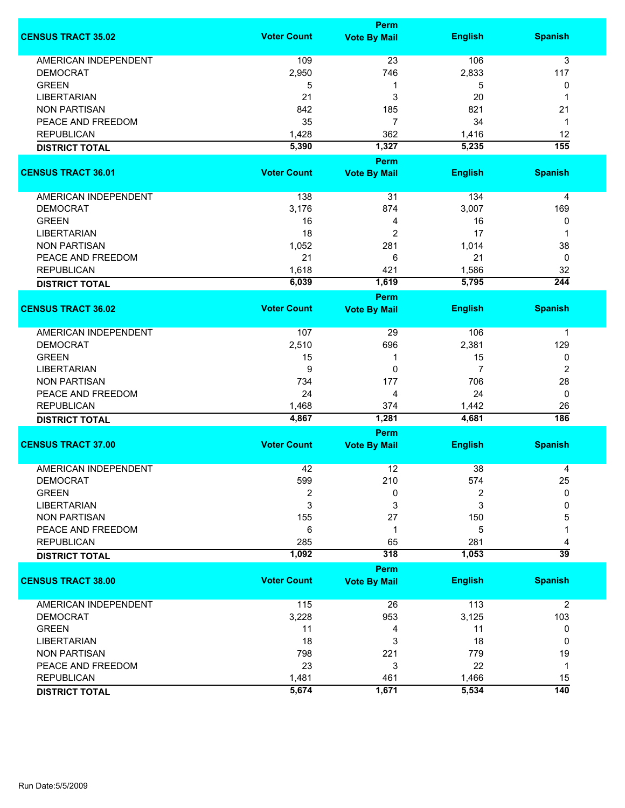|                             |                    | <b>Perm</b>                        |                |                      |
|-----------------------------|--------------------|------------------------------------|----------------|----------------------|
| <b>CENSUS TRACT 35.02</b>   | <b>Voter Count</b> | <b>Vote By Mail</b>                | <b>English</b> | <b>Spanish</b>       |
| <b>AMERICAN INDEPENDENT</b> | 109                | 23                                 | 106            | 3                    |
| <b>DEMOCRAT</b>             | 2,950              | 746                                | 2,833          | 117                  |
| <b>GREEN</b>                | 5                  | 1                                  | 5              | 0                    |
| <b>LIBERTARIAN</b>          | 21                 | 3                                  | 20             | 1                    |
| <b>NON PARTISAN</b>         | 842                | 185                                | 821            | 21                   |
| PEACE AND FREEDOM           |                    | $\overline{7}$                     | 34             | 1                    |
|                             | 35                 |                                    |                |                      |
| <b>REPUBLICAN</b>           | 1,428              | 362                                | 1,416          | 12                   |
| <b>DISTRICT TOTAL</b>       | 5,390              | 1,327                              | 5,235          | 155                  |
| <b>CENSUS TRACT 36.01</b>   | <b>Voter Count</b> | <b>Perm</b><br><b>Vote By Mail</b> | <b>English</b> | <b>Spanish</b>       |
|                             |                    |                                    |                |                      |
| AMERICAN INDEPENDENT        | 138                | 31                                 | 134            | 4                    |
| <b>DEMOCRAT</b>             | 3,176              | 874                                | 3,007          | 169                  |
| <b>GREEN</b>                | 16                 | 4                                  | 16             | 0                    |
| <b>LIBERTARIAN</b>          | 18                 | 2                                  | 17             | 1                    |
| <b>NON PARTISAN</b>         | 1,052              | 281                                | 1,014          | 38                   |
| PEACE AND FREEDOM           | 21                 | 6                                  | 21             | 0                    |
| <b>REPUBLICAN</b>           | 1,618              | 421                                | 1,586          | 32                   |
| <b>DISTRICT TOTAL</b>       | 6,039              | 1,619                              | 5,795          | $\overline{244}$     |
|                             |                    | <b>Perm</b>                        |                |                      |
| <b>CENSUS TRACT 36.02</b>   | <b>Voter Count</b> | <b>Vote By Mail</b>                | <b>English</b> | <b>Spanish</b>       |
| AMERICAN INDEPENDENT        | 107                | 29                                 | 106            | 1                    |
| <b>DEMOCRAT</b>             | 2,510              | 696                                | 2,381          | 129                  |
| <b>GREEN</b>                | 15                 | 1                                  | 15             | 0                    |
| <b>LIBERTARIAN</b>          | 9                  | $\mathbf 0$                        | $\overline{7}$ | 2                    |
| <b>NON PARTISAN</b>         | 734                | 177                                | 706            | 28                   |
| PEACE AND FREEDOM           | 24                 | 4                                  | 24             | $\mathbf 0$          |
| <b>REPUBLICAN</b>           | 1,468              | 374                                | 1,442          | 26                   |
|                             | 4,867              | 1,281                              | 4,681          | 186                  |
| <b>DISTRICT TOTAL</b>       |                    | <b>Perm</b>                        |                |                      |
| <b>CENSUS TRACT 37.00</b>   | <b>Voter Count</b> | <b>Vote By Mail</b>                | <b>English</b> | <b>Spanish</b>       |
| <b>AMERICAN INDEPENDENT</b> | 42                 | 12                                 | 38             | 4                    |
| DEMOCRAT                    | 599                | 210                                | 574            | 25                   |
| <b>GREEN</b>                | $\overline{2}$     | 0                                  | 2              | 0                    |
| <b>LIBERTARIAN</b>          | 3                  | 3                                  | 3              | 0                    |
| <b>NON PARTISAN</b>         | 155                | 27                                 | 150            | 5                    |
| PEACE AND FREEDOM           | 6                  | 1                                  | 5              |                      |
|                             |                    |                                    |                |                      |
| <b>REPUBLICAN</b>           | 285<br>1,092       | 65<br>318                          | 281<br>1,053   | 4<br>$\overline{39}$ |
| <b>DISTRICT TOTAL</b>       |                    | <b>Perm</b>                        |                |                      |
| <b>CENSUS TRACT 38.00</b>   | <b>Voter Count</b> | <b>Vote By Mail</b>                | <b>English</b> | <b>Spanish</b>       |
| <b>AMERICAN INDEPENDENT</b> | 115                | 26                                 | 113            | $\overline{2}$       |
| <b>DEMOCRAT</b>             | 3,228              | 953                                | 3,125          | 103                  |
| <b>GREEN</b>                | 11                 | 4                                  | 11             | 0                    |
| <b>LIBERTARIAN</b>          | 18                 | 3                                  | 18             | 0                    |
| <b>NON PARTISAN</b>         | 798                | 221                                | 779            | 19                   |
| PEACE AND FREEDOM           | 23                 | 3                                  | 22             | 1                    |
|                             |                    |                                    |                |                      |
| <b>REPUBLICAN</b>           | 1,481              | 461                                | 1,466          | 15                   |
| <b>DISTRICT TOTAL</b>       | 5,674              | 1,671                              | 5,534          | $\overline{140}$     |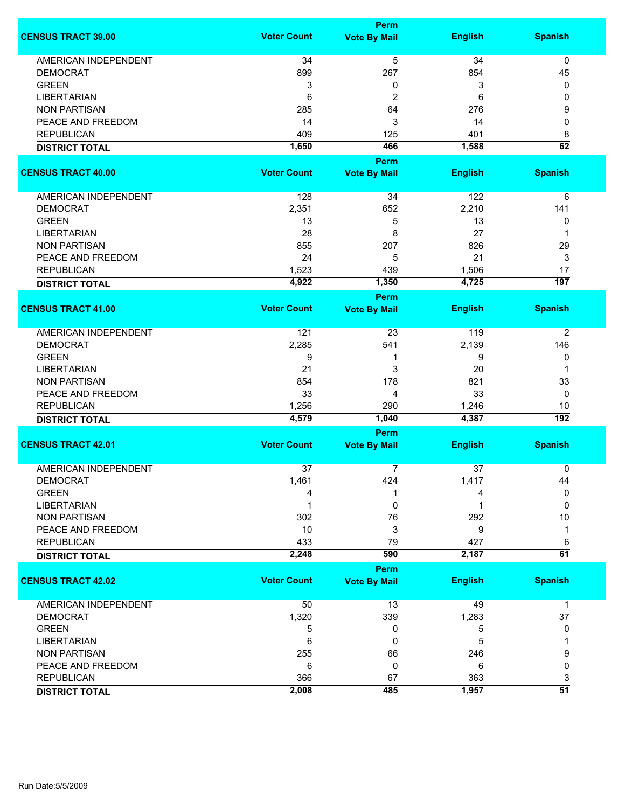|                             |                    | <b>Perm</b>                        |                |                      |
|-----------------------------|--------------------|------------------------------------|----------------|----------------------|
| <b>CENSUS TRACT 39.00</b>   | <b>Voter Count</b> | <b>Vote By Mail</b>                | <b>English</b> | <b>Spanish</b>       |
| <b>AMERICAN INDEPENDENT</b> | 34                 | 5                                  | 34             | 0                    |
| <b>DEMOCRAT</b>             | 899                | 267                                | 854            | 45                   |
| <b>GREEN</b>                | 3                  | 0                                  | 3              | 0                    |
| <b>LIBERTARIAN</b>          | 6                  | 2                                  | 6              | 0                    |
| <b>NON PARTISAN</b>         | 285                | 64                                 | 276            | 9                    |
| PEACE AND FREEDOM           | 14                 | 3                                  | 14             | 0                    |
| <b>REPUBLICAN</b>           | 409                |                                    | 401            |                      |
|                             | 1,650              | 125<br>466                         | 1,588          | 8<br>62              |
| <b>DISTRICT TOTAL</b>       |                    | <b>Perm</b>                        |                |                      |
| <b>CENSUS TRACT 40.00</b>   | <b>Voter Count</b> | <b>Vote By Mail</b>                | <b>English</b> | <b>Spanish</b>       |
|                             |                    |                                    |                |                      |
| AMERICAN INDEPENDENT        | 128                | 34                                 | 122            | 6                    |
| <b>DEMOCRAT</b>             | 2,351              | 652                                | 2,210          | 141                  |
| <b>GREEN</b>                | 13                 | 5                                  | 13             | 0                    |
| <b>LIBERTARIAN</b>          | 28                 | 8                                  | 27             | 1                    |
| <b>NON PARTISAN</b>         | 855                | 207                                | 826            | 29                   |
| PEACE AND FREEDOM           | 24                 | 5                                  | 21             | 3                    |
| <b>REPUBLICAN</b>           | 1,523              | 439                                | 1,506          | 17                   |
| <b>DISTRICT TOTAL</b>       | 4,922              | 1,350                              | 4,725          | $\overline{197}$     |
|                             |                    | <b>Perm</b>                        |                |                      |
| <b>CENSUS TRACT 41.00</b>   | <b>Voter Count</b> | <b>Vote By Mail</b>                | <b>English</b> | <b>Spanish</b>       |
| <b>AMERICAN INDEPENDENT</b> | 121                | 23                                 | 119            | $\overline{2}$       |
| <b>DEMOCRAT</b>             | 2,285              | 541                                | 2,139          | 146                  |
| <b>GREEN</b>                | 9                  | 1                                  | 9              | 0                    |
| <b>LIBERTARIAN</b>          | 21                 | 3                                  | 20             | 1                    |
| <b>NON PARTISAN</b>         | 854                | 178                                | 821            | 33                   |
| PEACE AND FREEDOM           | 33                 | 4                                  | 33             | 0                    |
| <b>REPUBLICAN</b>           | 1,256              | 290                                | 1,246          | 10                   |
| <b>DISTRICT TOTAL</b>       | 4,579              | 1,040                              | 4,387          | $\overline{192}$     |
|                             |                    | Perm                               |                |                      |
| <b>CENSUS TRACT 42.01</b>   | <b>Voter Count</b> | <b>Vote By Mail</b>                | <b>English</b> | <b>Spanish</b>       |
| <b>AMERICAN INDEPENDENT</b> | 37                 | 7                                  | 37             | 0                    |
| <b>DEMOCRAT</b>             | 1,461              | 424                                | 1,417          | 44                   |
| <b>GREEN</b>                | Δ                  |                                    |                | $\mathbf{0}$         |
| <b>LIBERTARIAN</b>          |                    | 0                                  |                | $\Omega$             |
| <b>NON PARTISAN</b>         | 302                | 76                                 | 292            | 10                   |
|                             |                    |                                    |                |                      |
| PEACE AND FREEDOM           | 10                 | 3                                  | 9              | 1                    |
| <b>REPUBLICAN</b>           | 433                | 79<br>590                          | 427            | 6<br>$\overline{61}$ |
| <b>DISTRICT TOTAL</b>       | 2,248              |                                    | 2,187          |                      |
| <b>CENSUS TRACT 42.02</b>   | <b>Voter Count</b> | <b>Perm</b><br><b>Vote By Mail</b> | <b>English</b> | <b>Spanish</b>       |
|                             |                    |                                    |                |                      |
| <b>AMERICAN INDEPENDENT</b> | 50                 | 13                                 | 49             | 1                    |
| <b>DEMOCRAT</b>             | 1,320              | 339                                | 1,283          | 37                   |
| <b>GREEN</b>                | 5                  | 0                                  | 5              | 0                    |
| <b>LIBERTARIAN</b>          | 6                  | 0                                  | 5              |                      |
| <b>NON PARTISAN</b>         | 255                | 66                                 | 246            | 9                    |
| PEACE AND FREEDOM           | 6                  | 0                                  | 6              | 0                    |
| <b>REPUBLICAN</b>           | 366                | 67                                 | 363            | 3                    |
| <b>DISTRICT TOTAL</b>       | 2,008              | 485                                | 1,957          | $\overline{51}$      |
|                             |                    |                                    |                |                      |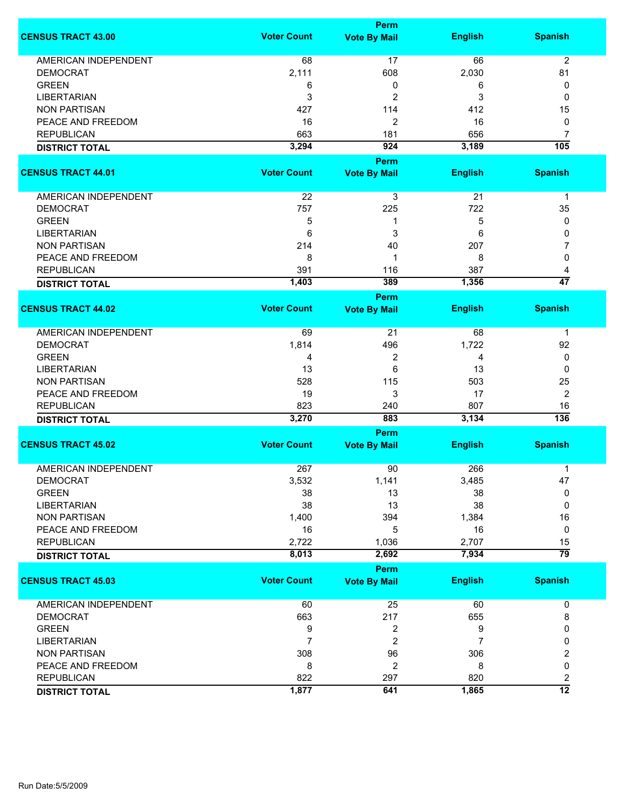|                             | <b>Perm</b>        |                     |                 |                      |
|-----------------------------|--------------------|---------------------|-----------------|----------------------|
| <b>CENSUS TRACT 43.00</b>   | <b>Voter Count</b> | <b>Vote By Mail</b> | <b>English</b>  | <b>Spanish</b>       |
| <b>AMERICAN INDEPENDENT</b> | 68                 | 17                  | 66              | $\overline{2}$       |
| <b>DEMOCRAT</b>             | 2,111              | 608                 | 2,030           | 81                   |
| <b>GREEN</b>                |                    | 0                   | 6               | 0                    |
|                             | 6                  |                     |                 |                      |
| <b>LIBERTARIAN</b>          | 3                  | 2                   | 3               | 0                    |
| <b>NON PARTISAN</b>         | 427                | 114                 | 412             | 15                   |
| PEACE AND FREEDOM           | 16                 | 2                   | 16              | 0                    |
| <b>REPUBLICAN</b>           | 663                | 181                 | 656             | 7                    |
| <b>DISTRICT TOTAL</b>       | 3,294              | 924                 | 3,189           | $\overline{105}$     |
| <b>CENSUS TRACT 44.01</b>   | <b>Voter Count</b> | <b>Perm</b>         | <b>English</b>  | <b>Spanish</b>       |
|                             |                    | <b>Vote By Mail</b> |                 |                      |
| AMERICAN INDEPENDENT        | 22                 | 3                   | $\overline{21}$ | $\mathbf 1$          |
| <b>DEMOCRAT</b>             | 757                | 225                 | 722             | 35                   |
| <b>GREEN</b>                | 5                  | 1                   | 5               | 0                    |
| LIBERTARIAN                 | 6                  | 3                   | 6               | 0                    |
| <b>NON PARTISAN</b>         | 214                | 40                  | 207             | 7                    |
| PEACE AND FREEDOM           | 8                  | 1                   | 8               | 0                    |
|                             |                    |                     |                 |                      |
| <b>REPUBLICAN</b>           | 391                | 116                 | 387             | 4<br>$\overline{47}$ |
| <b>DISTRICT TOTAL</b>       | 1,403              | 389<br><b>Perm</b>  | 1,356           |                      |
| <b>CENSUS TRACT 44.02</b>   | <b>Voter Count</b> | <b>Vote By Mail</b> | <b>English</b>  | <b>Spanish</b>       |
|                             |                    |                     |                 |                      |
| AMERICAN INDEPENDENT        | 69                 | 21                  | 68              | 1                    |
| <b>DEMOCRAT</b>             | 1,814              | 496                 | 1,722           | 92                   |
| <b>GREEN</b>                | 4                  | 2                   | 4               | 0                    |
| <b>LIBERTARIAN</b>          | 13                 | 6                   | 13              | 0                    |
| <b>NON PARTISAN</b>         | 528                | 115                 | 503             | 25                   |
|                             |                    | 3                   |                 |                      |
| PEACE AND FREEDOM           | 19                 |                     | 17              | $\overline{2}$       |
| <b>REPUBLICAN</b>           | 823                | 240                 | 807             | 16                   |
| <b>DISTRICT TOTAL</b>       | 3,270              | 883                 | 3,134           | 136                  |
|                             |                    | Perm                |                 |                      |
| <b>CENSUS TRACT 45.02</b>   | <b>Voter Count</b> | <b>Vote By Mail</b> | <b>English</b>  | <b>Spanish</b>       |
| <b>AMERICAN INDEPENDENT</b> | 267                | 90                  | 266             | 1                    |
| DEMOCRAT                    | 3,532              | 1,141               | 3,485           | 47                   |
| <b>GREEN</b>                | 38                 | 13                  | 38              | 0                    |
| <b>LIBERTARIAN</b>          | 38                 | 13                  | 38              | 0                    |
| <b>NON PARTISAN</b>         | 1,400              | 394                 | 1,384           | 16                   |
| PEACE AND FREEDOM           | 16                 | 5                   | 16              | 0                    |
| <b>REPUBLICAN</b>           | 2,722              | 1,036               | 2,707           | 15                   |
| <b>DISTRICT TOTAL</b>       | 8,013              | 2,692               | 7,934           | $\overline{79}$      |
|                             |                    | <b>Perm</b>         |                 |                      |
| <b>CENSUS TRACT 45.03</b>   | <b>Voter Count</b> | <b>Vote By Mail</b> | <b>English</b>  | <b>Spanish</b>       |
|                             |                    |                     |                 |                      |
| <b>AMERICAN INDEPENDENT</b> | 60                 | 25                  | 60              | 0                    |
| <b>DEMOCRAT</b>             | 663                | 217                 | 655             | 8                    |
| <b>GREEN</b>                | 9                  | 2                   | 9               | 0                    |
| <b>LIBERTARIAN</b>          | $\overline{7}$     | $\overline{2}$      | 7               | 0                    |
| <b>NON PARTISAN</b>         | 308                | 96                  | 306             | 2                    |
| PEACE AND FREEDOM           | 8                  | 2                   | 8               | 0                    |
| <b>REPUBLICAN</b>           | 822                | 297                 | 820             | 2                    |
|                             | 1,877              | 641                 | 1,865           | $\overline{12}$      |
| <b>DISTRICT TOTAL</b>       |                    |                     |                 |                      |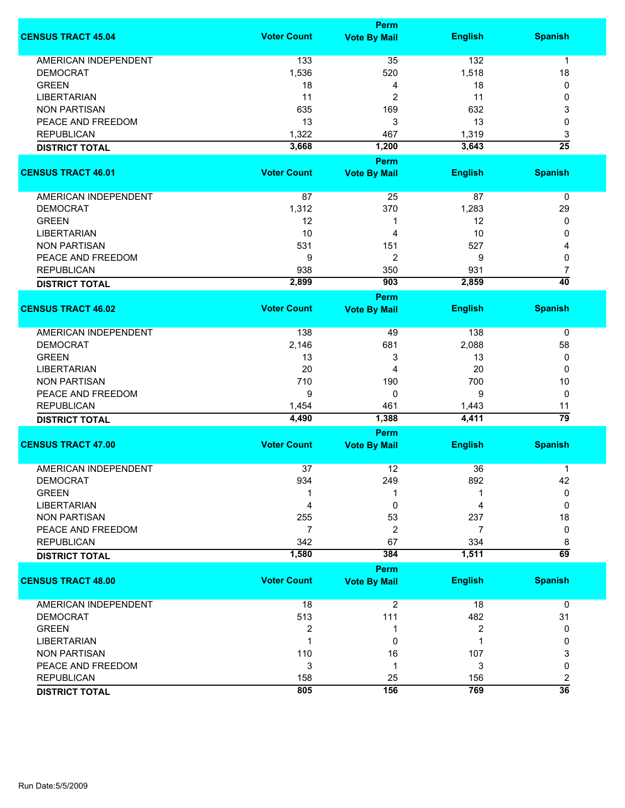|                             | <b>Perm</b>        |                      |                |                      |  |
|-----------------------------|--------------------|----------------------|----------------|----------------------|--|
| <b>CENSUS TRACT 45.04</b>   | <b>Voter Count</b> | <b>Vote By Mail</b>  | <b>English</b> | <b>Spanish</b>       |  |
| <b>AMERICAN INDEPENDENT</b> | 133                | 35                   | 132            | $\mathbf{1}$         |  |
| <b>DEMOCRAT</b>             | 1,536              | 520                  | 1,518          | 18                   |  |
| <b>GREEN</b>                | 18                 | 4                    | 18             | 0                    |  |
| <b>LIBERTARIAN</b>          | 11                 | 2                    | 11             | 0                    |  |
| <b>NON PARTISAN</b>         | 635                | 169                  | 632            | 3                    |  |
| PEACE AND FREEDOM           | 13                 | 3                    | 13             | 0                    |  |
|                             |                    |                      |                |                      |  |
| <b>REPUBLICAN</b>           | 1,322              | 467                  | 1,319          | 3                    |  |
| <b>DISTRICT TOTAL</b>       | 3,668              | 1,200<br><b>Perm</b> | 3,643          | $\overline{25}$      |  |
| <b>CENSUS TRACT 46.01</b>   | <b>Voter Count</b> | <b>Vote By Mail</b>  | <b>English</b> | <b>Spanish</b>       |  |
| AMERICAN INDEPENDENT        | 87                 | 25                   | 87             | $\pmb{0}$            |  |
| <b>DEMOCRAT</b>             | 1,312              | 370                  |                |                      |  |
|                             |                    |                      | 1,283          | 29                   |  |
| <b>GREEN</b>                | 12                 | 1                    | 12             | 0                    |  |
| <b>LIBERTARIAN</b>          | 10                 | 4                    | 10             | 0                    |  |
| <b>NON PARTISAN</b>         | 531                | 151                  | 527            | 4                    |  |
| PEACE AND FREEDOM           | 9                  | 2                    | 9              | 0                    |  |
| <b>REPUBLICAN</b>           | 938                | 350                  | 931            | 7                    |  |
| <b>DISTRICT TOTAL</b>       | 2,899              | 903                  | 2,859          | $\overline{40}$      |  |
|                             |                    | <b>Perm</b>          |                |                      |  |
| <b>CENSUS TRACT 46.02</b>   | <b>Voter Count</b> | <b>Vote By Mail</b>  | <b>English</b> | <b>Spanish</b>       |  |
| <b>AMERICAN INDEPENDENT</b> | 138                | 49                   | 138            | 0                    |  |
| <b>DEMOCRAT</b>             | 2,146              | 681                  | 2,088          | 58                   |  |
| <b>GREEN</b>                | 13                 | 3                    | 13             | 0                    |  |
| <b>LIBERTARIAN</b>          | 20                 | 4                    | 20             | 0                    |  |
| <b>NON PARTISAN</b>         | 710                | 190                  | 700            | 10                   |  |
| PEACE AND FREEDOM           | 9                  | $\mathbf 0$          | 9              | 0                    |  |
| <b>REPUBLICAN</b>           | 1,454              | 461                  | 1,443          | 11                   |  |
| <b>DISTRICT TOTAL</b>       | 4,490              | 1,388                | 4,411          | $\overline{79}$      |  |
|                             |                    | Perm                 |                |                      |  |
| <b>CENSUS TRACT 47.00</b>   | <b>Voter Count</b> | <b>Vote By Mail</b>  | <b>English</b> | <b>Spanish</b>       |  |
| <b>AMERICAN INDEPENDENT</b> | 37                 | 12                   | 36             | 1                    |  |
| <b>DEMOCRAT</b>             | 934                | 249                  | 892            | 42                   |  |
| <b>GREEN</b>                |                    |                      |                | $\mathbf{0}$         |  |
| <b>LIBERTARIAN</b>          | 4                  | 0                    | 4              | $\Omega$             |  |
| <b>NON PARTISAN</b>         | 255                | 53                   | 237            | 18                   |  |
| PEACE AND FREEDOM           | 7                  | $\overline{2}$       | 7              | 0                    |  |
| <b>REPUBLICAN</b>           | 342                | 67                   | 334            |                      |  |
| <b>DISTRICT TOTAL</b>       | 1,580              | 384                  | 1,511          | 8<br>$\overline{69}$ |  |
|                             |                    | <b>Perm</b>          |                |                      |  |
| <b>CENSUS TRACT 48.00</b>   | <b>Voter Count</b> | <b>Vote By Mail</b>  | <b>English</b> | <b>Spanish</b>       |  |
| AMERICAN INDEPENDENT        | 18                 | $\overline{2}$       | 18             | $\mathbf 0$          |  |
| <b>DEMOCRAT</b>             | 513                | 111                  | 482            | 31                   |  |
| <b>GREEN</b>                | $\overline{2}$     | 1                    | 2              | 0                    |  |
| <b>LIBERTARIAN</b>          |                    | 0                    | 1              | 0                    |  |
| <b>NON PARTISAN</b>         | 110                | 16                   | 107            | 3                    |  |
| PEACE AND FREEDOM           | 3                  | 1                    | 3              | 0                    |  |
| <b>REPUBLICAN</b>           | 158                | 25                   |                |                      |  |
|                             | 805                | 156                  | 156<br>769     | 2<br>$\overline{36}$ |  |
| <b>DISTRICT TOTAL</b>       |                    |                      |                |                      |  |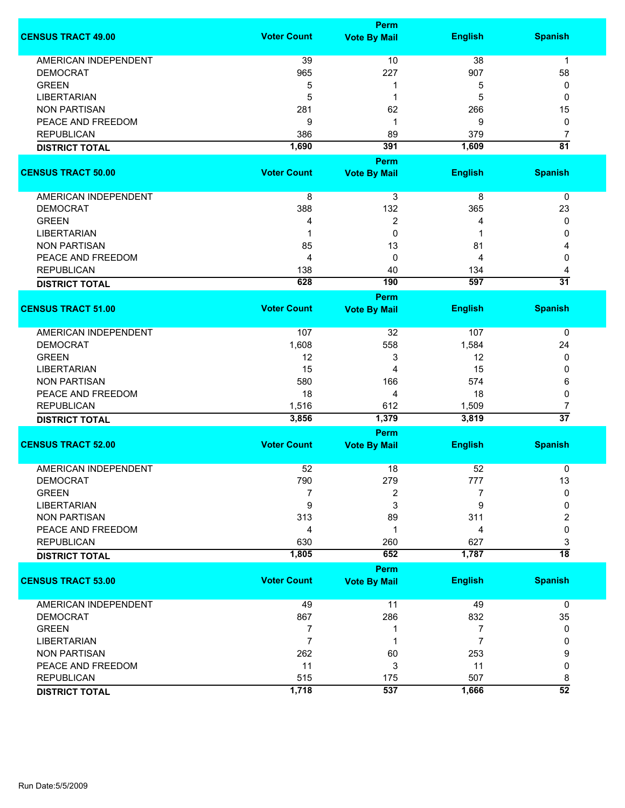|                             |                    | <b>Perm</b>                        |                |                      |
|-----------------------------|--------------------|------------------------------------|----------------|----------------------|
| <b>CENSUS TRACT 49.00</b>   | <b>Voter Count</b> | <b>Vote By Mail</b>                | <b>English</b> | <b>Spanish</b>       |
| <b>AMERICAN INDEPENDENT</b> | 39                 | 10                                 | 38             | $\mathbf{1}$         |
| <b>DEMOCRAT</b>             | 965                | 227                                | 907            | 58                   |
| <b>GREEN</b>                | 5                  | 1                                  | 5              | 0                    |
| <b>LIBERTARIAN</b>          | 5                  | 1                                  | 5              | 0                    |
|                             |                    |                                    |                |                      |
| <b>NON PARTISAN</b>         | 281                | 62                                 | 266            | 15                   |
| PEACE AND FREEDOM           | 9                  | 1                                  | 9              | 0                    |
| <b>REPUBLICAN</b>           | 386                | 89                                 | 379            | $\overline{7}$       |
| <b>DISTRICT TOTAL</b>       | 1,690              | 391                                | 1,609          | $\overline{81}$      |
|                             |                    | Perm                               |                |                      |
| <b>CENSUS TRACT 50.00</b>   | <b>Voter Count</b> | <b>Vote By Mail</b>                | <b>English</b> | <b>Spanish</b>       |
| AMERICAN INDEPENDENT        | 8                  | 3                                  | 8              | 0                    |
| <b>DEMOCRAT</b>             | 388                | 132                                | 365            | 23                   |
| <b>GREEN</b>                | 4                  | 2                                  | 4              | 0                    |
| <b>LIBERTARIAN</b>          | 1                  | 0                                  | 1              | 0                    |
| <b>NON PARTISAN</b>         | 85                 | 13                                 | 81             | 4                    |
| PEACE AND FREEDOM           | 4                  | 0                                  | 4              | 0                    |
|                             |                    |                                    |                |                      |
| <b>REPUBLICAN</b>           | 138<br>628         | 40<br>190                          | 134<br>597     | 4<br>$\overline{31}$ |
| <b>DISTRICT TOTAL</b>       |                    |                                    |                |                      |
| <b>CENSUS TRACT 51.00</b>   | <b>Voter Count</b> | <b>Perm</b><br><b>Vote By Mail</b> | <b>English</b> | <b>Spanish</b>       |
|                             |                    |                                    |                |                      |
| <b>AMERICAN INDEPENDENT</b> | 107                | 32                                 | 107            | 0                    |
| <b>DEMOCRAT</b>             | 1,608              | 558                                | 1,584          | 24                   |
| <b>GREEN</b>                | 12                 | 3                                  | 12             | 0                    |
| <b>LIBERTARIAN</b>          | 15                 | 4                                  | 15             | 0                    |
| <b>NON PARTISAN</b>         | 580                | 166                                | 574            | 6                    |
| PEACE AND FREEDOM           | 18                 | 4                                  | 18             | 0                    |
| <b>REPUBLICAN</b>           | 1,516              | 612                                | 1,509          | 7                    |
| <b>DISTRICT TOTAL</b>       | 3,856              | 1,379                              | 3,819          | $\overline{37}$      |
|                             |                    | Perm                               |                |                      |
| <b>CENSUS TRACT 52.00</b>   | <b>Voter Count</b> | <b>Vote By Mail</b>                | <b>English</b> | <b>Spanish</b>       |
|                             |                    |                                    |                |                      |
| <b>AMERICAN INDEPENDENT</b> | 52                 | 18                                 | 52             | 0                    |
| <b>DEMOCRAT</b>             | 790                | 279                                | 777            | 13                   |
| <b>GREEN</b>                | 7                  | 2                                  | 7              | $\mathbf 0$          |
| <b>LIBERTARIAN</b>          | $\boldsymbol{9}$   | 3                                  | 9              | 0                    |
| <b>NON PARTISAN</b>         | 313                | 89                                 | 311            | 2                    |
| PEACE AND FREEDOM           | 4                  | 1                                  | 4              | 0                    |
| <b>REPUBLICAN</b>           | 630                | 260                                | 627            | 3                    |
| <b>DISTRICT TOTAL</b>       | 1,805              | 652                                | 1,787          | $\overline{18}$      |
|                             |                    | <b>Perm</b>                        |                |                      |
| <b>CENSUS TRACT 53.00</b>   | <b>Voter Count</b> | <b>Vote By Mail</b>                | <b>English</b> | <b>Spanish</b>       |
| <b>AMERICAN INDEPENDENT</b> | 49                 | 11                                 | 49             | $\mathbf 0$          |
| <b>DEMOCRAT</b>             | 867                | 286                                | 832            | 35                   |
| <b>GREEN</b>                | 7                  | 1                                  | 7              | 0                    |
| <b>LIBERTARIAN</b>          | $\overline{7}$     | 1                                  | $\overline{7}$ | 0                    |
| <b>NON PARTISAN</b>         | 262                | 60                                 | 253            | 9                    |
| PEACE AND FREEDOM           | 11                 | 3                                  | 11             | 0                    |
| <b>REPUBLICAN</b>           | 515                | 175                                | 507            | 8                    |
|                             | 1,718              | 537                                | 1,666          | $\overline{52}$      |
| <b>DISTRICT TOTAL</b>       |                    |                                    |                |                      |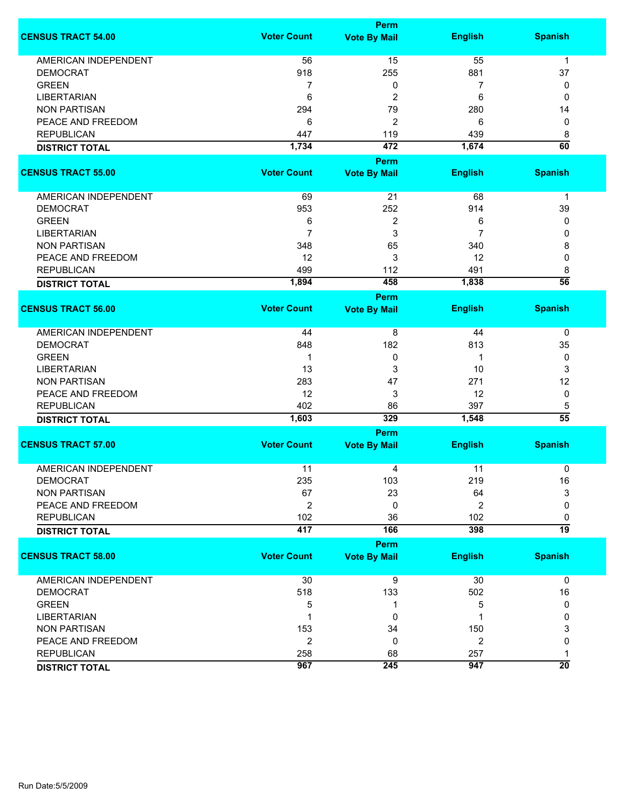|                             |                    | <b>Perm</b>         |                |                      |
|-----------------------------|--------------------|---------------------|----------------|----------------------|
| <b>CENSUS TRACT 54.00</b>   | <b>Voter Count</b> | <b>Vote By Mail</b> | <b>English</b> | <b>Spanish</b>       |
| <b>AMERICAN INDEPENDENT</b> | 56                 | 15                  | 55             | $\mathbf{1}$         |
| <b>DEMOCRAT</b>             | 918                | 255                 | 881            | 37                   |
| <b>GREEN</b>                | 7                  | 0                   | 7              | 0                    |
| <b>LIBERTARIAN</b>          | 6                  | 2                   | 6              | 0                    |
| <b>NON PARTISAN</b>         | 294                | 79                  | 280            | 14                   |
| PEACE AND FREEDOM           | 6                  | $\overline{c}$      | 6              | 0                    |
|                             |                    |                     |                |                      |
| <b>REPUBLICAN</b>           | 447                | 119                 | 439            | 8                    |
| <b>DISTRICT TOTAL</b>       | 1,734              | 472                 | 1,674          | $\overline{60}$      |
|                             |                    | Perm                |                |                      |
| <b>CENSUS TRACT 55.00</b>   | <b>Voter Count</b> | <b>Vote By Mail</b> | <b>English</b> | <b>Spanish</b>       |
| AMERICAN INDEPENDENT        | 69                 | 21                  | 68             | 1                    |
| <b>DEMOCRAT</b>             | 953                | 252                 | 914            | 39                   |
| <b>GREEN</b>                | 6                  | 2                   | 6              | 0                    |
| <b>LIBERTARIAN</b>          | $\overline{7}$     | 3                   | 7              | 0                    |
| <b>NON PARTISAN</b>         | 348                | 65                  | 340            | 8                    |
|                             |                    | 3                   |                |                      |
| PEACE AND FREEDOM           | 12                 |                     | 12             | 0                    |
| <b>REPUBLICAN</b>           | 499                | 112                 | 491            | 8<br>$\overline{56}$ |
| <b>DISTRICT TOTAL</b>       | 1,894              | 458                 | 1,838          |                      |
|                             |                    | <b>Perm</b>         |                |                      |
| <b>CENSUS TRACT 56.00</b>   | <b>Voter Count</b> | <b>Vote By Mail</b> | <b>English</b> | <b>Spanish</b>       |
| <b>AMERICAN INDEPENDENT</b> | 44                 | 8                   | 44             | 0                    |
| <b>DEMOCRAT</b>             | 848                | 182                 | 813            | 35                   |
| <b>GREEN</b>                | 1                  | 0                   | 1              | 0                    |
| <b>LIBERTARIAN</b>          | 13                 | 3                   | 10             | 3                    |
| <b>NON PARTISAN</b>         | 283                | 47                  | 271            | 12                   |
| PEACE AND FREEDOM           | 12                 | 3                   | 12             | 0                    |
| <b>REPUBLICAN</b>           | 402                | 86                  | 397            | 5                    |
| <b>DISTRICT TOTAL</b>       | 1,603              | 329                 | 1,548          | $\overline{55}$      |
|                             |                    | Perm                |                |                      |
| <b>CENSUS TRACT 57.00</b>   | <b>Voter Count</b> | <b>Vote By Mail</b> | <b>English</b> | <b>Spanish</b>       |
|                             |                    |                     |                |                      |
| <b>AMERICAN INDEPENDENT</b> | 11                 | 4                   | 11             | 0                    |
| <b>DEMOCRAT</b>             | 235                | 103                 | 219            | $16\,$               |
| <b>NON PARTISAN</b>         | 67                 | 23                  | 64             | 3                    |
| PEACE AND FREEDOM           | $\overline{2}$     | 0                   | $\overline{2}$ | 0                    |
| <b>REPUBLICAN</b>           | 102                | 36                  | 102            | 0                    |
| <b>DISTRICT TOTAL</b>       | 417                | 166                 | 398            | 19                   |
|                             |                    |                     |                |                      |
|                             |                    | <b>Perm</b>         |                |                      |
| <b>CENSUS TRACT 58.00</b>   | <b>Voter Count</b> | <b>Vote By Mail</b> | <b>English</b> | <b>Spanish</b>       |
| <b>AMERICAN INDEPENDENT</b> | 30                 | $\overline{9}$      | 30             | $\mathbf 0$          |
| <b>DEMOCRAT</b>             | 518                | 133                 | 502            | 16                   |
| <b>GREEN</b>                | 5                  | 1                   | 5              | 0                    |
| <b>LIBERTARIAN</b>          | 1                  | 0                   |                | 0                    |
| <b>NON PARTISAN</b>         | 153                | 34                  | 150            | 3                    |
| PEACE AND FREEDOM           | $\overline{2}$     | 0                   | $\overline{2}$ | 0                    |
| <b>REPUBLICAN</b>           | 258                | 68                  | 257            | 1                    |
| <b>DISTRICT TOTAL</b>       | 967                | 245                 | 947            | $\overline{20}$      |
|                             |                    |                     |                |                      |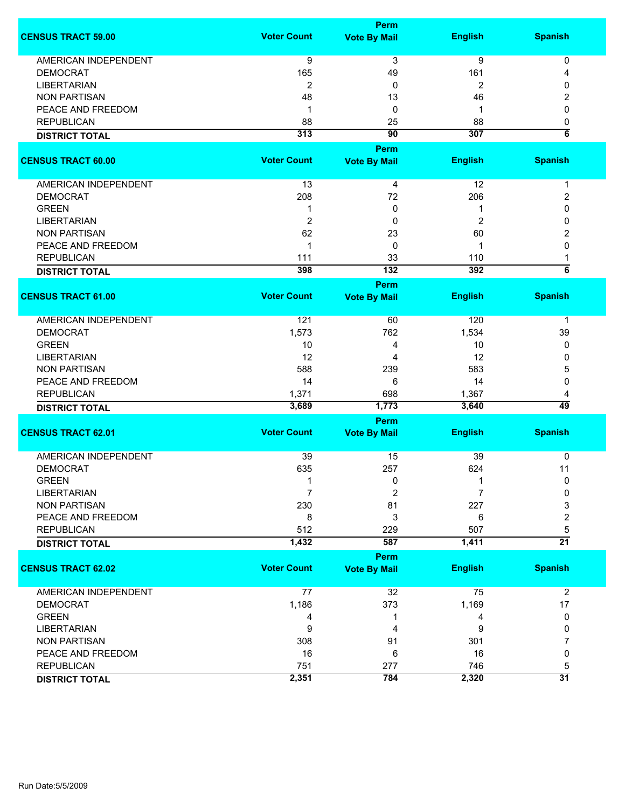|                                        |                    | <b>Perm</b>           |                |                          |
|----------------------------------------|--------------------|-----------------------|----------------|--------------------------|
| <b>CENSUS TRACT 59.00</b>              | <b>Voter Count</b> | <b>Vote By Mail</b>   | <b>English</b> | <b>Spanish</b>           |
| <b>AMERICAN INDEPENDENT</b>            | 9                  | 3                     | 9              | 0                        |
| <b>DEMOCRAT</b>                        | 165                | 49                    | 161            | 4                        |
| <b>LIBERTARIAN</b>                     | 2                  | 0                     | 2              | 0                        |
| <b>NON PARTISAN</b>                    | 48                 | 13                    | 46             |                          |
|                                        | $\mathbf 1$        |                       | 1              | 2                        |
| PEACE AND FREEDOM<br><b>REPUBLICAN</b> |                    | 0                     |                | 0                        |
|                                        | 88                 | 25<br>$\overline{90}$ | 88             | 0<br>$\overline{\bf{6}}$ |
| <b>DISTRICT TOTAL</b>                  | 313                |                       | 307            |                          |
|                                        |                    | Perm                  |                |                          |
| <b>CENSUS TRACT 60.00</b>              | <b>Voter Count</b> | <b>Vote By Mail</b>   | <b>English</b> | <b>Spanish</b>           |
|                                        |                    |                       |                |                          |
| AMERICAN INDEPENDENT                   | 13                 | 4                     | 12             | 1                        |
| <b>DEMOCRAT</b>                        | 208                | 72                    | 206            | 2                        |
| <b>GREEN</b>                           | 1                  | 0                     | 1              | 0                        |
| <b>LIBERTARIAN</b>                     | $\overline{c}$     | 0                     | 2              | 0                        |
| <b>NON PARTISAN</b>                    | 62                 | 23                    | 60             | 2                        |
| PEACE AND FREEDOM                      | $\mathbf 1$        | 0                     | 1              | 0                        |
| <b>REPUBLICAN</b>                      | 111                | 33                    | 110            | 1                        |
| <b>DISTRICT TOTAL</b>                  | 398                | $\overline{132}$      | 392            | $\overline{\bf{6}}$      |
|                                        |                    | Perm                  |                |                          |
| <b>CENSUS TRACT 61.00</b>              | <b>Voter Count</b> | <b>Vote By Mail</b>   | <b>English</b> | <b>Spanish</b>           |
| <b>AMERICAN INDEPENDENT</b>            | 121                | 60                    | 120            | 1                        |
| <b>DEMOCRAT</b>                        | 1,573              | 762                   | 1,534          | 39                       |
| <b>GREEN</b>                           | 10                 | 4                     | 10             | 0                        |
| <b>LIBERTARIAN</b>                     | 12                 | 4                     | 12             | 0                        |
|                                        |                    |                       |                |                          |
| <b>NON PARTISAN</b>                    | 588                | 239                   | 583            | 5                        |
| PEACE AND FREEDOM                      | 14                 | 6                     | 14             | 0                        |
| <b>REPUBLICAN</b>                      | 1,371              | 698                   | 1,367          | 4                        |
| <b>DISTRICT TOTAL</b>                  | 3,689              | 1,773                 | 3,640          | 49                       |
|                                        |                    | Perm                  |                |                          |
| <b>CENSUS TRACT 62.01</b>              | <b>Voter Count</b> | <b>Vote By Mail</b>   | <b>English</b> | <b>Spanish</b>           |
| <b>AMERICAN INDEPENDENT</b>            | 39                 | 15                    | 39             | 0                        |
| <b>DEMOCRAT</b>                        | 635                | 257                   | 624            | 11                       |
| <b>GREEN</b>                           | 1                  | 0                     | $\mathbf 1$    | 0                        |
| <b>LIBERTARIAN</b>                     | $\overline{7}$     | $\overline{2}$        | 7              | 0                        |
| <b>NON PARTISAN</b>                    | 230                | 81                    | 227            | 3                        |
| PEACE AND FREEDOM                      | 8                  | 3                     | 6              | 2                        |
| <b>REPUBLICAN</b>                      | 512                | 229                   | 507            | 5                        |
| <b>DISTRICT TOTAL</b>                  | 1,432              | 587                   | 1,411          | $\overline{21}$          |
|                                        |                    | Perm                  |                |                          |
| <b>CENSUS TRACT 62.02</b>              | <b>Voter Count</b> | <b>Vote By Mail</b>   | <b>English</b> | <b>Spanish</b>           |
|                                        |                    |                       |                |                          |
| AMERICAN INDEPENDENT                   | 77                 | 32                    | 75             | $\overline{2}$           |
| <b>DEMOCRAT</b>                        | 1,186              | 373                   | 1,169          | 17                       |
| <b>GREEN</b>                           | 4                  | -1                    | 4              | 0                        |
| <b>LIBERTARIAN</b>                     | 9                  | 4                     | 9              | 0                        |
| <b>NON PARTISAN</b>                    | 308                | 91                    | 301            | 7                        |
| PEACE AND FREEDOM                      | 16                 | 6                     | 16             | 0                        |
| <b>REPUBLICAN</b>                      | 751                | 277                   | 746            | 5                        |
| <b>DISTRICT TOTAL</b>                  | 2,351              | 784                   | 2,320          | $\overline{31}$          |
|                                        |                    |                       |                |                          |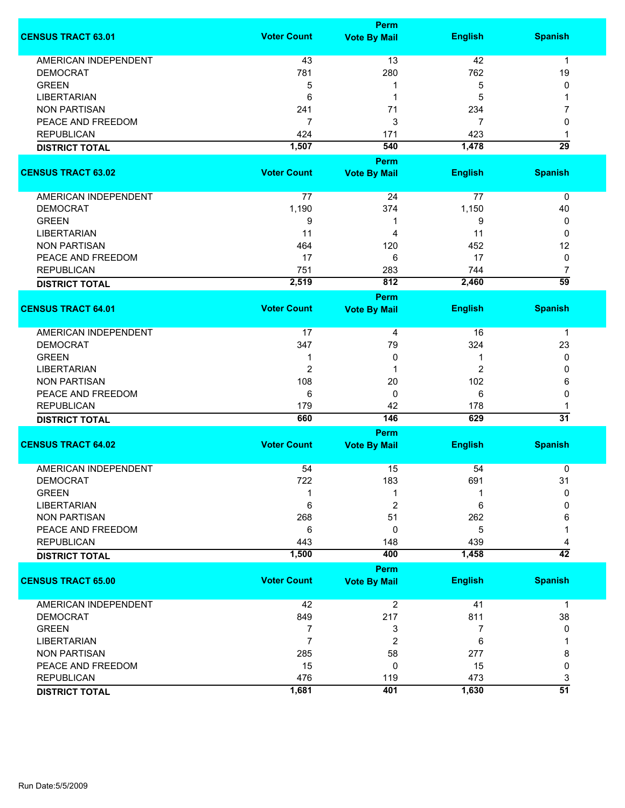|                             |                    | <b>Perm</b>             |                |                                   |
|-----------------------------|--------------------|-------------------------|----------------|-----------------------------------|
| <b>CENSUS TRACT 63.01</b>   | <b>Voter Count</b> | <b>Vote By Mail</b>     | <b>English</b> | <b>Spanish</b>                    |
| <b>AMERICAN INDEPENDENT</b> | 43                 | 13                      | 42             | $\mathbf{1}$                      |
| <b>DEMOCRAT</b>             | 781                | 280                     | 762            | 19                                |
| <b>GREEN</b>                | 5                  | 1                       | 5              | 0                                 |
|                             |                    | 1                       |                | 1                                 |
| <b>LIBERTARIAN</b>          | 6                  |                         | 5              |                                   |
| <b>NON PARTISAN</b>         | 241                | 71                      | 234            | 7                                 |
| PEACE AND FREEDOM           | $\overline{7}$     | 3                       | 7              | 0                                 |
| <b>REPUBLICAN</b>           | 424                | 171                     | 423            | 1                                 |
| <b>DISTRICT TOTAL</b>       | 1,507              | 540                     | 1,478          | $\overline{29}$                   |
|                             |                    | Perm                    |                |                                   |
| <b>CENSUS TRACT 63.02</b>   | <b>Voter Count</b> | <b>Vote By Mail</b>     | <b>English</b> | <b>Spanish</b>                    |
| AMERICAN INDEPENDENT        | 77                 | 24                      | 77             | 0                                 |
| <b>DEMOCRAT</b>             | 1,190              | 374                     | 1,150          | 40                                |
| <b>GREEN</b>                | 9                  | 1                       | 9              | 0                                 |
| <b>LIBERTARIAN</b>          | 11                 | 4                       | 11             | 0                                 |
| <b>NON PARTISAN</b>         | 464                | 120                     | 452            | 12                                |
| PEACE AND FREEDOM           | 17                 | 6                       | 17             | 0                                 |
|                             |                    |                         |                |                                   |
| <b>REPUBLICAN</b>           | 751                | 283                     | 744            | $\overline{7}$<br>$\overline{59}$ |
| <b>DISTRICT TOTAL</b>       | 2,519              | 812                     | 2,460          |                                   |
|                             |                    | Perm                    |                |                                   |
| <b>CENSUS TRACT 64.01</b>   | <b>Voter Count</b> | <b>Vote By Mail</b>     | <b>English</b> | <b>Spanish</b>                    |
| <b>AMERICAN INDEPENDENT</b> | 17                 | 4                       | 16             | $\mathbf 1$                       |
| <b>DEMOCRAT</b>             | 347                | 79                      | 324            | 23                                |
| <b>GREEN</b>                | 1                  | 0                       | 1              | 0                                 |
| <b>LIBERTARIAN</b>          | $\overline{2}$     | 1                       | $\overline{c}$ | 0                                 |
| <b>NON PARTISAN</b>         | 108                | 20                      | 102            | 6                                 |
| PEACE AND FREEDOM           | 6                  | 0                       | 6              | 0                                 |
| <b>REPUBLICAN</b>           | 179                | 42                      | 178            | 1                                 |
| <b>DISTRICT TOTAL</b>       | 660                | 146                     | 629            | $\overline{31}$                   |
|                             |                    | Perm                    |                |                                   |
| <b>CENSUS TRACT 64.02</b>   | <b>Voter Count</b> | <b>Vote By Mail</b>     | <b>English</b> | <b>Spanish</b>                    |
|                             |                    |                         |                |                                   |
| <b>AMERICAN INDEPENDENT</b> | 54                 | 15                      | 54             | 0                                 |
| <b>DEMOCRAT</b>             | 722                | 183                     | 691            | 31                                |
| <b>GREEN</b>                |                    | 1                       |                | 0                                 |
| <b>LIBERTARIAN</b>          | 6                  | 2                       | 6              | 0                                 |
| <b>NON PARTISAN</b>         | 268                | 51                      | 262            | 6                                 |
| PEACE AND FREEDOM           | 6                  | 0                       | 5              |                                   |
| <b>REPUBLICAN</b>           | 443                | 148                     | 439            | 4                                 |
| <b>DISTRICT TOTAL</b>       | 1,500              | 400                     | 1,458          | $\overline{42}$                   |
|                             |                    | <b>Perm</b>             |                |                                   |
| <b>CENSUS TRACT 65.00</b>   | <b>Voter Count</b> | <b>Vote By Mail</b>     | <b>English</b> | <b>Spanish</b>                    |
| AMERICAN INDEPENDENT        | 42                 | $\overline{\mathbf{c}}$ | 41             | 1                                 |
| <b>DEMOCRAT</b>             | 849                | 217                     | 811            | 38                                |
| <b>GREEN</b>                | 7                  | 3                       | 7              | 0                                 |
| <b>LIBERTARIAN</b>          | $\overline{7}$     | 2                       | 6              |                                   |
| <b>NON PARTISAN</b>         | 285                | 58                      | 277            | 8                                 |
| PEACE AND FREEDOM           | 15                 | 0                       | 15             | $\mathbf 0$                       |
| <b>REPUBLICAN</b>           | 476                | 119                     | 473            | 3                                 |
| <b>DISTRICT TOTAL</b>       | 1,681              | 401                     | 1,630          | $\overline{51}$                   |
|                             |                    |                         |                |                                   |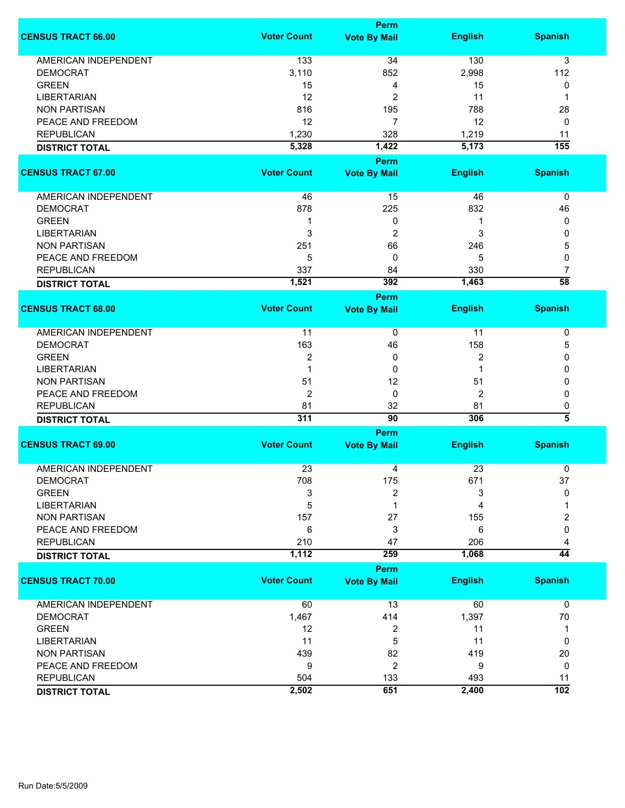|                             |                    | Perm                        |                |                          |
|-----------------------------|--------------------|-----------------------------|----------------|--------------------------|
| <b>CENSUS TRACT 66.00</b>   | <b>Voter Count</b> | <b>Vote By Mail</b>         | <b>English</b> | <b>Spanish</b>           |
| <b>AMERICAN INDEPENDENT</b> | 133                | 34                          | 130            | 3                        |
| <b>DEMOCRAT</b>             | 3,110              | 852                         | 2,998          | 112                      |
| <b>GREEN</b>                | 15                 | 4                           | 15             | 0                        |
| <b>LIBERTARIAN</b>          | 12                 | 2                           | 11             | 1                        |
|                             |                    |                             |                |                          |
| <b>NON PARTISAN</b>         | 816                | 195                         | 788            | 28                       |
| PEACE AND FREEDOM           | 12                 | $\overline{7}$              | 12             | 0                        |
| <b>REPUBLICAN</b>           | 1,230              | 328                         | 1,219          | 11                       |
| <b>DISTRICT TOTAL</b>       | 5,328              | 1,422                       | 5,173          | 155                      |
|                             |                    | <b>Perm</b>                 |                |                          |
| <b>CENSUS TRACT 67.00</b>   | <b>Voter Count</b> | <b>Vote By Mail</b>         | <b>English</b> | <b>Spanish</b>           |
| AMERICAN INDEPENDENT        | 46                 | 15                          | 46             | 0                        |
| <b>DEMOCRAT</b>             | 878                | 225                         | 832            | 46                       |
| <b>GREEN</b>                | -1                 | 0                           | 1              | 0                        |
| <b>LIBERTARIAN</b>          | 3                  | $\overline{2}$              | 3              | 0                        |
| <b>NON PARTISAN</b>         | 251                | 66                          | 246            | 5                        |
| PEACE AND FREEDOM           | 5                  | 0                           | 5              | 0                        |
| <b>REPUBLICAN</b>           | 337                |                             | 330            | 7                        |
|                             |                    | 84                          |                | $\overline{58}$          |
| <b>DISTRICT TOTAL</b>       | 1,521              | 392                         | 1,463          |                          |
| <b>CENSUS TRACT 68.00</b>   | <b>Voter Count</b> | Perm<br><b>Vote By Mail</b> | <b>English</b> | <b>Spanish</b>           |
|                             |                    |                             |                |                          |
| <b>AMERICAN INDEPENDENT</b> | 11                 | 0                           | 11             | 0                        |
| <b>DEMOCRAT</b>             | 163                | 46                          | 158            | 5                        |
| <b>GREEN</b>                | $\overline{2}$     | 0                           | 2              | 0                        |
| <b>LIBERTARIAN</b>          | $\mathbf{1}$       | 0                           | 1              | 0                        |
| <b>NON PARTISAN</b>         | 51                 | 12                          | 51             | 0                        |
| PEACE AND FREEDOM           | 2                  | 0                           | 2              | 0                        |
| <b>REPUBLICAN</b>           | 81                 | 32                          |                |                          |
|                             | 311                | $\overline{90}$             | 81<br>306      | 0<br>$\overline{\bf{5}}$ |
| <b>DISTRICT TOTAL</b>       |                    | <b>Perm</b>                 |                |                          |
| <b>CENSUS TRACT 69.00</b>   | <b>Voter Count</b> | <b>Vote By Mail</b>         | <b>English</b> | <b>Spanish</b>           |
|                             |                    |                             |                |                          |
| <b>AMERICAN INDEPENDENT</b> | 23                 | 4                           | 23             | 0                        |
| <b>DEMOCRAT</b>             | 708                | 175                         | 671            | 37                       |
| <b>GREEN</b>                | 3                  | 2                           | 3              | 0                        |
| <b>LIBERTARIAN</b>          | 5                  | 1                           | 4              |                          |
| <b>NON PARTISAN</b>         | 157                | 27                          | 155            | 2                        |
| PEACE AND FREEDOM           | 6                  | 3                           | 6              | 0                        |
| <b>REPUBLICAN</b>           | 210                | 47                          | 206            | 4                        |
| <b>DISTRICT TOTAL</b>       | 1,112              | 259                         | 1,068          | $\overline{44}$          |
|                             |                    | <b>Perm</b>                 |                |                          |
| <b>CENSUS TRACT 70.00</b>   | <b>Voter Count</b> | <b>Vote By Mail</b>         | <b>English</b> | <b>Spanish</b>           |
| AMERICAN INDEPENDENT        | 60                 | 13                          | 60             | 0                        |
| <b>DEMOCRAT</b>             | 1,467              | 414                         | 1,397          | 70                       |
| <b>GREEN</b>                | 12                 | 2                           | 11             | 1                        |
| <b>LIBERTARIAN</b>          | 11                 | 5                           | 11             | 0                        |
| <b>NON PARTISAN</b>         | 439                | 82                          | 419            | 20                       |
| PEACE AND FREEDOM           | 9                  | 2                           | 9              | 0                        |
| <b>REPUBLICAN</b>           | 504                | 133                         | 493            | 11                       |
| <b>DISTRICT TOTAL</b>       | 2,502              | 651                         | 2,400          | $\overline{102}$         |
|                             |                    |                             |                |                          |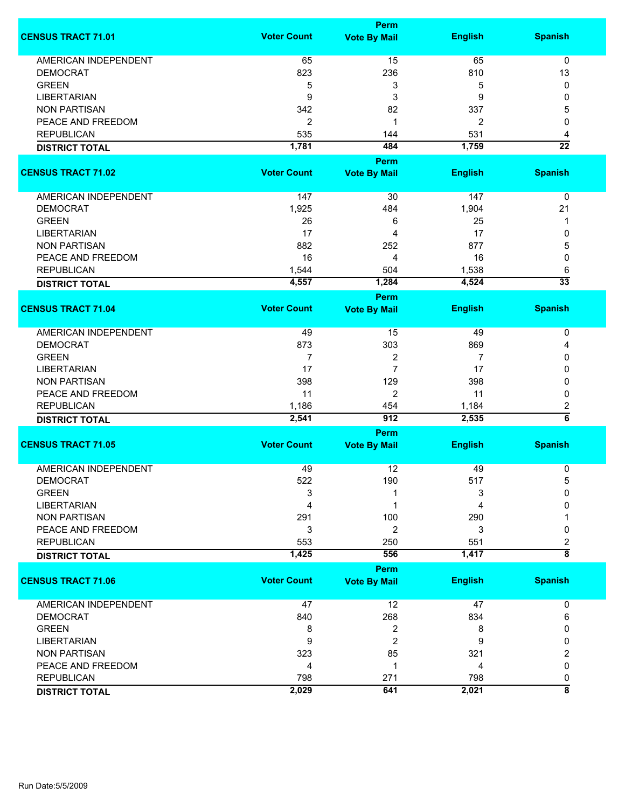|                             |                    | <b>Perm</b>             |                |                         |
|-----------------------------|--------------------|-------------------------|----------------|-------------------------|
| <b>CENSUS TRACT 71.01</b>   | <b>Voter Count</b> | <b>Vote By Mail</b>     | <b>English</b> | <b>Spanish</b>          |
| <b>AMERICAN INDEPENDENT</b> | 65                 | 15                      | 65             | 0                       |
| <b>DEMOCRAT</b>             | 823                | 236                     | 810            | 13                      |
| <b>GREEN</b>                |                    | 3                       | 5              | 0                       |
|                             | 5                  |                         |                |                         |
| <b>LIBERTARIAN</b>          | 9                  | 3                       | 9              | 0                       |
| <b>NON PARTISAN</b>         | 342                | 82                      | 337            | 5                       |
| PEACE AND FREEDOM           | $\overline{2}$     | 1                       | 2              | 0                       |
| <b>REPUBLICAN</b>           | 535                | 144                     | 531            | 4                       |
| <b>DISTRICT TOTAL</b>       | 1,781              | 484                     | 1,759          | $\overline{22}$         |
|                             |                    | Perm                    |                |                         |
| <b>CENSUS TRACT 71.02</b>   | <b>Voter Count</b> | <b>Vote By Mail</b>     | <b>English</b> | <b>Spanish</b>          |
| AMERICAN INDEPENDENT        | 147                | 30                      | 147            | 0                       |
| <b>DEMOCRAT</b>             | 1,925              | 484                     | 1,904          | 21                      |
|                             |                    |                         |                |                         |
| <b>GREEN</b>                | 26                 | 6                       | 25             | 1                       |
| <b>LIBERTARIAN</b>          | 17                 | 4                       | 17             | 0                       |
| <b>NON PARTISAN</b>         | 882                | 252                     | 877            | 5                       |
| PEACE AND FREEDOM           | 16                 | 4                       | 16             | 0                       |
| <b>REPUBLICAN</b>           | 1,544              | 504                     | 1,538          | 6                       |
| <b>DISTRICT TOTAL</b>       | 4,557              | 1,284                   | 4,524          | $\overline{33}$         |
|                             |                    | Perm                    |                |                         |
| <b>CENSUS TRACT 71.04</b>   | <b>Voter Count</b> | <b>Vote By Mail</b>     | <b>English</b> | <b>Spanish</b>          |
| <b>AMERICAN INDEPENDENT</b> | 49                 | 15                      | 49             | 0                       |
| <b>DEMOCRAT</b>             | 873                | 303                     | 869            | 4                       |
| <b>GREEN</b>                | 7                  | 2                       | 7              | 0                       |
| <b>LIBERTARIAN</b>          | 17                 | $\overline{7}$          | 17             | 0                       |
| <b>NON PARTISAN</b>         | 398                | 129                     | 398            | 0                       |
| PEACE AND FREEDOM           | 11                 | $\overline{c}$          | 11             | 0                       |
| <b>REPUBLICAN</b>           | 1,186              | 454                     | 1,184          | 2                       |
|                             | 2,541              | 912                     | 2,535          | $\overline{6}$          |
| <b>DISTRICT TOTAL</b>       |                    |                         |                |                         |
|                             |                    | <b>Perm</b>             |                |                         |
| <b>CENSUS TRACT 71.05</b>   | <b>Voter Count</b> | <b>Vote By Mail</b>     | <b>English</b> | <b>Spanish</b>          |
| <b>AMERICAN INDEPENDENT</b> | 49                 | 12                      | 49             | 0                       |
| <b>DEMOCRAT</b>             | 522                | 190                     | 517            | 5                       |
| <b>GREEN</b>                | 3                  | 1                       | 3              | $\Omega$                |
| <b>LIBERTARIAN</b>          | 4                  | 1                       | 4              | 0                       |
| <b>NON PARTISAN</b>         | 291                | 100                     | 290            |                         |
| PEACE AND FREEDOM           | 3                  | 2                       | 3              | 0                       |
| <b>REPUBLICAN</b>           | 553                |                         |                |                         |
|                             | 1,425              | 250<br>556              | 551<br>1,417   | 2<br>$\overline{\bf 8}$ |
| <b>DISTRICT TOTAL</b>       |                    |                         |                |                         |
|                             |                    | <b>Perm</b>             |                |                         |
| <b>CENSUS TRACT 71.06</b>   | <b>Voter Count</b> | <b>Vote By Mail</b>     | <b>English</b> | <b>Spanish</b>          |
| <b>AMERICAN INDEPENDENT</b> | 47                 | 12                      | 47             | 0                       |
| <b>DEMOCRAT</b>             | 840                | 268                     | 834            | 6                       |
| <b>GREEN</b>                | 8                  | $\overline{\mathbf{c}}$ | 8              | 0                       |
| <b>LIBERTARIAN</b>          | 9                  | 2                       | 9              | 0                       |
| <b>NON PARTISAN</b>         | 323                | 85                      | 321            | 2                       |
| PEACE AND FREEDOM           | 4                  | 1                       | 4              | 0                       |
| <b>REPUBLICAN</b>           | 798                | 271                     | 798            | 0                       |
| <b>DISTRICT TOTAL</b>       | 2,029              | 641                     | 2,021          | $\overline{\bf 8}$      |
|                             |                    |                         |                |                         |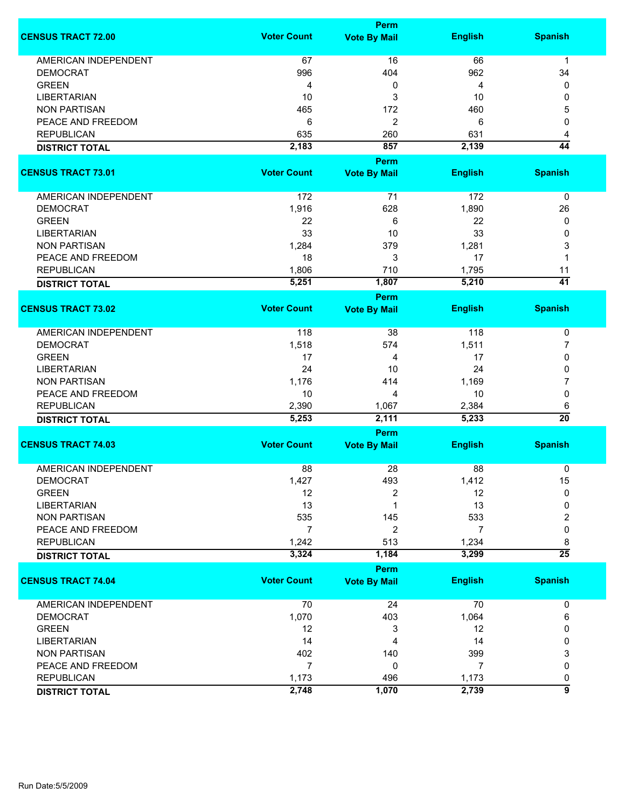|                             |                    | <b>Perm</b>          |                |                       |
|-----------------------------|--------------------|----------------------|----------------|-----------------------|
| <b>CENSUS TRACT 72.00</b>   | <b>Voter Count</b> | <b>Vote By Mail</b>  | <b>English</b> | <b>Spanish</b>        |
| <b>AMERICAN INDEPENDENT</b> | 67                 | 16                   | 66             | $\mathbf{1}$          |
| <b>DEMOCRAT</b>             | 996                | 404                  | 962            | 34                    |
| <b>GREEN</b>                | 4                  | 0                    | 4              | 0                     |
| <b>LIBERTARIAN</b>          | 10                 | 3                    | 10             | 0                     |
| <b>NON PARTISAN</b>         | 465                | 172                  | 460            | 5                     |
| PEACE AND FREEDOM           | 6                  | 2                    | 6              | 0                     |
| <b>REPUBLICAN</b>           |                    |                      | 631            |                       |
|                             | 635                | 260                  |                | 4                     |
| <b>DISTRICT TOTAL</b>       | 2,183              | 857<br><b>Perm</b>   | 2,139          | $\overline{44}$       |
| <b>CENSUS TRACT 73.01</b>   | <b>Voter Count</b> | <b>Vote By Mail</b>  | <b>English</b> | <b>Spanish</b>        |
| AMERICAN INDEPENDENT        | 172                | 71                   | 172            | 0                     |
| <b>DEMOCRAT</b>             | 1,916              | 628                  | 1,890          | 26                    |
| <b>GREEN</b>                | 22                 | 6                    | 22             | 0                     |
| <b>LIBERTARIAN</b>          | 33                 | 10                   | 33             | 0                     |
| <b>NON PARTISAN</b>         | 1,284              | 379                  | 1,281          | 3                     |
| PEACE AND FREEDOM           |                    |                      |                | 1                     |
|                             | 18                 | 3                    | 17             |                       |
| <b>REPUBLICAN</b>           | 1,806              | 710                  | 1,795          | 11<br>$\overline{41}$ |
| <b>DISTRICT TOTAL</b>       | 5,251              | 1,807<br><b>Perm</b> | 5,210          |                       |
| <b>CENSUS TRACT 73.02</b>   | <b>Voter Count</b> | <b>Vote By Mail</b>  | <b>English</b> | <b>Spanish</b>        |
| <b>AMERICAN INDEPENDENT</b> | 118                | 38                   | 118            | 0                     |
| <b>DEMOCRAT</b>             | 1,518              | 574                  | 1,511          | 7                     |
| <b>GREEN</b>                | 17                 | 4                    | 17             | 0                     |
| <b>LIBERTARIAN</b>          | 24                 | 10                   | 24             | 0                     |
| <b>NON PARTISAN</b>         | 1,176              | 414                  | 1,169          | 7                     |
|                             |                    |                      |                |                       |
| PEACE AND FREEDOM           | 10                 | 4                    | 10             | 0                     |
| <b>REPUBLICAN</b>           | 2,390              | 1,067                | 2,384          | 6                     |
| <b>DISTRICT TOTAL</b>       | 5,253              | 2,111                | 5,233          | $\overline{20}$       |
|                             |                    | Perm                 |                |                       |
| <b>CENSUS TRACT 74.03</b>   | <b>Voter Count</b> | <b>Vote By Mail</b>  | <b>English</b> | <b>Spanish</b>        |
| <b>AMERICAN INDEPENDENT</b> | 88                 | 28                   | 88             | 0                     |
| <b>DEMOCRAT</b>             | 1,427              | 493                  | 1,412          | 15                    |
| <b>GREEN</b>                | 12                 | 2                    | 12             | 0                     |
| <b>LIBERTARIAN</b>          | 13                 | 1                    | 13             | 0                     |
| <b>NON PARTISAN</b>         | 535                | 145                  | 533            | 2                     |
| PEACE AND FREEDOM           | $\overline{7}$     | 2                    | 7              | $\mathbf 0$           |
| <b>REPUBLICAN</b>           | 1,242              | 513                  | 1,234          | 8                     |
| <b>DISTRICT TOTAL</b>       | 3,324              | 1,184                | 3,299          | $\overline{25}$       |
|                             |                    | Perm                 |                |                       |
| <b>CENSUS TRACT 74.04</b>   | <b>Voter Count</b> | <b>Vote By Mail</b>  | <b>English</b> | <b>Spanish</b>        |
| AMERICAN INDEPENDENT        | 70                 | 24                   | 70             | 0                     |
| <b>DEMOCRAT</b>             | 1,070              | 403                  | 1,064          | 6                     |
| <b>GREEN</b>                | 12                 | 3                    | 12             | 0                     |
| <b>LIBERTARIAN</b>          | 14                 | 4                    | 14             | 0                     |
| <b>NON PARTISAN</b>         | 402                | 140                  | 399            | 3                     |
| PEACE AND FREEDOM           | $\overline{7}$     | 0                    | 7              | 0                     |
| <b>REPUBLICAN</b>           | 1,173              | 496                  | 1,173          | 0                     |
| <b>DISTRICT TOTAL</b>       | 2,748              | 1,070                | 2,739          | 5                     |
|                             |                    |                      |                |                       |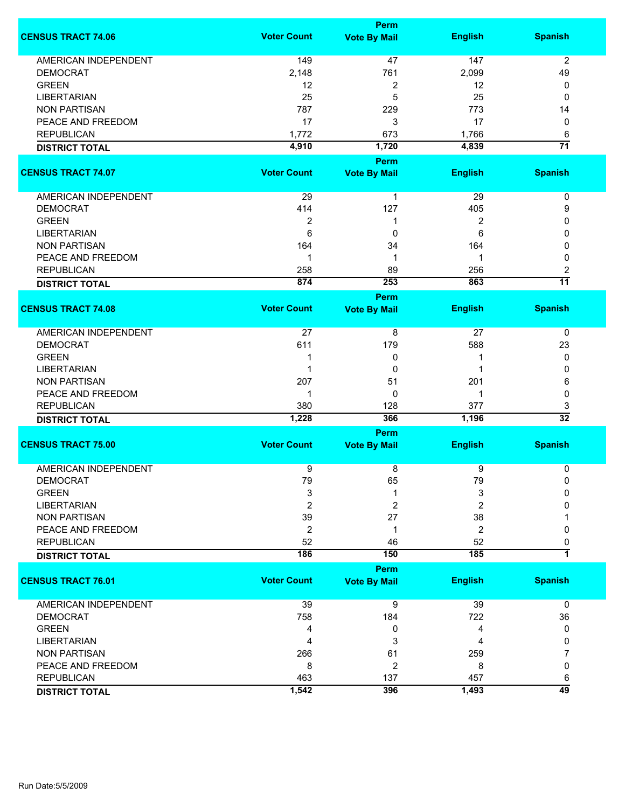|                             | Perm               |                     |                |                 |  |
|-----------------------------|--------------------|---------------------|----------------|-----------------|--|
| <b>CENSUS TRACT 74.06</b>   | <b>Voter Count</b> | <b>Vote By Mail</b> | <b>English</b> | <b>Spanish</b>  |  |
| <b>AMERICAN INDEPENDENT</b> | 149                | 47                  | 147            | $\overline{2}$  |  |
| <b>DEMOCRAT</b>             | 2,148              | 761                 | 2,099          | 49              |  |
| <b>GREEN</b>                | 12                 | 2                   | 12             | 0               |  |
| <b>LIBERTARIAN</b>          | 25                 | 5                   | 25             | 0               |  |
| <b>NON PARTISAN</b>         | 787                | 229                 | 773            |                 |  |
|                             |                    |                     |                | 14              |  |
| PEACE AND FREEDOM           | 17                 | 3                   | 17             | 0               |  |
| <b>REPUBLICAN</b>           | 1,772              | 673                 | 1,766          | 6               |  |
| <b>DISTRICT TOTAL</b>       | 4,910              | 1,720               | 4,839          | $\overline{71}$ |  |
| <b>CENSUS TRACT 74.07</b>   | <b>Voter Count</b> | <b>Perm</b>         | <b>English</b> | <b>Spanish</b>  |  |
|                             |                    | <b>Vote By Mail</b> |                |                 |  |
| AMERICAN INDEPENDENT        | 29                 | $\mathbf{1}$        | 29             | $\pmb{0}$       |  |
| <b>DEMOCRAT</b>             | 414                | 127                 | 405            | 9               |  |
| <b>GREEN</b>                | $\overline{2}$     | 1                   | $\overline{2}$ | 0               |  |
| <b>LIBERTARIAN</b>          | 6                  | 0                   | 6              | 0               |  |
| <b>NON PARTISAN</b>         | 164                | 34                  | 164            | 0               |  |
| PEACE AND FREEDOM           | $\mathbf 1$        | 1                   | 1              | 0               |  |
| <b>REPUBLICAN</b>           | 258                | 89                  | 256            | 2               |  |
|                             | 874                | 253                 | 863            | $\overline{11}$ |  |
| <b>DISTRICT TOTAL</b>       |                    | Perm                |                |                 |  |
| <b>CENSUS TRACT 74.08</b>   | <b>Voter Count</b> | <b>Vote By Mail</b> | <b>English</b> | <b>Spanish</b>  |  |
| <b>AMERICAN INDEPENDENT</b> | 27                 | 8                   | 27             | 0               |  |
| <b>DEMOCRAT</b>             | 611                | 179                 | 588            | 23              |  |
| <b>GREEN</b>                | -1                 | 0                   | 1              | 0               |  |
| <b>LIBERTARIAN</b>          | 1                  | 0                   | -1             | 0               |  |
| <b>NON PARTISAN</b>         | 207                | 51                  | 201            | 6               |  |
|                             |                    |                     |                |                 |  |
| PEACE AND FREEDOM           | 1                  | 0                   | 1              | 0               |  |
| <b>REPUBLICAN</b>           | 380                | 128                 | 377            | 3               |  |
| <b>DISTRICT TOTAL</b>       | 1,228              | 366                 | 1,196          | $\overline{32}$ |  |
|                             |                    | <b>Perm</b>         |                |                 |  |
| <b>CENSUS TRACT 75.00</b>   | <b>Voter Count</b> | <b>Vote By Mail</b> | <b>English</b> | <b>Spanish</b>  |  |
| <b>AMERICAN INDEPENDENT</b> | 9                  | 8                   | 9              | 0               |  |
| <b>DEMOCRAT</b>             | 79                 | 65                  | 79             | 0               |  |
| <b>GREEN</b>                | 3                  | 1                   | 3              | 0               |  |
| <b>LIBERTARIAN</b>          | $\overline{2}$     | 2                   | 2              | 0               |  |
| <b>NON PARTISAN</b>         | 39                 | 27                  | 38             |                 |  |
| PEACE AND FREEDOM           | $\overline{2}$     | 1                   | 2              | 0               |  |
| <b>REPUBLICAN</b>           | 52                 | 46                  | 52             | 0               |  |
| <b>DISTRICT TOTAL</b>       | 186                | 150                 | 185            | $\overline{1}$  |  |
|                             |                    | Perm                |                |                 |  |
| <b>CENSUS TRACT 76.01</b>   | <b>Voter Count</b> | <b>Vote By Mail</b> | <b>English</b> | <b>Spanish</b>  |  |
| <b>AMERICAN INDEPENDENT</b> | 39                 | 9                   | 39             | 0               |  |
| <b>DEMOCRAT</b>             | 758                | 184                 | 722            | 36              |  |
| <b>GREEN</b>                | 4                  | 0                   | 4              | 0               |  |
| <b>LIBERTARIAN</b>          | 4                  | 3                   | 4              | 0               |  |
| <b>NON PARTISAN</b>         | 266                | 61                  | 259            | 7               |  |
| PEACE AND FREEDOM           | 8                  | 2                   | 8              | 0               |  |
| <b>REPUBLICAN</b>           | 463                | 137                 | 457            | 6               |  |
|                             | 1,542              | 396                 | 1,493          | $\overline{49}$ |  |
| <b>DISTRICT TOTAL</b>       |                    |                     |                |                 |  |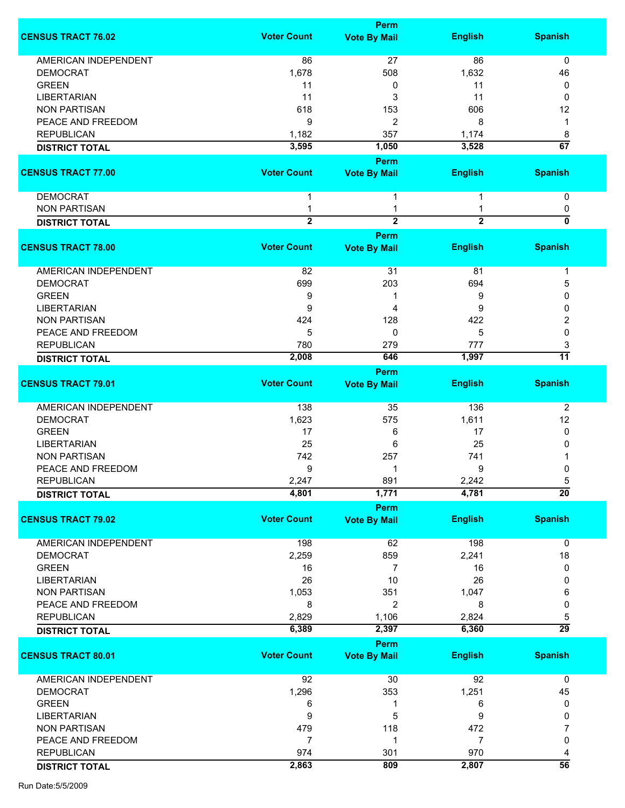|                             |                    | <b>Perm</b>         |                |                 |
|-----------------------------|--------------------|---------------------|----------------|-----------------|
| <b>CENSUS TRACT 76.02</b>   | <b>Voter Count</b> | <b>Vote By Mail</b> | <b>English</b> | <b>Spanish</b>  |
|                             |                    |                     |                |                 |
| <b>AMERICAN INDEPENDENT</b> | 86                 | 27                  | 86             | 0               |
| <b>DEMOCRAT</b>             | 1,678              | 508                 | 1,632          | 46              |
| <b>GREEN</b>                | 11                 | 0                   | 11             | 0               |
| <b>LIBERTARIAN</b>          | 11                 | 3                   | 11             | 0               |
| <b>NON PARTISAN</b>         | 618                | 153                 | 606            | 12              |
| PEACE AND FREEDOM           | 9                  | 2                   | 8              | 1               |
| <b>REPUBLICAN</b>           | 1,182              | 357                 | 1,174          | 8               |
|                             | 3,595              | 1,050               | 3,528          | $\overline{67}$ |
| <b>DISTRICT TOTAL</b>       |                    |                     |                |                 |
|                             |                    | Perm                |                |                 |
| <b>CENSUS TRACT 77.00</b>   | <b>Voter Count</b> | <b>Vote By Mail</b> | <b>English</b> | <b>Spanish</b>  |
| <b>DEMOCRAT</b>             | 1                  | 1                   |                | 0               |
| <b>NON PARTISAN</b>         | 1                  | 1                   |                | 0               |
|                             | $\overline{2}$     | $\overline{2}$      | $\overline{2}$ | $\overline{0}$  |
| <b>DISTRICT TOTAL</b>       |                    |                     |                |                 |
|                             |                    | Perm                |                |                 |
| <b>CENSUS TRACT 78.00</b>   | <b>Voter Count</b> | <b>Vote By Mail</b> | <b>English</b> | <b>Spanish</b>  |
| AMERICAN INDEPENDENT        | 82                 | 31                  | 81             | 1               |
| <b>DEMOCRAT</b>             | 699                | 203                 | 694            | 5               |
| <b>GREEN</b>                | 9                  |                     | 9              | 0               |
|                             |                    |                     |                | $\mathbf{0}$    |
| LIBERTARIAN                 | 9                  | 4                   | 9              |                 |
| <b>NON PARTISAN</b>         | 424                | 128                 | 422            | 2               |
| PEACE AND FREEDOM           | 5                  | 0                   | 5              | 0               |
| <b>REPUBLICAN</b>           | 780                | 279                 | 777            | 3               |
| <b>DISTRICT TOTAL</b>       | 2,008              | 646                 | 1,997          | $\overline{11}$ |
|                             |                    | Perm                |                |                 |
| <b>CENSUS TRACT 79.01</b>   | <b>Voter Count</b> | <b>Vote By Mail</b> | <b>English</b> | <b>Spanish</b>  |
|                             |                    |                     |                |                 |
| AMERICAN INDEPENDENT        | 138                | 35                  | 136            | $\overline{2}$  |
| <b>DEMOCRAT</b>             | 1,623              | 575                 | 1,611          | 12              |
| <b>GREEN</b>                | 17                 | 6                   | 17             | 0               |
|                             | 25                 |                     |                |                 |
| <b>LIBERTARIAN</b>          |                    | 6                   | 25             | 0               |
| <b>NON PARTISAN</b>         | 742                | 257                 | 741            |                 |
| PEACE AND FREEDOM           | 9                  | 1                   | 9              | 0               |
| <b>REPUBLICAN</b>           | 2,247              | 891                 | 2,242          | 5               |
| <b>DISTRICT TOTAL</b>       | 4,801              | 1,771               | 4,781          | $\overline{20}$ |
|                             |                    | Perm                |                |                 |
| <b>CENSUS TRACT 79.02</b>   | <b>Voter Count</b> | <b>Vote By Mail</b> | <b>English</b> | <b>Spanish</b>  |
| <b>AMERICAN INDEPENDENT</b> | 198                | 62                  | 198            | 0               |
| <b>DEMOCRAT</b>             | 2,259              | 859                 | 2,241          | 18              |
| <b>GREEN</b>                | 16                 | $\overline{7}$      | 16             | 0               |
| <b>LIBERTARIAN</b>          | 26                 | 10                  | 26             | 0               |
|                             |                    |                     |                |                 |
| <b>NON PARTISAN</b>         | 1,053              | 351                 | 1,047          | 6               |
| PEACE AND FREEDOM           | 8                  | 2                   | 8              | 0               |
| <b>REPUBLICAN</b>           | 2,829              | 1,106               | 2,824          | 5               |
| <b>DISTRICT TOTAL</b>       | 6,389              | 2,397               | 6,360          | $\overline{29}$ |
|                             |                    | Perm                |                |                 |
| <b>CENSUS TRACT 80.01</b>   | <b>Voter Count</b> | <b>Vote By Mail</b> | <b>English</b> | <b>Spanish</b>  |
|                             |                    |                     |                |                 |
| <b>AMERICAN INDEPENDENT</b> | 92                 | 30                  | 92             | $\mathbf 0$     |
| <b>DEMOCRAT</b>             | 1,296              | 353                 | 1,251          | 45              |
| <b>GREEN</b>                | 6                  | 1                   | 6              | 0               |
| <b>LIBERTARIAN</b>          | 9                  | 5                   | 9              | 0               |
| <b>NON PARTISAN</b>         | 479                | 118                 | 472            | 7               |
| PEACE AND FREEDOM           | $\overline{7}$     | 1                   | $\overline{7}$ | 0               |
| <b>REPUBLICAN</b>           | 974                | 301                 | 970            | 4               |
|                             | 2,863              | 809                 | 2,807          | $\overline{56}$ |
| <b>DISTRICT TOTAL</b>       |                    |                     |                |                 |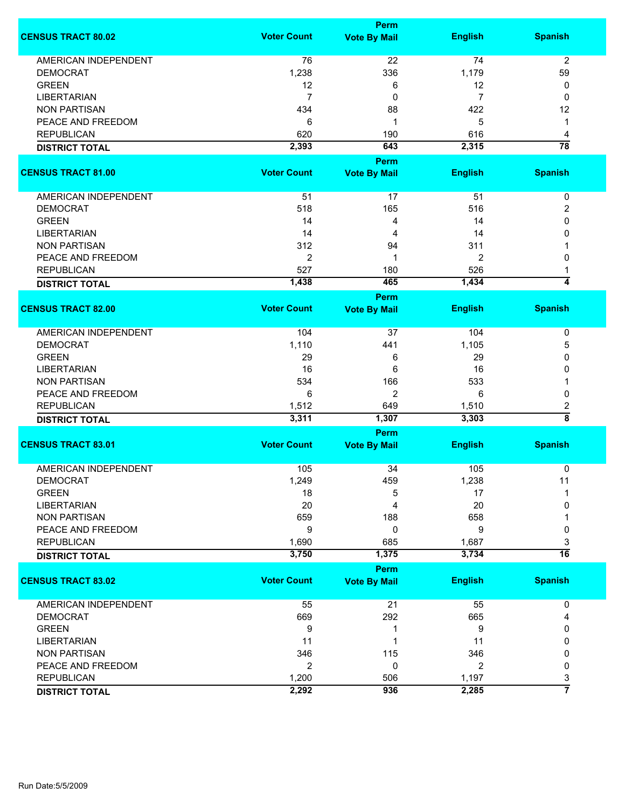|                             |                    | <b>Perm</b>                 |                |                         |
|-----------------------------|--------------------|-----------------------------|----------------|-------------------------|
| <b>CENSUS TRACT 80.02</b>   | <b>Voter Count</b> | <b>Vote By Mail</b>         | <b>English</b> | <b>Spanish</b>          |
| <b>AMERICAN INDEPENDENT</b> | 76                 | 22                          | 74             | $\overline{2}$          |
| <b>DEMOCRAT</b>             | 1,238              | 336                         | 1,179          | 59                      |
| <b>GREEN</b>                | 12                 | 6                           | 12             | 0                       |
| <b>LIBERTARIAN</b>          | $\overline{7}$     | 0                           | 7              | 0                       |
| <b>NON PARTISAN</b>         | 434                | 88                          | 422            | 12                      |
|                             |                    |                             |                |                         |
| PEACE AND FREEDOM           | 6                  | 1                           | 5              | 1                       |
| <b>REPUBLICAN</b>           | 620                | 190                         | 616            | 4                       |
| <b>DISTRICT TOTAL</b>       | 2,393              | 643                         | 2,315          | $\overline{78}$         |
| <b>CENSUS TRACT 81.00</b>   | <b>Voter Count</b> | <b>Perm</b>                 | <b>English</b> | <b>Spanish</b>          |
|                             |                    | <b>Vote By Mail</b>         |                |                         |
| AMERICAN INDEPENDENT        | 51                 | 17                          | 51             | $\pmb{0}$               |
| <b>DEMOCRAT</b>             | 518                | 165                         | 516            | 2                       |
| <b>GREEN</b>                | 14                 | 4                           | 14             | 0                       |
| <b>LIBERTARIAN</b>          | 14                 | 4                           | 14             | 0                       |
| <b>NON PARTISAN</b>         | 312                | 94                          | 311            |                         |
| PEACE AND FREEDOM           | $\overline{2}$     | 1                           | 2              | 0                       |
|                             |                    |                             |                |                         |
| <b>REPUBLICAN</b>           | 527                | 180                         | 526            |                         |
| <b>DISTRICT TOTAL</b>       | 1,438              | 465                         | 1,434          | $\overline{4}$          |
| <b>CENSUS TRACT 82.00</b>   | <b>Voter Count</b> | <b>Perm</b>                 | <b>English</b> | <b>Spanish</b>          |
|                             |                    | <b>Vote By Mail</b>         |                |                         |
| <b>AMERICAN INDEPENDENT</b> | 104                | 37                          | 104            | 0                       |
| <b>DEMOCRAT</b>             | 1,110              | 441                         | 1,105          | 5                       |
| <b>GREEN</b>                | 29                 | 6                           | 29             | 0                       |
| <b>LIBERTARIAN</b>          | 16                 | 6                           | 16             | 0                       |
| <b>NON PARTISAN</b>         | 534                | 166                         | 533            | 1                       |
|                             |                    |                             | 6              |                         |
| PEACE AND FREEDOM           | 6                  | 2                           |                | 0                       |
| <b>REPUBLICAN</b>           | 1,512              | 649                         | 1,510          | 2<br>$\overline{\bf 8}$ |
| <b>DISTRICT TOTAL</b>       | 3,311              | 1,307                       | 3,303          |                         |
| <b>CENSUS TRACT 83.01</b>   | <b>Voter Count</b> | Perm<br><b>Vote By Mail</b> | <b>English</b> | <b>Spanish</b>          |
|                             |                    |                             |                |                         |
| <b>AMERICAN INDEPENDENT</b> | 105                | 34                          | 105            | 0                       |
| <b>DEMOCRAT</b>             | 1,249              | 459                         | 1,238          | 11                      |
| <b>GREEN</b>                | 18                 | 5                           | 17             |                         |
| <b>LIBERTARIAN</b>          | 20                 | 4                           | 20             | 0                       |
| <b>NON PARTISAN</b>         | 659                | 188                         | 658            |                         |
| PEACE AND FREEDOM           | 9                  | 0                           | 9              | 0                       |
| <b>REPUBLICAN</b>           | 1,690              | 685                         | 1,687          | 3                       |
| <b>DISTRICT TOTAL</b>       | 3,750              | 1,375                       | 3,734          | $\overline{16}$         |
|                             |                    | Perm                        |                |                         |
| <b>CENSUS TRACT 83.02</b>   | <b>Voter Count</b> | <b>Vote By Mail</b>         | <b>English</b> | <b>Spanish</b>          |
| AMERICAN INDEPENDENT        | 55                 | 21                          | 55             | 0                       |
| <b>DEMOCRAT</b>             | 669                | 292                         | 665            | 4                       |
| <b>GREEN</b>                | 9                  | 1                           | 9              | 0                       |
| <b>LIBERTARIAN</b>          | 11                 | 1                           | 11             | 0                       |
| <b>NON PARTISAN</b>         | 346                | 115                         | 346            | 0                       |
| PEACE AND FREEDOM           | $\overline{2}$     | 0                           | $\overline{2}$ | 0                       |
|                             |                    |                             |                |                         |
| <b>REPUBLICAN</b>           | 1,200              | 506                         | 1,197          | 3<br>$\overline{7}$     |
| <b>DISTRICT TOTAL</b>       | 2,292              | 936                         | 2,285          |                         |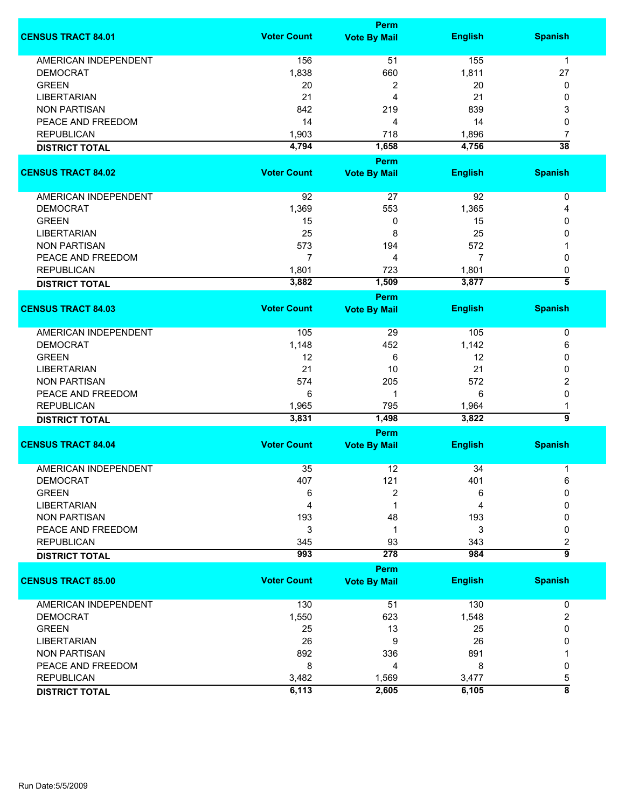|                             | <b>Perm</b>        |                             |                |                    |
|-----------------------------|--------------------|-----------------------------|----------------|--------------------|
| <b>CENSUS TRACT 84.01</b>   | <b>Voter Count</b> | <b>Vote By Mail</b>         | <b>English</b> | <b>Spanish</b>     |
| <b>AMERICAN INDEPENDENT</b> | 156                | 51                          | 155            | $\mathbf{1}$       |
| <b>DEMOCRAT</b>             | 1,838              | 660                         | 1,811          | 27                 |
| <b>GREEN</b>                | 20                 | 2                           | 20             | 0                  |
| <b>LIBERTARIAN</b>          | 21                 | 4                           | 21             | 0                  |
| <b>NON PARTISAN</b>         | 842                | 219                         | 839            | 3                  |
| PEACE AND FREEDOM           | 14                 |                             |                | 0                  |
|                             |                    | 4                           | 14             |                    |
| <b>REPUBLICAN</b>           | 1,903              | 718                         | 1,896          | 7                  |
| <b>DISTRICT TOTAL</b>       | 4,794              | 1,658<br><b>Perm</b>        | 4,756          | $\overline{38}$    |
| <b>CENSUS TRACT 84.02</b>   | <b>Voter Count</b> | <b>Vote By Mail</b>         | <b>English</b> | <b>Spanish</b>     |
| AMERICAN INDEPENDENT        | 92                 | 27                          | 92             | $\pmb{0}$          |
| <b>DEMOCRAT</b>             | 1,369              | 553                         | 1,365          | 4                  |
| <b>GREEN</b>                | 15                 | 0                           | 15             | 0                  |
| <b>LIBERTARIAN</b>          | 25                 | 8                           | 25             | 0                  |
| <b>NON PARTISAN</b>         | 573                | 194                         | 572            |                    |
| PEACE AND FREEDOM           | $\overline{7}$     | 4                           | $\overline{7}$ | 0                  |
| <b>REPUBLICAN</b>           | 1,801              | 723                         | 1,801          | 0                  |
|                             | 3,882              | 1,509                       | 3,877          | $\overline{5}$     |
| <b>DISTRICT TOTAL</b>       |                    | Perm                        |                |                    |
| <b>CENSUS TRACT 84.03</b>   | <b>Voter Count</b> | <b>Vote By Mail</b>         | <b>English</b> | <b>Spanish</b>     |
| AMERICAN INDEPENDENT        | 105                | 29                          | 105            | 0                  |
| <b>DEMOCRAT</b>             | 1,148              | 452                         | 1,142          | 6                  |
| <b>GREEN</b>                | 12                 | 6                           | 12             | 0                  |
| <b>LIBERTARIAN</b>          | 21                 | 10                          | 21             | 0                  |
| <b>NON PARTISAN</b>         | 574                | 205                         | 572            | 2                  |
| PEACE AND FREEDOM           | 6                  | 1                           | 6              | 0                  |
| <b>REPUBLICAN</b>           |                    | 795                         |                |                    |
|                             | 1,965              |                             | 1,964<br>3,822 | 1<br>5             |
| <b>DISTRICT TOTAL</b>       | 3,831              | 1,498                       |                |                    |
| <b>CENSUS TRACT 84.04</b>   | <b>Voter Count</b> | Perm<br><b>Vote By Mail</b> | <b>English</b> | <b>Spanish</b>     |
|                             |                    |                             |                |                    |
| <b>AMERICAN INDEPENDENT</b> | 35                 | 12                          | 34             | 1                  |
| DEMOCRAT                    | 407                | 121                         | 401            | 6                  |
| <b>GREEN</b>                | 6                  | 2                           | 6              | 0                  |
| <b>LIBERTARIAN</b>          | 4                  | 1                           | 4              | 0                  |
| <b>NON PARTISAN</b>         | 193                | 48                          | 193            | 0                  |
| PEACE AND FREEDOM           | 3                  | 1                           | 3              | 0                  |
| <b>REPUBLICAN</b>           | 345                | 93                          | 343            | 2                  |
| <b>DISTRICT TOTAL</b>       | 993                | 278                         | 984            | 5                  |
|                             |                    | <b>Perm</b>                 |                |                    |
| <b>CENSUS TRACT 85.00</b>   | <b>Voter Count</b> | <b>Vote By Mail</b>         | <b>English</b> | <b>Spanish</b>     |
| <b>AMERICAN INDEPENDENT</b> | 130                | 51                          | 130            | 0                  |
| <b>DEMOCRAT</b>             | 1,550              | 623                         | 1,548          | 2                  |
| <b>GREEN</b>                | 25                 | 13                          | 25             | 0                  |
| <b>LIBERTARIAN</b>          | 26                 | 9                           | 26             | 0                  |
| <b>NON PARTISAN</b>         | 892                | 336                         | 891            |                    |
| PEACE AND FREEDOM           | 8                  | 4                           | 8              | 0                  |
| <b>REPUBLICAN</b>           | 3,482              | 1,569                       | 3,477          | 5                  |
| <b>DISTRICT TOTAL</b>       | 6,113              | 2,605                       | 6,105          | $\overline{\bf 8}$ |
|                             |                    |                             |                |                    |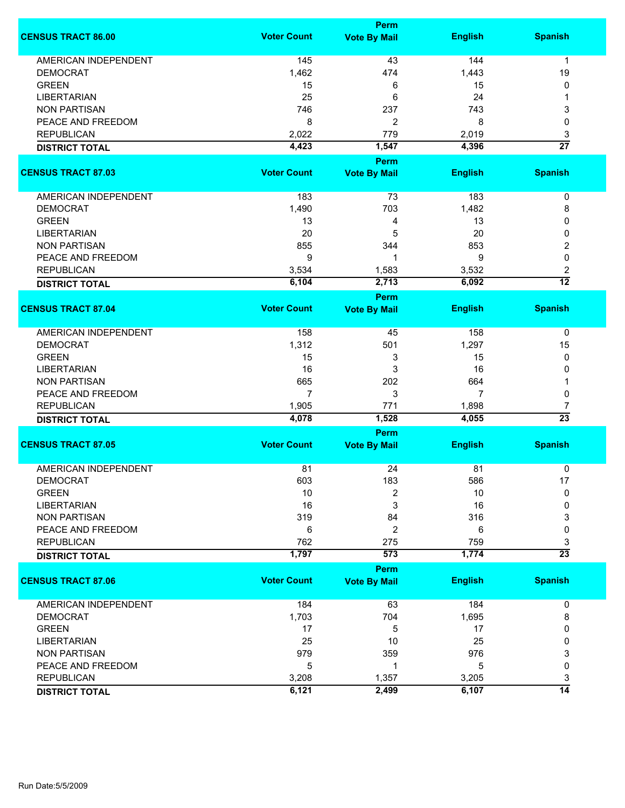|                             | <b>Perm</b>        |                     |                |                 |  |
|-----------------------------|--------------------|---------------------|----------------|-----------------|--|
| <b>CENSUS TRACT 86.00</b>   | <b>Voter Count</b> | <b>Vote By Mail</b> | <b>English</b> | <b>Spanish</b>  |  |
| <b>AMERICAN INDEPENDENT</b> | 145                | 43                  | 144            | $\mathbf{1}$    |  |
| <b>DEMOCRAT</b>             | 1,462              | 474                 | 1,443          | 19              |  |
| <b>GREEN</b>                | 15                 | 6                   | 15             | 0               |  |
| <b>LIBERTARIAN</b>          | 25                 | 6                   | 24             | 1               |  |
| <b>NON PARTISAN</b>         | 746                | 237                 | 743            | 3               |  |
| PEACE AND FREEDOM           | 8                  | 2                   | 8              | 0               |  |
| <b>REPUBLICAN</b>           | 2,022              | 779                 | 2,019          | 3               |  |
|                             | 4,423              | 1,547               | 4,396          | $\overline{27}$ |  |
| <b>DISTRICT TOTAL</b>       |                    | <b>Perm</b>         |                |                 |  |
| <b>CENSUS TRACT 87.03</b>   | <b>Voter Count</b> | <b>Vote By Mail</b> | <b>English</b> | <b>Spanish</b>  |  |
| AMERICAN INDEPENDENT        | 183                | 73                  | 183            | $\pmb{0}$       |  |
| <b>DEMOCRAT</b>             | 1,490              | 703                 | 1,482          | 8               |  |
| <b>GREEN</b>                | 13                 | 4                   | 13             | 0               |  |
| <b>LIBERTARIAN</b>          | 20                 | 5                   | 20             | 0               |  |
| <b>NON PARTISAN</b>         | 855                | 344                 | 853            | 2               |  |
| PEACE AND FREEDOM           | 9                  | 1                   | 9              | 0               |  |
| <b>REPUBLICAN</b>           | 3,534              | 1,583               | 3,532          | 2               |  |
| <b>DISTRICT TOTAL</b>       | 6,104              | 2,713               | 6,092          | $\overline{12}$ |  |
|                             |                    | <b>Perm</b>         |                |                 |  |
| <b>CENSUS TRACT 87.04</b>   | <b>Voter Count</b> | <b>Vote By Mail</b> | <b>English</b> | <b>Spanish</b>  |  |
| AMERICAN INDEPENDENT        | 158                | 45                  | 158            | 0               |  |
| <b>DEMOCRAT</b>             | 1,312              | 501                 | 1,297          | 15              |  |
| <b>GREEN</b>                | 15                 | 3                   | 15             | 0               |  |
| <b>LIBERTARIAN</b>          | 16                 | 3                   | 16             | 0               |  |
| <b>NON PARTISAN</b>         | 665                | 202                 | 664            | 1               |  |
| PEACE AND FREEDOM           | $\overline{7}$     | 3                   | 7              | 0               |  |
| <b>REPUBLICAN</b>           | 1,905              | 771                 | 1,898          | 7               |  |
| <b>DISTRICT TOTAL</b>       | 4,078              | 1,528               | 4,055          | $\overline{23}$ |  |
|                             | <b>Perm</b>        |                     |                |                 |  |
| <b>CENSUS TRACT 87.05</b>   | <b>Voter Count</b> | <b>Vote By Mail</b> | <b>English</b> | <b>Spanish</b>  |  |
| <b>AMERICAN INDEPENDENT</b> | 81                 | 24                  | 81             | 0               |  |
| DEMOCRAT                    | 603                | 183                 | 586            | 17              |  |
| <b>GREEN</b>                | 10                 | 2                   | 10             | 0               |  |
| <b>LIBERTARIAN</b>          | 16                 | 3                   | 16             | 0               |  |
| <b>NON PARTISAN</b>         | 319                | 84                  | 316            | 3               |  |
| PEACE AND FREEDOM           | 6                  | 2                   | 6              | 0               |  |
| <b>REPUBLICAN</b>           | 762                | 275                 | 759            | 3               |  |
| <b>DISTRICT TOTAL</b>       | 1,797              | 573                 | 1,774          | $\overline{23}$ |  |
|                             |                    | <b>Perm</b>         |                |                 |  |
| <b>CENSUS TRACT 87.06</b>   | <b>Voter Count</b> | <b>Vote By Mail</b> | <b>English</b> | <b>Spanish</b>  |  |
| <b>AMERICAN INDEPENDENT</b> | 184                | 63                  | 184            | 0               |  |
| <b>DEMOCRAT</b>             | 1,703              | 704                 | 1,695          | 8               |  |
| <b>GREEN</b>                | 17                 | 5                   | 17             | 0               |  |
| <b>LIBERTARIAN</b>          | 25                 | 10                  | 25             | 0               |  |
| <b>NON PARTISAN</b>         | 979                | 359                 | 976            | 3               |  |
| PEACE AND FREEDOM           | 5                  | 1                   | 5              | 0               |  |
| <b>REPUBLICAN</b>           | 3,208              | 1,357               | 3,205          | 3               |  |
| <b>DISTRICT TOTAL</b>       | 6,121              | 2,499               | 6,107          | $\overline{14}$ |  |
|                             |                    |                     |                |                 |  |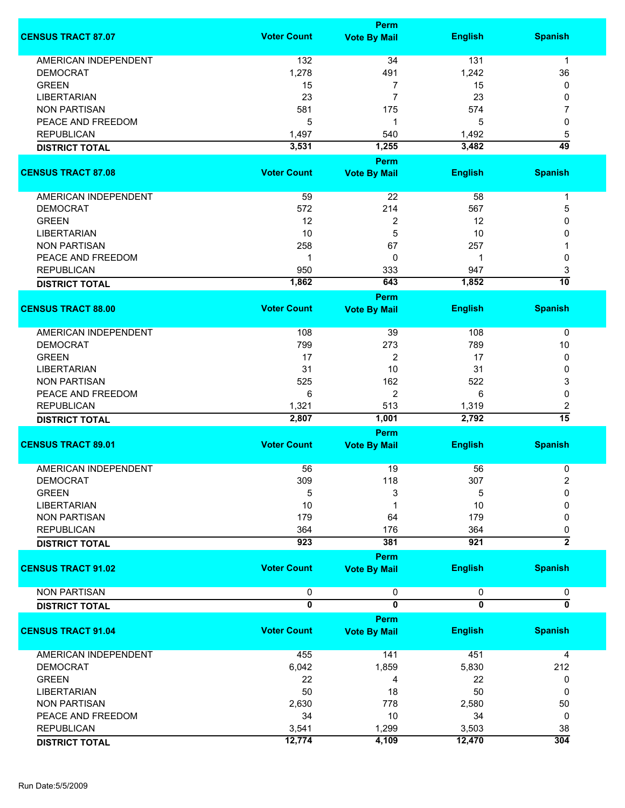|                             |                              | <b>Perm</b>                    |                              |                                |
|-----------------------------|------------------------------|--------------------------------|------------------------------|--------------------------------|
| <b>CENSUS TRACT 87.07</b>   | <b>Voter Count</b>           | <b>Vote By Mail</b>            | <b>English</b>               | <b>Spanish</b>                 |
| <b>AMERICAN INDEPENDENT</b> | 132                          | 34                             | 131                          | 1                              |
| <b>DEMOCRAT</b>             | 1,278                        | 491                            | 1,242                        | 36                             |
| <b>GREEN</b>                | 15                           | 7                              | 15                           | 0                              |
| <b>LIBERTARIAN</b>          | 23                           | 7                              | 23                           | 0                              |
| <b>NON PARTISAN</b>         | 581                          |                                |                              |                                |
|                             |                              | 175                            | 574                          | 7                              |
| PEACE AND FREEDOM           | 5                            | 1                              | 5                            | 0                              |
| <b>REPUBLICAN</b>           | 1,497                        | 540                            | 1,492                        | 5                              |
| <b>DISTRICT TOTAL</b>       | 3,531                        | 1,255                          | 3,482                        | 49                             |
|                             |                              | Perm                           |                              |                                |
| <b>CENSUS TRACT 87.08</b>   | <b>Voter Count</b>           | <b>Vote By Mail</b>            | <b>English</b>               | <b>Spanish</b>                 |
| AMERICAN INDEPENDENT        | 59                           | 22                             | 58                           | 1                              |
| <b>DEMOCRAT</b>             | 572                          | 214                            | 567                          | 5                              |
| <b>GREEN</b>                | 12                           | 2                              | 12                           | 0                              |
| <b>LIBERTARIAN</b>          | 10                           | 5                              | 10                           | 0                              |
| <b>NON PARTISAN</b>         | 258                          | 67                             | 257                          |                                |
|                             |                              |                                |                              |                                |
| PEACE AND FREEDOM           | 1                            | 0                              | -1                           | 0                              |
| <b>REPUBLICAN</b>           | 950                          | 333                            | 947                          | 3                              |
| <b>DISTRICT TOTAL</b>       | 1,862                        | 643                            | 1,852                        | $\overline{10}$                |
|                             |                              | Perm                           |                              |                                |
| <b>CENSUS TRACT 88.00</b>   | <b>Voter Count</b>           | <b>Vote By Mail</b>            | <b>English</b>               | <b>Spanish</b>                 |
| AMERICAN INDEPENDENT        | 108                          | 39                             | 108                          | $\pmb{0}$                      |
| <b>DEMOCRAT</b>             | 799                          | 273                            | 789                          | 10                             |
| <b>GREEN</b>                | 17                           | 2                              | 17                           | 0                              |
| <b>LIBERTARIAN</b>          | 31                           | 10                             | 31                           | 0                              |
|                             |                              |                                |                              |                                |
| <b>NON PARTISAN</b>         | 525                          | 162                            | 522                          | 3                              |
| PEACE AND FREEDOM           | 6                            | 2                              | 6                            | 0                              |
| <b>REPUBLICAN</b>           | 1,321                        | 513                            | 1,319                        | 2                              |
| <b>DISTRICT TOTAL</b>       | 2,807                        | 1,001                          | 2,792                        | $\overline{15}$                |
|                             |                              | Perm                           |                              |                                |
| <b>CENSUS TRACT 89.01</b>   | <b>Voter Count</b>           | <b>Vote By Mail</b>            | <b>English</b>               | <b>Spanish</b>                 |
| AMERICAN INDEPENDENT        | 56                           | 19                             | 56                           | 0                              |
| <b>DEMOCRAT</b>             | 309                          | 118                            | 307                          | $\overline{\mathbf{c}}$        |
| <b>GREEN</b>                | 5                            | 3                              | 5                            | 0                              |
| <b>LIBERTARIAN</b>          | 10                           | 1                              | 10                           | 0                              |
| <b>NON PARTISAN</b>         | 179                          | 64                             | 179                          | 0                              |
| <b>REPUBLICAN</b>           | 364                          | 176                            | 364                          |                                |
|                             |                              |                                |                              | 0<br>$\overline{2}$            |
| <b>DISTRICT TOTAL</b>       | 923                          | 381                            | 921                          |                                |
| <b>CENSUS TRACT 91.02</b>   | <b>Voter Count</b>           | Perm<br><b>Vote By Mail</b>    | <b>English</b>               | <b>Spanish</b>                 |
|                             |                              |                                |                              |                                |
| <b>NON PARTISAN</b>         | 0<br>$\overline{\mathbf{0}}$ | 0<br>$\overline{\mathfrak{o}}$ | 0<br>$\overline{\mathbf{0}}$ | 0<br>$\overline{\mathfrak{o}}$ |
| <b>DISTRICT TOTAL</b>       |                              | Perm                           |                              |                                |
| <b>CENSUS TRACT 91.04</b>   | <b>Voter Count</b>           | <b>Vote By Mail</b>            | <b>English</b>               | <b>Spanish</b>                 |
| <b>AMERICAN INDEPENDENT</b> | 455                          | 141                            | 451                          | 4                              |
| <b>DEMOCRAT</b>             | 6,042                        | 1,859                          | 5,830                        | 212                            |
| <b>GREEN</b>                | 22                           | 4                              | 22                           | 0                              |
| <b>LIBERTARIAN</b>          | 50                           | 18                             | 50                           | 0                              |
|                             |                              |                                |                              |                                |
| <b>NON PARTISAN</b>         | 2,630                        | 778                            | 2,580                        | 50                             |
| PEACE AND FREEDOM           | 34                           | 10                             | 34                           | 0                              |
| <b>REPUBLICAN</b>           | 3,541                        | 1,299                          | 3,503                        | 38                             |
| <b>DISTRICT TOTAL</b>       | 12,774                       | 4,109                          | 12,470                       | 304                            |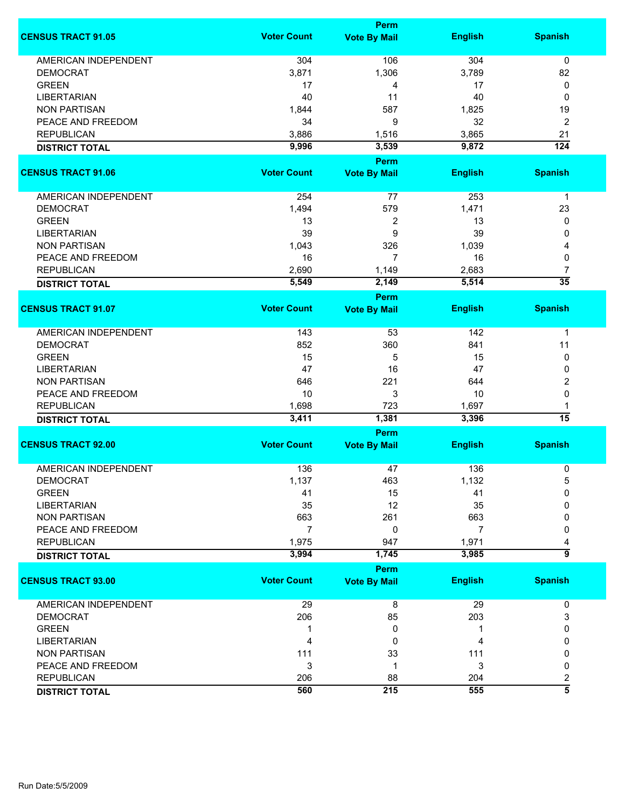|                             | Perm               |                             |                |                  |  |
|-----------------------------|--------------------|-----------------------------|----------------|------------------|--|
| <b>CENSUS TRACT 91.05</b>   | <b>Voter Count</b> | <b>Vote By Mail</b>         | <b>English</b> | <b>Spanish</b>   |  |
| <b>AMERICAN INDEPENDENT</b> | 304                | 106                         | 304            | $\mathbf 0$      |  |
| <b>DEMOCRAT</b>             | 3,871              | 1,306                       | 3,789          | 82               |  |
| <b>GREEN</b>                | 17                 | 4                           | 17             | 0                |  |
| <b>LIBERTARIAN</b>          | 40                 | 11                          | 40             | 0                |  |
| <b>NON PARTISAN</b>         | 1,844              | 587                         | 1,825          | 19               |  |
| PEACE AND FREEDOM           |                    | 9                           |                |                  |  |
|                             | 34                 |                             | 32             | 2                |  |
| <b>REPUBLICAN</b>           | 3,886              | 1,516                       | 3,865          | 21               |  |
| <b>DISTRICT TOTAL</b>       | 9,996              | 3,539                       | 9,872          | $\overline{124}$ |  |
| <b>CENSUS TRACT 91.06</b>   | <b>Voter Count</b> | Perm<br><b>Vote By Mail</b> | <b>English</b> | <b>Spanish</b>   |  |
|                             |                    |                             |                |                  |  |
| <b>AMERICAN INDEPENDENT</b> | 254                | 77                          | 253            | $\mathbf{1}$     |  |
| <b>DEMOCRAT</b>             | 1,494              | 579                         | 1,471          | 23               |  |
| <b>GREEN</b>                | 13                 | 2                           | 13             | 0                |  |
| <b>LIBERTARIAN</b>          | 39                 | 9                           | 39             | 0                |  |
| <b>NON PARTISAN</b>         | 1,043              | 326                         | 1,039          | 4                |  |
| PEACE AND FREEDOM           | 16                 | 7                           | 16             | 0                |  |
| <b>REPUBLICAN</b>           | 2,690              | 1,149                       | 2,683          | 7                |  |
|                             | 5,549              | 2,149                       | 5,514          | $\overline{35}$  |  |
| <b>DISTRICT TOTAL</b>       |                    | <b>Perm</b>                 |                |                  |  |
| <b>CENSUS TRACT 91.07</b>   | <b>Voter Count</b> | <b>Vote By Mail</b>         | <b>English</b> | <b>Spanish</b>   |  |
|                             |                    |                             |                |                  |  |
| <b>AMERICAN INDEPENDENT</b> | 143                | 53                          | 142            | $\mathbf{1}$     |  |
| <b>DEMOCRAT</b>             | 852                | 360                         | 841            | 11               |  |
| <b>GREEN</b>                | 15                 | 5                           | 15             | 0                |  |
| <b>LIBERTARIAN</b>          | 47                 | 16                          | 47             | 0                |  |
| <b>NON PARTISAN</b>         | 646                | 221                         | 644            | 2                |  |
| PEACE AND FREEDOM           | 10                 | 3                           | 10             | 0                |  |
| <b>REPUBLICAN</b>           | 1,698              | 723                         | 1,697          | 1                |  |
| <b>DISTRICT TOTAL</b>       | 3,411              | 1,381                       | 3,396          | $\overline{15}$  |  |
|                             |                    | Perm                        |                |                  |  |
| <b>CENSUS TRACT 92.00</b>   | <b>Voter Count</b> | <b>Vote By Mail</b>         | <b>English</b> | <b>Spanish</b>   |  |
|                             |                    |                             |                |                  |  |
| <b>AMERICAN INDEPENDENT</b> | 136                | 47                          | 136            | 0                |  |
| DEMOCRAT                    | 1,137              | 463                         | 1,132          | 5                |  |
| <b>GREEN</b>                | 41                 | 15                          | 41             | 0                |  |
| <b>LIBERTARIAN</b>          | 35                 | 12                          | 35             | 0                |  |
| <b>NON PARTISAN</b>         | 663                | 261                         | 663            | 0                |  |
| PEACE AND FREEDOM           | 7                  | 0                           | 7              | 0                |  |
| <b>REPUBLICAN</b>           | 1,975              | 947                         | 1,971          | 4                |  |
| <b>DISTRICT TOTAL</b>       | 3,994              | 1,745                       | 3,985          | $\overline{9}$   |  |
|                             |                    | Perm                        |                |                  |  |
| <b>CENSUS TRACT 93.00</b>   | <b>Voter Count</b> | <b>Vote By Mail</b>         | <b>English</b> | <b>Spanish</b>   |  |
| <b>AMERICAN INDEPENDENT</b> | 29                 | 8                           | 29             | 0                |  |
| <b>DEMOCRAT</b>             | 206                | 85                          | 203            | 3                |  |
| <b>GREEN</b>                | 1                  | 0                           | 1              | 0                |  |
| <b>LIBERTARIAN</b>          | 4                  | 0                           | 4              | 0                |  |
| <b>NON PARTISAN</b>         | 111                | 33                          | 111            | 0                |  |
| PEACE AND FREEDOM           | 3                  | 1                           | 3              | 0                |  |
| <b>REPUBLICAN</b>           | 206                | 88                          | 204            | 2                |  |
|                             | 560                | 215                         | 555            | $\overline{5}$   |  |
| <b>DISTRICT TOTAL</b>       |                    |                             |                |                  |  |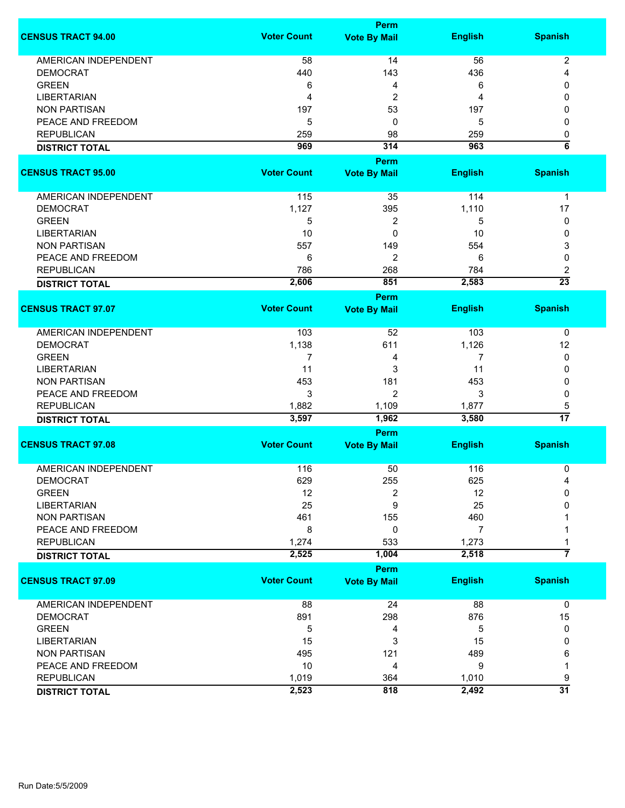|                             |                    | <b>Perm</b>         |                |                      |
|-----------------------------|--------------------|---------------------|----------------|----------------------|
| <b>CENSUS TRACT 94.00</b>   | <b>Voter Count</b> | <b>Vote By Mail</b> | <b>English</b> | <b>Spanish</b>       |
| AMERICAN INDEPENDENT        | 58                 | 14                  | 56             | $\overline{c}$       |
| <b>DEMOCRAT</b>             | 440                | 143                 | 436            | 4                    |
| <b>GREEN</b>                | 6                  | 4                   | 6              | 0                    |
| <b>LIBERTARIAN</b>          | 4                  | $\overline{2}$      | 4              | 0                    |
| <b>NON PARTISAN</b>         | 197                | 53                  | 197            |                      |
|                             |                    |                     |                | 0                    |
| PEACE AND FREEDOM           | 5                  | 0                   | 5              | 0                    |
| <b>REPUBLICAN</b>           | 259                | 98                  | 259            | 0                    |
| <b>DISTRICT TOTAL</b>       | 969                | 314                 | 963            | $\overline{\bf 6}$   |
|                             |                    | Perm                |                |                      |
| <b>CENSUS TRACT 95.00</b>   | <b>Voter Count</b> | <b>Vote By Mail</b> | <b>English</b> | <b>Spanish</b>       |
| AMERICAN INDEPENDENT        | 115                | 35                  | 114            | $\mathbf 1$          |
| <b>DEMOCRAT</b>             | 1,127              | 395                 | 1,110          | 17                   |
| <b>GREEN</b>                | 5                  | 2                   | 5              | 0                    |
| <b>LIBERTARIAN</b>          | 10                 | 0                   | 10             | 0                    |
|                             |                    |                     |                |                      |
| <b>NON PARTISAN</b>         | 557                | 149                 | 554            | 3                    |
| PEACE AND FREEDOM           | 6                  | 2                   | 6              | 0                    |
| <b>REPUBLICAN</b>           | 786                | 268                 | 784            | 2                    |
| <b>DISTRICT TOTAL</b>       | 2,606              | 851                 | 2,583          | $\overline{23}$      |
|                             |                    | <b>Perm</b>         |                |                      |
| <b>CENSUS TRACT 97.07</b>   | <b>Voter Count</b> | <b>Vote By Mail</b> | <b>English</b> | <b>Spanish</b>       |
| <b>AMERICAN INDEPENDENT</b> | 103                | 52                  | 103            | 0                    |
| <b>DEMOCRAT</b>             | 1,138              | 611                 | 1,126          | 12                   |
| <b>GREEN</b>                | 7                  | 4                   | 7              | 0                    |
| <b>LIBERTARIAN</b>          | 11                 | 3                   | 11             | 0                    |
| <b>NON PARTISAN</b>         | 453                | 181                 | 453            | 0                    |
| PEACE AND FREEDOM           | 3                  | $\overline{2}$      | 3              | 0                    |
|                             |                    |                     |                |                      |
| <b>REPUBLICAN</b>           | 1,882<br>3,597     | 1,109<br>1,962      | 1,877<br>3,580 | 5<br>$\overline{17}$ |
| <b>DISTRICT TOTAL</b>       |                    |                     |                |                      |
| <b>CENSUS TRACT 97.08</b>   | <b>Voter Count</b> | Perm                | <b>English</b> | <b>Spanish</b>       |
|                             |                    | <b>Vote By Mail</b> |                |                      |
| <b>AMERICAN INDEPENDENT</b> | 116                | 50                  | 116            | 0                    |
| <b>DEMOCRAT</b>             | 629                | 255                 | 625            | 4                    |
| <b>GREEN</b>                | 12                 | 2                   | 12             | 0                    |
| <b>LIBERTARIAN</b>          | 25                 | 9                   | 25             | 0                    |
| <b>NON PARTISAN</b>         | 461                | 155                 | 460            |                      |
| PEACE AND FREEDOM           | 8                  | 0                   | 7              |                      |
| <b>REPUBLICAN</b>           | 1,274              | 533                 | 1,273          | 1                    |
|                             | 2,525              | 1,004               | 2,518          | $\overline{7}$       |
| <b>DISTRICT TOTAL</b>       |                    |                     |                |                      |
| <b>CENSUS TRACT 97.09</b>   | <b>Voter Count</b> | <b>Perm</b>         |                |                      |
|                             |                    | <b>Vote By Mail</b> | <b>English</b> | <b>Spanish</b>       |
| AMERICAN INDEPENDENT        | 88                 | 24                  | 88             | 0                    |
| <b>DEMOCRAT</b>             | 891                | 298                 | 876            | 15                   |
| <b>GREEN</b>                | 5                  | 4                   | 5              | 0                    |
| <b>LIBERTARIAN</b>          | 15                 | 3                   | 15             | 0                    |
| <b>NON PARTISAN</b>         | 495                | 121                 | 489            | 6                    |
| PEACE AND FREEDOM           | 10                 | 4                   | 9              | 1                    |
| <b>REPUBLICAN</b>           | 1,019              | 364                 | 1,010          | 9                    |
|                             | 2,523              | 818                 | 2,492          | $\overline{31}$      |
| <b>DISTRICT TOTAL</b>       |                    |                     |                |                      |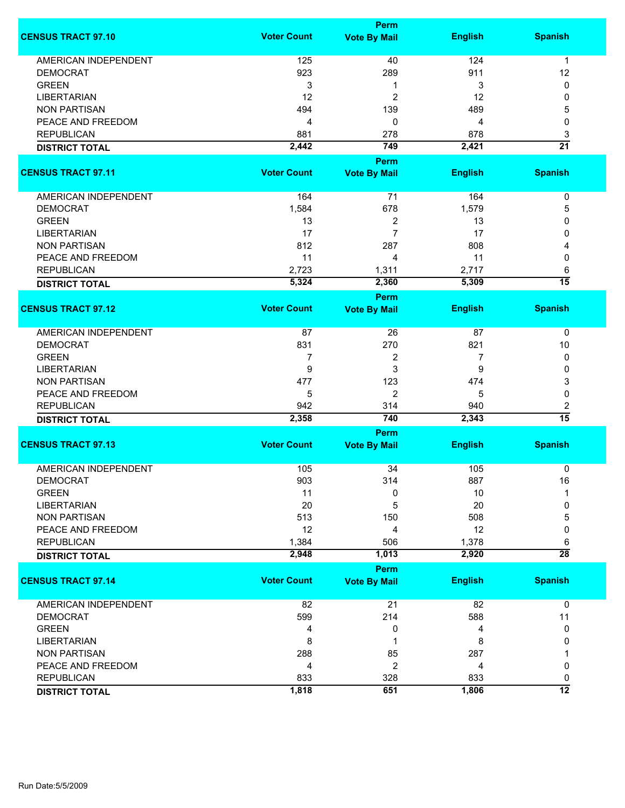|                             |                    | Perm                               |                |                      |
|-----------------------------|--------------------|------------------------------------|----------------|----------------------|
| <b>CENSUS TRACT 97.10</b>   | <b>Voter Count</b> | <b>Vote By Mail</b>                | <b>English</b> | <b>Spanish</b>       |
| <b>AMERICAN INDEPENDENT</b> | 125                | 40                                 | 124            | 1                    |
| <b>DEMOCRAT</b>             | 923                | 289                                | 911            | 12                   |
| <b>GREEN</b>                | 3                  | 1                                  | 3              | 0                    |
| <b>LIBERTARIAN</b>          | 12                 | 2                                  | 12             | 0                    |
| <b>NON PARTISAN</b>         | 494                | 139                                | 489            | 5                    |
|                             |                    |                                    |                |                      |
| PEACE AND FREEDOM           | 4                  | 0                                  | 4              | 0                    |
| <b>REPUBLICAN</b>           | 881                | 278                                | 878            | 3                    |
| <b>DISTRICT TOTAL</b>       | 2,442              | 749                                | 2,421          | $\overline{21}$      |
|                             |                    | <b>Perm</b>                        |                |                      |
| <b>CENSUS TRACT 97.11</b>   | <b>Voter Count</b> | <b>Vote By Mail</b>                | <b>English</b> | <b>Spanish</b>       |
| AMERICAN INDEPENDENT        | 164                | $\overline{71}$                    | 164            | $\pmb{0}$            |
| <b>DEMOCRAT</b>             | 1,584              | 678                                | 1,579          | 5                    |
| <b>GREEN</b>                | 13                 | 2                                  | 13             | 0                    |
| <b>LIBERTARIAN</b>          | 17                 | $\overline{7}$                     | 17             | 0                    |
| <b>NON PARTISAN</b>         | 812                | 287                                | 808            | 4                    |
| PEACE AND FREEDOM           | 11                 | 4                                  | 11             | 0                    |
| <b>REPUBLICAN</b>           |                    |                                    |                |                      |
|                             | 2,723              | 1,311                              | 2,717          | 6<br>$\overline{15}$ |
| <b>DISTRICT TOTAL</b>       | 5,324              | 2,360                              | 5,309          |                      |
| <b>CENSUS TRACT 97.12</b>   | <b>Voter Count</b> | <b>Perm</b><br><b>Vote By Mail</b> | <b>English</b> | <b>Spanish</b>       |
|                             |                    |                                    |                |                      |
| <b>AMERICAN INDEPENDENT</b> | 87                 | 26                                 | 87             | 0                    |
| <b>DEMOCRAT</b>             | 831                | 270                                | 821            | 10                   |
| <b>GREEN</b>                | 7                  | 2                                  | 7              | 0                    |
| <b>LIBERTARIAN</b>          | 9                  | 3                                  | 9              | 0                    |
| <b>NON PARTISAN</b>         | 477                | 123                                | 474            | 3                    |
| PEACE AND FREEDOM           | 5                  | $\overline{2}$                     | 5              | 0                    |
| <b>REPUBLICAN</b>           | 942                | 314                                | 940            | 2                    |
| <b>DISTRICT TOTAL</b>       | 2,358              | 740                                | 2,343          | $\overline{15}$      |
|                             |                    | Perm                               |                |                      |
| <b>CENSUS TRACT 97.13</b>   | <b>Voter Count</b> | <b>Vote By Mail</b>                | <b>English</b> | <b>Spanish</b>       |
| <b>AMERICAN INDEPENDENT</b> | 105                | 34                                 | 105            |                      |
|                             |                    |                                    |                | 0                    |
| <b>DEMOCRAT</b>             | 903                | 314                                | 887            | 16                   |
| <b>GREEN</b>                | 11                 | 0                                  | 10             |                      |
| <b>LIBERTARIAN</b>          | 20                 | 5                                  | 20             | 0                    |
| <b>NON PARTISAN</b>         | 513                | 150                                | 508            | 5                    |
| PEACE AND FREEDOM           | 12                 | 4                                  | 12             | 0                    |
| <b>REPUBLICAN</b>           | 1,384              | 506                                | 1,378          | 6                    |
| <b>DISTRICT TOTAL</b>       | 2,948              | 1,013                              | 2,920          | $\overline{28}$      |
|                             |                    | <b>Perm</b>                        |                |                      |
| <b>CENSUS TRACT 97.14</b>   | <b>Voter Count</b> | <b>Vote By Mail</b>                | <b>English</b> | <b>Spanish</b>       |
| <b>AMERICAN INDEPENDENT</b> | 82                 | 21                                 | 82             | $\mathbf 0$          |
| <b>DEMOCRAT</b>             | 599                | 214                                | 588            | 11                   |
| <b>GREEN</b>                | 4                  | 0                                  | 4              | 0                    |
| <b>LIBERTARIAN</b>          | 8                  | 1                                  | 8              | 0                    |
| <b>NON PARTISAN</b>         | 288                | 85                                 | 287            |                      |
|                             |                    |                                    |                |                      |
| PEACE AND FREEDOM           | 4                  | 2                                  | 4              | 0                    |
| <b>REPUBLICAN</b>           | 833                | 328                                | 833            | 0                    |
| <b>DISTRICT TOTAL</b>       | 1,818              | 651                                | 1,806          | $\overline{12}$      |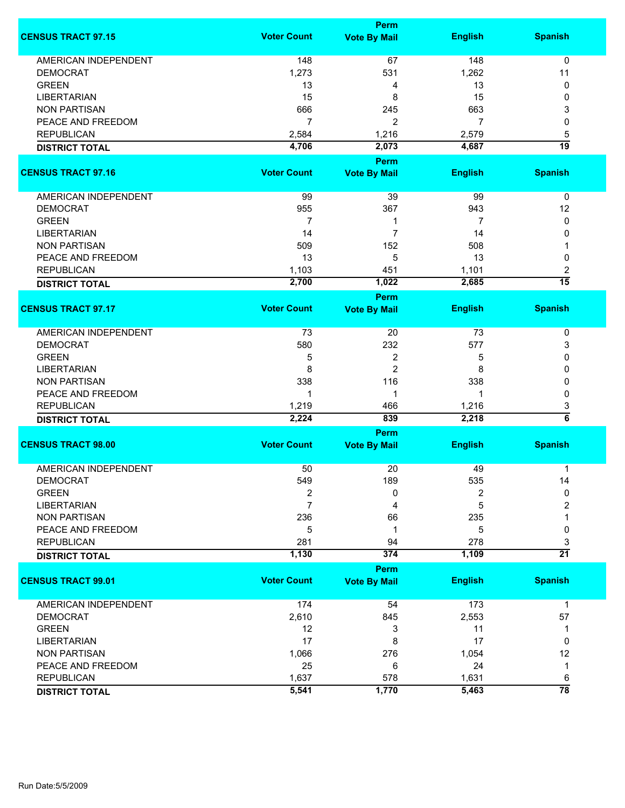|                                            |                    | <b>Perm</b>                        |                |                      |
|--------------------------------------------|--------------------|------------------------------------|----------------|----------------------|
| <b>CENSUS TRACT 97.15</b>                  | <b>Voter Count</b> | <b>Vote By Mail</b>                | <b>English</b> | <b>Spanish</b>       |
| <b>AMERICAN INDEPENDENT</b>                | 148                | 67                                 | 148            | 0                    |
| <b>DEMOCRAT</b>                            | 1,273              | 531                                | 1,262          | 11                   |
| <b>GREEN</b>                               | 13                 | 4                                  | 13             | 0                    |
| <b>LIBERTARIAN</b>                         | 15                 | 8                                  | 15             | 0                    |
| <b>NON PARTISAN</b>                        | 666                | 245                                | 663            |                      |
|                                            | $\overline{7}$     |                                    |                | 3                    |
| PEACE AND FREEDOM                          |                    | 2                                  | 7              | 0                    |
| <b>REPUBLICAN</b>                          | 2,584              | 1,216                              | 2,579          | 5                    |
| <b>DISTRICT TOTAL</b>                      | 4,706              | 2,073                              | 4,687          | $\overline{19}$      |
| <b>CENSUS TRACT 97.16</b>                  | <b>Voter Count</b> | <b>Perm</b><br><b>Vote By Mail</b> | <b>English</b> | <b>Spanish</b>       |
|                                            |                    |                                    |                |                      |
| AMERICAN INDEPENDENT                       | 99                 | 39                                 | 99             | 0                    |
| <b>DEMOCRAT</b>                            | 955                | 367                                | 943            | 12                   |
| <b>GREEN</b>                               | $\overline{7}$     | 1                                  | 7              | 0                    |
| <b>LIBERTARIAN</b>                         | 14                 | $\overline{7}$                     | 14             | 0                    |
| <b>NON PARTISAN</b>                        | 509                | 152                                | 508            | 1                    |
| PEACE AND FREEDOM                          | 13                 | 5                                  | 13             | 0                    |
| <b>REPUBLICAN</b>                          | 1,103              | 451                                | 1,101          | 2                    |
| <b>DISTRICT TOTAL</b>                      | 2,700              | 1,022                              | 2,685          | $\overline{15}$      |
|                                            |                    | <b>Perm</b>                        |                |                      |
| <b>CENSUS TRACT 97.17</b>                  | <b>Voter Count</b> | <b>Vote By Mail</b>                | <b>English</b> | <b>Spanish</b>       |
| <b>AMERICAN INDEPENDENT</b>                | 73                 | 20                                 | 73             | 0                    |
| <b>DEMOCRAT</b>                            | 580                | 232                                | 577            | 3                    |
| <b>GREEN</b>                               | 5                  | $\overline{c}$                     | 5              | 0                    |
| <b>LIBERTARIAN</b>                         | 8                  | 2                                  | 8              | 0                    |
| <b>NON PARTISAN</b>                        | 338                | 116                                | 338            | 0                    |
| PEACE AND FREEDOM                          | 1                  | 1                                  | -1             | 0                    |
| <b>REPUBLICAN</b>                          | 1,219              | 466                                | 1,216          | 3                    |
| <b>DISTRICT TOTAL</b>                      | 2,224              | 839                                | 2,218          | $\overline{\bf{6}}$  |
|                                            |                    | Perm                               |                |                      |
| <b>CENSUS TRACT 98.00</b>                  | <b>Voter Count</b> | <b>Vote By Mail</b>                | <b>English</b> | <b>Spanish</b>       |
| <b>AMERICAN INDEPENDENT</b>                | 50                 | 20                                 | 49             | 1                    |
| <b>DEMOCRAT</b>                            | 549                | 189                                | 535            | 14                   |
| <b>GREEN</b>                               | 2                  | 0                                  | 2              | $\mathbf{0}$         |
| <b>LIBERTARIAN</b>                         | $\overline{7}$     | 4                                  | 5              | 2                    |
| <b>NON PARTISAN</b>                        | 236                | 66                                 | 235            | 1                    |
| PEACE AND FREEDOM                          | 5                  | 1                                  | 5              | 0                    |
|                                            |                    |                                    |                |                      |
| <b>REPUBLICAN</b><br><b>DISTRICT TOTAL</b> | 281<br>1,130       | 94<br>374                          | 278<br>1,109   | 3<br>$\overline{21}$ |
|                                            |                    | Perm                               |                |                      |
| <b>CENSUS TRACT 99.01</b>                  | <b>Voter Count</b> | <b>Vote By Mail</b>                | <b>English</b> | <b>Spanish</b>       |
| <b>AMERICAN INDEPENDENT</b>                | 174                | 54                                 | 173            | $\mathbf{1}$         |
| <b>DEMOCRAT</b>                            | 2,610              | 845                                | 2,553          | 57                   |
| <b>GREEN</b>                               | 12                 | 3                                  | 11             | 1                    |
| <b>LIBERTARIAN</b>                         | 17                 | 8                                  | 17             | 0                    |
| <b>NON PARTISAN</b>                        | 1,066              | 276                                | 1,054          | 12                   |
| PEACE AND FREEDOM                          | 25                 | 6                                  | 24             | 1                    |
| <b>REPUBLICAN</b>                          | 1,637              | 578                                | 1,631          | 6                    |
|                                            | 5,541              | 1,770                              | 5,463          | $\overline{78}$      |
| <b>DISTRICT TOTAL</b>                      |                    |                                    |                |                      |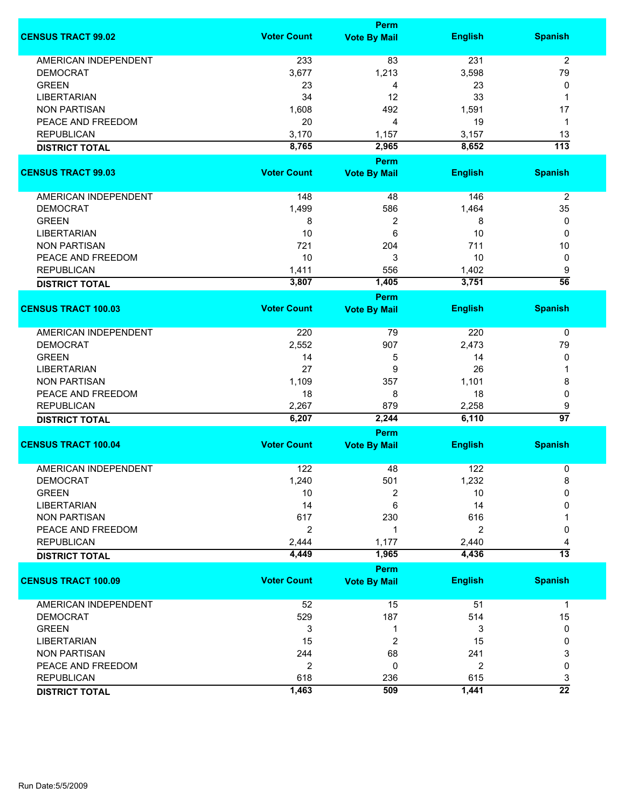|                             |                    | Perm                        |                |                  |  |
|-----------------------------|--------------------|-----------------------------|----------------|------------------|--|
| <b>CENSUS TRACT 99.02</b>   | <b>Voter Count</b> | <b>Vote By Mail</b>         | <b>English</b> | <b>Spanish</b>   |  |
| <b>AMERICAN INDEPENDENT</b> | 233                | 83                          | 231            | $\overline{2}$   |  |
| <b>DEMOCRAT</b>             | 3,677              | 1,213                       | 3,598          | 79               |  |
| <b>GREEN</b>                | 23                 | 4                           | 23             | 0                |  |
| <b>LIBERTARIAN</b>          | 34                 | 12                          | 33             | 1                |  |
| <b>NON PARTISAN</b>         | 1,608              | 492                         | 1,591          | 17               |  |
| PEACE AND FREEDOM           | 20                 | 4                           | 19             | $\mathbf 1$      |  |
|                             |                    |                             |                |                  |  |
| <b>REPUBLICAN</b>           | 3,170              | 1,157                       | 3,157          | 13               |  |
| <b>DISTRICT TOTAL</b>       | 8,765              | 2,965                       | 8,652          | $\overline{113}$ |  |
| <b>CENSUS TRACT 99.03</b>   | <b>Voter Count</b> | Perm<br><b>Vote By Mail</b> | <b>English</b> | <b>Spanish</b>   |  |
|                             |                    |                             |                |                  |  |
| AMERICAN INDEPENDENT        | 148                | 48                          | 146            | $\overline{2}$   |  |
| <b>DEMOCRAT</b>             | 1,499              | 586                         | 1,464          | 35               |  |
| <b>GREEN</b>                | 8                  | 2                           | 8              | 0                |  |
| <b>LIBERTARIAN</b>          | 10                 | 6                           | 10             | 0                |  |
| <b>NON PARTISAN</b>         | 721                | 204                         | 711            | 10               |  |
| PEACE AND FREEDOM           | 10                 | 3                           | 10             | 0                |  |
| <b>REPUBLICAN</b>           | 1,411              | 556                         | 1,402          | 9                |  |
|                             | 3,807              | 1,405                       | 3,751          | $\overline{56}$  |  |
| <b>DISTRICT TOTAL</b>       |                    | <b>Perm</b>                 |                |                  |  |
| <b>CENSUS TRACT 100.03</b>  | <b>Voter Count</b> | <b>Vote By Mail</b>         | <b>English</b> | <b>Spanish</b>   |  |
|                             |                    |                             |                |                  |  |
| <b>AMERICAN INDEPENDENT</b> | 220                | 79                          | 220            | 0                |  |
| <b>DEMOCRAT</b>             | 2,552              | 907                         | 2,473          | 79               |  |
| <b>GREEN</b>                | 14                 | 5                           | 14             | 0                |  |
| <b>LIBERTARIAN</b>          | 27                 | 9                           | 26             | 1                |  |
| <b>NON PARTISAN</b>         | 1,109              | 357                         | 1,101          | 8                |  |
| PEACE AND FREEDOM           | 18                 | 8                           | 18             | 0                |  |
| <b>REPUBLICAN</b>           | 2,267              | 879                         | 2,258          | 9                |  |
| <b>DISTRICT TOTAL</b>       | 6,207              | 2,244                       | 6,110          | $\overline{97}$  |  |
|                             | Perm               |                             |                |                  |  |
| <b>CENSUS TRACT 100.04</b>  | <b>Voter Count</b> | <b>Vote By Mail</b>         | <b>English</b> | <b>Spanish</b>   |  |
| <b>AMERICAN INDEPENDENT</b> | 122                | 48                          | 122            | 0                |  |
| <b>DEMOCRAT</b>             | 1,240              | 501                         | 1,232          | 8                |  |
| <b>GREEN</b>                | 10                 | 2                           | 10             | 0                |  |
| <b>LIBERTARIAN</b>          | 14                 | 6                           | 14             | 0                |  |
|                             | 617                | 230                         | 616            |                  |  |
| <b>NON PARTISAN</b>         |                    |                             |                |                  |  |
| PEACE AND FREEDOM           | $\overline{c}$     | 1                           | $\overline{2}$ | 0                |  |
| <b>REPUBLICAN</b>           | 2,444              | 1,177                       | 2,440          | 4                |  |
| <b>DISTRICT TOTAL</b>       | 4,449              | 1,965                       | 4,436          | $\overline{13}$  |  |
|                             |                    | Perm                        |                |                  |  |
| <b>CENSUS TRACT 100.09</b>  | <b>Voter Count</b> | <b>Vote By Mail</b>         | <b>English</b> | <b>Spanish</b>   |  |
| <b>AMERICAN INDEPENDENT</b> | 52                 | 15                          | 51             | $\mathbf{1}$     |  |
| <b>DEMOCRAT</b>             | 529                | 187                         | 514            | 15               |  |
| <b>GREEN</b>                | 3                  | 1                           | 3              | 0                |  |
| <b>LIBERTARIAN</b>          | 15                 | 2                           | 15             | 0                |  |
| <b>NON PARTISAN</b>         | 244                | 68                          | 241            | 3                |  |
|                             |                    | 0                           |                | 0                |  |
| PEACE AND FREEDOM           | 2                  |                             | 2              |                  |  |
| <b>REPUBLICAN</b>           | 618                | 236                         | 615            | 3                |  |
| <b>DISTRICT TOTAL</b>       | 1,463              | 509                         | 1,441          | $\overline{22}$  |  |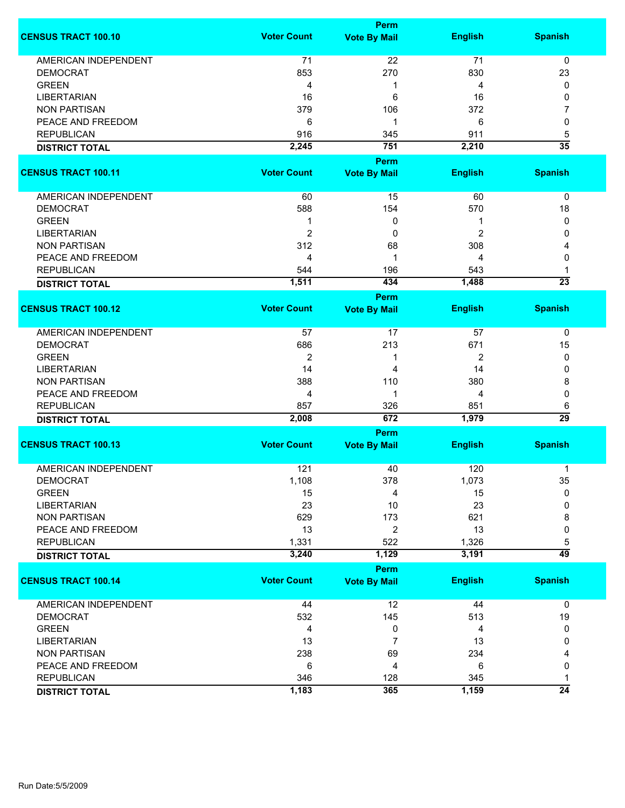|                             |                    | <b>Perm</b>                 |                |                 |
|-----------------------------|--------------------|-----------------------------|----------------|-----------------|
| <b>CENSUS TRACT 100.10</b>  | <b>Voter Count</b> | <b>Vote By Mail</b>         | <b>English</b> | <b>Spanish</b>  |
| <b>AMERICAN INDEPENDENT</b> | 71                 | 22                          | 71             | 0               |
| <b>DEMOCRAT</b>             | 853                | 270                         | 830            | 23              |
| <b>GREEN</b>                | 4                  | 1                           | 4              | 0               |
| <b>LIBERTARIAN</b>          | 16                 | 6                           | 16             | 0               |
| <b>NON PARTISAN</b>         | 379                | 106                         | 372            | 7               |
| PEACE AND FREEDOM           | 6                  | 1                           | 6              | 0               |
| <b>REPUBLICAN</b>           | 916                | 345                         | 911            | 5               |
| <b>DISTRICT TOTAL</b>       | 2,245              | 751                         | 2,210          | $\overline{35}$ |
|                             |                    | Perm                        |                |                 |
| <b>CENSUS TRACT 100.11</b>  | <b>Voter Count</b> | <b>Vote By Mail</b>         | <b>English</b> | <b>Spanish</b>  |
|                             |                    |                             |                |                 |
| AMERICAN INDEPENDENT        | 60                 | 15                          | 60             | 0               |
| <b>DEMOCRAT</b>             | 588                | 154                         | 570            | 18              |
| <b>GREEN</b>                | 1                  | 0                           | 1              | 0               |
| <b>LIBERTARIAN</b>          | $\overline{2}$     | 0                           | 2              | 0               |
| <b>NON PARTISAN</b>         | 312                | 68                          | 308            | 4               |
| PEACE AND FREEDOM           | 4                  | 1                           | 4              | 0               |
| <b>REPUBLICAN</b>           | 544                | 196                         | 543            | 1               |
|                             | 1,511              | 434                         | 1,488          | $\overline{23}$ |
| <b>DISTRICT TOTAL</b>       |                    |                             |                |                 |
| <b>CENSUS TRACT 100.12</b>  | <b>Voter Count</b> | Perm<br><b>Vote By Mail</b> | <b>English</b> | <b>Spanish</b>  |
|                             |                    |                             |                |                 |
| <b>AMERICAN INDEPENDENT</b> | 57                 | 17                          | 57             | 0               |
| <b>DEMOCRAT</b>             | 686                | 213                         | 671            | 15              |
| <b>GREEN</b>                | $\overline{2}$     | 1                           | 2              | 0               |
| <b>LIBERTARIAN</b>          | 14                 | 4                           | 14             | 0               |
| <b>NON PARTISAN</b>         | 388                | 110                         | 380            | 8               |
| PEACE AND FREEDOM           | 4                  | 1                           | 4              | 0               |
| <b>REPUBLICAN</b>           | 857                | 326                         | 851            | 6               |
| <b>DISTRICT TOTAL</b>       | 2,008              | 672                         | 1,979          | $\overline{29}$ |
|                             |                    | <b>Perm</b>                 |                |                 |
| <b>CENSUS TRACT 100.13</b>  | <b>Voter Count</b> | <b>Vote By Mail</b>         | <b>English</b> | <b>Spanish</b>  |
| <b>AMERICAN INDEPENDENT</b> | 121                | 40                          | 120            | 1               |
| <b>DEMOCRAT</b>             | 1,108              | 378                         | 1,073          | 35              |
| <b>GREEN</b>                | 15                 | 4                           | 15             | 0               |
| <b>LIBERTARIAN</b>          | 23                 | 10                          | 23             | 0               |
| <b>NON PARTISAN</b>         | 629                | 173                         | 621            | 8               |
|                             |                    |                             |                |                 |
| PEACE AND FREEDOM           | 13                 | $\overline{2}$              | 13             | 0               |
| <b>REPUBLICAN</b>           | 1,331              | 522                         | 1,326          | 5               |
| <b>DISTRICT TOTAL</b>       | 3,240              | 1,129                       | 3,191          | $\overline{49}$ |
|                             |                    | <b>Perm</b>                 |                |                 |
| <b>CENSUS TRACT 100.14</b>  | <b>Voter Count</b> | <b>Vote By Mail</b>         | <b>English</b> | <b>Spanish</b>  |
| <b>AMERICAN INDEPENDENT</b> | 44                 | 12                          | 44             | 0               |
| <b>DEMOCRAT</b>             | 532                | 145                         | 513            | 19              |
| <b>GREEN</b>                | 4                  | 0                           | 4              | 0               |
| <b>LIBERTARIAN</b>          | 13                 | 7                           | 13             | 0               |
| <b>NON PARTISAN</b>         | 238                | 69                          | 234            | 4               |
| PEACE AND FREEDOM           | 6                  | 4                           | 6              | 0               |
| <b>REPUBLICAN</b>           | 346                | 128                         | 345            | 1               |
| <b>DISTRICT TOTAL</b>       | 1,183              | 365                         | 1,159          | $\overline{24}$ |
|                             |                    |                             |                |                 |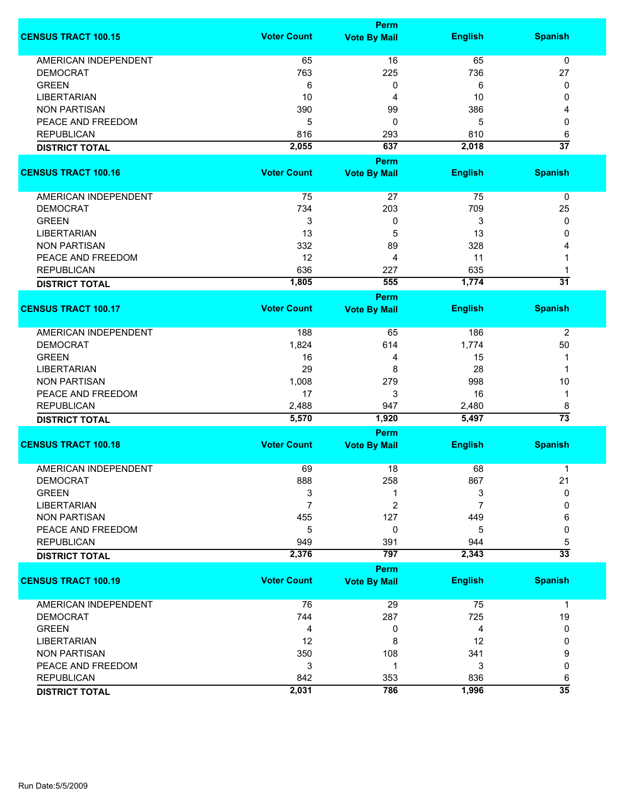|                             |                    | <b>Perm</b>                        |                |                      |
|-----------------------------|--------------------|------------------------------------|----------------|----------------------|
| <b>CENSUS TRACT 100.15</b>  | <b>Voter Count</b> | <b>Vote By Mail</b>                | <b>English</b> | <b>Spanish</b>       |
| <b>AMERICAN INDEPENDENT</b> | 65                 | 16                                 | 65             | $\mathbf 0$          |
| <b>DEMOCRAT</b>             | 763                | 225                                | 736            | 27                   |
| <b>GREEN</b>                | 6                  | 0                                  | 6              | 0                    |
| <b>LIBERTARIAN</b>          | 10                 | 4                                  | 10             | 0                    |
| <b>NON PARTISAN</b>         | 390                | 99                                 | 386            | 4                    |
| PEACE AND FREEDOM           |                    |                                    |                |                      |
|                             | 5                  | 0                                  | 5              | 0                    |
| <b>REPUBLICAN</b>           | 816                | 293                                | 810            | 6                    |
| <b>DISTRICT TOTAL</b>       | 2,055              | 637                                | 2,018          | $\overline{37}$      |
|                             |                    | <b>Perm</b>                        |                |                      |
| <b>CENSUS TRACT 100.16</b>  | <b>Voter Count</b> | <b>Vote By Mail</b>                | <b>English</b> | <b>Spanish</b>       |
| AMERICAN INDEPENDENT        | 75                 | 27                                 | 75             | 0                    |
| <b>DEMOCRAT</b>             | 734                | 203                                | 709            | 25                   |
| <b>GREEN</b>                | 3                  | 0                                  | 3              | 0                    |
| <b>LIBERTARIAN</b>          | 13                 | 5                                  | 13             | 0                    |
| <b>NON PARTISAN</b>         | 332                | 89                                 | 328            |                      |
| PEACE AND FREEDOM           | 12                 | 4                                  | 11             |                      |
| <b>REPUBLICAN</b>           | 636                | 227                                | 635            |                      |
|                             |                    |                                    |                | $\overline{31}$      |
| <b>DISTRICT TOTAL</b>       | 1,805              | 555                                | 1,774          |                      |
| <b>CENSUS TRACT 100.17</b>  | <b>Voter Count</b> | <b>Perm</b><br><b>Vote By Mail</b> | <b>English</b> | <b>Spanish</b>       |
|                             |                    |                                    |                |                      |
| <b>AMERICAN INDEPENDENT</b> | 188                | 65                                 | 186            | 2                    |
| <b>DEMOCRAT</b>             | 1,824              | 614                                | 1,774          | 50                   |
| <b>GREEN</b>                | 16                 | 4                                  | 15             | 1                    |
| <b>LIBERTARIAN</b>          | 29                 | 8                                  | 28             | 1                    |
| <b>NON PARTISAN</b>         | 1,008              | 279                                | 998            | 10                   |
| PEACE AND FREEDOM           | 17                 | 3                                  | 16             | 1                    |
| <b>REPUBLICAN</b>           | 2,488              | 947                                |                |                      |
|                             | 5,570              | 1,920                              | 2,480<br>5,497 | 8<br>$\overline{73}$ |
| <b>DISTRICT TOTAL</b>       |                    | Perm                               |                |                      |
| <b>CENSUS TRACT 100.18</b>  | <b>Voter Count</b> | <b>Vote By Mail</b>                | <b>English</b> | <b>Spanish</b>       |
|                             |                    |                                    |                |                      |
| <b>AMERICAN INDEPENDENT</b> | 69                 | 18                                 | 68             | 1                    |
| <b>DEMOCRAT</b>             | 888                | 258                                | 867            | 21                   |
| <b>GREEN</b>                | 3                  | 1                                  | 3              | $\Omega$             |
| <b>LIBERTARIAN</b>          | $\overline{7}$     | $\overline{c}$                     | 7              | 0                    |
| <b>NON PARTISAN</b>         | 455                | 127                                | 449            | 6                    |
| PEACE AND FREEDOM           | 5                  | 0                                  | 5              | 0                    |
| <b>REPUBLICAN</b>           | 949                | 391                                | 944            | 5                    |
| <b>DISTRICT TOTAL</b>       | 2,376              | 797                                | 2,343          | $\overline{33}$      |
|                             |                    | <b>Perm</b>                        |                |                      |
| <b>CENSUS TRACT 100.19</b>  | <b>Voter Count</b> | <b>Vote By Mail</b>                | <b>English</b> | <b>Spanish</b>       |
| <b>AMERICAN INDEPENDENT</b> | 76                 | 29                                 | 75             | $\mathbf{1}$         |
| <b>DEMOCRAT</b>             | 744                | 287                                | 725            | 19                   |
| <b>GREEN</b>                | 4                  | 0                                  | 4              | 0                    |
| <b>LIBERTARIAN</b>          | 12                 | 8                                  | 12             | 0                    |
| <b>NON PARTISAN</b>         | 350                | 108                                | 341            | 9                    |
| PEACE AND FREEDOM           | 3                  | 1                                  | 3              | 0                    |
|                             |                    |                                    |                |                      |
| <b>REPUBLICAN</b>           | 842                | 353                                | 836            | 6<br>$\overline{35}$ |
| <b>DISTRICT TOTAL</b>       | 2,031              | 786                                | 1,996          |                      |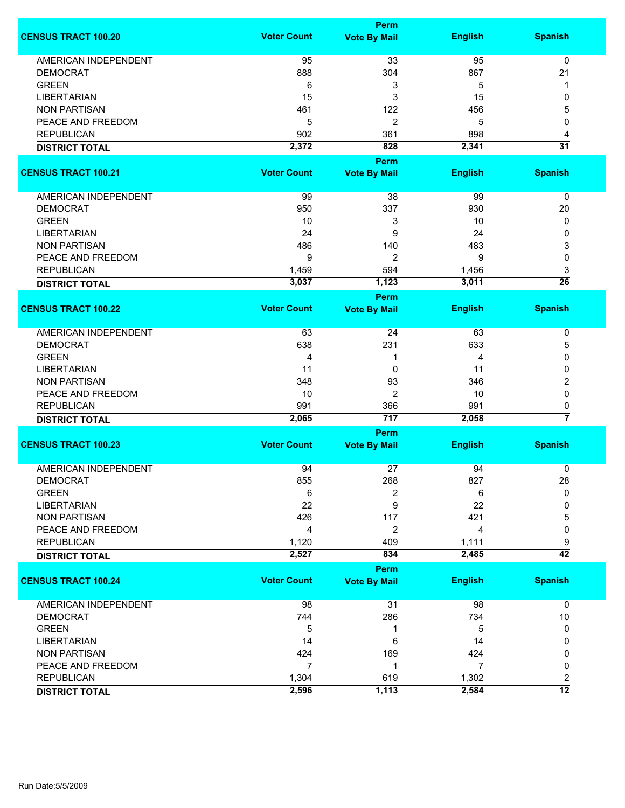|                             |                    | <b>Perm</b>                 |                |                         |
|-----------------------------|--------------------|-----------------------------|----------------|-------------------------|
| <b>CENSUS TRACT 100.20</b>  | <b>Voter Count</b> | <b>Vote By Mail</b>         | <b>English</b> | <b>Spanish</b>          |
| <b>AMERICAN INDEPENDENT</b> | 95                 | 33                          | 95             | 0                       |
| <b>DEMOCRAT</b>             | 888                | 304                         | 867            | 21                      |
| <b>GREEN</b>                | 6                  | 3                           | 5              | 1                       |
| <b>LIBERTARIAN</b>          | 15                 | 3                           | 15             | 0                       |
|                             |                    |                             |                |                         |
| <b>NON PARTISAN</b>         | 461                | 122                         | 456            | 5                       |
| PEACE AND FREEDOM           | 5                  | 2                           | 5              | 0                       |
| <b>REPUBLICAN</b>           | 902                | 361                         | 898            | 4                       |
| <b>DISTRICT TOTAL</b>       | 2,372              | 828                         | 2,341          | $\overline{31}$         |
|                             |                    | <b>Perm</b>                 |                |                         |
| <b>CENSUS TRACT 100.21</b>  | <b>Voter Count</b> | <b>Vote By Mail</b>         | <b>English</b> | <b>Spanish</b>          |
| <b>AMERICAN INDEPENDENT</b> | 99                 | 38                          | 99             | 0                       |
| <b>DEMOCRAT</b>             | 950                | 337                         | 930            | 20                      |
| <b>GREEN</b>                | 10                 | 3                           | 10             | 0                       |
| <b>LIBERTARIAN</b>          | 24                 | 9                           | 24             | 0                       |
| <b>NON PARTISAN</b>         | 486                | 140                         | 483            | 3                       |
| PEACE AND FREEDOM           | 9                  | $\overline{2}$              | 9              | 0                       |
| <b>REPUBLICAN</b>           | 1,459              | 594                         | 1,456          | 3                       |
|                             | 3,037              | 1,123                       | 3,011          | $\overline{26}$         |
| <b>DISTRICT TOTAL</b>       |                    |                             |                |                         |
| <b>CENSUS TRACT 100.22</b>  | <b>Voter Count</b> | Perm<br><b>Vote By Mail</b> | <b>English</b> | <b>Spanish</b>          |
|                             |                    |                             |                |                         |
| <b>AMERICAN INDEPENDENT</b> | 63                 | 24                          | 63             | 0                       |
| <b>DEMOCRAT</b>             | 638                | 231                         | 633            | 5                       |
| <b>GREEN</b>                | 4                  | 1                           | 4              | 0                       |
| <b>LIBERTARIAN</b>          | 11                 | 0                           | 11             | 0                       |
| <b>NON PARTISAN</b>         | 348                | 93                          | 346            | 2                       |
| PEACE AND FREEDOM           | 10                 | 2                           | 10             | $\mathbf 0$             |
| <b>REPUBLICAN</b>           | 991                | 366                         | 991            | 0                       |
| <b>DISTRICT TOTAL</b>       | 2,065              | 717                         | 2,058          | 7                       |
|                             |                    | <b>Perm</b>                 |                |                         |
| <b>CENSUS TRACT 100.23</b>  | <b>Voter Count</b> | <b>Vote By Mail</b>         | <b>English</b> | <b>Spanish</b>          |
|                             |                    |                             |                |                         |
| <b>AMERICAN INDEPENDENT</b> | 94                 | 27                          | 94             | 0                       |
| <b>DEMOCRAT</b>             | 855                | 268                         | 827            | 28                      |
| <b>GREEN</b>                | 6                  | 2                           | 6              | 0                       |
| <b>LIBERTARIAN</b>          | 22                 | 9                           | 22             | 0                       |
| <b>NON PARTISAN</b>         | 426                | 117                         | 421            | 5                       |
| PEACE AND FREEDOM           | 4                  | 2                           | 4              | 0                       |
| <b>REPUBLICAN</b>           | 1,120              | 409                         | 1,111          | 9                       |
| <b>DISTRICT TOTAL</b>       | 2,527              | 834                         | 2,485          | $\overline{42}$         |
|                             |                    | <b>Perm</b>                 |                |                         |
| <b>CENSUS TRACT 100.24</b>  | <b>Voter Count</b> | <b>Vote By Mail</b>         | <b>English</b> | <b>Spanish</b>          |
| <b>AMERICAN INDEPENDENT</b> | 98                 | 31                          | 98             | 0                       |
| <b>DEMOCRAT</b>             | 744                | 286                         | 734            | $10$                    |
| <b>GREEN</b>                | 5                  | 1                           | 5              | 0                       |
| <b>LIBERTARIAN</b>          | 14                 | 6                           | 14             | 0                       |
| <b>NON PARTISAN</b>         | 424                | 169                         | 424            | 0                       |
| PEACE AND FREEDOM           | $\overline{7}$     | 1                           | 7              | 0                       |
| <b>REPUBLICAN</b>           | 1,304              | 619                         | 1,302          | $\overline{\mathbf{c}}$ |
|                             | 2,596              | 1,113                       | 2,584          | $\overline{12}$         |
| <b>DISTRICT TOTAL</b>       |                    |                             |                |                         |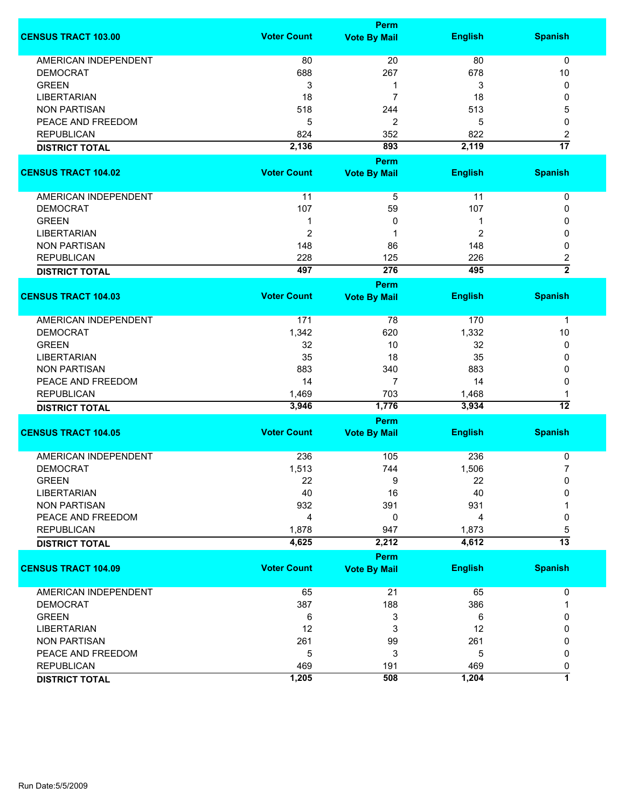|                                    |                    | <b>Perm</b>         |                |                      |
|------------------------------------|--------------------|---------------------|----------------|----------------------|
| <b>CENSUS TRACT 103.00</b>         | <b>Voter Count</b> | <b>Vote By Mail</b> | <b>English</b> | <b>Spanish</b>       |
| <b>AMERICAN INDEPENDENT</b>        | 80                 | 20                  | 80             | 0                    |
| <b>DEMOCRAT</b>                    | 688                | 267                 | 678            | 10                   |
| <b>GREEN</b>                       | 3                  | -1                  | 3              | 0                    |
| <b>LIBERTARIAN</b>                 | 18                 | $\overline{7}$      | 18             | 0                    |
| <b>NON PARTISAN</b>                | 518                | 244                 | 513            | 5                    |
| PEACE AND FREEDOM                  | 5                  | 2                   | 5              | 0                    |
| <b>REPUBLICAN</b>                  | 824                | 352                 | 822            | 2                    |
| <b>DISTRICT TOTAL</b>              | 2,136              | 893                 | 2,119          | $\overline{17}$      |
|                                    |                    |                     |                |                      |
|                                    |                    | <b>Perm</b>         |                |                      |
| <b>CENSUS TRACT 104.02</b>         | <b>Voter Count</b> | <b>Vote By Mail</b> | <b>English</b> | <b>Spanish</b>       |
| AMERICAN INDEPENDENT               | 11                 | 5                   | 11             | 0                    |
| <b>DEMOCRAT</b>                    | 107                | 59                  | 107            | 0                    |
| <b>GREEN</b>                       | 1                  | 0                   | 1              | 0                    |
| <b>LIBERTARIAN</b>                 | $\boldsymbol{2}$   |                     | 2              | 0                    |
| <b>NON PARTISAN</b>                | 148                | 86                  | 148            | 0                    |
| <b>REPUBLICAN</b>                  | 228                | 125                 | 226            | 2                    |
| <b>DISTRICT TOTAL</b>              | 497                | 276                 | 495            | $\overline{2}$       |
|                                    |                    | <b>Perm</b>         |                |                      |
| <b>CENSUS TRACT 104.03</b>         | <b>Voter Count</b> |                     | <b>English</b> | <b>Spanish</b>       |
|                                    |                    | <b>Vote By Mail</b> |                |                      |
| <b>AMERICAN INDEPENDENT</b>        | 171                | 78                  | 170            | 1                    |
| <b>DEMOCRAT</b>                    | 1,342              | 620                 | 1,332          | 10                   |
| <b>GREEN</b>                       | 32                 | 10                  | 32             | 0                    |
| <b>LIBERTARIAN</b>                 | 35                 | 18                  | 35             | 0                    |
| <b>NON PARTISAN</b>                | 883                | 340                 | 883            | 0                    |
| PEACE AND FREEDOM                  | 14                 | 7                   | 14             | 0                    |
| <b>REPUBLICAN</b>                  | 1,469              | 703                 | 1,468          |                      |
| <b>DISTRICT TOTAL</b>              | 3,946              | 1,776               | 3,934          | 12                   |
|                                    |                    | Perm                |                |                      |
| <b>CENSUS TRACT 104.05</b>         | <b>Voter Count</b> | <b>Vote By Mail</b> | <b>English</b> | <b>Spanish</b>       |
| <b>AMERICAN INDEPENDENT</b>        | 236                | 105                 | 236            |                      |
|                                    |                    |                     | 1,506          | 0                    |
| <b>DEMOCRAT</b>                    | 1,513              | 744                 |                | 7                    |
| <b>GREEN</b><br><b>LIBERTARIAN</b> | 22<br>40           | 9<br>16             | 22<br>40       | 0<br>O               |
| <b>NON PARTISAN</b>                | 932                | 391                 | 931            |                      |
|                                    |                    |                     |                |                      |
| PEACE AND FREEDOM                  | 4                  | 0                   | 4              | 0                    |
| <b>REPUBLICAN</b>                  | 1,878              | 947                 | 1,873          | 5<br>$\overline{13}$ |
| <b>DISTRICT TOTAL</b>              | 4,625              | 2,212               | 4,612          |                      |
|                                    |                    | Perm                |                |                      |
| <b>CENSUS TRACT 104.09</b>         | <b>Voter Count</b> | <b>Vote By Mail</b> | <b>English</b> | <b>Spanish</b>       |
| <b>AMERICAN INDEPENDENT</b>        | 65                 | 21                  | 65             | 0                    |
| <b>DEMOCRAT</b>                    | 387                | 188                 | 386            | 1                    |
| <b>GREEN</b>                       | 6                  | 3                   | 6              | 0                    |
| <b>LIBERTARIAN</b>                 | 12                 | 3                   | 12             | 0                    |
| <b>NON PARTISAN</b>                | 261                | 99                  | 261            | 0                    |
| PEACE AND FREEDOM                  | 5                  | 3                   | 5              | 0                    |
| <b>REPUBLICAN</b>                  | 469                | 191                 | 469            | 0                    |
| <b>DISTRICT TOTAL</b>              | 1,205              | 508                 | 1,204          | 7                    |
|                                    |                    |                     |                |                      |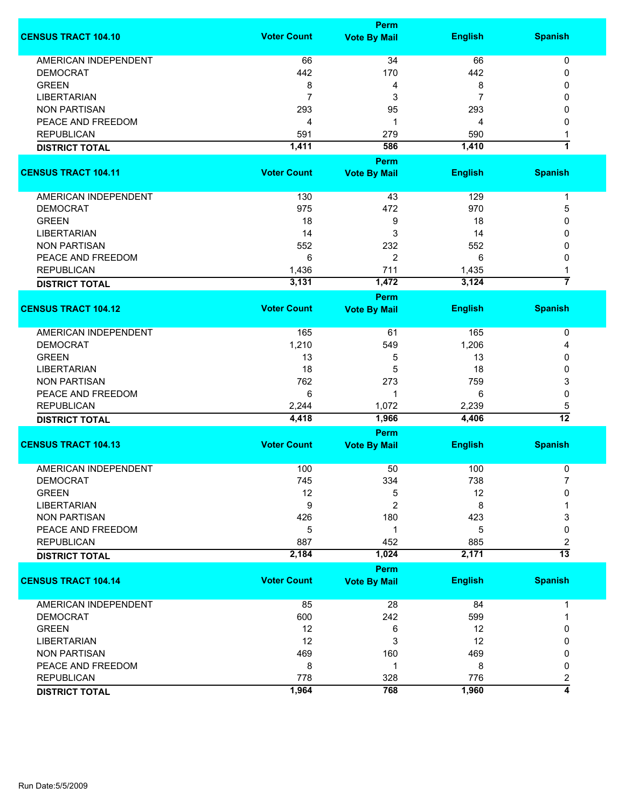|                             |                    | <b>Perm</b>         |                |                     |
|-----------------------------|--------------------|---------------------|----------------|---------------------|
| <b>CENSUS TRACT 104.10</b>  | <b>Voter Count</b> | <b>Vote By Mail</b> | <b>English</b> | <b>Spanish</b>      |
| <b>AMERICAN INDEPENDENT</b> | 66                 | 34                  | 66             | 0                   |
| <b>DEMOCRAT</b>             | 442                | 170                 | 442            | 0                   |
| <b>GREEN</b>                | 8                  | 4                   | 8              | 0                   |
| <b>LIBERTARIAN</b>          | $\overline{7}$     | 3                   | 7              | 0                   |
|                             |                    |                     |                |                     |
| <b>NON PARTISAN</b>         | 293                | 95                  | 293            | 0                   |
| PEACE AND FREEDOM           | 4                  | 1                   | 4              | 0                   |
| <b>REPUBLICAN</b>           | 591                | 279                 | 590            | 1                   |
| <b>DISTRICT TOTAL</b>       | 1,411              | 586                 | 1,410          | 1                   |
|                             |                    | <b>Perm</b>         |                |                     |
| <b>CENSUS TRACT 104.11</b>  | <b>Voter Count</b> | <b>Vote By Mail</b> | <b>English</b> | <b>Spanish</b>      |
| <b>AMERICAN INDEPENDENT</b> | 130                | 43                  | 129            | $\mathbf 1$         |
| <b>DEMOCRAT</b>             | 975                | 472                 | 970            | 5                   |
| <b>GREEN</b>                | 18                 | 9                   | 18             | 0                   |
| <b>LIBERTARIAN</b>          | 14                 | 3                   | 14             | 0                   |
| <b>NON PARTISAN</b>         | 552                | 232                 | 552            | 0                   |
| PEACE AND FREEDOM           | 6                  | 2                   | 6              | 0                   |
|                             |                    |                     |                |                     |
| <b>REPUBLICAN</b>           | 1,436              | 711                 | 1,435          | 1<br>$\overline{7}$ |
| <b>DISTRICT TOTAL</b>       | 3,131              | 1,472               | 3,124          |                     |
|                             | <b>Voter Count</b> | Perm                |                |                     |
| <b>CENSUS TRACT 104.12</b>  |                    | <b>Vote By Mail</b> | <b>English</b> | <b>Spanish</b>      |
| <b>AMERICAN INDEPENDENT</b> | 165                | 61                  | 165            | 0                   |
| <b>DEMOCRAT</b>             | 1,210              | 549                 | 1,206          | 4                   |
| <b>GREEN</b>                | 13                 | 5                   | 13             | 0                   |
| <b>LIBERTARIAN</b>          | 18                 | 5                   | 18             | 0                   |
| <b>NON PARTISAN</b>         | 762                | 273                 | 759            | 3                   |
| PEACE AND FREEDOM           | 6                  | 1                   | 6              | 0                   |
| <b>REPUBLICAN</b>           | 2,244              | 1,072               | 2,239          | 5                   |
| <b>DISTRICT TOTAL</b>       | 4,418              | 1,966               | 4,406          | $\overline{12}$     |
|                             |                    | Perm                |                |                     |
| <b>CENSUS TRACT 104.13</b>  | <b>Voter Count</b> | <b>Vote By Mail</b> | <b>English</b> | <b>Spanish</b>      |
|                             |                    |                     |                |                     |
| <b>AMERICAN INDEPENDENT</b> | 100                | 50                  | 100            | 0                   |
| <b>DEMOCRAT</b>             | 745                | 334                 | 738            |                     |
| <b>GREEN</b>                | 12                 | 5                   | 12             | 0                   |
| <b>LIBERTARIAN</b>          | 9                  | 2                   | 8              |                     |
| <b>NON PARTISAN</b>         | 426                | 180                 | 423            | 3                   |
| PEACE AND FREEDOM           | 5                  | 1                   | 5              | 0                   |
| <b>REPUBLICAN</b>           | 887                | 452                 | 885            | 2                   |
| <b>DISTRICT TOTAL</b>       | 2,184              | 1,024               | 2,171          | $\overline{13}$     |
|                             |                    | <b>Perm</b>         |                |                     |
| <b>CENSUS TRACT 104.14</b>  | <b>Voter Count</b> | <b>Vote By Mail</b> | <b>English</b> | <b>Spanish</b>      |
| <b>AMERICAN INDEPENDENT</b> | 85                 | 28                  | 84             | 1                   |
| <b>DEMOCRAT</b>             | 600                | 242                 | 599            | 1                   |
| <b>GREEN</b>                | 12                 | 6                   | 12             | 0                   |
| <b>LIBERTARIAN</b>          | 12                 | 3                   | 12             | 0                   |
| <b>NON PARTISAN</b>         | 469                | 160                 | 469            | 0                   |
| PEACE AND FREEDOM           | 8                  | 1                   | 8              | 0                   |
| <b>REPUBLICAN</b>           | 778                | 328                 | 776            | 2                   |
|                             | 1,964              | 768                 | 1,960          | 4                   |
| <b>DISTRICT TOTAL</b>       |                    |                     |                |                     |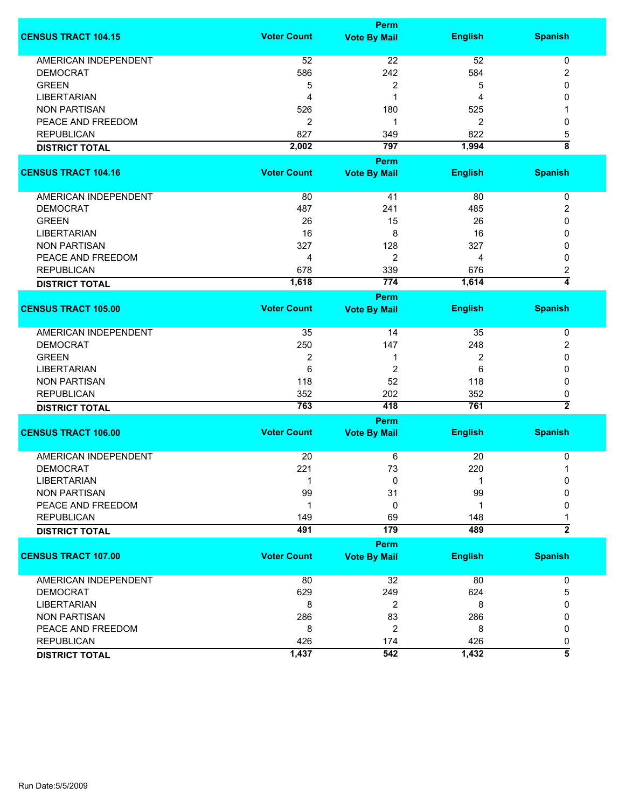|                             |                    | <b>Perm</b>         |                |                                    |
|-----------------------------|--------------------|---------------------|----------------|------------------------------------|
| <b>CENSUS TRACT 104.15</b>  | <b>Voter Count</b> | <b>Vote By Mail</b> | <b>English</b> | <b>Spanish</b>                     |
| AMERICAN INDEPENDENT        | 52                 | 22                  | 52             | $\pmb{0}$                          |
| <b>DEMOCRAT</b>             | 586                | 242                 | 584            | 2                                  |
| <b>GREEN</b>                | 5                  | 2                   | 5              | 0                                  |
| <b>LIBERTARIAN</b>          | 4                  | 1                   | 4              | 0                                  |
| <b>NON PARTISAN</b>         | 526                | 180                 | 525            |                                    |
| PEACE AND FREEDOM           | $\overline{2}$     | 1                   | 2              | 0                                  |
| <b>REPUBLICAN</b>           | 827                | 349                 | 822            | 5                                  |
|                             |                    |                     |                | $\overline{\overline{\mathbf{8}}}$ |
| <b>DISTRICT TOTAL</b>       | 2,002              | 797                 | 1,994          |                                    |
|                             |                    | Perm                |                |                                    |
| <b>CENSUS TRACT 104.16</b>  | <b>Voter Count</b> | <b>Vote By Mail</b> | <b>English</b> | <b>Spanish</b>                     |
| AMERICAN INDEPENDENT        | 80                 | 41                  | 80             | 0                                  |
| <b>DEMOCRAT</b>             | 487                | 241                 | 485            | 2                                  |
| <b>GREEN</b>                | 26                 | 15                  | 26             | 0                                  |
| <b>LIBERTARIAN</b>          | 16                 | 8                   | 16             | 0                                  |
| <b>NON PARTISAN</b>         | 327                | 128                 | 327            |                                    |
|                             |                    |                     |                | 0                                  |
| PEACE AND FREEDOM           | 4                  | 2                   | 4              | 0                                  |
| <b>REPUBLICAN</b>           | 678                | 339                 | 676            | 2                                  |
| <b>DISTRICT TOTAL</b>       | 1,618              | 774                 | 1,614          | $\overline{4}$                     |
|                             |                    | <b>Perm</b>         |                |                                    |
| <b>CENSUS TRACT 105.00</b>  | <b>Voter Count</b> | <b>Vote By Mail</b> | <b>English</b> | <b>Spanish</b>                     |
| <b>AMERICAN INDEPENDENT</b> | 35                 | 14                  | 35             | 0                                  |
| <b>DEMOCRAT</b>             | 250                | 147                 | 248            | 2                                  |
| <b>GREEN</b>                | $\overline{2}$     | 1                   | 2              | 0                                  |
| <b>LIBERTARIAN</b>          | 6                  | $\overline{c}$      | 6              | 0                                  |
| <b>NON PARTISAN</b>         | 118                | 52                  | 118            | 0                                  |
| <b>REPUBLICAN</b>           | 352                | 202                 | 352            | 0                                  |
|                             | 763                | 418                 | 761            | $\overline{2}$                     |
| <b>DISTRICT TOTAL</b>       |                    |                     |                |                                    |
|                             |                    | Perm                |                |                                    |
| <b>CENSUS TRACT 106.00</b>  | <b>Voter Count</b> | <b>Vote By Mail</b> | <b>English</b> | <b>Spanish</b>                     |
| <b>AMERICAN INDEPENDENT</b> | 20                 | 6                   | 20             | 0                                  |
| <b>DEMOCRAT</b>             | 221                | 73                  | 220            | 1                                  |
| <b>LIBERTARIAN</b>          | -1                 | 0                   | 1              | 0                                  |
| <b>NON PARTISAN</b>         | 99                 | 31                  | 99             | $\Omega$                           |
| PEACE AND FREEDOM           | 1                  | 0                   | 1              | 0                                  |
| <b>REPUBLICAN</b>           | 149                | 69                  | 148            | 1                                  |
|                             | 491                | 179                 | 489            | $\overline{2}$                     |
| <b>DISTRICT TOTAL</b>       |                    |                     |                |                                    |
|                             |                    | <b>Perm</b>         |                |                                    |
| <b>CENSUS TRACT 107.00</b>  | <b>Voter Count</b> | <b>Vote By Mail</b> | <b>English</b> | <b>Spanish</b>                     |
| AMERICAN INDEPENDENT        | 80                 | 32                  | 80             | 0                                  |
| <b>DEMOCRAT</b>             | 629                | 249                 | 624            | 5                                  |
| <b>LIBERTARIAN</b>          | 8                  | $\boldsymbol{2}$    | 8              | 0                                  |
| <b>NON PARTISAN</b>         | 286                | 83                  | 286            | 0                                  |
| PEACE AND FREEDOM           | 8                  | $\overline{2}$      | 8              | 0                                  |
| <b>REPUBLICAN</b>           |                    |                     |                |                                    |
|                             | 426                | 174                 | 426            | 0<br>$\overline{\bf 5}$            |
| <b>DISTRICT TOTAL</b>       | 1,437              | 542                 | 1,432          |                                    |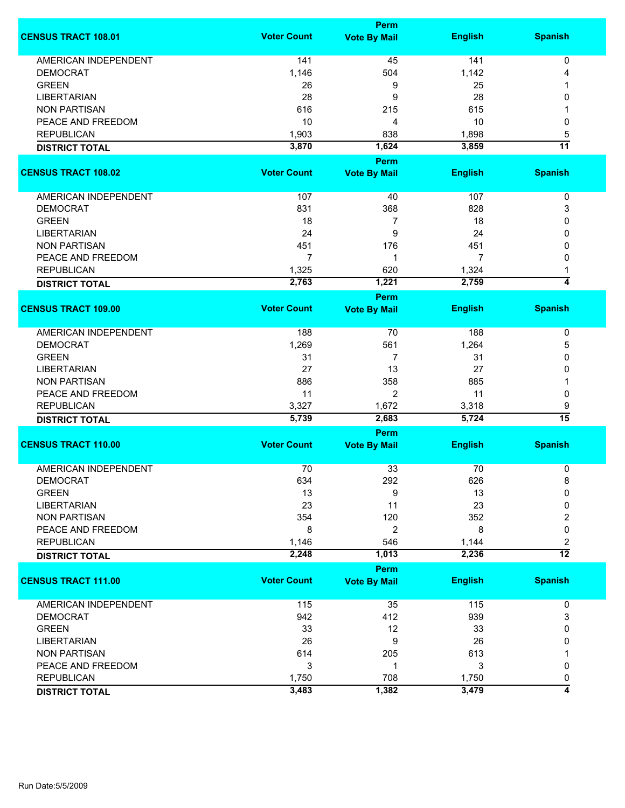|                             | <b>Perm</b>        |                      |                |                 |  |
|-----------------------------|--------------------|----------------------|----------------|-----------------|--|
| <b>CENSUS TRACT 108.01</b>  | <b>Voter Count</b> | <b>Vote By Mail</b>  | <b>English</b> | <b>Spanish</b>  |  |
| <b>AMERICAN INDEPENDENT</b> | 141                | 45                   | 141            | 0               |  |
| <b>DEMOCRAT</b>             | 1,146              | 504                  | 1,142          | 4               |  |
| <b>GREEN</b>                | 26                 | 9                    | 25             |                 |  |
| <b>LIBERTARIAN</b>          | 28                 | 9                    | 28             | 0               |  |
| <b>NON PARTISAN</b>         | 616                | 215                  | 615            |                 |  |
| PEACE AND FREEDOM           | 10                 | 4                    | 10             | 0               |  |
|                             |                    |                      |                |                 |  |
| <b>REPUBLICAN</b>           | 1,903              | 838                  | 1,898          | 5               |  |
| <b>DISTRICT TOTAL</b>       | 3,870              | 1,624<br><b>Perm</b> | 3,859          | $\overline{11}$ |  |
| <b>CENSUS TRACT 108.02</b>  | <b>Voter Count</b> | <b>Vote By Mail</b>  | <b>English</b> | <b>Spanish</b>  |  |
|                             |                    |                      |                |                 |  |
| AMERICAN INDEPENDENT        | 107                | 40                   | 107            | 0               |  |
| <b>DEMOCRAT</b>             | 831                | 368                  | 828            | 3               |  |
| <b>GREEN</b>                | 18                 | $\overline{7}$       | 18             | 0               |  |
| <b>LIBERTARIAN</b>          | 24                 | 9                    | 24             | 0               |  |
| <b>NON PARTISAN</b>         | 451                | 176                  | 451            | 0               |  |
| PEACE AND FREEDOM           | 7                  | 1                    | 7              | 0               |  |
| <b>REPUBLICAN</b>           | 1,325              | 620                  | 1,324          |                 |  |
| <b>DISTRICT TOTAL</b>       | 2,763              | 1,221                | 2,759          | $\overline{4}$  |  |
|                             |                    | <b>Perm</b>          |                |                 |  |
| <b>CENSUS TRACT 109.00</b>  | <b>Voter Count</b> | <b>Vote By Mail</b>  | <b>English</b> | <b>Spanish</b>  |  |
|                             |                    |                      |                |                 |  |
| <b>AMERICAN INDEPENDENT</b> | 188                | 70                   | 188            | 0               |  |
| <b>DEMOCRAT</b>             | 1,269              | 561                  | 1,264          | 5               |  |
| <b>GREEN</b>                | 31                 | 7                    | 31             | 0               |  |
| <b>LIBERTARIAN</b>          | 27                 | 13                   | 27             | 0               |  |
| <b>NON PARTISAN</b>         | 886                | 358                  | 885            |                 |  |
| PEACE AND FREEDOM           | 11                 | 2                    | 11             | 0               |  |
| <b>REPUBLICAN</b>           | 3,327              | 1,672                | 3,318          | 9               |  |
| <b>DISTRICT TOTAL</b>       | 5,739              | 2,683                | 5,724          | $\overline{15}$ |  |
|                             | Perm               |                      |                |                 |  |
| <b>CENSUS TRACT 110.00</b>  | <b>Voter Count</b> | <b>Vote By Mail</b>  | <b>English</b> | <b>Spanish</b>  |  |
| <b>AMERICAN INDEPENDENT</b> | 70                 | 33                   | 70             | 0               |  |
| <b>DEMOCRAT</b>             | 634                | 292                  | 626            | 8               |  |
| <b>GREEN</b>                | 13                 | 9                    | 13             | 0               |  |
| <b>LIBERTARIAN</b>          | 23                 |                      | 23             | 0               |  |
|                             |                    | 11                   |                |                 |  |
| <b>NON PARTISAN</b>         | 354                | 120                  | 352            | 2               |  |
| PEACE AND FREEDOM           | 8                  | $\overline{2}$       | 8              | 0               |  |
| <b>REPUBLICAN</b>           | 1,146              | 546                  | 1,144          | 2               |  |
| <b>DISTRICT TOTAL</b>       | 2,248              | 1,013                | 2,236          | $\overline{12}$ |  |
|                             |                    | Perm                 |                |                 |  |
| <b>CENSUS TRACT 111.00</b>  | <b>Voter Count</b> | <b>Vote By Mail</b>  | <b>English</b> | <b>Spanish</b>  |  |
| AMERICAN INDEPENDENT        | 115                | 35                   | 115            | 0               |  |
| <b>DEMOCRAT</b>             | 942                | 412                  | 939            | 3               |  |
| <b>GREEN</b>                | 33                 | 12                   | 33             | 0               |  |
| <b>LIBERTARIAN</b>          | 26                 | 9                    | 26             | 0               |  |
| <b>NON PARTISAN</b>         | 614                | 205                  | 613            |                 |  |
| PEACE AND FREEDOM           | 3                  | 1                    | 3              | 0               |  |
| <b>REPUBLICAN</b>           | 1,750              | 708                  | 1,750          | 0               |  |
| <b>DISTRICT TOTAL</b>       | 3,483              | 1,382                | 3,479          | 4               |  |
|                             |                    |                      |                |                 |  |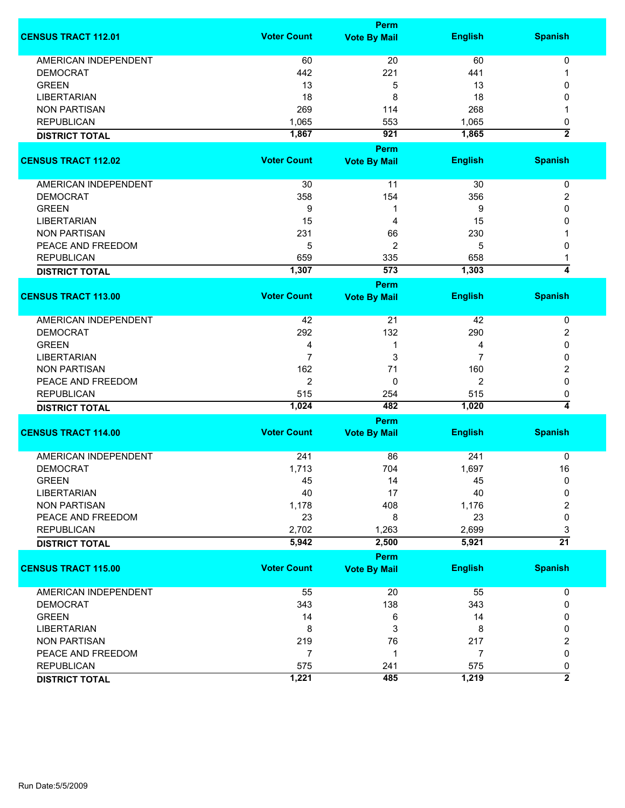|                             |                    | <b>Perm</b>         |                |                     |
|-----------------------------|--------------------|---------------------|----------------|---------------------|
| <b>CENSUS TRACT 112.01</b>  | <b>Voter Count</b> | <b>Vote By Mail</b> | <b>English</b> | <b>Spanish</b>      |
| <b>AMERICAN INDEPENDENT</b> | 60                 | 20                  | 60             | 0                   |
| <b>DEMOCRAT</b>             | 442                | 221                 | 441            |                     |
| <b>GREEN</b>                | 13                 | 5                   | 13             | 0                   |
| <b>LIBERTARIAN</b>          | 18                 | 8                   | 18             | 0                   |
|                             |                    |                     | 268            |                     |
| <b>NON PARTISAN</b>         | 269                | 114                 |                |                     |
| <b>REPUBLICAN</b>           | 1,065              | 553                 | 1,065          | 0<br>$\overline{2}$ |
| <b>DISTRICT TOTAL</b>       | 1,867              | 921                 | 1,865          |                     |
|                             |                    | <b>Perm</b>         |                |                     |
| <b>CENSUS TRACT 112.02</b>  | <b>Voter Count</b> | <b>Vote By Mail</b> | <b>English</b> | <b>Spanish</b>      |
|                             |                    |                     |                |                     |
| AMERICAN INDEPENDENT        | 30                 | 11                  | 30             | 0                   |
| <b>DEMOCRAT</b>             | 358                | 154                 | 356            | 2                   |
| <b>GREEN</b>                | 9                  | -1                  | 9              | 0                   |
| <b>LIBERTARIAN</b>          | 15                 | 4                   | 15             | 0                   |
| <b>NON PARTISAN</b>         | 231                | 66                  | 230            |                     |
| PEACE AND FREEDOM           | 5                  | 2                   | 5              | 0                   |
| <b>REPUBLICAN</b>           | 659                | 335                 | 658            | 1                   |
| <b>DISTRICT TOTAL</b>       | 1,307              | 573                 | 1,303          | 4                   |
|                             |                    | <b>Perm</b>         |                |                     |
| <b>CENSUS TRACT 113.00</b>  | <b>Voter Count</b> | <b>Vote By Mail</b> | <b>English</b> | <b>Spanish</b>      |
| <b>AMERICAN INDEPENDENT</b> | 42                 | 21                  | 42             | 0                   |
| <b>DEMOCRAT</b>             | 292                | 132                 | 290            | 2                   |
| <b>GREEN</b>                | 4                  | 1                   | 4              | 0                   |
| <b>LIBERTARIAN</b>          | 7                  | 3                   | 7              | 0                   |
| <b>NON PARTISAN</b>         | 162                | 71                  | 160            | 2                   |
| PEACE AND FREEDOM           | 2                  | 0                   | 2              | 0                   |
|                             |                    |                     |                |                     |
| <b>REPUBLICAN</b>           | 515                | 254                 | 515            | 0<br>4              |
| <b>DISTRICT TOTAL</b>       | 1,024              | 482                 | 1,020          |                     |
|                             |                    | Perm                |                |                     |
| <b>CENSUS TRACT 114.00</b>  | <b>Voter Count</b> | <b>Vote By Mail</b> | <b>English</b> | <b>Spanish</b>      |
| <b>AMERICAN INDEPENDENT</b> | 241                | 86                  | 241            | 0                   |
| <b>DEMOCRAT</b>             | 1,713              | 704                 | 1,697          | 16                  |
| <b>GREEN</b>                | 45                 | 14                  | 45             | 0                   |
| <b>LIBERTARIAN</b>          | 40                 | 17                  | 40             | 0                   |
| <b>NON PARTISAN</b>         | 1,178              | 408                 | 1,176          | 2                   |
| PEACE AND FREEDOM           | 23                 | 8                   | 23             | 0                   |
| <b>REPUBLICAN</b>           | 2,702              | 1,263               | 2,699          | 3                   |
|                             | 5,942              | 2,500               | 5,921          | $\overline{21}$     |
| <b>DISTRICT TOTAL</b>       |                    |                     |                |                     |
|                             |                    | Perm                |                |                     |
| <b>CENSUS TRACT 115.00</b>  | <b>Voter Count</b> | <b>Vote By Mail</b> | <b>English</b> | <b>Spanish</b>      |
| AMERICAN INDEPENDENT        | 55                 | 20                  | 55             | 0                   |
| <b>DEMOCRAT</b>             | 343                | 138                 | 343            | 0                   |
| <b>GREEN</b>                | 14                 | 6                   | 14             | 0                   |
| <b>LIBERTARIAN</b>          | 8                  | 3                   | 8              | 0                   |
| <b>NON PARTISAN</b>         | 219                | 76                  | 217            | 2                   |
| PEACE AND FREEDOM           | $\overline{7}$     | -1                  | $\overline{7}$ | 0                   |
| <b>REPUBLICAN</b>           | 575                | 241                 | 575            | 0                   |
| <b>DISTRICT TOTAL</b>       | 1,221              | 485                 | 1,219          | $\overline{2}$      |
|                             |                    |                     |                |                     |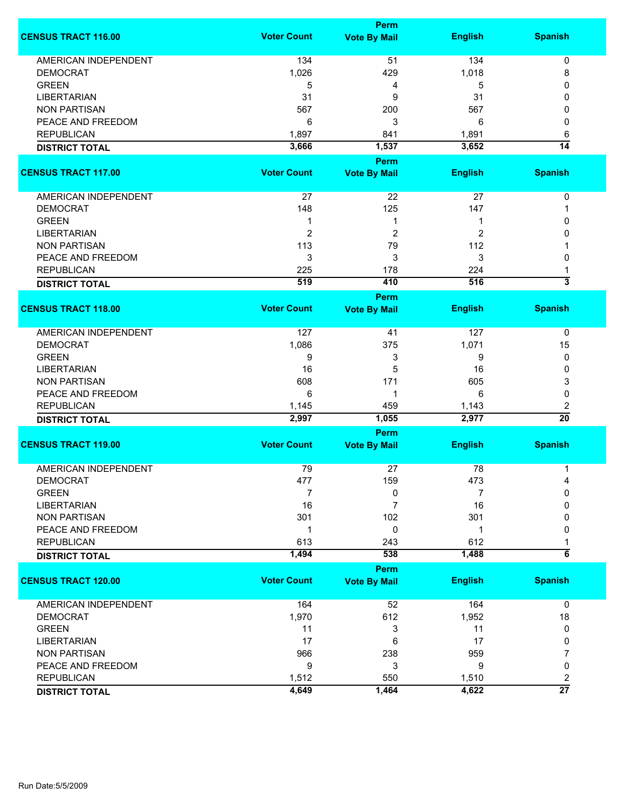|                             |                    | <b>Perm</b>                        |                |                         |  |  |
|-----------------------------|--------------------|------------------------------------|----------------|-------------------------|--|--|
| <b>CENSUS TRACT 116.00</b>  | <b>Voter Count</b> | <b>Vote By Mail</b>                | <b>English</b> | <b>Spanish</b>          |  |  |
| <b>AMERICAN INDEPENDENT</b> | 134                | 51                                 | 134            | 0                       |  |  |
| <b>DEMOCRAT</b>             | 1,026              | 429                                | 1,018          | 8                       |  |  |
| <b>GREEN</b>                | 5                  | 4                                  | 5              | 0                       |  |  |
| <b>LIBERTARIAN</b>          | 31                 | 9                                  | 31             | 0                       |  |  |
| <b>NON PARTISAN</b>         |                    |                                    | 567            |                         |  |  |
|                             | 567                | 200                                |                | 0                       |  |  |
| PEACE AND FREEDOM           | 6                  | 3                                  | 6              | 0                       |  |  |
| <b>REPUBLICAN</b>           | 1,897              | 841                                | 1,891          | 6                       |  |  |
| <b>DISTRICT TOTAL</b>       | 3,666              | 1,537                              | 3,652          | $\overline{14}$         |  |  |
| <b>CENSUS TRACT 117.00</b>  | <b>Voter Count</b> | <b>Perm</b><br><b>Vote By Mail</b> | <b>English</b> | <b>Spanish</b>          |  |  |
|                             |                    |                                    |                |                         |  |  |
| AMERICAN INDEPENDENT        | 27                 | 22                                 | 27             | 0                       |  |  |
| <b>DEMOCRAT</b>             | 148                | 125                                | 147            | 1                       |  |  |
| <b>GREEN</b>                | 1                  | 1                                  | 1              | 0                       |  |  |
| <b>LIBERTARIAN</b>          | $\overline{2}$     | $\overline{2}$                     | 2              | 0                       |  |  |
| <b>NON PARTISAN</b>         | 113                | 79                                 | 112            |                         |  |  |
| PEACE AND FREEDOM           | 3                  | 3                                  | 3              | 0                       |  |  |
| <b>REPUBLICAN</b>           | 225                | 178                                | 224            |                         |  |  |
|                             | 519                | 410                                | 516            | $\overline{\mathbf{3}}$ |  |  |
| <b>DISTRICT TOTAL</b>       |                    | <b>Perm</b>                        |                |                         |  |  |
| <b>CENSUS TRACT 118.00</b>  | <b>Voter Count</b> | <b>Vote By Mail</b>                | <b>English</b> | <b>Spanish</b>          |  |  |
|                             |                    |                                    |                |                         |  |  |
| <b>AMERICAN INDEPENDENT</b> | 127                | 41                                 | 127            | 0                       |  |  |
| <b>DEMOCRAT</b>             | 1,086              | 375                                | 1,071          | 15                      |  |  |
| <b>GREEN</b>                | 9                  | 3                                  | 9              | 0                       |  |  |
| <b>LIBERTARIAN</b>          | 16                 | 5                                  | 16             | 0                       |  |  |
| <b>NON PARTISAN</b>         | 608                | 171                                | 605            | 3                       |  |  |
| PEACE AND FREEDOM           | 6                  | 1                                  | 6              | 0                       |  |  |
| <b>REPUBLICAN</b>           | 1,145              | 459                                | 1,143          | 2                       |  |  |
| <b>DISTRICT TOTAL</b>       | 2,997              | 1,055                              | 2,977          | $\overline{20}$         |  |  |
|                             |                    | Perm                               |                |                         |  |  |
| <b>CENSUS TRACT 119.00</b>  | <b>Voter Count</b> | <b>Vote By Mail</b>                | <b>English</b> | <b>Spanish</b>          |  |  |
| <b>AMERICAN INDEPENDENT</b> | 79                 | 27                                 | 78             | 1                       |  |  |
| <b>DEMOCRAT</b>             | 477                | 159                                | 473            | 4                       |  |  |
| <b>GREEN</b>                | 7                  | 0                                  | 7              | 0                       |  |  |
| <b>LIBERTARIAN</b>          | 16                 | 7                                  | 16             | 0                       |  |  |
| <b>NON PARTISAN</b>         | 301                | 102                                | 301            | 0                       |  |  |
| PEACE AND FREEDOM           | $\mathbf 1$        | 0                                  | 1              | 0                       |  |  |
|                             |                    |                                    |                |                         |  |  |
| <b>REPUBLICAN</b>           | 613<br>1,494       | 243<br>538                         | 612<br>1,488   | $6\overline{6}$         |  |  |
| <b>DISTRICT TOTAL</b>       |                    | Perm                               |                |                         |  |  |
| <b>CENSUS TRACT 120.00</b>  | <b>Voter Count</b> | <b>Vote By Mail</b>                | <b>English</b> | <b>Spanish</b>          |  |  |
|                             |                    |                                    |                |                         |  |  |
| <b>AMERICAN INDEPENDENT</b> | 164                | 52                                 | 164            | $\mathbf 0$             |  |  |
| <b>DEMOCRAT</b>             | 1,970              | 612                                | 1,952          | 18                      |  |  |
| <b>GREEN</b>                | 11                 | 3                                  | 11             | 0                       |  |  |
| <b>LIBERTARIAN</b>          | 17                 | 6                                  | 17             | 0                       |  |  |
| <b>NON PARTISAN</b>         | 966                | 238                                | 959            | 7                       |  |  |
| PEACE AND FREEDOM           | 9                  | 3                                  | 9              | 0                       |  |  |
| <b>REPUBLICAN</b>           | 1,512              | 550                                | 1,510          | 2                       |  |  |
| <b>DISTRICT TOTAL</b>       | 4,649              | 1,464                              | 4,622          | $\overline{27}$         |  |  |
|                             |                    |                                    |                |                         |  |  |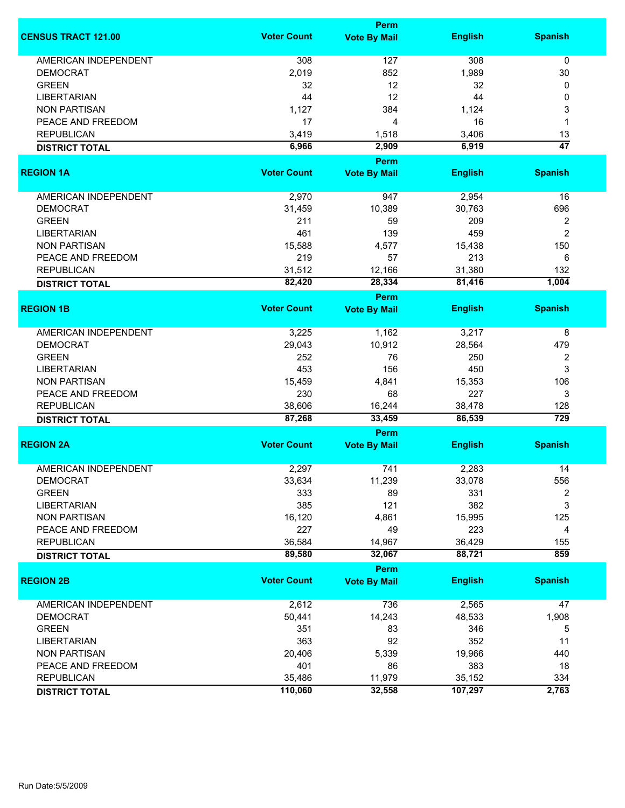|                             |                    | Perm                |                  |                         |
|-----------------------------|--------------------|---------------------|------------------|-------------------------|
| <b>CENSUS TRACT 121.00</b>  | <b>Voter Count</b> | <b>Vote By Mail</b> | <b>English</b>   | <b>Spanish</b>          |
| <b>AMERICAN INDEPENDENT</b> | 308                | 127                 | 308              | 0                       |
| <b>DEMOCRAT</b>             | 2,019              | 852                 | 1,989            | 30                      |
| <b>GREEN</b>                | 32                 | 12                  | 32               | 0                       |
| <b>LIBERTARIAN</b>          | 44                 | 12                  | 44               | 0                       |
| <b>NON PARTISAN</b>         |                    | 384                 | 1,124            |                         |
|                             | 1,127              |                     |                  | 3                       |
| PEACE AND FREEDOM           | 17                 | 4                   | 16               | 1                       |
| <b>REPUBLICAN</b>           | 3,419              | 1,518               | 3,406            | 13                      |
| <b>DISTRICT TOTAL</b>       | 6,966              | 2,909               | 6,919            | $\overline{47}$         |
|                             | <b>Voter Count</b> | Perm                |                  |                         |
| <b>REGION 1A</b>            |                    | <b>Vote By Mail</b> | <b>English</b>   | <b>Spanish</b>          |
| AMERICAN INDEPENDENT        | 2,970              | 947                 | 2,954            | 16                      |
| <b>DEMOCRAT</b>             | 31,459             | 10,389              | 30,763           | 696                     |
| <b>GREEN</b>                | 211                | 59                  | 209              | 2                       |
| <b>LIBERTARIAN</b>          | 461                | 139                 | 459              | $\overline{2}$          |
| <b>NON PARTISAN</b>         | 15,588             | 4,577               | 15,438           | 150                     |
|                             | 219                | 57                  | 213              |                         |
| PEACE AND FREEDOM           |                    |                     |                  | 6                       |
| <b>REPUBLICAN</b>           | 31,512             | 12,166              | 31,380           | 132                     |
| <b>DISTRICT TOTAL</b>       | 82,420             | 28,334              | 81,416           | 1,004                   |
|                             |                    | <b>Perm</b>         |                  |                         |
| <b>REGION 1B</b>            | <b>Voter Count</b> | <b>Vote By Mail</b> | <b>English</b>   | <b>Spanish</b>          |
| <b>AMERICAN INDEPENDENT</b> | 3,225              | 1,162               | 3,217            | 8                       |
| <b>DEMOCRAT</b>             | 29,043             | 10,912              | 28,564           | 479                     |
| <b>GREEN</b>                | 252                | 76                  | 250              | 2                       |
| <b>LIBERTARIAN</b>          | 453                | 156                 | 450              | 3                       |
| <b>NON PARTISAN</b>         | 15,459             | 4,841               | 15,353           | 106                     |
| PEACE AND FREEDOM           | 230                | 68                  | 227              | 3                       |
|                             |                    |                     |                  |                         |
| <b>REPUBLICAN</b>           | 38,606<br>87,268   | 16,244<br>33,459    | 38,478<br>86,539 | 128<br>$\overline{729}$ |
| <b>DISTRICT TOTAL</b>       |                    | Perm                |                  |                         |
| <b>REGION 2A</b>            | <b>Voter Count</b> | <b>Vote By Mail</b> | <b>English</b>   | <b>Spanish</b>          |
|                             |                    |                     |                  |                         |
| <b>AMERICAN INDEPENDENT</b> | 2,297              | 741                 | 2,283            | 14                      |
| <b>DEMOCRAT</b>             | 33,634             | 11,239              | 33,078           | 556                     |
| <b>GREEN</b>                | 333                | 89                  | 331              | 2                       |
| <b>LIBERTARIAN</b>          | 385                | 121                 | 382              | 3                       |
| <b>NON PARTISAN</b>         | 16,120             | 4,861               | 15,995           | 125                     |
| PEACE AND FREEDOM           | 227                | 49                  | 223              | 4                       |
| <b>REPUBLICAN</b>           | 36,584             | 14,967              | 36,429           | 155                     |
| <b>DISTRICT TOTAL</b>       | 89,580             | 32,067              | 88,721           | 859                     |
|                             |                    | Perm                |                  |                         |
| <b>REGION 2B</b>            | <b>Voter Count</b> | <b>Vote By Mail</b> | <b>English</b>   | <b>Spanish</b>          |
| <b>AMERICAN INDEPENDENT</b> | 2,612              | 736                 | 2,565            | 47                      |
| <b>DEMOCRAT</b>             | 50,441             | 14,243              | 48,533           | 1,908                   |
| <b>GREEN</b>                | 351                | 83                  | 346              | 5                       |
| <b>LIBERTARIAN</b>          | 363                | 92                  | 352              | 11                      |
| <b>NON PARTISAN</b>         | 20,406             | 5,339               | 19,966           | 440                     |
| PEACE AND FREEDOM           | 401                | 86                  | 383              | 18                      |
|                             |                    |                     |                  |                         |
| <b>REPUBLICAN</b>           | 35,486             | 11,979              | 35,152           | 334                     |
| <b>DISTRICT TOTAL</b>       | 110,060            | 32,558              | 107,297          | 2,763                   |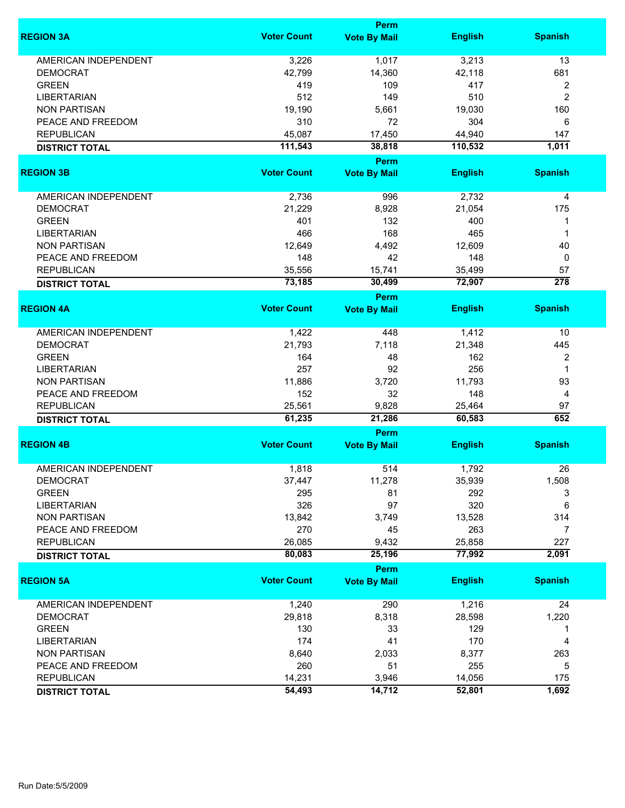|                             |                    | Perm                        |                |                 |
|-----------------------------|--------------------|-----------------------------|----------------|-----------------|
| <b>REGION 3A</b>            | <b>Voter Count</b> | <b>Vote By Mail</b>         | <b>English</b> | <b>Spanish</b>  |
| <b>AMERICAN INDEPENDENT</b> | 3,226              | 1,017                       | 3,213          | 13              |
| <b>DEMOCRAT</b>             | 42,799             | 14,360                      | 42,118         | 681             |
| <b>GREEN</b>                | 419                | 109                         | 417            | 2               |
| <b>LIBERTARIAN</b>          | 512                | 149                         | 510            | $\overline{c}$  |
| <b>NON PARTISAN</b>         |                    | 5,661                       |                |                 |
|                             | 19,190             |                             | 19,030         | 160             |
| PEACE AND FREEDOM           | 310                | 72                          | 304            | 6               |
| <b>REPUBLICAN</b>           | 45,087             | 17,450                      | 44,940         | 147             |
| <b>DISTRICT TOTAL</b>       | 111,543            | 38,818                      | 110,532        | 1,011           |
| <b>REGION 3B</b>            | <b>Voter Count</b> | Perm<br><b>Vote By Mail</b> | <b>English</b> | <b>Spanish</b>  |
|                             |                    |                             |                |                 |
| AMERICAN INDEPENDENT        | 2,736              | 996                         | 2,732          | 4               |
| <b>DEMOCRAT</b>             | 21,229             | 8,928                       | 21,054         | 175             |
| <b>GREEN</b>                | 401                | 132                         | 400            | 1               |
| <b>LIBERTARIAN</b>          | 466                | 168                         | 465            | 1               |
| <b>NON PARTISAN</b>         | 12,649             | 4,492                       | 12,609         | 40              |
| PEACE AND FREEDOM           | 148                | 42                          | 148            | 0               |
| <b>REPUBLICAN</b>           | 35,556             | 15,741                      | 35,499         | 57              |
|                             | 73,185             | 30,499                      | 72,907         | $\frac{1}{278}$ |
| <b>DISTRICT TOTAL</b>       |                    | <b>Perm</b>                 |                |                 |
| <b>REGION 4A</b>            | <b>Voter Count</b> | <b>Vote By Mail</b>         | <b>English</b> | <b>Spanish</b>  |
|                             |                    |                             |                |                 |
| <b>AMERICAN INDEPENDENT</b> | 1,422              | 448                         | 1,412          | 10              |
| <b>DEMOCRAT</b>             | 21,793             | 7,118                       | 21,348         | 445             |
| <b>GREEN</b>                | 164                | 48                          | 162            | 2               |
| <b>LIBERTARIAN</b>          | 257                | 92                          | 256            | 1               |
| <b>NON PARTISAN</b>         | 11,886             | 3,720                       | 11,793         | 93              |
| PEACE AND FREEDOM           | 152                | 32                          | 148            | 4               |
| <b>REPUBLICAN</b>           | 25,561             | 9,828                       | 25,464         | 97              |
| <b>DISTRICT TOTAL</b>       | 61,235             | 21,286                      | 60,583         | 652             |
|                             |                    | Perm                        |                |                 |
| <b>REGION 4B</b>            | <b>Voter Count</b> | <b>Vote By Mail</b>         | <b>English</b> | <b>Spanish</b>  |
| <b>AMERICAN INDEPENDENT</b> |                    |                             |                |                 |
|                             | 1,818              | 514                         | 1,792          | 26              |
| <b>DEMOCRAT</b>             | 37,447             | 11,278                      | 35,939         | 1,508           |
| <b>GREEN</b>                | 295                | 81                          | 292            | 3               |
| <b>LIBERTARIAN</b>          | 326                | 97                          | 320            | 6               |
| <b>NON PARTISAN</b>         | 13,842             | 3,749                       | 13,528         | 314             |
| PEACE AND FREEDOM           | 270                | 45                          | 263            | 7               |
| <b>REPUBLICAN</b>           | 26,085             | 9,432                       | 25,858         | 227             |
| <b>DISTRICT TOTAL</b>       | 80,083             | 25,196                      | 77,992         | 2,091           |
|                             |                    | <b>Perm</b>                 |                |                 |
| <b>REGION 5A</b>            | <b>Voter Count</b> | <b>Vote By Mail</b>         | <b>English</b> | <b>Spanish</b>  |
| <b>AMERICAN INDEPENDENT</b> | 1,240              | 290                         | 1,216          | 24              |
| <b>DEMOCRAT</b>             | 29,818             | 8,318                       | 28,598         | 1,220           |
| <b>GREEN</b>                | 130                | 33                          | 129            | 1               |
| <b>LIBERTARIAN</b>          | 174                | 41                          | 170            | 4               |
| <b>NON PARTISAN</b>         | 8,640              | 2,033                       | 8,377          | 263             |
| PEACE AND FREEDOM           | 260                | 51                          | 255            |                 |
|                             |                    |                             |                | 5               |
| <b>REPUBLICAN</b>           | 14,231             | 3,946                       | 14,056         | 175             |
| <b>DISTRICT TOTAL</b>       | 54,493             | 14,712                      | 52,801         | 1,692           |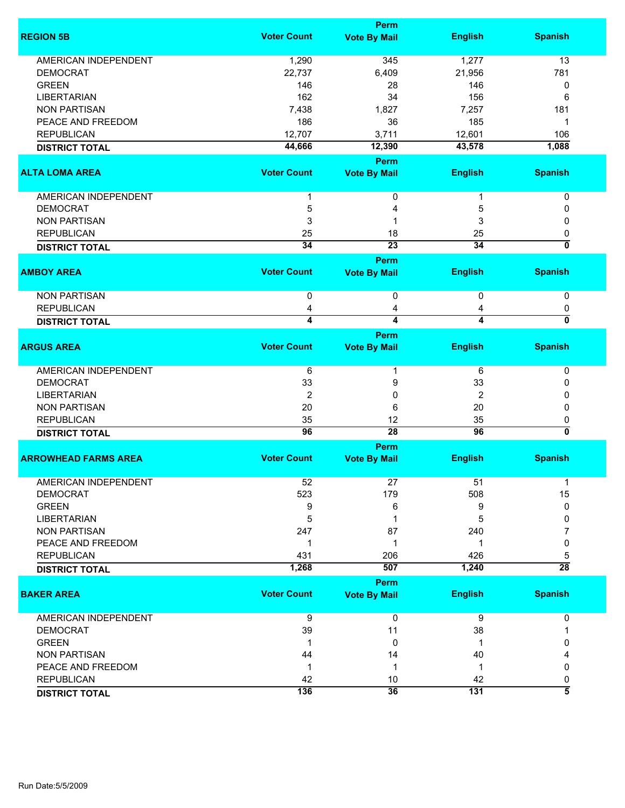|                             |                    | <b>Perm</b>         |                  |                           |
|-----------------------------|--------------------|---------------------|------------------|---------------------------|
| <b>REGION 5B</b>            | <b>Voter Count</b> | <b>Vote By Mail</b> | <b>English</b>   | <b>Spanish</b>            |
| AMERICAN INDEPENDENT        | 1,290              | 345                 | 1,277            | 13                        |
| <b>DEMOCRAT</b>             | 22,737             | 6,409               | 21,956           | 781                       |
| <b>GREEN</b>                | 146                | 28                  | 146              | 0                         |
| <b>LIBERTARIAN</b>          | 162                | 34                  | 156              | 6                         |
| <b>NON PARTISAN</b>         | 7,438              | 1,827               | 7,257            | 181                       |
| PEACE AND FREEDOM           | 186                | 36                  | 185              | 1                         |
| <b>REPUBLICAN</b>           | 12,707             | 3,711               | 12,601           | 106                       |
| <b>DISTRICT TOTAL</b>       | 44,666             | 12,390              | 43,578           | 1,088                     |
|                             |                    | Perm                |                  |                           |
| <b>ALTA LOMA AREA</b>       | <b>Voter Count</b> | <b>Vote By Mail</b> | <b>English</b>   | <b>Spanish</b>            |
|                             |                    |                     |                  |                           |
| AMERICAN INDEPENDENT        |                    | 0                   |                  | 0                         |
| <b>DEMOCRAT</b>             | 5                  | 4                   | 5                | 0                         |
| <b>NON PARTISAN</b>         | 3                  | 1                   | 3                | 0                         |
| <b>REPUBLICAN</b>           | 25                 | 18                  | 25               | 0                         |
| <b>DISTRICT TOTAL</b>       | $\overline{34}$    | $\overline{23}$     | 34               | 0                         |
|                             |                    | Perm                |                  |                           |
| <b>AMBOY AREA</b>           | <b>Voter Count</b> | <b>Vote By Mail</b> | <b>English</b>   | <b>Spanish</b>            |
| <b>NON PARTISAN</b>         | 0                  | 0                   | 0                | 0                         |
| <b>REPUBLICAN</b>           | 4                  | 4                   | 4                | 0                         |
| <b>DISTRICT TOTAL</b>       | 4                  | 4                   | 4                | 0                         |
|                             |                    | <b>Perm</b>         |                  |                           |
| <b>ARGUS AREA</b>           | <b>Voter Count</b> | <b>Vote By Mail</b> | <b>English</b>   | <b>Spanish</b>            |
|                             |                    |                     |                  |                           |
| <b>AMERICAN INDEPENDENT</b> | 6                  | 1                   | 6                | 0                         |
| <b>DEMOCRAT</b>             | 33                 | 9                   | 33               | 0                         |
| <b>LIBERTARIAN</b>          | $\overline{2}$     | 0                   | 2                | 0                         |
| <b>NON PARTISAN</b>         | 20                 | 6                   | 20               | 0                         |
| <b>REPUBLICAN</b>           | 35                 | 12                  | 35               | 0                         |
| <b>DISTRICT TOTAL</b>       | 96                 | $\overline{28}$     | 96               | $\overline{\mathfrak{o}}$ |
|                             |                    | <b>Perm</b>         |                  |                           |
| <b>ARROWHEAD FARMS AREA</b> | <b>Voter Count</b> | <b>Vote By Mail</b> | <b>English</b>   | <b>Spanish</b>            |
|                             |                    |                     |                  |                           |
| <b>AMERICAN INDEPENDENT</b> | 52                 | 27                  | 51               | 1                         |
| <b>DEMOCRAT</b>             | 523                | 179                 | 508              | 15                        |
| <b>GREEN</b>                | 9                  | 6                   | 9                | 0                         |
| <b>LIBERTARIAN</b>          | 5                  | 1                   | 5                | 0                         |
| <b>NON PARTISAN</b>         | 247                | 87                  | 240              | 7                         |
| PEACE AND FREEDOM           | 1                  | 1                   | -1               | 0                         |
| <b>REPUBLICAN</b>           | 431                | 206                 | 426              | 5                         |
| <b>DISTRICT TOTAL</b>       | 1,268              | 507                 | 1,240            | $\overline{28}$           |
|                             |                    | <b>Perm</b>         |                  |                           |
| <b>BAKER AREA</b>           | <b>Voter Count</b> | <b>Vote By Mail</b> | <b>English</b>   | <b>Spanish</b>            |
| AMERICAN INDEPENDENT        | 9                  | 0                   | 9                | 0                         |
| <b>DEMOCRAT</b>             | 39                 | 11                  | 38               | 1                         |
| <b>GREEN</b>                | $\mathbf{1}$       | 0                   | 1                | 0                         |
| <b>NON PARTISAN</b>         | 44                 | 14                  | 40               |                           |
| PEACE AND FREEDOM           | $\mathbf 1$        | 1                   | 1                | 0                         |
| <b>REPUBLICAN</b>           | 42                 | 10                  | 42               | 0                         |
| <b>DISTRICT TOTAL</b>       | 136                | 36                  | $\overline{131}$ | $\overline{\bf 5}$        |
|                             |                    |                     |                  |                           |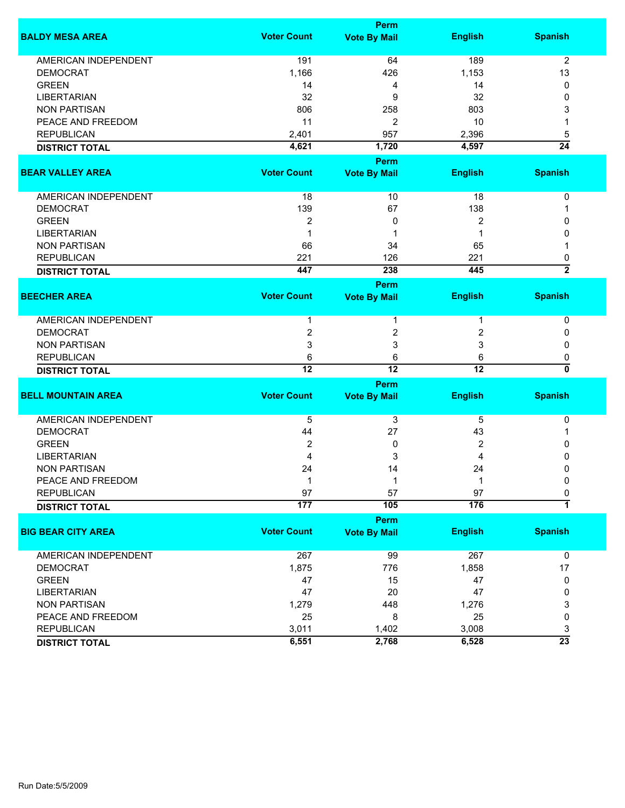|                             |                    | <b>Perm</b>         |                  |                 |
|-----------------------------|--------------------|---------------------|------------------|-----------------|
| <b>BALDY MESA AREA</b>      | <b>Voter Count</b> | <b>Vote By Mail</b> | <b>English</b>   | <b>Spanish</b>  |
| <b>AMERICAN INDEPENDENT</b> | 191                | 64                  | 189              | $\overline{2}$  |
| <b>DEMOCRAT</b>             | 1,166              | 426                 | 1,153            | 13              |
| <b>GREEN</b>                | 14                 | 4                   | 14               | 0               |
| <b>LIBERTARIAN</b>          | 32                 | 9                   | 32               | 0               |
| <b>NON PARTISAN</b>         | 806                | 258                 | 803              | 3               |
| PEACE AND FREEDOM           | 11                 | 2                   | 10               |                 |
| <b>REPUBLICAN</b>           | 2,401              | 957                 | 2,396            | 5               |
|                             | 4,621              | 1,720               | 4,597            | $\overline{24}$ |
| <b>DISTRICT TOTAL</b>       |                    |                     |                  |                 |
|                             |                    | Perm                |                  |                 |
| <b>BEAR VALLEY AREA</b>     | <b>Voter Count</b> | <b>Vote By Mail</b> | <b>English</b>   | <b>Spanish</b>  |
| AMERICAN INDEPENDENT        | 18                 | 10                  | 18               | 0               |
| <b>DEMOCRAT</b>             | 139                | 67                  | 138              | 1               |
| <b>GREEN</b>                | 2                  | 0                   | 2                | 0               |
| <b>LIBERTARIAN</b>          | 1                  | 1                   |                  | 0               |
| <b>NON PARTISAN</b>         | 66                 | 34                  | 65               |                 |
| <b>REPUBLICAN</b>           | 221                | 126                 | 221              | 0               |
| <b>DISTRICT TOTAL</b>       | 447                | 238                 | 445              | $\overline{2}$  |
|                             |                    | Perm                |                  |                 |
| <b>BEECHER AREA</b>         | <b>Voter Count</b> | <b>Vote By Mail</b> | <b>English</b>   | <b>Spanish</b>  |
|                             |                    |                     |                  |                 |
| AMERICAN INDEPENDENT        | 1                  | 1                   | 1                | 0               |
| <b>DEMOCRAT</b>             | $\boldsymbol{2}$   | 2                   | $\boldsymbol{2}$ | 0               |
| <b>NON PARTISAN</b>         | 3                  | 3                   | 3                | 0               |
| <b>REPUBLICAN</b>           | 6                  | 6                   | 6                | 0               |
| <b>DISTRICT TOTAL</b>       | $\overline{12}$    | $\overline{12}$     | $\overline{12}$  | 0               |
|                             |                    | <b>Perm</b>         |                  |                 |
| <b>BELL MOUNTAIN AREA</b>   | <b>Voter Count</b> | <b>Vote By Mail</b> | <b>English</b>   | <b>Spanish</b>  |
| <b>AMERICAN INDEPENDENT</b> | 5                  | 3                   | 5                | 0               |
| <b>DEMOCRAT</b>             | 44                 | 27                  | 43               | 1               |
| <b>GREEN</b>                | 2                  | 0                   | 2                | 0               |
| <b>LIBERTARIAN</b>          | 4                  | 3                   | 4                | 0               |
| <b>NON PARTISAN</b>         | 24                 | 14                  | 24               | 0               |
| PEACE AND FREEDOM           | 1                  | 1                   | 1                | 0               |
| <b>REPUBLICAN</b>           | 97                 | 57                  | 97               | 0               |
| <b>DISTRICT TOTAL</b>       | 177                | 105                 | 176              | 1               |
|                             |                    | <b>Perm</b>         |                  |                 |
| <b>BIG BEAR CITY AREA</b>   | <b>Voter Count</b> | <b>Vote By Mail</b> | <b>English</b>   | <b>Spanish</b>  |
| <b>AMERICAN INDEPENDENT</b> | 267                | 99                  | 267              | $\mathbf 0$     |
| <b>DEMOCRAT</b>             | 1,875              | 776                 | 1,858            | 17              |
| <b>GREEN</b>                | 47                 | 15                  | 47               | 0               |
| <b>LIBERTARIAN</b>          | 47                 | 20                  | 47               | 0               |
| <b>NON PARTISAN</b>         |                    | 448                 |                  |                 |
|                             | 1,279              |                     | 1,276            | 3<br>0          |
| PEACE AND FREEDOM           | 25                 | 8                   | 25               |                 |
| <b>REPUBLICAN</b>           | 3,011              | 1,402               | 3,008            | 3               |
| <b>DISTRICT TOTAL</b>       | 6,551              | 2,768               | 6,528            | $\overline{23}$ |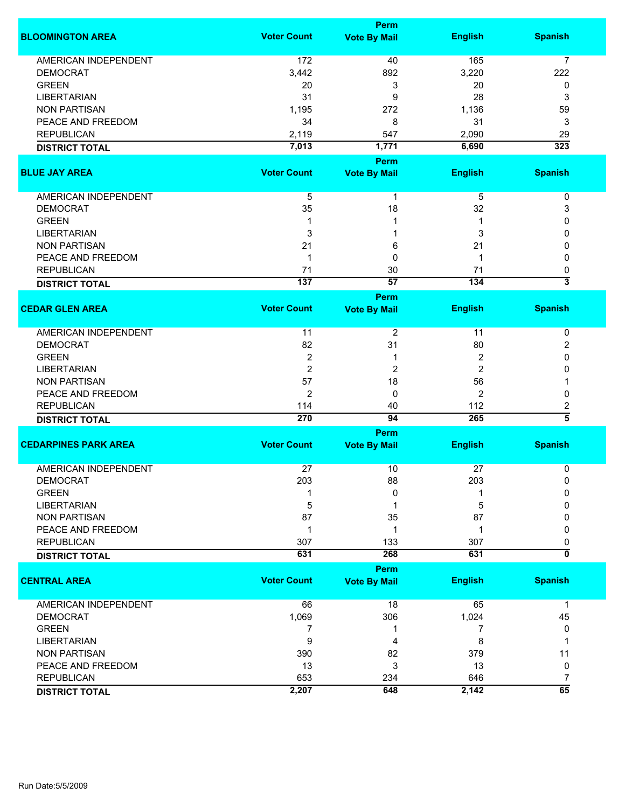|                             |                    | Perm                        |                |                              |
|-----------------------------|--------------------|-----------------------------|----------------|------------------------------|
| <b>BLOOMINGTON AREA</b>     | <b>Voter Count</b> | <b>Vote By Mail</b>         | <b>English</b> | <b>Spanish</b>               |
| <b>AMERICAN INDEPENDENT</b> | 172                | 40                          | 165            | 7                            |
| <b>DEMOCRAT</b>             | 3,442              | 892                         | 3,220          | 222                          |
|                             |                    |                             |                |                              |
| <b>GREEN</b>                | 20                 | 3                           | 20             | 0                            |
| <b>LIBERTARIAN</b>          | 31                 | 9                           | 28             | 3                            |
| <b>NON PARTISAN</b>         | 1,195              | 272                         | 1,136          | 59                           |
| PEACE AND FREEDOM           | 34                 | 8                           | 31             | 3                            |
| <b>REPUBLICAN</b>           | 2,119              | 547                         | 2,090          | 29                           |
| <b>DISTRICT TOTAL</b>       | 7,013              | 1,771                       | 6,690          | 323                          |
|                             |                    | <b>Perm</b>                 |                |                              |
| <b>BLUE JAY AREA</b>        | <b>Voter Count</b> | <b>Vote By Mail</b>         | <b>English</b> | <b>Spanish</b>               |
| AMERICAN INDEPENDENT        | 5                  | 1                           | 5              | 0                            |
| <b>DEMOCRAT</b>             | 35                 | 18                          | 32             | 3                            |
| <b>GREEN</b>                | 1                  | 1                           | 1              | 0                            |
|                             |                    |                             |                |                              |
| <b>LIBERTARIAN</b>          | 3                  |                             | 3              | 0                            |
| <b>NON PARTISAN</b>         | 21                 | 6                           | 21             | 0                            |
| PEACE AND FREEDOM           | 1                  | 0                           | 1              | 0                            |
| <b>REPUBLICAN</b>           | 71                 | 30                          | 71             | 0                            |
| <b>DISTRICT TOTAL</b>       | 137                | 57                          | 134            | $\overline{\mathbf{3}}$      |
|                             |                    | <b>Perm</b>                 |                |                              |
| <b>CEDAR GLEN AREA</b>      | <b>Voter Count</b> | <b>Vote By Mail</b>         | <b>English</b> | <b>Spanish</b>               |
| <b>AMERICAN INDEPENDENT</b> | 11                 | 2                           | 11             | 0                            |
| <b>DEMOCRAT</b>             | 82                 | 31                          | 80             | 2                            |
| <b>GREEN</b>                | $\overline{2}$     | 1                           | 2              | 0                            |
| <b>LIBERTARIAN</b>          | $\overline{2}$     | 2                           | 2              | 0                            |
| <b>NON PARTISAN</b>         | 57                 | 18                          | 56             |                              |
|                             |                    |                             |                |                              |
| PEACE AND FREEDOM           | $\overline{2}$     | 0                           | $\overline{2}$ | 0                            |
| <b>REPUBLICAN</b>           | 114                | 40                          | 112            | 2<br>$\overline{5}$          |
| <b>DISTRICT TOTAL</b>       | 270                | 94                          | 265            |                              |
|                             |                    | Perm                        |                |                              |
| <b>CEDARPINES PARK AREA</b> | <b>Voter Count</b> | <b>Vote By Mail</b>         | <b>English</b> | <b>Spanish</b>               |
| <b>AMERICAN INDEPENDENT</b> | 27                 | 10                          | 27             | 0                            |
| <b>DEMOCRAT</b>             | 203                | 88                          | 203            | 0                            |
| <b>GREEN</b>                |                    | 0                           |                | $\Omega$                     |
| <b>LIBERTARIAN</b>          | 5                  | 1                           | 5              | 0                            |
| <b>NON PARTISAN</b>         | 87                 | 35                          | 87             | 0                            |
| PEACE AND FREEDOM           | 1                  | 1                           | -1             | 0                            |
|                             |                    |                             |                |                              |
| <b>REPUBLICAN</b>           | 307                | 133                         | 307<br>631     | 0<br>$\overline{\mathbf{0}}$ |
| <b>DISTRICT TOTAL</b>       | 631                | 268                         |                |                              |
| <b>CENTRAL AREA</b>         | <b>Voter Count</b> | Perm<br><b>Vote By Mail</b> | <b>English</b> | <b>Spanish</b>               |
|                             |                    |                             |                |                              |
| <b>AMERICAN INDEPENDENT</b> | 66                 | 18                          | 65             | $\mathbf 1$                  |
| <b>DEMOCRAT</b>             | 1,069              | 306                         | 1,024          | 45                           |
| <b>GREEN</b>                | 7                  | 1                           | 7              | 0                            |
| <b>LIBERTARIAN</b>          | 9                  | 4                           | 8              | 1                            |
| <b>NON PARTISAN</b>         | 390                | 82                          | 379            | 11                           |
| PEACE AND FREEDOM           | 13                 | 3                           | 13             | 0                            |
| <b>REPUBLICAN</b>           | 653                | 234                         | 646            | $\overline{7}$               |
|                             | 2,207              | 648                         | 2,142          | 65                           |
| <b>DISTRICT TOTAL</b>       |                    |                             |                |                              |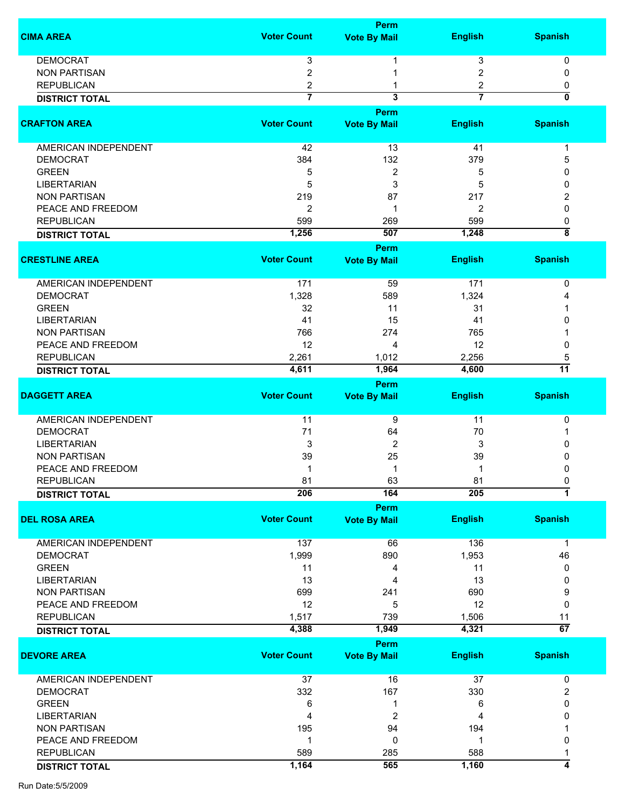|                             |                         | Perm                    |                |                         |
|-----------------------------|-------------------------|-------------------------|----------------|-------------------------|
| <b>CIMA AREA</b>            | <b>Voter Count</b>      | <b>Vote By Mail</b>     | <b>English</b> | <b>Spanish</b>          |
| <b>DEMOCRAT</b>             | 3                       |                         | 3              | 0                       |
| <b>NON PARTISAN</b>         | $\overline{c}$          |                         | 2              | 0                       |
| <b>REPUBLICAN</b>           | 2                       |                         | 2              | 0                       |
| <b>DISTRICT TOTAL</b>       | $\overline{\mathbf{7}}$ | $\overline{\mathbf{3}}$ | $\overline{7}$ | $\overline{\mathbf{0}}$ |
|                             |                         | Perm                    |                |                         |
| <b>CRAFTON AREA</b>         | <b>Voter Count</b>      | <b>Vote By Mail</b>     | <b>English</b> | <b>Spanish</b>          |
| <b>AMERICAN INDEPENDENT</b> | 42                      | 13                      | 41             | 1                       |
| <b>DEMOCRAT</b>             | 384                     | 132                     | 379            | 5                       |
| <b>GREEN</b>                | 5                       | 2                       | 5              | 0                       |
| <b>LIBERTARIAN</b>          | 5                       | 3                       | 5              | 0                       |
| <b>NON PARTISAN</b>         | 219                     | 87                      | 217            | 2                       |
| PEACE AND FREEDOM           | 2                       | 1                       | 2              | $\mathbf{0}$            |
| <b>REPUBLICAN</b>           | 599                     | 269                     | 599            | 0                       |
| <b>DISTRICT TOTAL</b>       | 1,256                   | 507                     | 1,248          | $\overline{\bf 8}$      |
|                             |                         | Perm                    |                |                         |
| <b>CRESTLINE AREA</b>       | <b>Voter Count</b>      | <b>Vote By Mail</b>     | <b>English</b> | <b>Spanish</b>          |
| AMERICAN INDEPENDENT        | 171                     | 59                      | 171            | 0                       |
| <b>DEMOCRAT</b>             | 1,328                   | 589                     | 1,324          |                         |
| <b>GREEN</b>                | 32                      | 11                      | 31             |                         |
| <b>LIBERTARIAN</b>          | 41                      | 15                      | 41             | 0                       |
| <b>NON PARTISAN</b>         | 766                     | 274                     | 765            |                         |
|                             |                         |                         |                |                         |
| PEACE AND FREEDOM           | 12                      | 4                       | 12             | 0                       |
| <b>REPUBLICAN</b>           | 2,261                   | 1,012                   | 2,256          | 5<br>$\overline{11}$    |
| <b>DISTRICT TOTAL</b>       | 4,611                   | 1,964                   | 4,600          |                         |
| <b>DAGGETT AREA</b>         | <b>Voter Count</b>      | Perm                    |                | <b>Spanish</b>          |
|                             |                         | <b>Vote By Mail</b>     | <b>English</b> |                         |
| <b>AMERICAN INDEPENDENT</b> | 11                      | 9                       | 11             | 0                       |
| <b>DEMOCRAT</b>             | 71                      | 64                      | 70             |                         |
| <b>LIBERTARIAN</b>          | 3                       | $\overline{2}$          | 3              | 0                       |
| <b>NON PARTISAN</b>         | 39                      | 25                      | 39             | 0                       |
| PEACE AND FREEDOM           |                         | 1                       | 1              | 0                       |
| <b>REPUBLICAN</b>           | 81                      | 63                      | 81             | 0                       |
| <b>DISTRICT TOTAL</b>       | 206                     | 164                     | 205            | $\overline{\mathbf{1}}$ |
|                             |                         | Perm                    |                |                         |
| <b>DEL ROSA AREA</b>        | <b>Voter Count</b>      | <b>Vote By Mail</b>     | <b>English</b> | <b>Spanish</b>          |
| AMERICAN INDEPENDENT        | 137                     | 66                      | 136            | $\mathbf 1$             |
| <b>DEMOCRAT</b>             | 1,999                   | 890                     | 1,953          | 46                      |
| <b>GREEN</b>                | 11                      | 4                       | 11             | 0                       |
| <b>LIBERTARIAN</b>          | 13                      | 4                       | 13             | 0                       |
| <b>NON PARTISAN</b>         | 699                     | 241                     | 690            | 9                       |
| PEACE AND FREEDOM           | 12                      | 5                       | 12             | 0                       |
| <b>REPUBLICAN</b>           | 1,517                   | 739                     | 1,506          | 11                      |
| <b>DISTRICT TOTAL</b>       | 4,388                   | 1,949                   | 4,321          | 67                      |
|                             |                         | Perm                    |                |                         |
| <b>DEVORE AREA</b>          | <b>Voter Count</b>      | <b>Vote By Mail</b>     | <b>English</b> | <b>Spanish</b>          |
| AMERICAN INDEPENDENT        | 37                      | 16                      | 37             | 0                       |
| <b>DEMOCRAT</b>             | 332                     | 167                     | 330            | $\overline{c}$          |
| <b>GREEN</b>                | 6                       | 1                       | 6              | 0                       |
| <b>LIBERTARIAN</b>          | 4                       | 2                       | 4              | 0                       |
| <b>NON PARTISAN</b>         | 195                     | 94                      | 194            |                         |
| PEACE AND FREEDOM           | 1                       | 0                       | -1             | 0                       |
| <b>REPUBLICAN</b>           | 589                     | 285                     | 588            |                         |
|                             | 1,164                   | 565                     | 1,160          | 4                       |
| <b>DISTRICT TOTAL</b>       |                         |                         |                |                         |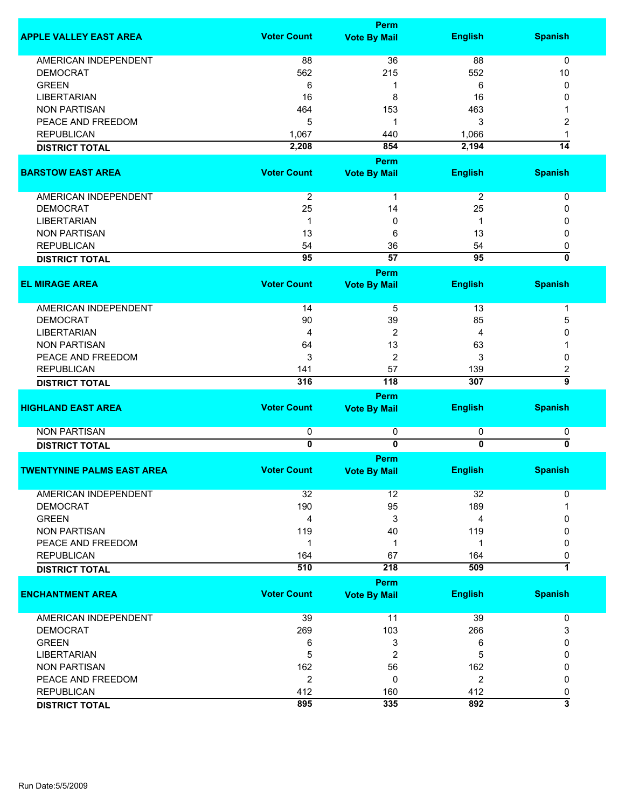|                                   |                    | Perm                    |                 |                           |
|-----------------------------------|--------------------|-------------------------|-----------------|---------------------------|
| <b>APPLE VALLEY EAST AREA</b>     | <b>Voter Count</b> | <b>Vote By Mail</b>     | <b>English</b>  | <b>Spanish</b>            |
| <b>AMERICAN INDEPENDENT</b>       | 88                 | 36                      | 88              | 0                         |
|                                   |                    |                         |                 |                           |
| <b>DEMOCRAT</b>                   | 562                | 215                     | 552             | 10                        |
| <b>GREEN</b>                      | 6                  | 1                       | 6               | 0                         |
| <b>LIBERTARIAN</b>                | 16                 | 8                       | 16              | 0                         |
| <b>NON PARTISAN</b>               | 464                | 153                     | 463             |                           |
| PEACE AND FREEDOM                 | 5                  | 1                       | 3               | 2                         |
| <b>REPUBLICAN</b>                 | 1,067              | 440                     | 1,066           | 1                         |
| <b>DISTRICT TOTAL</b>             | 2,208              | 854                     | 2,194           | $\overline{14}$           |
|                                   |                    | <b>Perm</b>             |                 |                           |
| <b>BARSTOW EAST AREA</b>          | <b>Voter Count</b> | <b>Vote By Mail</b>     | <b>English</b>  | <b>Spanish</b>            |
|                                   |                    |                         |                 |                           |
| AMERICAN INDEPENDENT              | $\overline{2}$     | 1                       | $\overline{2}$  | 0                         |
| <b>DEMOCRAT</b>                   | 25                 | 14                      | 25              | 0                         |
| <b>LIBERTARIAN</b>                | 1                  | 0                       | 1               | 0                         |
| <b>NON PARTISAN</b>               | 13                 | 6                       | 13              | 0                         |
| <b>REPUBLICAN</b>                 | 54                 | 36                      | 54              | 0                         |
| <b>DISTRICT TOTAL</b>             | $\overline{95}$    | $\overline{57}$         | $\overline{95}$ | $\overline{\mathfrak{o}}$ |
|                                   |                    | Perm                    |                 |                           |
| <b>EL MIRAGE AREA</b>             | <b>Voter Count</b> | <b>Vote By Mail</b>     | <b>English</b>  | <b>Spanish</b>            |
|                                   |                    |                         |                 |                           |
| <b>AMERICAN INDEPENDENT</b>       | 14                 | 5                       | 13              | 1                         |
| <b>DEMOCRAT</b>                   | 90                 | 39                      | 85              | 5                         |
| <b>LIBERTARIAN</b>                | 4                  | $\overline{2}$          | 4               | 0                         |
| <b>NON PARTISAN</b>               | 64                 | 13                      | 63              |                           |
| PEACE AND FREEDOM                 | 3                  | $\overline{2}$          | 3               | 0                         |
| <b>REPUBLICAN</b>                 | 141                | 57                      | 139             | $\overline{\mathbf{c}}$   |
|                                   | 316                | 118                     | 307             | $\overline{\mathsf{g}}$   |
| <b>DISTRICT TOTAL</b>             |                    |                         |                 |                           |
|                                   |                    | <b>Perm</b>             |                 |                           |
| <b>HIGHLAND EAST AREA</b>         | <b>Voter Count</b> | <b>Vote By Mail</b>     | <b>English</b>  | <b>Spanish</b>            |
| <b>NON PARTISAN</b>               | 0                  | 0                       | 0               | 0                         |
| <b>DISTRICT TOTAL</b>             | $\overline{0}$     | $\overline{\mathbf{0}}$ | $\overline{0}$  | $\overline{\mathbf{0}}$   |
|                                   |                    |                         |                 |                           |
|                                   |                    | <b>Perm</b>             |                 |                           |
| <b>TWENTYNINE PALMS EAST AREA</b> | <b>Voter Count</b> | <b>Vote By Mail</b>     | <b>English</b>  | <b>Spanish</b>            |
| <b>AMERICAN INDEPENDENT</b>       | 32                 | 12                      | 32              | 0                         |
| <b>DEMOCRAT</b>                   | 190                | 95                      | 189             |                           |
| <b>GREEN</b>                      | 4                  | 3                       | 4               | 0                         |
| <b>NON PARTISAN</b>               |                    |                         |                 |                           |
|                                   | 119                | 40                      | 119             | 0                         |
| PEACE AND FREEDOM                 | 1                  | 1                       | 1               | 0                         |
| <b>REPUBLICAN</b>                 | 164                | 67                      | 164             | 0                         |
| <b>DISTRICT TOTAL</b>             | 510                | 218                     | 509             | $\overline{\mathbf{1}}$   |
|                                   |                    | <b>Perm</b>             |                 |                           |
| <b>ENCHANTMENT AREA</b>           | <b>Voter Count</b> | <b>Vote By Mail</b>     | <b>English</b>  | <b>Spanish</b>            |
| AMERICAN INDEPENDENT              | 39                 | 11                      | 39              | 0                         |
| <b>DEMOCRAT</b>                   | 269                | 103                     | 266             | 3                         |
|                                   |                    |                         |                 |                           |
| <b>GREEN</b>                      | 6                  | 3                       | 6               | 0                         |
| <b>LIBERTARIAN</b>                | 5                  | $\overline{c}$          | 5               | 0                         |
| <b>NON PARTISAN</b>               | 162                | 56                      | 162             | 0                         |
| PEACE AND FREEDOM                 | $\overline{c}$     | 0                       | $\overline{c}$  | 0                         |
| <b>REPUBLICAN</b>                 | 412                | 160                     | 412             | 0                         |
| <b>DISTRICT TOTAL</b>             | 895                | 335                     | 892             | $\overline{\overline{3}}$ |
|                                   |                    |                         |                 |                           |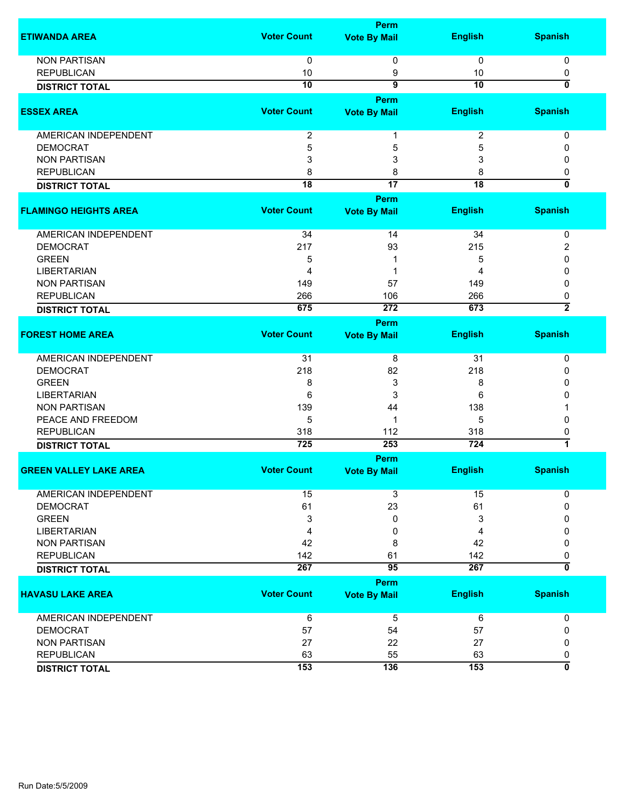|                                            |                    | Perm                  |                         |                     |
|--------------------------------------------|--------------------|-----------------------|-------------------------|---------------------|
| <b>ETIWANDA AREA</b>                       | <b>Voter Count</b> | <b>Vote By Mail</b>   | <b>English</b>          | <b>Spanish</b>      |
| <b>NON PARTISAN</b>                        | 0                  | 0                     | $\mathbf 0$             | 0                   |
| <b>REPUBLICAN</b>                          | 10                 | 9                     | 10                      | 0                   |
| <b>DISTRICT TOTAL</b>                      | $\overline{10}$    | $\overline{9}$        | $\overline{10}$         | 0                   |
|                                            |                    | Perm                  |                         |                     |
| <b>ESSEX AREA</b>                          | <b>Voter Count</b> | <b>Vote By Mail</b>   | <b>English</b>          | <b>Spanish</b>      |
| <b>AMERICAN INDEPENDENT</b>                | $\boldsymbol{2}$   | 1                     | $\overline{\mathbf{c}}$ | 0                   |
| <b>DEMOCRAT</b>                            | 5                  | 5                     | 5                       | 0                   |
| <b>NON PARTISAN</b>                        | 3                  | 3                     | 3                       | 0                   |
| <b>REPUBLICAN</b>                          | 8                  | 8                     | 8                       | 0                   |
| <b>DISTRICT TOTAL</b>                      | $\overline{18}$    | $\overline{17}$       | $\overline{18}$         | 0                   |
|                                            |                    | Perm                  |                         |                     |
| <b>FLAMINGO HEIGHTS AREA</b>               | <b>Voter Count</b> | <b>Vote By Mail</b>   | <b>English</b>          | <b>Spanish</b>      |
| <b>AMERICAN INDEPENDENT</b>                | 34                 | 14                    | 34                      | $\pmb{0}$           |
| <b>DEMOCRAT</b>                            | 217                | 93                    | 215                     | 2                   |
| <b>GREEN</b>                               | 5                  |                       | 5                       | 0                   |
| <b>LIBERTARIAN</b>                         | 4                  | 1                     | 4                       | 0                   |
| <b>NON PARTISAN</b>                        | 149                | 57                    | 149                     | 0                   |
| <b>REPUBLICAN</b>                          | 266                | 106                   | 266                     | 0                   |
| <b>DISTRICT TOTAL</b>                      | 675                | 272                   | 673                     | $\overline{2}$      |
|                                            |                    | Perm                  |                         |                     |
| <b>FOREST HOME AREA</b>                    | <b>Voter Count</b> | <b>Vote By Mail</b>   | <b>English</b>          | <b>Spanish</b>      |
| <b>AMERICAN INDEPENDENT</b>                | 31                 | 8                     | 31                      | 0                   |
| <b>DEMOCRAT</b>                            | 218                | 82                    | 218                     | 0                   |
| <b>GREEN</b>                               | 8                  | 3                     | 8                       | 0                   |
| <b>LIBERTARIAN</b>                         | 6                  | 3                     | 6                       | 0                   |
| <b>NON PARTISAN</b>                        | 139                | 44                    | 138                     |                     |
| PEACE AND FREEDOM                          |                    |                       |                         |                     |
|                                            | 5                  | 1                     | 5                       | 0                   |
| <b>REPUBLICAN</b>                          | 318<br>725         | 112<br>253            | 318<br>724              | 0<br>$\overline{1}$ |
| <b>DISTRICT TOTAL</b>                      |                    | Perm                  |                         |                     |
| <b>GREEN VALLEY LAKE AREA</b>              | <b>Voter Count</b> | <b>Vote By Mail</b>   | <b>English</b>          | <b>Spanish</b>      |
| <b>AMERICAN INDEPENDENT</b>                | 15                 | 3                     | 15                      | 0                   |
| <b>DEMOCRAT</b>                            | 61                 | 23                    | 61                      | 0                   |
| <b>GREEN</b>                               | 3                  | 0                     | 3                       | 0                   |
| <b>LIBERTARIAN</b>                         |                    |                       |                         | 0                   |
|                                            | 4                  | 0                     | 4                       |                     |
| <b>NON PARTISAN</b>                        | 42                 | 8                     | 42                      | 0                   |
| <b>REPUBLICAN</b><br><b>DISTRICT TOTAL</b> | 142<br>267         | 61<br>$\overline{95}$ | 142<br>267              | 0<br>0              |
|                                            |                    | <b>Perm</b>           |                         |                     |
| <b>HAVASU LAKE AREA</b>                    | <b>Voter Count</b> | <b>Vote By Mail</b>   | <b>English</b>          | <b>Spanish</b>      |
| AMERICAN INDEPENDENT                       | 6                  | 5                     | 6                       | 0                   |
| <b>DEMOCRAT</b>                            | 57                 |                       | 57                      | 0                   |
|                                            |                    | 54                    |                         |                     |
| <b>NON PARTISAN</b>                        | 27                 | 22                    | 27                      | 0                   |
| <b>REPUBLICAN</b>                          | 63                 | 55                    | 63                      | 0                   |
| <b>DISTRICT TOTAL</b>                      | 153                | 136                   | 153                     | $\overline{0}$      |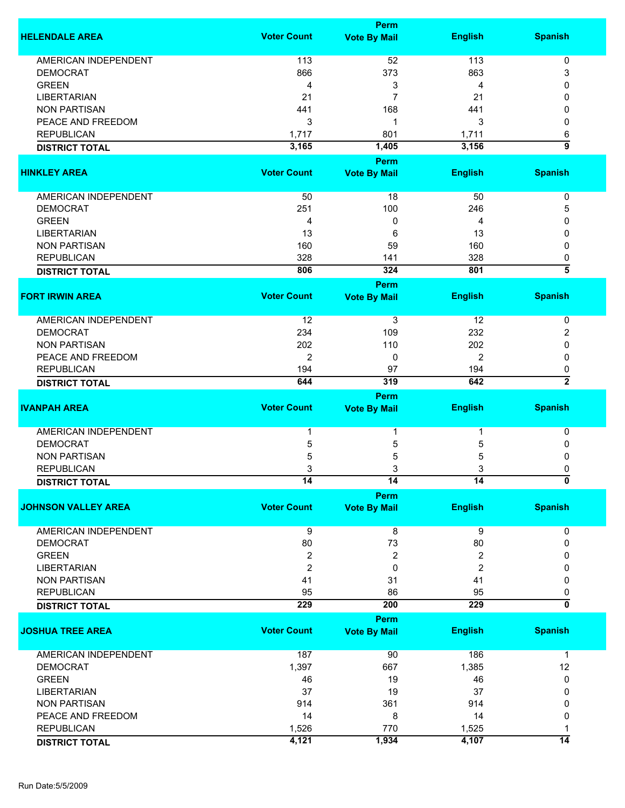|                             |                    | <b>Perm</b>                        |                |                    |
|-----------------------------|--------------------|------------------------------------|----------------|--------------------|
| <b>HELENDALE AREA</b>       | <b>Voter Count</b> | <b>Vote By Mail</b>                | <b>English</b> | <b>Spanish</b>     |
|                             |                    |                                    |                |                    |
| <b>AMERICAN INDEPENDENT</b> | 113                | 52                                 | 113            | 0                  |
| <b>DEMOCRAT</b>             | 866                | 373                                | 863            | 3                  |
| <b>GREEN</b>                | 4                  | 3                                  | 4              | 0                  |
| <b>LIBERTARIAN</b>          | 21                 | 7                                  | 21             | 0                  |
| <b>NON PARTISAN</b>         | 441                | 168                                | 441            | 0                  |
| PEACE AND FREEDOM           | 3                  | 1                                  | 3              | 0                  |
| <b>REPUBLICAN</b>           | 1,717              | 801                                | 1,711          | 6                  |
| <b>DISTRICT TOTAL</b>       | 3,165              | 1,405                              | 3,156          | 5                  |
|                             |                    | Perm                               |                |                    |
| <b>HINKLEY AREA</b>         | <b>Voter Count</b> | <b>Vote By Mail</b>                | <b>English</b> | <b>Spanish</b>     |
| <b>AMERICAN INDEPENDENT</b> | 50                 | 18                                 | 50             | 0                  |
| <b>DEMOCRAT</b>             | 251                | 100                                | 246            | 5                  |
| <b>GREEN</b>                | 4                  | 0                                  | 4              | 0                  |
| <b>LIBERTARIAN</b>          | 13                 | 6                                  | 13             | 0                  |
| <b>NON PARTISAN</b>         | 160                | 59                                 | 160            | 0                  |
| <b>REPUBLICAN</b>           | 328                | 141                                | 328            | 0                  |
|                             | 806                | 324                                | 801            | $\overline{\bf 5}$ |
| <b>DISTRICT TOTAL</b>       |                    |                                    |                |                    |
| <b>FORT IRWIN AREA</b>      | <b>Voter Count</b> | <b>Perm</b><br><b>Vote By Mail</b> | <b>English</b> | <b>Spanish</b>     |
|                             |                    |                                    |                |                    |
| <b>AMERICAN INDEPENDENT</b> | 12                 | 3                                  | 12             | 0                  |
| <b>DEMOCRAT</b>             | 234                | 109                                | 232            | 2                  |
| <b>NON PARTISAN</b>         | 202                | 110                                | 202            | 0                  |
| PEACE AND FREEDOM           | 2                  | 0                                  | 2              | 0                  |
| <b>REPUBLICAN</b>           | 194                | 97                                 | 194            | 0                  |
| <b>DISTRICT TOTAL</b>       | 644                | 319                                | 642            | $\overline{2}$     |
|                             |                    | <b>Perm</b>                        |                |                    |
| <b>IVANPAH AREA</b>         | <b>Voter Count</b> | <b>Vote By Mail</b>                | <b>English</b> | <b>Spanish</b>     |
| <b>AMERICAN INDEPENDENT</b> | 1                  | 1                                  |                | 0                  |
| <b>DEMOCRAT</b>             | 5                  | 5                                  | 5              | 0                  |
| <b>NON PARTISAN</b>         | 5                  | 5                                  | 5              | 0                  |
| <b>REPUBLICAN</b>           | 3                  | 3                                  | 3              | 0                  |
| <b>DISTRICT TOTAL</b>       | 14                 | 14                                 | 14             | 0                  |
|                             |                    | <b>Perm</b>                        |                |                    |
| <b>JOHNSON VALLEY AREA</b>  | <b>Voter Count</b> | <b>Vote By Mail</b>                | <b>English</b> | <b>Spanish</b>     |
| AMERICAN INDEPENDENT        | 9                  | 8                                  | 9              | 0                  |
| <b>DEMOCRAT</b>             | 80                 | 73                                 | 80             | 0                  |
| <b>GREEN</b>                | $\overline{c}$     | 2                                  | 2              | 0                  |
| <b>LIBERTARIAN</b>          | 2                  | 0                                  | $\overline{c}$ | 0                  |
| <b>NON PARTISAN</b>         | 41                 | 31                                 | 41             | 0                  |
| <b>REPUBLICAN</b>           | 95                 | 86                                 | 95             | 0                  |
|                             | 229                | 200                                | 229            | 0                  |
| <b>DISTRICT TOTAL</b>       |                    | <b>Perm</b>                        |                |                    |
| <b>JOSHUA TREE AREA</b>     | <b>Voter Count</b> | <b>Vote By Mail</b>                | <b>English</b> | <b>Spanish</b>     |
|                             |                    |                                    |                |                    |
| AMERICAN INDEPENDENT        | 187                | 90                                 | 186            | $\mathbf 1$        |
| <b>DEMOCRAT</b>             | 1,397              | 667                                | 1,385          | 12                 |
| <b>GREEN</b>                | 46                 | 19                                 | 46             | 0                  |
| <b>LIBERTARIAN</b>          | 37                 | 19                                 | 37             | 0                  |
| <b>NON PARTISAN</b>         | 914                | 361                                | 914            | 0                  |
| PEACE AND FREEDOM           | 14                 | 8                                  | 14             | 0                  |
| <b>REPUBLICAN</b>           | 1,526              | 770                                | 1,525          | 1                  |
| <b>DISTRICT TOTAL</b>       | 4,121              | 1,934                              | 4,107          | $\overline{14}$    |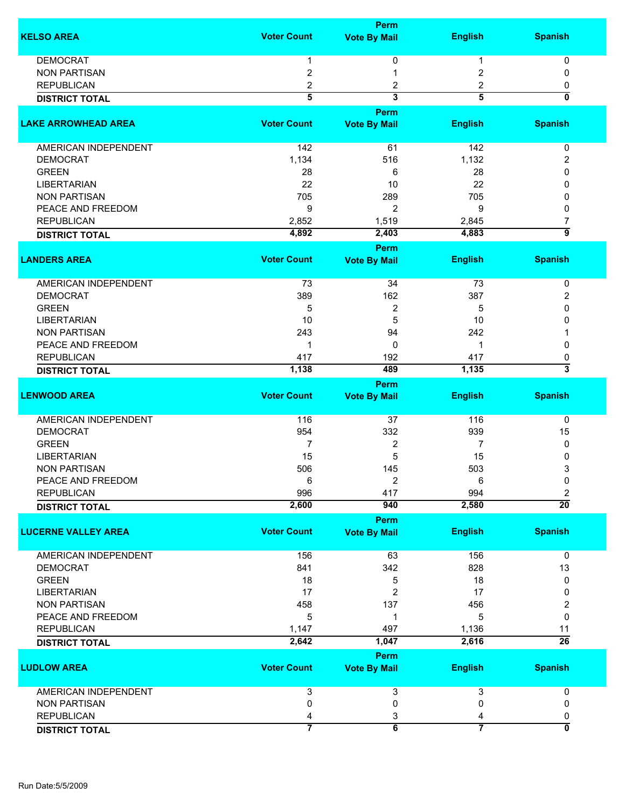|                             |                    | <b>Perm</b>             |                |                           |
|-----------------------------|--------------------|-------------------------|----------------|---------------------------|
| <b>KELSO AREA</b>           | <b>Voter Count</b> | <b>Vote By Mail</b>     | <b>English</b> | <b>Spanish</b>            |
| <b>DEMOCRAT</b>             |                    |                         |                |                           |
|                             | 1                  | 0                       | 1              | 0                         |
| <b>NON PARTISAN</b>         | $\overline{2}$     | 1                       | 2              | 0                         |
| <b>REPUBLICAN</b>           | 2                  | 2                       | 2              | 0                         |
| <b>DISTRICT TOTAL</b>       | 5                  | 3                       | 5              | $\overline{\mathbf{0}}$   |
| <b>LAKE ARROWHEAD AREA</b>  | <b>Voter Count</b> | Perm                    |                | <b>Spanish</b>            |
|                             |                    | <b>Vote By Mail</b>     | <b>English</b> |                           |
| AMERICAN INDEPENDENT        | 142                | 61                      | 142            | 0                         |
| <b>DEMOCRAT</b>             | 1,134              | 516                     | 1,132          | 2                         |
| <b>GREEN</b>                | 28                 | 6                       | 28             | 0                         |
| <b>LIBERTARIAN</b>          | 22                 | 10                      | 22             | 0                         |
| <b>NON PARTISAN</b>         | 705                | 289                     | 705            | 0                         |
| PEACE AND FREEDOM           | 9                  | 2                       | 9              | 0                         |
| <b>REPUBLICAN</b>           | 2,852              | 1,519                   | 2,845          | 7                         |
| <b>DISTRICT TOTAL</b>       | 4,892              | 2,403                   | 4,883          | $\overline{9}$            |
|                             |                    | <b>Perm</b>             |                |                           |
| <b>LANDERS AREA</b>         | <b>Voter Count</b> | <b>Vote By Mail</b>     | <b>English</b> | <b>Spanish</b>            |
|                             |                    |                         |                |                           |
| <b>AMERICAN INDEPENDENT</b> | 73                 | 34                      | 73             | 0                         |
| <b>DEMOCRAT</b>             | 389                | 162                     | 387            | 2                         |
| <b>GREEN</b>                | 5                  | $\boldsymbol{2}$        | 5              | 0                         |
| <b>LIBERTARIAN</b>          | 10                 | 5                       | 10             | 0                         |
| <b>NON PARTISAN</b>         | 243                | 94                      | 242            |                           |
| PEACE AND FREEDOM           | 1                  | 0                       | 1              | 0                         |
| <b>REPUBLICAN</b>           | 417                | 192                     | 417            | 0                         |
| <b>DISTRICT TOTAL</b>       | 1,138              | 489                     | 1,135          | 3                         |
|                             |                    | Perm                    |                |                           |
| <b>LENWOOD AREA</b>         | <b>Voter Count</b> | <b>Vote By Mail</b>     | <b>English</b> | <b>Spanish</b>            |
|                             |                    |                         |                |                           |
| <b>AMERICAN INDEPENDENT</b> | 116                | 37                      | 116            | 0                         |
| <b>DEMOCRAT</b>             | 954                | 332                     | 939            | 15                        |
| <b>GREEN</b>                | 7                  | $\boldsymbol{2}$        | 7              | 0                         |
| <b>LIBERTARIAN</b>          | 15                 | 5                       | 15             | 0                         |
| <b>NON PARTISAN</b>         | 506                | 145                     | 503            | 3                         |
| PEACE AND FREEDOM           | 6                  | $\overline{2}$          | 6              | 0                         |
| <b>REPUBLICAN</b>           | 996                | 417                     | 994            | 2                         |
| <b>DISTRICT TOTAL</b>       | 2,600              | 940                     | 2,580          | $\overline{20}$           |
|                             |                    | <b>Perm</b>             |                |                           |
| <b>LUCERNE VALLEY AREA</b>  | <b>Voter Count</b> | <b>Vote By Mail</b>     | <b>English</b> | <b>Spanish</b>            |
| <b>AMERICAN INDEPENDENT</b> | 156                | 63                      | 156            | 0                         |
| <b>DEMOCRAT</b>             | 841                | 342                     | 828            | 13                        |
| <b>GREEN</b>                | 18                 |                         | 18             | 0                         |
| <b>LIBERTARIAN</b>          | 17                 | 5                       |                |                           |
|                             |                    | 2                       | 17             | 0                         |
| <b>NON PARTISAN</b>         | 458                | 137                     | 456            | 2                         |
| PEACE AND FREEDOM           | 5                  | 1                       | 5              | 0                         |
| <b>REPUBLICAN</b>           | 1,147              | 497                     | 1,136          | 11                        |
| <b>DISTRICT TOTAL</b>       | 2,642              | 1,047                   | 2,616          | $\overline{26}$           |
|                             |                    | <b>Perm</b>             |                |                           |
| <b>LUDLOW AREA</b>          | <b>Voter Count</b> | <b>Vote By Mail</b>     | <b>English</b> | <b>Spanish</b>            |
| <b>AMERICAN INDEPENDENT</b> | 3                  | 3                       | 3              | 0                         |
| <b>NON PARTISAN</b>         | 0                  | 0                       | 0              | 0                         |
| <b>REPUBLICAN</b>           | 4                  | 3                       | 4              | 0                         |
| <b>DISTRICT TOTAL</b>       | $\overline{7}$     | $\overline{\mathbf{6}}$ | $\overline{7}$ | $\overline{\mathfrak{o}}$ |
|                             |                    |                         |                |                           |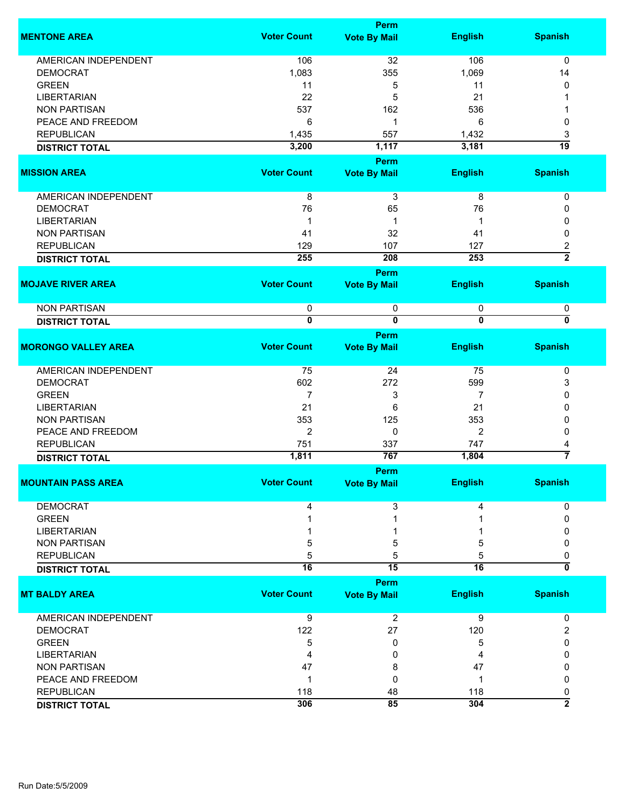|                             |                         | <b>Perm</b>             |                         |                                           |
|-----------------------------|-------------------------|-------------------------|-------------------------|-------------------------------------------|
| <b>MENTONE AREA</b>         | <b>Voter Count</b>      | <b>Vote By Mail</b>     | <b>English</b>          | <b>Spanish</b>                            |
| <b>AMERICAN INDEPENDENT</b> | 106                     | 32                      | 106                     | 0                                         |
| <b>DEMOCRAT</b>             | 1,083                   | 355                     | 1,069                   | 14                                        |
| <b>GREEN</b>                | 11                      | 5                       | 11                      | 0                                         |
| <b>LIBERTARIAN</b>          | 22                      | 5                       | 21                      |                                           |
|                             |                         |                         |                         |                                           |
| <b>NON PARTISAN</b>         | 537                     | 162                     | 536                     |                                           |
| PEACE AND FREEDOM           | 6                       | 1                       | 6                       | 0                                         |
| <b>REPUBLICAN</b>           | 1,435                   | 557                     | 1,432                   | 3                                         |
| <b>DISTRICT TOTAL</b>       | 3,200                   | 1,117                   | 3,181                   | $\overline{19}$                           |
|                             |                         | Perm                    |                         |                                           |
| <b>MISSION AREA</b>         | <b>Voter Count</b>      | <b>Vote By Mail</b>     | <b>English</b>          | <b>Spanish</b>                            |
| <b>AMERICAN INDEPENDENT</b> | 8                       | 3                       | 8                       | 0                                         |
| <b>DEMOCRAT</b>             | 76                      | 65                      | 76                      | 0                                         |
| <b>LIBERTARIAN</b>          | 1                       | 1                       | 1                       | 0                                         |
| <b>NON PARTISAN</b>         | 41                      | 32                      | 41                      | 0                                         |
| <b>REPUBLICAN</b>           | 129                     | 107                     | 127                     |                                           |
|                             | 255                     | 208                     | 253                     | $\overline{\mathbf{c}}$<br>$\overline{2}$ |
| <b>DISTRICT TOTAL</b>       |                         |                         |                         |                                           |
|                             |                         | <b>Perm</b>             |                         |                                           |
| <b>MOJAVE RIVER AREA</b>    | <b>Voter Count</b>      | <b>Vote By Mail</b>     | <b>English</b>          | <b>Spanish</b>                            |
| <b>NON PARTISAN</b>         | 0                       | $\pmb{0}$               | 0                       | 0                                         |
| <b>DISTRICT TOTAL</b>       | $\overline{\mathbf{0}}$ | $\overline{\mathbf{0}}$ | $\overline{\mathbf{0}}$ | 0                                         |
|                             |                         | <b>Perm</b>             |                         |                                           |
| <b>MORONGO VALLEY AREA</b>  | <b>Voter Count</b>      | <b>Vote By Mail</b>     | <b>English</b>          | <b>Spanish</b>                            |
| <b>AMERICAN INDEPENDENT</b> | 75                      | 24                      | 75                      | 0                                         |
| <b>DEMOCRAT</b>             | 602                     | 272                     | 599                     | 3                                         |
| <b>GREEN</b>                | 7                       | 3                       | 7                       | 0                                         |
| <b>LIBERTARIAN</b>          | 21                      | 6                       | 21                      | 0                                         |
| <b>NON PARTISAN</b>         | 353                     | 125                     | 353                     | 0                                         |
| PEACE AND FREEDOM           | $\overline{2}$          | 0                       | 2                       | 0                                         |
| <b>REPUBLICAN</b>           | 751                     | 337                     | 747                     | 4                                         |
| <b>DISTRICT TOTAL</b>       | 1,811                   | 767                     | 1,804                   | 7                                         |
|                             |                         | <b>Perm</b>             |                         |                                           |
| <b>MOUNTAIN PASS AREA</b>   | <b>Voter Count</b>      | <b>Vote By Mail</b>     | <b>English</b>          | <b>Spanish</b>                            |
|                             |                         |                         |                         |                                           |
| <b>DEMOCRAT</b>             | 4                       | 3                       | 4                       | 0                                         |
| <b>GREEN</b>                |                         |                         |                         | 0                                         |
| <b>LIBERTARIAN</b>          |                         |                         |                         |                                           |
| <b>NON PARTISAN</b>         | 5                       | 5                       | 5                       | 0                                         |
| <b>REPUBLICAN</b>           | 5                       | 5                       | 5                       | 0                                         |
| <b>DISTRICT TOTAL</b>       | $\overline{16}$         | $\overline{15}$         | $\overline{16}$         | 0                                         |
|                             |                         | Perm                    |                         |                                           |
| <b>MT BALDY AREA</b>        | <b>Voter Count</b>      | <b>Vote By Mail</b>     | <b>English</b>          | <b>Spanish</b>                            |
| AMERICAN INDEPENDENT        | $\overline{9}$          | 2                       | 9                       | 0                                         |
| <b>DEMOCRAT</b>             | 122                     | 27                      | 120                     | 2                                         |
| <b>GREEN</b>                | 5                       | 0                       | 5                       | 0                                         |
| <b>LIBERTARIAN</b>          | 4                       | 0                       | 4                       | 0                                         |
| <b>NON PARTISAN</b>         | 47                      | 8                       | 47                      | 0                                         |
| PEACE AND FREEDOM           | 1                       | 0                       | 1                       | 0                                         |
| <b>REPUBLICAN</b>           | 118                     | 48                      | 118                     | 0                                         |
|                             | 306                     | 85                      | 304                     | $\overline{2}$                            |
| <b>DISTRICT TOTAL</b>       |                         |                         |                         |                                           |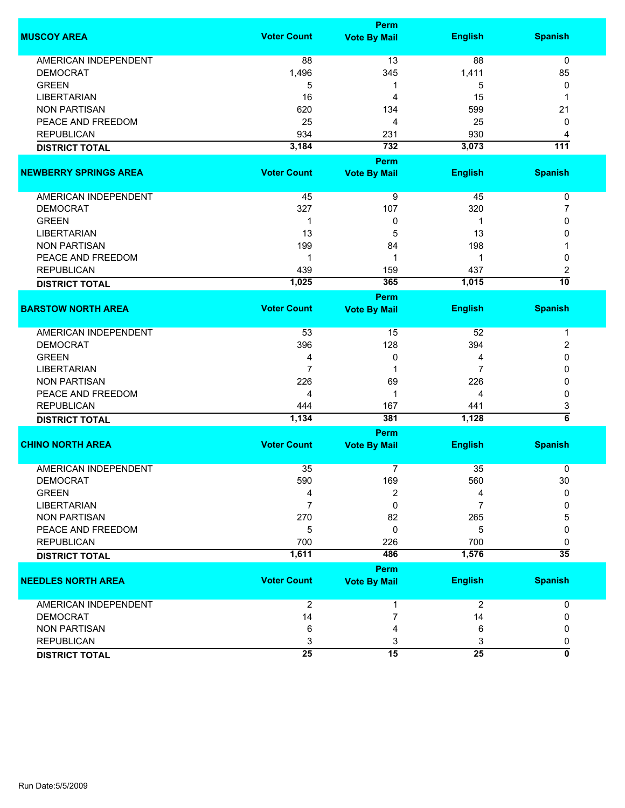|                              |                    | Perm                |                |                  |
|------------------------------|--------------------|---------------------|----------------|------------------|
| <b>MUSCOY AREA</b>           | <b>Voter Count</b> | <b>Vote By Mail</b> | <b>English</b> | <b>Spanish</b>   |
| <b>AMERICAN INDEPENDENT</b>  | 88                 | 13                  | 88             | 0                |
| <b>DEMOCRAT</b>              | 1,496              | 345                 | 1,411          | 85               |
| <b>GREEN</b>                 | 5                  | 1                   | 5              | 0                |
| <b>LIBERTARIAN</b>           | 16                 | 4                   | 15             | 1                |
| <b>NON PARTISAN</b>          | 620                | 134                 | 599            | 21               |
| PEACE AND FREEDOM            | 25                 | 4                   | 25             | 0                |
| <b>REPUBLICAN</b>            | 934                | 231                 | 930            | 4                |
| <b>DISTRICT TOTAL</b>        | 3,184              | 732                 | 3,073          | $\overline{111}$ |
|                              |                    | <b>Perm</b>         |                |                  |
| <b>NEWBERRY SPRINGS AREA</b> | <b>Voter Count</b> | <b>Vote By Mail</b> | <b>English</b> | <b>Spanish</b>   |
|                              |                    |                     |                |                  |
| AMERICAN INDEPENDENT         | 45                 | 9                   | 45             | 0                |
| <b>DEMOCRAT</b>              | 327                | 107                 | 320            | 7                |
| <b>GREEN</b>                 | 1                  | 0                   | 1              | 0                |
| <b>LIBERTARIAN</b>           | 13                 | 5                   | 13             | 0                |
| <b>NON PARTISAN</b>          | 199                | 84                  | 198            |                  |
| PEACE AND FREEDOM            | 1                  | 1                   | 1              | 0                |
| <b>REPUBLICAN</b>            | 439                | 159                 | 437            | 2                |
| <b>DISTRICT TOTAL</b>        | 1,025              | 365                 | 1,015          | $\overline{10}$  |
|                              |                    | <b>Perm</b>         |                |                  |
| <b>BARSTOW NORTH AREA</b>    | <b>Voter Count</b> | <b>Vote By Mail</b> | <b>English</b> | <b>Spanish</b>   |
|                              |                    |                     |                |                  |
| <b>AMERICAN INDEPENDENT</b>  | 53                 | 15                  | 52             | 1                |
| <b>DEMOCRAT</b>              | 396                | 128                 | 394            | 2                |
| <b>GREEN</b>                 | 4                  | 0                   | 4              | 0                |
| <b>LIBERTARIAN</b>           | 7                  | 1                   | 7              | 0                |
| <b>NON PARTISAN</b>          | 226                | 69                  | 226            | 0                |
| PEACE AND FREEDOM            | 4                  | 1                   | 4              | 0                |
| <b>REPUBLICAN</b>            | 444                | 167                 | 441            | 3                |
| <b>DISTRICT TOTAL</b>        | 1,134              | 381                 | 1,128          | $\overline{6}$   |
|                              |                    | Perm                |                |                  |
| <b>CHINO NORTH AREA</b>      | <b>Voter Count</b> | <b>Vote By Mail</b> | <b>English</b> | <b>Spanish</b>   |
|                              |                    |                     |                |                  |
| <b>AMERICAN INDEPENDENT</b>  | 35                 | 7                   | 35             | 0                |
| <b>DEMOCRAT</b>              | 590                | 169                 | 560            | 30               |
| <b>GREEN</b>                 | 4                  | 2                   | 4              | 0                |
| <b>LIBERTARIAN</b>           | 7                  | 0                   | 7              | 0                |
| <b>NON PARTISAN</b>          | 270                | 82                  | 265            | 5                |
| PEACE AND FREEDOM            | 5                  | 0                   | 5              | 0                |
| <b>REPUBLICAN</b>            | 700                | 226                 | 700            | 0                |
| <b>DISTRICT TOTAL</b>        | 1,611              | 486                 | 1,576          | $\overline{35}$  |
|                              |                    | <b>Perm</b>         |                |                  |
| <b>NEEDLES NORTH AREA</b>    | <b>Voter Count</b> | <b>Vote By Mail</b> | <b>English</b> | <b>Spanish</b>   |
|                              |                    |                     |                |                  |
| AMERICAN INDEPENDENT         | $\overline{2}$     | 1                   | $\overline{2}$ | 0                |
| <b>DEMOCRAT</b>              | 14                 | 7                   | 14             | 0                |
| <b>NON PARTISAN</b>          | 6                  | 4                   | 6              | 0                |
| <b>REPUBLICAN</b>            | 3                  | 3                   | 3              | 0                |
| <b>DISTRICT TOTAL</b>        | $\overline{25}$    | 15                  | 25             | 0                |
|                              |                    |                     |                |                  |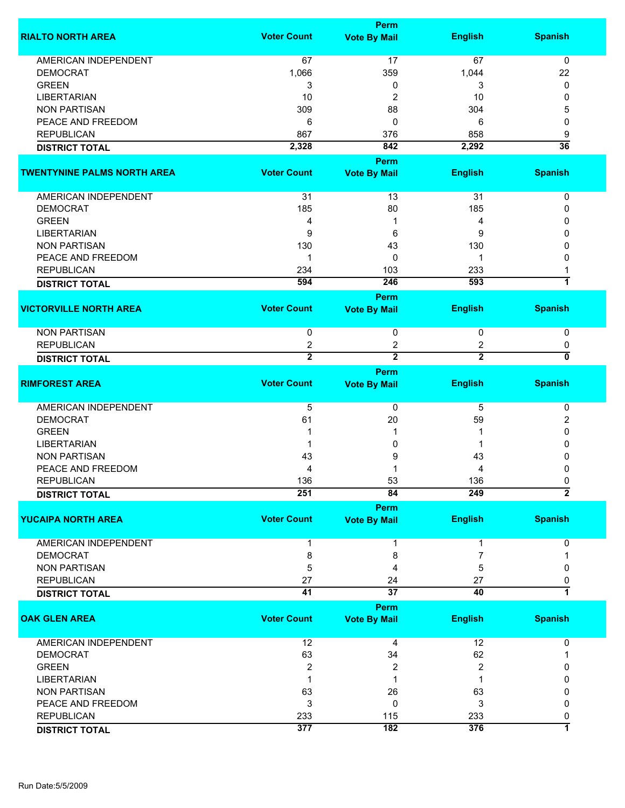|                                    |                    | <b>Perm</b>         |                |                 |
|------------------------------------|--------------------|---------------------|----------------|-----------------|
| <b>RIALTO NORTH AREA</b>           | <b>Voter Count</b> | <b>Vote By Mail</b> | <b>English</b> | <b>Spanish</b>  |
| <b>AMERICAN INDEPENDENT</b>        | 67                 | 17                  | 67             | 0               |
| <b>DEMOCRAT</b>                    | 1,066              | 359                 | 1,044          | 22              |
| <b>GREEN</b>                       | 3                  | 0                   | 3              | 0               |
|                                    |                    |                     |                |                 |
| <b>LIBERTARIAN</b>                 | 10                 | 2                   | 10             | 0               |
| <b>NON PARTISAN</b>                | 309                | 88                  | 304            | 5               |
| PEACE AND FREEDOM                  | 6                  | 0                   | 6              | 0               |
| <b>REPUBLICAN</b>                  | 867                | 376                 | 858            | 9               |
| <b>DISTRICT TOTAL</b>              | 2,328              | 842                 | 2,292          | $\overline{36}$ |
|                                    |                    | <b>Perm</b>         |                |                 |
| <b>TWENTYNINE PALMS NORTH AREA</b> | <b>Voter Count</b> | <b>Vote By Mail</b> | <b>English</b> | <b>Spanish</b>  |
| AMERICAN INDEPENDENT               | 31                 | 13                  | 31             | 0               |
| <b>DEMOCRAT</b>                    | 185                | 80                  | 185            | 0               |
| <b>GREEN</b>                       | 4                  | 1                   | 4              | 0               |
| <b>LIBERTARIAN</b>                 | 9                  | 6                   | 9              | 0               |
|                                    |                    |                     |                | n               |
| <b>NON PARTISAN</b>                | 130                | 43                  | 130            |                 |
| PEACE AND FREEDOM                  | 1                  | 0                   | -1             | 0               |
| <b>REPUBLICAN</b>                  | 234                | 103                 | 233            |                 |
| <b>DISTRICT TOTAL</b>              | 594                | 246                 | 593            | 1               |
|                                    |                    | Perm                |                |                 |
| <b>VICTORVILLE NORTH AREA</b>      | <b>Voter Count</b> | <b>Vote By Mail</b> | <b>English</b> | <b>Spanish</b>  |
| <b>NON PARTISAN</b>                | 0                  | 0                   | 0              | 0               |
| <b>REPUBLICAN</b>                  | 2                  | 2                   | 2              | 0               |
| <b>DISTRICT TOTAL</b>              | $\overline{2}$     | $\overline{2}$      | $\overline{2}$ | 0               |
|                                    |                    | Perm                |                |                 |
| <b>RIMFOREST AREA</b>              | <b>Voter Count</b> | <b>Vote By Mail</b> | <b>English</b> | <b>Spanish</b>  |
| AMERICAN INDEPENDENT               | $\overline{5}$     | 0                   | 5              | 0               |
| <b>DEMOCRAT</b>                    | 61                 | 20                  | 59             | 2               |
| <b>GREEN</b>                       |                    | 1                   |                | 0               |
| <b>LIBERTARIAN</b>                 |                    | 0                   |                | 0               |
|                                    |                    |                     |                |                 |
| <b>NON PARTISAN</b>                | 43                 | 9                   | 43             | 0               |
| PEACE AND FREEDOM                  | 4                  |                     | 4              | 0               |
| <b>REPUBLICAN</b>                  | 136                | 53                  | 136            | 0               |
| <b>DISTRICT TOTAL</b>              | 251                | 84                  | 249            | $\overline{2}$  |
|                                    |                    | <b>Perm</b>         |                |                 |
| <b>YUCAIPA NORTH AREA</b>          | <b>Voter Count</b> | <b>Vote By Mail</b> | <b>English</b> | <b>Spanish</b>  |
| AMERICAN INDEPENDENT               |                    | 1                   |                | 0               |
| <b>DEMOCRAT</b>                    | 8                  | 8                   | 7              |                 |
| <b>NON PARTISAN</b>                | 5                  | 4                   | 5              | 0               |
| <b>REPUBLICAN</b>                  | 27                 | 24                  | 27             | 0               |
| <b>DISTRICT TOTAL</b>              | $\overline{41}$    | $\overline{37}$     | 40             | 7               |
|                                    |                    |                     |                |                 |
|                                    |                    | <b>Perm</b>         |                |                 |
| <b>OAK GLEN AREA</b>               | <b>Voter Count</b> | <b>Vote By Mail</b> | <b>English</b> | <b>Spanish</b>  |
| <b>AMERICAN INDEPENDENT</b>        | 12                 | 4                   | 12             | 0               |
| <b>DEMOCRAT</b>                    | 63                 | 34                  | 62             |                 |
| <b>GREEN</b>                       | 2                  | 2                   | 2              | 0               |
| <b>LIBERTARIAN</b>                 | 1                  | 1                   |                | 0               |
| <b>NON PARTISAN</b>                | 63                 | 26                  | 63             | 0               |
| PEACE AND FREEDOM                  | 3                  | 0                   | 3              | 0               |
| <b>REPUBLICAN</b>                  | 233                | 115                 | 233            | 0               |
| <b>DISTRICT TOTAL</b>              | 377                | $\overline{182}$    | 376            | 7               |
|                                    |                    |                     |                |                 |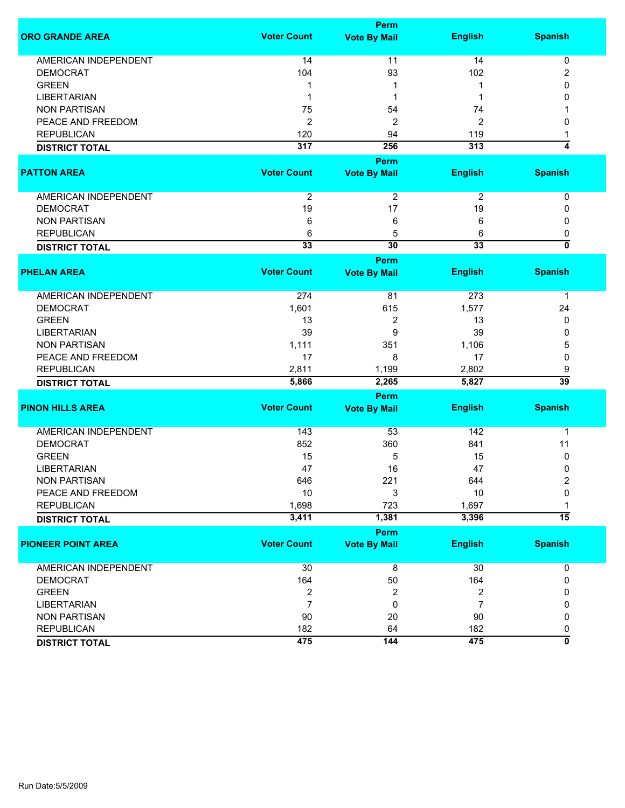|                             |                    | <b>Perm</b>         |                         |                           |
|-----------------------------|--------------------|---------------------|-------------------------|---------------------------|
| <b>ORO GRANDE AREA</b>      | <b>Voter Count</b> | <b>Vote By Mail</b> | <b>English</b>          | <b>Spanish</b>            |
| <b>AMERICAN INDEPENDENT</b> | 14                 | 11                  | 14                      | 0                         |
| <b>DEMOCRAT</b>             | 104                | 93                  | 102                     | $\overline{\mathbf{c}}$   |
| <b>GREEN</b>                | 1                  |                     | 1                       | 0                         |
| <b>LIBERTARIAN</b>          | 1                  | 1                   | 1                       | 0                         |
| <b>NON PARTISAN</b>         | 75                 | 54                  | 74                      |                           |
| PEACE AND FREEDOM           | $\boldsymbol{2}$   | 2                   | $\overline{\mathbf{c}}$ | 0                         |
| <b>REPUBLICAN</b>           | 120                | 94                  | 119                     | 1                         |
| <b>DISTRICT TOTAL</b>       | 317                | 256                 | 313                     | $\overline{4}$            |
|                             |                    | Perm                |                         |                           |
| <b>PATTON AREA</b>          | <b>Voter Count</b> | <b>Vote By Mail</b> | <b>English</b>          | <b>Spanish</b>            |
| AMERICAN INDEPENDENT        | $\boldsymbol{2}$   | $\overline{2}$      | $\overline{2}$          | 0                         |
| <b>DEMOCRAT</b>             | 19                 | 17                  | 19                      | 0                         |
| <b>NON PARTISAN</b>         | 6                  | 6                   | 6                       | 0                         |
| <b>REPUBLICAN</b>           | 6                  | 5                   | 6                       | 0                         |
| <b>DISTRICT TOTAL</b>       | 33                 | 30                  | 33                      | $\overline{\mathfrak{o}}$ |
|                             |                    | Perm                |                         |                           |
| <b>PHELAN AREA</b>          | <b>Voter Count</b> | <b>Vote By Mail</b> | <b>English</b>          | <b>Spanish</b>            |
|                             |                    |                     |                         |                           |
| <b>AMERICAN INDEPENDENT</b> | 274                | 81                  | 273                     | 1                         |
| <b>DEMOCRAT</b>             | 1,601              | 615                 | 1,577                   | 24                        |
| <b>GREEN</b>                | 13                 | 2                   | 13                      | 0                         |
| <b>LIBERTARIAN</b>          | 39                 | 9                   | 39                      | 0                         |
| <b>NON PARTISAN</b>         | 1,111              | 351                 | 1,106                   | 5                         |
| PEACE AND FREEDOM           | 17                 | 8                   | 17                      | 0                         |
| <b>REPUBLICAN</b>           | 2,811              | 1,199               | 2,802                   | 9                         |
| <b>DISTRICT TOTAL</b>       | 5,866              | 2,265               | 5,827                   | $\overline{39}$           |
|                             |                    | Perm                |                         |                           |
| <b>PINON HILLS AREA</b>     | <b>Voter Count</b> | <b>Vote By Mail</b> | <b>English</b>          | <b>Spanish</b>            |
| <b>AMERICAN INDEPENDENT</b> | 143                | 53                  | 142                     | 1                         |
| <b>DEMOCRAT</b>             | 852                | 360                 | 841                     | 11                        |
| <b>GREEN</b>                | 15                 | 5                   | 15                      | 0                         |
| <b>LIBERTARIAN</b>          | 47                 | 16                  | 47                      | 0                         |
| <b>NON PARTISAN</b>         | 646                | 221                 | 644                     | 2                         |
| PEACE AND FREEDOM           | 10                 | 3                   | 10                      | 0                         |
| <b>REPUBLICAN</b>           | 1,698              | 723                 | 1,697                   |                           |
| <b>DISTRICT TOTAL</b>       | 3,411              | 1,381               | 3,396                   | $\overline{15}$           |
|                             |                    | Perm                |                         |                           |
| <b>PIONEER POINT AREA</b>   | <b>Voter Count</b> | <b>Vote By Mail</b> | <b>English</b>          | <b>Spanish</b>            |
|                             |                    |                     |                         |                           |
| <b>AMERICAN INDEPENDENT</b> | 30                 | 8                   | 30                      | 0                         |
| <b>DEMOCRAT</b>             | 164                | 50                  | 164                     | 0                         |
| <b>GREEN</b>                | 2                  | 2                   | 2                       | 0                         |
| <b>LIBERTARIAN</b>          | $\overline{7}$     | 0                   | $\overline{7}$          | 0                         |
| <b>NON PARTISAN</b>         | 90                 | 20                  | 90                      | 0                         |
| <b>REPUBLICAN</b>           | 182                | 64                  | 182                     | 0                         |
| <b>DISTRICT TOTAL</b>       | 475                | 144                 | 475                     | ō                         |
|                             |                    |                     |                         |                           |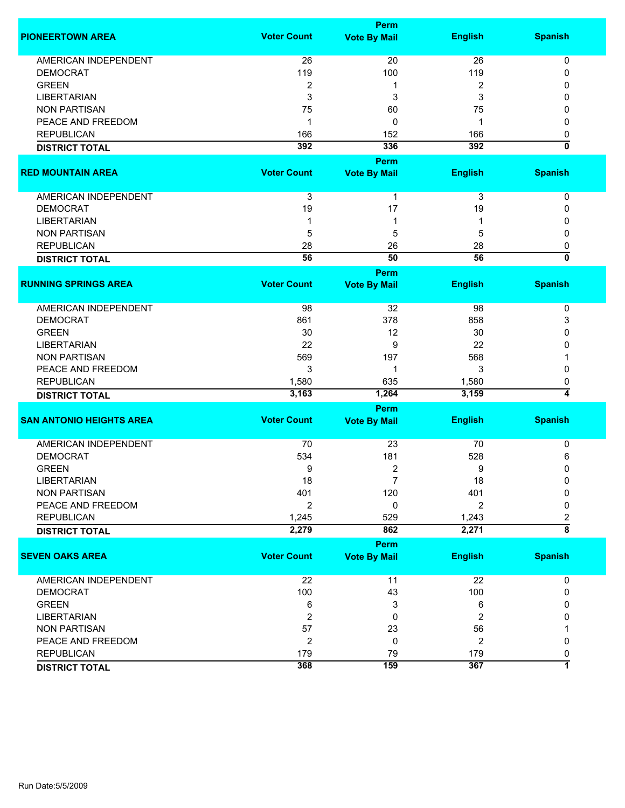|                                 |                           | <b>Perm</b>         |                |                           |
|---------------------------------|---------------------------|---------------------|----------------|---------------------------|
| <b>PIONEERTOWN AREA</b>         | <b>Voter Count</b>        | <b>Vote By Mail</b> | <b>English</b> | <b>Spanish</b>            |
| <b>AMERICAN INDEPENDENT</b>     | 26                        | 20                  | 26             | 0                         |
| <b>DEMOCRAT</b>                 | 119                       | 100                 | 119            | 0                         |
| <b>GREEN</b>                    | 2                         | 1                   | 2              | 0                         |
| <b>LIBERTARIAN</b>              | 3                         | 3                   | 3              | 0                         |
| <b>NON PARTISAN</b>             | 75                        | 60                  | 75             | 0                         |
| PEACE AND FREEDOM               |                           | 0                   | 1              | 0                         |
|                                 | 1                         |                     |                |                           |
| <b>REPUBLICAN</b>               | 166                       | 152                 | 166            | 0<br>ō                    |
| <b>DISTRICT TOTAL</b>           | 392                       | 336                 | 392            |                           |
|                                 |                           | <b>Perm</b>         |                |                           |
| <b>RED MOUNTAIN AREA</b>        | <b>Voter Count</b>        | <b>Vote By Mail</b> | <b>English</b> | <b>Spanish</b>            |
| AMERICAN INDEPENDENT            | $\ensuremath{\mathsf{3}}$ | $\mathbf{1}$        | 3              | 0                         |
| <b>DEMOCRAT</b>                 | 19                        | 17                  | 19             | 0                         |
| <b>LIBERTARIAN</b>              | 1                         | 1                   |                | 0                         |
| <b>NON PARTISAN</b>             | 5                         | 5                   | 5              | 0                         |
| <b>REPUBLICAN</b>               | 28                        | 26                  | 28             | 0                         |
|                                 | 56                        | 50                  | 56             | $\overline{\mathfrak{o}}$ |
| <b>DISTRICT TOTAL</b>           |                           |                     |                |                           |
|                                 |                           | Perm                |                |                           |
| <b>RUNNING SPRINGS AREA</b>     | <b>Voter Count</b>        | <b>Vote By Mail</b> | <b>English</b> | <b>Spanish</b>            |
| <b>AMERICAN INDEPENDENT</b>     | 98                        | 32                  | 98             | 0                         |
| <b>DEMOCRAT</b>                 | 861                       | 378                 | 858            | 3                         |
| <b>GREEN</b>                    | 30                        | 12                  | 30             | $\Omega$                  |
| <b>LIBERTARIAN</b>              | 22                        | 9                   | 22             | 0                         |
| <b>NON PARTISAN</b>             | 569                       | 197                 | 568            |                           |
| PEACE AND FREEDOM               | 3                         | 1                   | 3              | 0                         |
| <b>REPUBLICAN</b>               | 1,580                     | 635                 | 1,580          | 0                         |
| <b>DISTRICT TOTAL</b>           | 3,163                     | 1,264               | 3,159          | 4                         |
|                                 |                           | <b>Perm</b>         |                |                           |
| <b>SAN ANTONIO HEIGHTS AREA</b> | <b>Voter Count</b>        | <b>Vote By Mail</b> | <b>English</b> | <b>Spanish</b>            |
|                                 |                           |                     |                |                           |
| <b>AMERICAN INDEPENDENT</b>     | 70                        | 23                  | 70             | 0                         |
| <b>DEMOCRAT</b>                 | 534                       | 181                 | 528            | 6                         |
| <b>GREEN</b>                    | 9                         | $\overline{c}$      | 9              | 0                         |
| <b>LIBERTARIAN</b>              | 18                        | 7                   | 18             | 0                         |
| <b>NON PARTISAN</b>             | 401                       | 120                 | 401            | $\Omega$                  |
| PEACE AND FREEDOM               | 2                         | 0                   | 2              | 0                         |
| <b>REPUBLICAN</b>               | 1,245                     | 529                 | 1,243          | 2                         |
| <b>DISTRICT TOTAL</b>           | 2,279                     | 862                 | 2,271          | $\overline{\overline{8}}$ |
|                                 |                           |                     |                |                           |
| <b>SEVEN OAKS AREA</b>          | <b>Voter Count</b>        | Perm                |                | <b>Spanish</b>            |
|                                 |                           | <b>Vote By Mail</b> | <b>English</b> |                           |
| AMERICAN INDEPENDENT            | 22                        | 11                  | 22             | 0                         |
| <b>DEMOCRAT</b>                 | 100                       | 43                  | 100            | 0                         |
| <b>GREEN</b>                    | 6                         | 3                   | 6              | 0                         |
| <b>LIBERTARIAN</b>              | $\overline{2}$            | 0                   | 2              | 0                         |
| <b>NON PARTISAN</b>             | 57                        | 23                  | 56             |                           |
| PEACE AND FREEDOM               | $\overline{2}$            | 0                   | 2              | 0                         |
| <b>REPUBLICAN</b>               | 179                       | 79                  | 179            | 0                         |
| <b>DISTRICT TOTAL</b>           | 368                       | 159                 | 367            | 1                         |
|                                 |                           |                     |                |                           |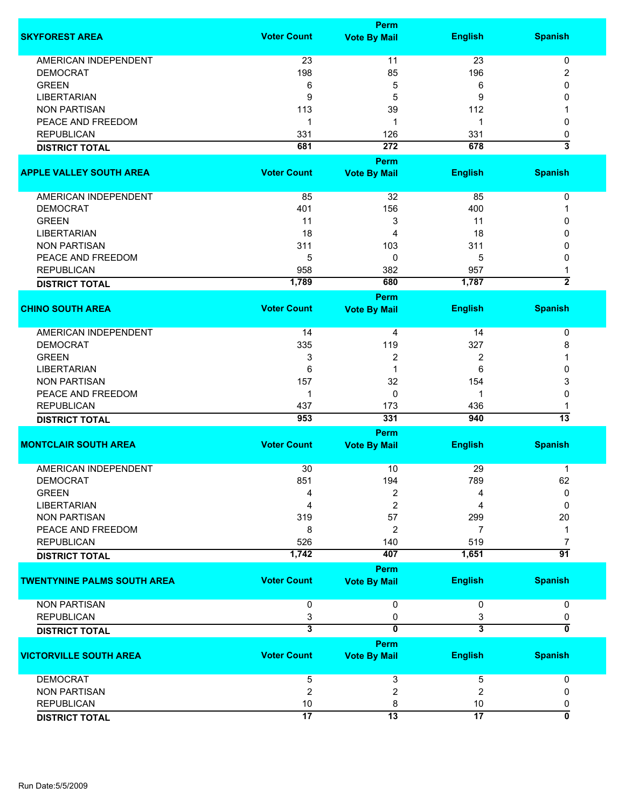|                                            |                         | Perm                    |                         |                                |
|--------------------------------------------|-------------------------|-------------------------|-------------------------|--------------------------------|
| <b>SKYFOREST AREA</b>                      | <b>Voter Count</b>      | <b>Vote By Mail</b>     | <b>English</b>          | <b>Spanish</b>                 |
| <b>AMERICAN INDEPENDENT</b>                | 23                      | 11                      | 23                      | 0                              |
| <b>DEMOCRAT</b>                            | 198                     | 85                      | 196                     | 2                              |
| <b>GREEN</b>                               | 6                       | 5                       | 6                       | 0                              |
| <b>LIBERTARIAN</b>                         | 9                       | 5                       | 9                       | 0                              |
|                                            |                         |                         |                         |                                |
| <b>NON PARTISAN</b>                        | 113                     | 39                      | 112                     |                                |
| PEACE AND FREEDOM                          | 1                       | 1                       | 1                       | 0                              |
| <b>REPUBLICAN</b>                          | 331                     | 126                     | 331                     | 0                              |
| <b>DISTRICT TOTAL</b>                      | 681                     | 272                     | 678                     | $\overline{\mathbf{3}}$        |
| <b>APPLE VALLEY SOUTH AREA</b>             | <b>Voter Count</b>      | Perm                    |                         | <b>Spanish</b>                 |
|                                            |                         | <b>Vote By Mail</b>     | <b>English</b>          |                                |
| AMERICAN INDEPENDENT                       | 85                      | 32                      | 85                      | 0                              |
| <b>DEMOCRAT</b>                            | 401                     | 156                     | 400                     | 1                              |
| <b>GREEN</b>                               | 11                      | 3                       | 11                      | 0                              |
| <b>LIBERTARIAN</b>                         | 18                      | 4                       | 18                      | 0                              |
| <b>NON PARTISAN</b>                        | 311                     | 103                     | 311                     | 0                              |
| PEACE AND FREEDOM                          | 5                       | 0                       | 5                       | 0                              |
|                                            |                         |                         |                         |                                |
| <b>REPUBLICAN</b><br><b>DISTRICT TOTAL</b> | 958<br>1,789            | 382<br>680              | 957<br>1,787            | $\overline{2}$                 |
|                                            |                         | Perm                    |                         |                                |
| <b>CHINO SOUTH AREA</b>                    | <b>Voter Count</b>      | <b>Vote By Mail</b>     | <b>English</b>          | <b>Spanish</b>                 |
|                                            |                         |                         |                         |                                |
| <b>AMERICAN INDEPENDENT</b>                | 14                      | 4                       | 14                      | 0                              |
| <b>DEMOCRAT</b>                            | 335                     | 119                     | 327                     | 8                              |
| <b>GREEN</b>                               | 3                       | 2                       | 2                       | 1                              |
| <b>LIBERTARIAN</b>                         | 6                       | 1                       | 6                       | 0                              |
| <b>NON PARTISAN</b>                        | 157                     | 32                      | 154                     | 3                              |
| PEACE AND FREEDOM                          | 1                       | $\Omega$                | 1                       | 0                              |
| <b>REPUBLICAN</b>                          | 437                     | 173                     | 436                     |                                |
| <b>DISTRICT TOTAL</b>                      | 953                     | 331                     | 940                     | $\overline{13}$                |
|                                            |                         | Perm                    |                         |                                |
| <b>MONTCLAIR SOUTH AREA</b>                | <b>Voter Count</b>      | <b>Vote By Mail</b>     | <b>English</b>          | <b>Spanish</b>                 |
|                                            |                         |                         |                         |                                |
| <b>AMERICAN INDEPENDENT</b>                | 30                      | 10                      | 29                      | $\mathbf 1$                    |
| <b>DEMOCRAT</b>                            | 851                     | 194                     | 789                     | 62                             |
| <b>GREEN</b>                               | 4                       | 2                       | 4                       | 0                              |
| <b>LIBERTARIAN</b>                         | 4                       | 2                       | 4                       | 0                              |
| <b>NON PARTISAN</b>                        | 319                     | 57                      | 299                     | 20                             |
| PEACE AND FREEDOM                          | 8                       | 2                       | 7                       | 1                              |
| <b>REPUBLICAN</b>                          | 526                     | 140                     | 519                     | 7                              |
| <b>DISTRICT TOTAL</b>                      | 1,742                   | 407                     | 1,651                   | 91                             |
|                                            |                         | <b>Perm</b>             |                         |                                |
| <b>TWENTYNINE PALMS SOUTH AREA</b>         | <b>Voter Count</b>      | <b>Vote By Mail</b>     | <b>English</b>          | <b>Spanish</b>                 |
|                                            |                         |                         |                         |                                |
| <b>NON PARTISAN</b>                        | 0                       | 0                       | 0                       | 0                              |
| <b>REPUBLICAN</b>                          | 3                       | 0                       | 3                       | 0                              |
| <b>DISTRICT TOTAL</b>                      | $\overline{\mathbf{3}}$ | $\overline{\mathbf{0}}$ | $\overline{\mathbf{3}}$ | 0                              |
|                                            |                         | <b>Perm</b>             |                         |                                |
| <b>VICTORVILLE SOUTH AREA</b>              | <b>Voter Count</b>      | <b>Vote By Mail</b>     | <b>English</b>          | <b>Spanish</b>                 |
| <b>DEMOCRAT</b>                            | 5                       | 3                       | 5                       | 0                              |
| <b>NON PARTISAN</b>                        | $\overline{2}$          | $\overline{\mathbf{c}}$ | $\overline{c}$          | 0                              |
| <b>REPUBLICAN</b>                          | 10                      | 8                       | $10$                    |                                |
|                                            | $\overline{17}$         | $\overline{13}$         | $\overline{17}$         | 0<br>$\overline{\mathfrak{o}}$ |
| <b>DISTRICT TOTAL</b>                      |                         |                         |                         |                                |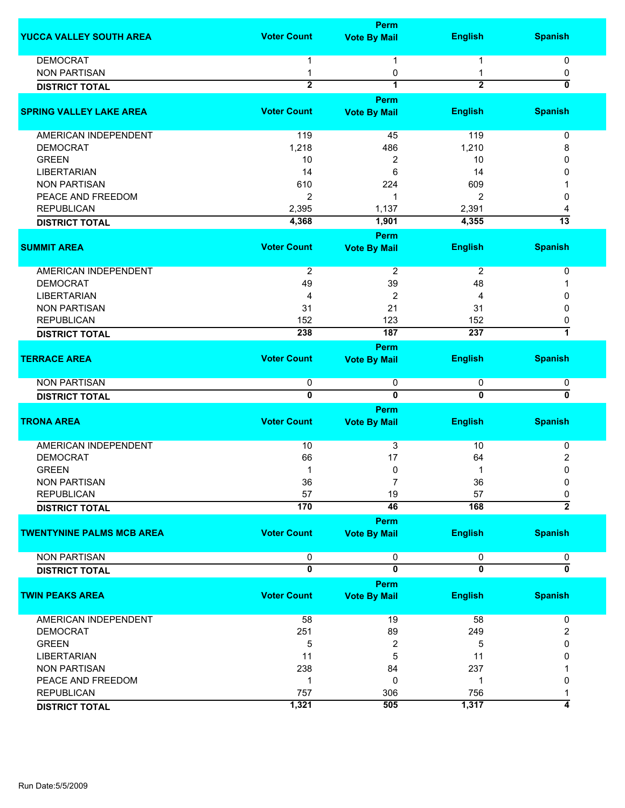|                                  |                    | Perm                    |                |                           |
|----------------------------------|--------------------|-------------------------|----------------|---------------------------|
| <b>YUCCA VALLEY SOUTH AREA</b>   | <b>Voter Count</b> | <b>Vote By Mail</b>     | <b>English</b> | <b>Spanish</b>            |
| <b>DEMOCRAT</b>                  | 1                  | 1                       | 1              | 0                         |
| <b>NON PARTISAN</b>              | 1                  | 0                       |                | 0                         |
| <b>DISTRICT TOTAL</b>            | $\overline{2}$     | 1                       | $\overline{2}$ | $\overline{\mathbf{0}}$   |
|                                  |                    | Perm                    |                |                           |
| <b>SPRING VALLEY LAKE AREA</b>   | <b>Voter Count</b> | <b>Vote By Mail</b>     | <b>English</b> | <b>Spanish</b>            |
|                                  |                    |                         |                |                           |
| <b>AMERICAN INDEPENDENT</b>      | 119                | 45                      | 119            | 0                         |
| <b>DEMOCRAT</b>                  | 1,218              | 486                     | 1,210          | 8                         |
| <b>GREEN</b>                     | 10                 | 2                       | 10             | 0                         |
| <b>LIBERTARIAN</b>               | 14                 | 6                       | 14             | 0                         |
| <b>NON PARTISAN</b>              | 610                | 224                     | 609            |                           |
| PEACE AND FREEDOM                | $\overline{2}$     | 1                       | 2              | 0                         |
| <b>REPUBLICAN</b>                | 2,395              | 1,137                   | 2,391          | 4                         |
| <b>DISTRICT TOTAL</b>            | 4,368              | 1,901                   | 4,355          | $\overline{13}$           |
|                                  |                    | <b>Perm</b>             |                |                           |
| <b>SUMMIT AREA</b>               | <b>Voter Count</b> | <b>Vote By Mail</b>     | <b>English</b> | <b>Spanish</b>            |
| <b>AMERICAN INDEPENDENT</b>      | $\overline{2}$     | $\overline{2}$          | $\overline{2}$ | 0                         |
| <b>DEMOCRAT</b>                  | 49                 | 39                      | 48             |                           |
| <b>LIBERTARIAN</b>               | 4                  | 2                       | 4              | 0                         |
| <b>NON PARTISAN</b>              | 31                 | 21                      | 31             | 0                         |
| <b>REPUBLICAN</b>                | 152                | 123                     | 152            | 0                         |
| <b>DISTRICT TOTAL</b>            | 238                | 187                     | 237            | 7                         |
|                                  |                    | Perm                    |                |                           |
| <b>TERRACE AREA</b>              | <b>Voter Count</b> | <b>Vote By Mail</b>     | <b>English</b> | <b>Spanish</b>            |
|                                  |                    |                         |                |                           |
| <b>NON PARTISAN</b>              | 0                  | 0                       | 0              | 0                         |
| <b>DISTRICT TOTAL</b>            | $\overline{0}$     | $\overline{0}$          | $\overline{0}$ | ō                         |
|                                  |                    | <b>Perm</b>             |                |                           |
| <b>TRONA AREA</b>                | <b>Voter Count</b> | <b>Vote By Mail</b>     | <b>English</b> | <b>Spanish</b>            |
| <b>AMERICAN INDEPENDENT</b>      | 10                 | 3                       | 10             | 0                         |
| <b>DEMOCRAT</b>                  | 66                 | 17                      | 64             | $\overline{\mathbf{c}}$   |
| <b>GREEN</b>                     | 1                  | 0                       | 1              | $\mathbf 0$               |
| <b>NON PARTISAN</b>              | 36                 |                         | 36             | 0                         |
| <b>REPUBLICAN</b>                | 57                 | 19                      | 57             | 0                         |
| <b>DISTRICT TOTAL</b>            | 170                | 46                      | 168            | $\overline{2}$            |
|                                  |                    | Perm                    |                |                           |
| <b>TWENTYNINE PALMS MCB AREA</b> | <b>Voter Count</b> | <b>Vote By Mail</b>     | <b>English</b> | <b>Spanish</b>            |
| <b>NON PARTISAN</b>              | 0                  | 0                       | 0              | 0                         |
| <b>DISTRICT TOTAL</b>            | $\overline{0}$     | $\overline{\mathbf{0}}$ | $\overline{0}$ | $\overline{\mathfrak{o}}$ |
|                                  |                    | Perm                    |                |                           |
| <b>TWIN PEAKS AREA</b>           | <b>Voter Count</b> | <b>Vote By Mail</b>     | <b>English</b> | <b>Spanish</b>            |
| AMERICAN INDEPENDENT             | 58                 | 19                      | 58             | 0                         |
| <b>DEMOCRAT</b>                  | 251                | 89                      | 249            | 2                         |
| <b>GREEN</b>                     | 5                  | 2                       | 5              | 0                         |
| <b>LIBERTARIAN</b>               | 11                 | 5                       | 11             | 0                         |
| <b>NON PARTISAN</b>              | 238                | 84                      | 237            |                           |
| PEACE AND FREEDOM                | 1                  | 0                       | 1              | 0                         |
| <b>REPUBLICAN</b>                | 757                | 306                     | 756            |                           |
| <b>DISTRICT TOTAL</b>            | 1,321              | 505                     | 1,317          | 4                         |
|                                  |                    |                         |                |                           |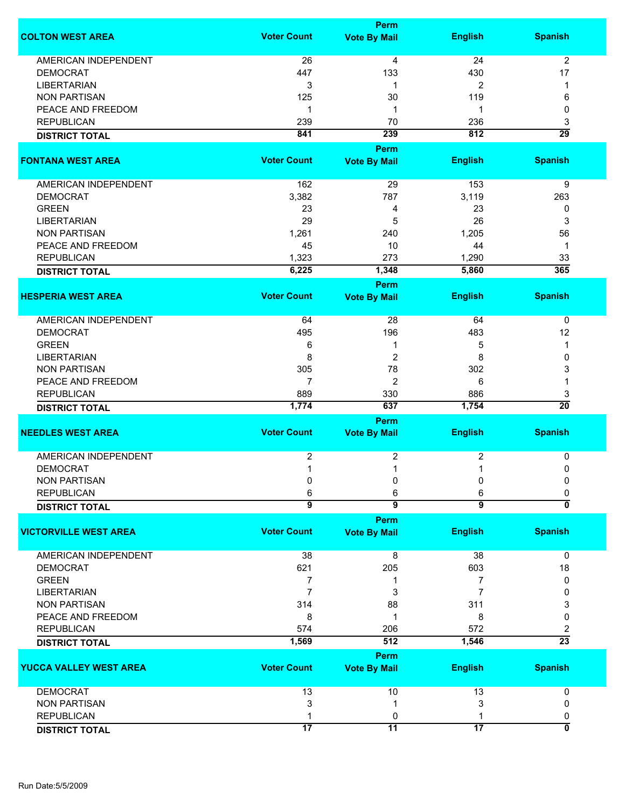|                               | Perm               |                             |                 |                  |  |
|-------------------------------|--------------------|-----------------------------|-----------------|------------------|--|
| <b>COLTON WEST AREA</b>       | <b>Voter Count</b> | <b>Vote By Mail</b>         | <b>English</b>  | <b>Spanish</b>   |  |
| <b>AMERICAN INDEPENDENT</b>   | 26                 | 4                           | 24              | $\overline{2}$   |  |
| <b>DEMOCRAT</b>               | 447                | 133                         | 430             | 17               |  |
| <b>LIBERTARIAN</b>            | 3                  | 1                           | 2               | 1                |  |
| <b>NON PARTISAN</b>           | 125                | 30                          | 119             |                  |  |
|                               |                    |                             |                 | 6                |  |
| PEACE AND FREEDOM             | 1                  | 1                           | 1               | 0                |  |
| <b>REPUBLICAN</b>             | 239                | 70                          | 236             | 3                |  |
| <b>DISTRICT TOTAL</b>         | 841                | 239                         | 812             | $\overline{29}$  |  |
|                               |                    | Perm                        |                 |                  |  |
| <b>FONTANA WEST AREA</b>      | <b>Voter Count</b> | <b>Vote By Mail</b>         | <b>English</b>  | <b>Spanish</b>   |  |
| AMERICAN INDEPENDENT          | 162                | 29                          | 153             | 9                |  |
| <b>DEMOCRAT</b>               | 3,382              | 787                         | 3,119           | 263              |  |
| <b>GREEN</b>                  | 23                 | 4                           | 23              | 0                |  |
| <b>LIBERTARIAN</b>            | 29                 | 5                           | 26              | 3                |  |
| <b>NON PARTISAN</b>           | 1,261              | 240                         | 1,205           | 56               |  |
| PEACE AND FREEDOM             | 45                 | 10                          | 44              | $\mathbf 1$      |  |
|                               |                    |                             |                 |                  |  |
| <b>REPUBLICAN</b>             | 1,323              | 273                         | 1,290           | 33               |  |
| <b>DISTRICT TOTAL</b>         | 6,225              | 1,348                       | 5,860           | $\overline{365}$ |  |
|                               | <b>Voter Count</b> | Perm                        |                 |                  |  |
| <b>HESPERIA WEST AREA</b>     |                    | <b>Vote By Mail</b>         | <b>English</b>  | <b>Spanish</b>   |  |
| AMERICAN INDEPENDENT          | 64                 | 28                          | 64              | 0                |  |
| <b>DEMOCRAT</b>               | 495                | 196                         | 483             | 12               |  |
| <b>GREEN</b>                  | 6                  | 1                           | 5               | 1                |  |
| <b>LIBERTARIAN</b>            | 8                  | $\overline{2}$              | 8               | 0                |  |
| <b>NON PARTISAN</b>           | 305                | 78                          | 302             | 3                |  |
| PEACE AND FREEDOM             | 7                  | $\overline{2}$              |                 |                  |  |
|                               |                    |                             | 6               | 1                |  |
| <b>REPUBLICAN</b>             | 889                | 330                         | 886             | 3                |  |
| <b>DISTRICT TOTAL</b>         | 1,774              | 637                         | 1,754           | $\overline{20}$  |  |
| <b>NEEDLES WEST AREA</b>      | <b>Voter Count</b> | Perm<br><b>Vote By Mail</b> | <b>English</b>  | <b>Spanish</b>   |  |
|                               |                    |                             |                 |                  |  |
| <b>AMERICAN INDEPENDENT</b>   | 2                  | 2                           | 2               | 0                |  |
| <b>DEMOCRAT</b>               | 1                  | 1                           | 1               | 0                |  |
| <b>NON PARTISAN</b>           | 0                  | 0                           | 0               | 0                |  |
| <b>REPUBLICAN</b>             | 6                  | 6                           | 6               | 0                |  |
| <b>DISTRICT TOTAL</b>         | $\overline{9}$     | $\overline{\mathbf{g}}$     | $\overline{9}$  | ō                |  |
|                               |                    | Perm                        |                 |                  |  |
| <b>VICTORVILLE WEST AREA</b>  | <b>Voter Count</b> | <b>Vote By Mail</b>         | <b>English</b>  | <b>Spanish</b>   |  |
| <b>AMERICAN INDEPENDENT</b>   | 38                 | 8                           | 38              | 0                |  |
| <b>DEMOCRAT</b>               | 621                | 205                         | 603             | 18               |  |
|                               |                    |                             |                 |                  |  |
| <b>GREEN</b>                  | $\overline{7}$     | 1                           | 7               | 0                |  |
| <b>LIBERTARIAN</b>            | $\overline{7}$     | 3                           | 7               | 0                |  |
| <b>NON PARTISAN</b>           | 314                | 88                          | 311             | 3                |  |
| PEACE AND FREEDOM             | 8                  | 1                           | 8               | 0                |  |
| <b>REPUBLICAN</b>             | 574                | 206                         | 572             | 2                |  |
| <b>DISTRICT TOTAL</b>         | 1,569              | 512                         | 1,546           | $\overline{23}$  |  |
|                               |                    | Perm                        |                 |                  |  |
| <b>YUCCA VALLEY WEST AREA</b> | <b>Voter Count</b> | <b>Vote By Mail</b>         | <b>English</b>  | <b>Spanish</b>   |  |
| <b>DEMOCRAT</b>               | 13                 | 10                          | 13              | 0                |  |
| <b>NON PARTISAN</b>           | 3                  | 1                           | 3               | 0                |  |
| <b>REPUBLICAN</b>             |                    | 0                           |                 | 0                |  |
|                               | $\overline{17}$    | $\overline{11}$             | $\overline{17}$ | 0                |  |
| <b>DISTRICT TOTAL</b>         |                    |                             |                 |                  |  |